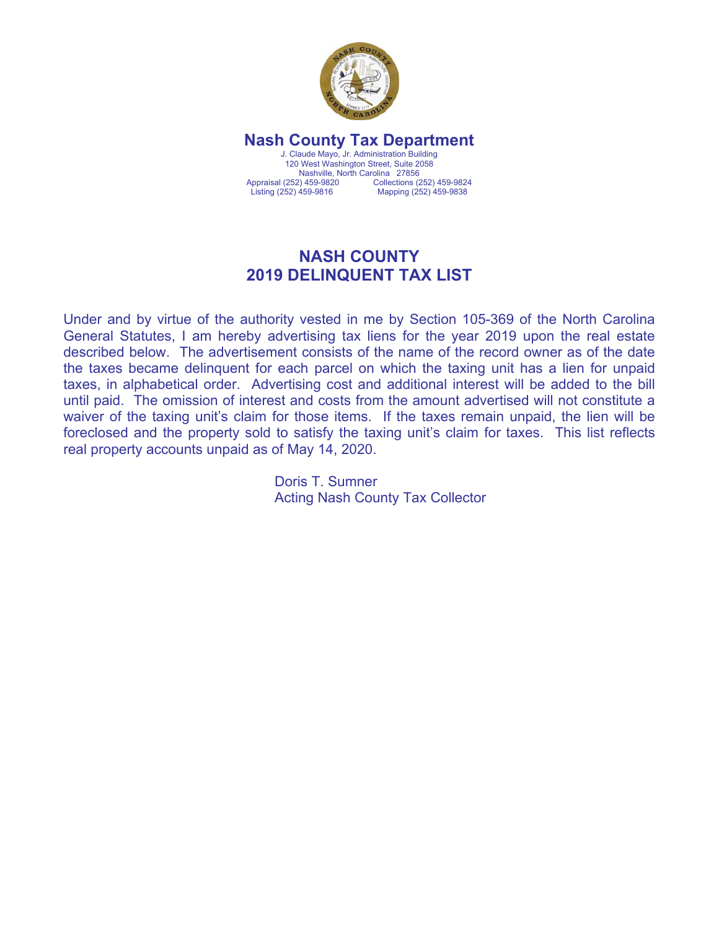

**Nash County Tax Department**  J. Claude Mayo, Jr. Administration Building 120 West Washington Street, Suite 2058 Nashville, North Carolina 27856<br>Appraisal (252) 459-9820 Collections (2 Appraisal (252) 459-9820 Collections (252) 459-9824<br>
Listing (252) 459-9816 Mapping (252) 459-9838 Mapping (252) 459-9838

## **NASH COUNTY 2019 DELINQUENT TAX LIST**

Under and by virtue of the authority vested in me by Section 105-369 of the North Carolina General Statutes, I am hereby advertising tax liens for the year 2019 upon the real estate described below. The advertisement consists of the name of the record owner as of the date the taxes became delinquent for each parcel on which the taxing unit has a lien for unpaid taxes, in alphabetical order. Advertising cost and additional interest will be added to the bill until paid. The omission of interest and costs from the amount advertised will not constitute a waiver of the taxing unit's claim for those items. If the taxes remain unpaid, the lien will be foreclosed and the property sold to satisfy the taxing unit's claim for taxes. This list reflects real property accounts unpaid as of May 14, 2020.

> Doris T. Sumner Acting Nash County Tax Collector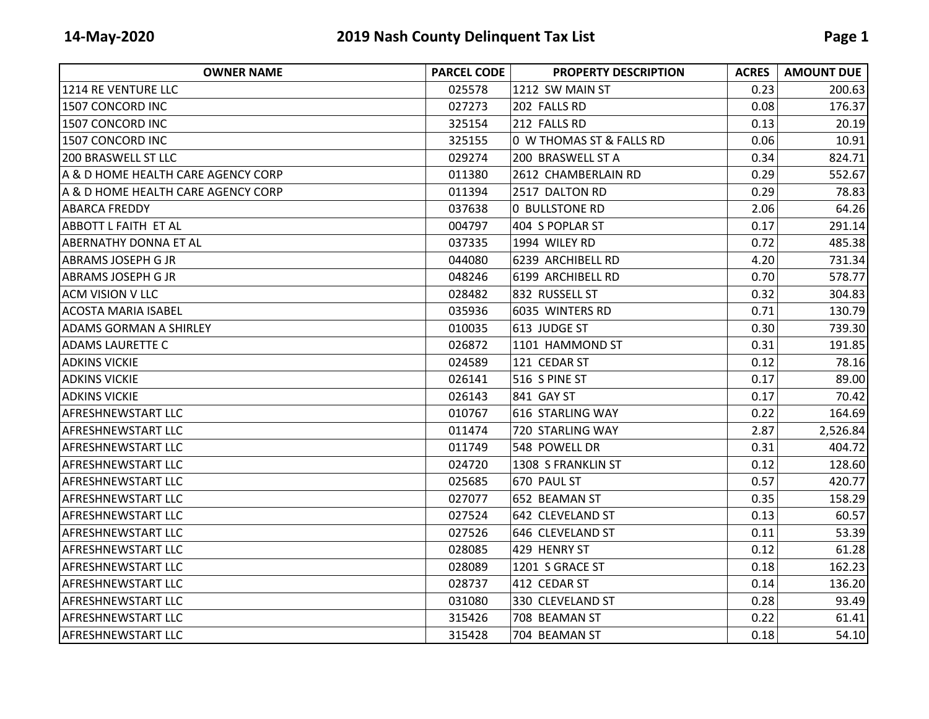| <b>OWNER NAME</b>                  | <b>PARCEL CODE</b> | <b>PROPERTY DESCRIPTION</b> | <b>ACRES</b> | <b>AMOUNT DUE</b> |
|------------------------------------|--------------------|-----------------------------|--------------|-------------------|
| 1214 RE VENTURE LLC                | 025578             | 1212 SW MAIN ST             | 0.23         | 200.63            |
| 1507 CONCORD INC                   | 027273             | 202 FALLS RD                | 0.08         | 176.37            |
| 1507 CONCORD INC                   | 325154             | 212 FALLS RD                | 0.13         | 20.19             |
| 1507 CONCORD INC                   | 325155             | 0 W THOMAS ST & FALLS RD    | 0.06         | 10.91             |
| <b>200 BRASWELL ST LLC</b>         | 029274             | 200 BRASWELL ST A           | 0.34         | 824.71            |
| A & D HOME HEALTH CARE AGENCY CORP | 011380             | 2612 CHAMBERLAIN RD         | 0.29         | 552.67            |
| A & D HOME HEALTH CARE AGENCY CORP | 011394             | 2517 DALTON RD              | 0.29         | 78.83             |
| <b>ABARCA FREDDY</b>               | 037638             | <b>0 BULLSTONE RD</b>       | 2.06         | 64.26             |
| IABBOTT L FAITH ET AL              | 004797             | 404 S POPLAR ST             | 0.17         | 291.14            |
| <b>ABERNATHY DONNA ET AL</b>       | 037335             | 1994 WILEY RD               | 0.72         | 485.38            |
| <b>ABRAMS JOSEPH G JR</b>          | 044080             | 6239 ARCHIBELL RD           | 4.20         | 731.34            |
| <b>ABRAMS JOSEPH G JR</b>          | 048246             | 6199 ARCHIBELL RD           | 0.70         | 578.77            |
| <b>ACM VISION V LLC</b>            | 028482             | 832 RUSSELL ST              | 0.32         | 304.83            |
| <b>ACOSTA MARIA ISABEL</b>         | 035936             | 6035 WINTERS RD             | 0.71         | 130.79            |
| <b>ADAMS GORMAN A SHIRLEY</b>      | 010035             | 613 JUDGE ST                | 0.30         | 739.30            |
| <b>ADAMS LAURETTE C</b>            | 026872             | 1101 HAMMOND ST             | 0.31         | 191.85            |
| <b>ADKINS VICKIE</b>               | 024589             | 121 CEDAR ST                | 0.12         | 78.16             |
| <b>ADKINS VICKIE</b>               | 026141             | 516 S PINE ST               | 0.17         | 89.00             |
| <b>ADKINS VICKIE</b>               | 026143             | 841 GAY ST                  | 0.17         | 70.42             |
| <b>AFRESHNEWSTART LLC</b>          | 010767             | 616 STARLING WAY            | 0.22         | 164.69            |
| <b>AFRESHNEWSTART LLC</b>          | 011474             | 720 STARLING WAY            | 2.87         | 2,526.84          |
| <b>AFRESHNEWSTART LLC</b>          | 011749             | 548 POWELL DR               | 0.31         | 404.72            |
| <b>AFRESHNEWSTART LLC</b>          | 024720             | 1308 S FRANKLIN ST          | 0.12         | 128.60            |
| <b>AFRESHNEWSTART LLC</b>          | 025685             | 670 PAUL ST                 | 0.57         | 420.77            |
| <b>AFRESHNEWSTART LLC</b>          | 027077             | 652 BEAMAN ST               | 0.35         | 158.29            |
| <b>AFRESHNEWSTART LLC</b>          | 027524             | 642 CLEVELAND ST            | 0.13         | 60.57             |
| <b>AFRESHNEWSTART LLC</b>          | 027526             | 646 CLEVELAND ST            | 0.11         | 53.39             |
| <b>AFRESHNEWSTART LLC</b>          | 028085             | 429 HENRY ST                | 0.12         | 61.28             |
| IAFRESHNEWSTART LLC                | 028089             | 1201 S GRACE ST             | 0.18         | 162.23            |
| <b>AFRESHNEWSTART LLC</b>          | 028737             | 412 CEDAR ST                | 0.14         | 136.20            |
| <b>AFRESHNEWSTART LLC</b>          | 031080             | 330 CLEVELAND ST            | 0.28         | 93.49             |
| <b>AFRESHNEWSTART LLC</b>          | 315426             | 708 BEAMAN ST               | 0.22         | 61.41             |
| <b>AFRESHNEWSTART LLC</b>          | 315428             | 704 BEAMAN ST               | 0.18         | 54.10             |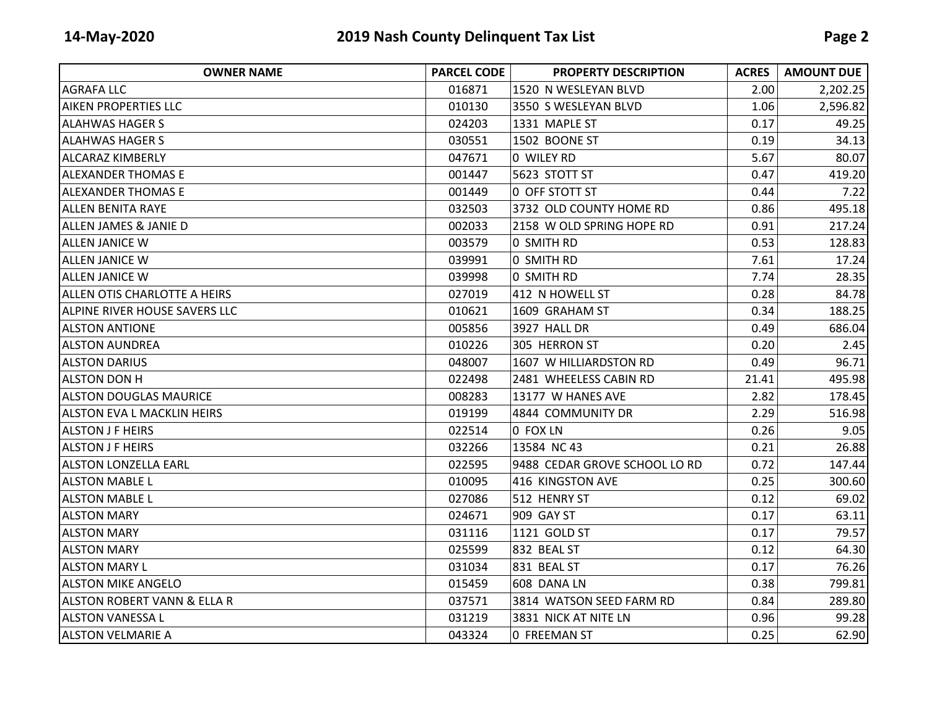| <b>OWNER NAME</b>                      | <b>PARCEL CODE</b> | <b>PROPERTY DESCRIPTION</b>   | <b>ACRES</b> | <b>AMOUNT DUE</b> |
|----------------------------------------|--------------------|-------------------------------|--------------|-------------------|
| AGRAFA LLC                             | 016871             | 1520 N WESLEYAN BLVD          | 2.00         | 2,202.25          |
| <b>AIKEN PROPERTIES LLC</b>            | 010130             | 3550 S WESLEYAN BLVD          | 1.06         | 2,596.82          |
| ALAHWAS HAGER S                        | 024203             | 1331 MAPLE ST                 | 0.17         | 49.25             |
| <b>ALAHWAS HAGER S</b>                 | 030551             | 1502 BOONE ST                 | 0.19         | 34.13             |
| ALCARAZ KIMBERLY                       | 047671             | 0 WILEY RD                    | 5.67         | 80.07             |
| ALEXANDER THOMAS E                     | 001447             | 5623 STOTT ST                 | 0.47         | 419.20            |
| <b>ALEXANDER THOMAS E</b>              | 001449             | 0 OFF STOTT ST                | 0.44         | 7.22              |
| <b>ALLEN BENITA RAYE</b>               | 032503             | 3732 OLD COUNTY HOME RD       | 0.86         | 495.18            |
| <b>ALLEN JAMES &amp; JANIE D</b>       | 002033             | 2158 W OLD SPRING HOPE RD     | 0.91         | 217.24            |
| <b>ALLEN JANICE W</b>                  | 003579             | 0 SMITH RD                    | 0.53         | 128.83            |
| <b>ALLEN JANICE W</b>                  | 039991             | 0 SMITH RD                    | 7.61         | 17.24             |
| <b>ALLEN JANICE W</b>                  | 039998             | 0 SMITH RD                    | 7.74         | 28.35             |
| ALLEN OTIS CHARLOTTE A HEIRS           | 027019             | 412 N HOWELL ST               | 0.28         | 84.78             |
| <b>ALPINE RIVER HOUSE SAVERS LLC</b>   | 010621             | 1609 GRAHAM ST                | 0.34         | 188.25            |
| <b>ALSTON ANTIONE</b>                  | 005856             | 3927 HALL DR                  | 0.49         | 686.04            |
| <b>ALSTON AUNDREA</b>                  | 010226             | 305 HERRON ST                 | 0.20         | 2.45              |
| <b>ALSTON DARIUS</b>                   | 048007             | 1607 W HILLIARDSTON RD        | 0.49         | 96.71             |
| <b>ALSTON DON H</b>                    | 022498             | 2481 WHEELESS CABIN RD        | 21.41        | 495.98            |
| <b>ALSTON DOUGLAS MAURICE</b>          | 008283             | 13177 W HANES AVE             | 2.82         | 178.45            |
| <b>ALSTON EVA L MACKLIN HEIRS</b>      | 019199             | 4844 COMMUNITY DR             | 2.29         | 516.98            |
| <b>ALSTON J F HEIRS</b>                | 022514             | 0 FOX LN                      | 0.26         | 9.05              |
| <b>ALSTON J F HEIRS</b>                | 032266             | 13584 NC 43                   | 0.21         | 26.88             |
| <b>ALSTON LONZELLA EARL</b>            | 022595             | 9488 CEDAR GROVE SCHOOL LO RD | 0.72         | 147.44            |
| <b>ALSTON MABLE L</b>                  | 010095             | 416 KINGSTON AVE              | 0.25         | 300.60            |
| <b>ALSTON MABLE L</b>                  | 027086             | 512 HENRY ST                  | 0.12         | 69.02             |
| <b>ALSTON MARY</b>                     | 024671             | 909 GAY ST                    | 0.17         | 63.11             |
| <b>ALSTON MARY</b>                     | 031116             | 1121 GOLD ST                  | 0.17         | 79.57             |
| <b>ALSTON MARY</b>                     | 025599             | 832 BEAL ST                   | 0.12         | 64.30             |
| <b>ALSTON MARY L</b>                   | 031034             | 831 BEAL ST                   | 0.17         | 76.26             |
| <b>ALSTON MIKE ANGELO</b>              | 015459             | 608 DANA LN                   | 0.38         | 799.81            |
| <b>ALSTON ROBERT VANN &amp; ELLA R</b> | 037571             | 3814 WATSON SEED FARM RD      | 0.84         | 289.80            |
| <b>ALSTON VANESSA L</b>                | 031219             | 3831 NICK AT NITE LN          | 0.96         | 99.28             |
| <b>ALSTON VELMARIE A</b>               | 043324             | 0 FREEMAN ST                  | 0.25         | 62.90             |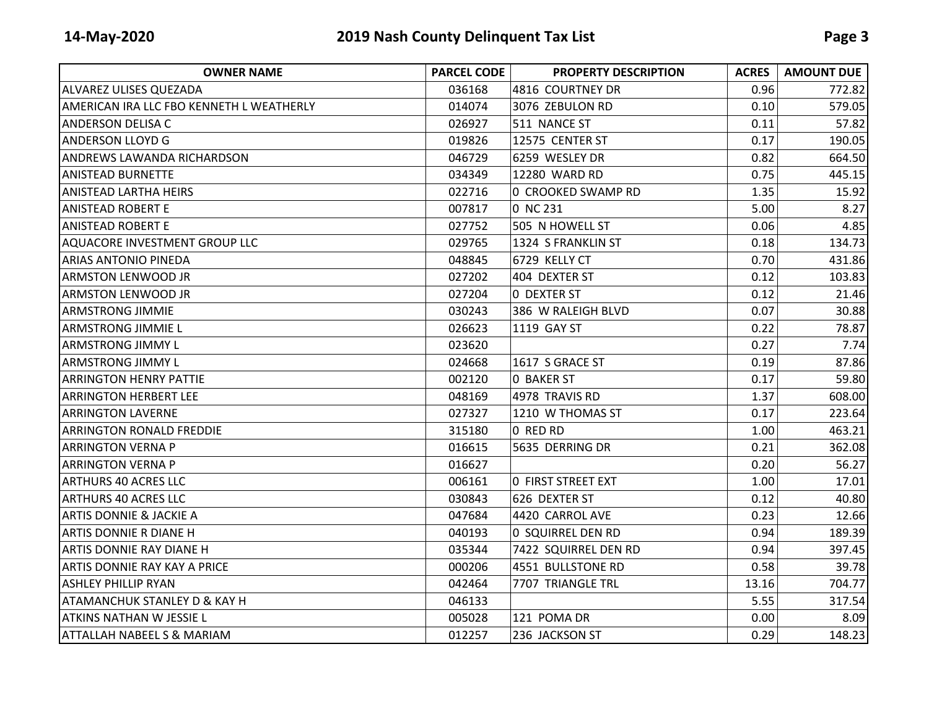| <b>OWNER NAME</b>                               | <b>PARCEL CODE</b> | <b>PROPERTY DESCRIPTION</b> | <b>ACRES</b> | <b>AMOUNT DUE</b> |
|-------------------------------------------------|--------------------|-----------------------------|--------------|-------------------|
| <b>ALVAREZ ULISES QUEZADA</b>                   | 036168             | 4816 COURTNEY DR            | 0.96         | 772.82            |
| <b>AMERICAN IRA LLC FBO KENNETH L WEATHERLY</b> | 014074             | 3076 ZEBULON RD             | 0.10         | 579.05            |
| <b>ANDERSON DELISA C</b>                        | 026927             | 511 NANCE ST                | 0.11         | 57.82             |
| <b>ANDERSON LLOYD G</b>                         | 019826             | 12575 CENTER ST             | 0.17         | 190.05            |
| <b>ANDREWS LAWANDA RICHARDSON</b>               | 046729             | 6259 WESLEY DR              | 0.82         | 664.50            |
| <b>ANISTEAD BURNETTE</b>                        | 034349             | 12280 WARD RD               | 0.75         | 445.15            |
| ANISTEAD LARTHA HEIRS                           | 022716             | 0 CROOKED SWAMP RD          | 1.35         | 15.92             |
| <b>ANISTEAD ROBERT E</b>                        | 007817             | 0 NC 231                    | 5.00         | 8.27              |
| <b>ANISTEAD ROBERT E</b>                        | 027752             | 505 N HOWELL ST             | 0.06         | 4.85              |
| <b>AQUACORE INVESTMENT GROUP LLC</b>            | 029765             | 1324 S FRANKLIN ST          | 0.18         | 134.73            |
| <b>ARIAS ANTONIO PINEDA</b>                     | 048845             | 6729 KELLY CT               | 0.70         | 431.86            |
| <b>ARMSTON LENWOOD JR</b>                       | 027202             | 404 DEXTER ST               | 0.12         | 103.83            |
| <b>ARMSTON LENWOOD JR</b>                       | 027204             | 0 DEXTER ST                 | 0.12         | 21.46             |
| <b>ARMSTRONG JIMMIE</b>                         | 030243             | 386 W RALEIGH BLVD          | 0.07         | 30.88             |
| <b>ARMSTRONG JIMMIE L</b>                       | 026623             | 1119 GAY ST                 | 0.22         | 78.87             |
| <b>ARMSTRONG JIMMY L</b>                        | 023620             |                             | 0.27         | 7.74              |
| <b>ARMSTRONG JIMMY L</b>                        | 024668             | 1617 S GRACE ST             | 0.19         | 87.86             |
| ARRINGTON HENRY PATTIE                          | 002120             | 0 BAKER ST                  | 0.17         | 59.80             |
| ARRINGTON HERBERT LEE                           | 048169             | 4978 TRAVIS RD              | 1.37         | 608.00            |
| <b>ARRINGTON LAVERNE</b>                        | 027327             | 1210 W THOMAS ST            | 0.17         | 223.64            |
| <b>ARRINGTON RONALD FREDDIE</b>                 | 315180             | 0 RED RD                    | 1.00         | 463.21            |
| <b>ARRINGTON VERNA P</b>                        | 016615             | 5635 DERRING DR             | 0.21         | 362.08            |
| <b>ARRINGTON VERNA P</b>                        | 016627             |                             | 0.20         | 56.27             |
| <b>ARTHURS 40 ACRES LLC</b>                     | 006161             | <b>0 FIRST STREET EXT</b>   | 1.00         | 17.01             |
| <b>ARTHURS 40 ACRES LLC</b>                     | 030843             | 626 DEXTER ST               | 0.12         | 40.80             |
| <b>ARTIS DONNIE &amp; JACKIE A</b>              | 047684             | 4420 CARROL AVE             | 0.23         | 12.66             |
| <b>ARTIS DONNIE R DIANE H</b>                   | 040193             | 0 SQUIRREL DEN RD           | 0.94         | 189.39            |
| <b>ARTIS DONNIE RAY DIANE H</b>                 | 035344             | 7422 SQUIRREL DEN RD        | 0.94         | 397.45            |
| ARTIS DONNIE RAY KAY A PRICE                    | 000206             | 4551 BULLSTONE RD           | 0.58         | 39.78             |
| <b>ASHLEY PHILLIP RYAN</b>                      | 042464             | 7707 TRIANGLE TRL           | 13.16        | 704.77            |
| <b>ATAMANCHUK STANLEY D &amp; KAY H</b>         | 046133             |                             | 5.55         | 317.54            |
| <b>ATKINS NATHAN W JESSIE L</b>                 | 005028             | 121 POMA DR                 | 0.00         | 8.09              |
| <b>ATTALLAH NABEEL S &amp; MARIAM</b>           | 012257             | 236 JACKSON ST              | 0.29         | 148.23            |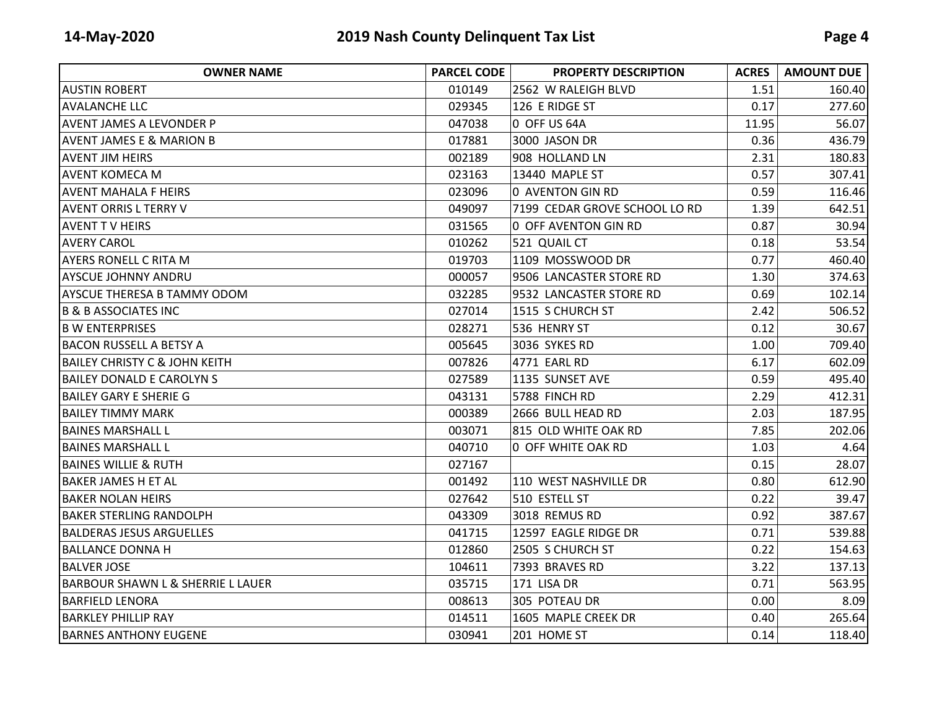| <b>OWNER NAME</b>                            | <b>PARCEL CODE</b> | <b>PROPERTY DESCRIPTION</b>   | <b>ACRES</b> | <b>AMOUNT DUE</b> |
|----------------------------------------------|--------------------|-------------------------------|--------------|-------------------|
| <b>AUSTIN ROBERT</b>                         | 010149             | 2562 W RALEIGH BLVD           | 1.51         | 160.40            |
| <b>AVALANCHE LLC</b>                         | 029345             | 126 E RIDGE ST                | 0.17         | 277.60            |
| <b>AVENT JAMES A LEVONDER P</b>              | 047038             | 0 OFF US 64A                  | 11.95        | 56.07             |
| <b>AVENT JAMES E &amp; MARION B</b>          | 017881             | 3000 JASON DR                 | 0.36         | 436.79            |
| <b>AVENT JIM HEIRS</b>                       | 002189             | 908 HOLLAND LN                | 2.31         | 180.83            |
| lAVENT KOMECA M                              | 023163             | 13440 MAPLE ST                | 0.57         | 307.41            |
| <b>AVENT MAHALA F HEIRS</b>                  | 023096             | 0 AVENTON GIN RD              | 0.59         | 116.46            |
| <b>AVENT ORRIS L TERRY V</b>                 | 049097             | 7199 CEDAR GROVE SCHOOL LO RD | 1.39         | 642.51            |
| <b>AVENT T V HEIRS</b>                       | 031565             | 0 OFF AVENTON GIN RD          | 0.87         | 30.94             |
| <b>AVERY CAROL</b>                           | 010262             | 521 QUAIL CT                  | 0.18         | 53.54             |
| <b>AYERS RONELL C RITA M</b>                 | 019703             | 1109 MOSSWOOD DR              | 0.77         | 460.40            |
| <b>AYSCUE JOHNNY ANDRU</b>                   | 000057             | 9506 LANCASTER STORE RD       | 1.30         | 374.63            |
| <b>AYSCUE THERESA B TAMMY ODOM</b>           | 032285             | 9532 LANCASTER STORE RD       | 0.69         | 102.14            |
| <b>B &amp; B ASSOCIATES INC</b>              | 027014             | 1515 S CHURCH ST              | 2.42         | 506.52            |
| <b>B W ENTERPRISES</b>                       | 028271             | 536 HENRY ST                  | 0.12         | 30.67             |
| <b>BACON RUSSELL A BETSY A</b>               | 005645             | 3036 SYKES RD                 | 1.00         | 709.40            |
| <b>BAILEY CHRISTY C &amp; JOHN KEITH</b>     | 007826             | 4771 EARL RD                  | 6.17         | 602.09            |
| <b>BAILEY DONALD E CAROLYN S</b>             | 027589             | 1135 SUNSET AVE               | 0.59         | 495.40            |
| <b>BAILEY GARY E SHERIE G</b>                | 043131             | 5788 FINCH RD                 | 2.29         | 412.31            |
| <b>BAILEY TIMMY MARK</b>                     | 000389             | 2666 BULL HEAD RD             | 2.03         | 187.95            |
| <b>BAINES MARSHALL L</b>                     | 003071             | 815 OLD WHITE OAK RD          | 7.85         | 202.06            |
| <b>BAINES MARSHALL L</b>                     | 040710             | 0 OFF WHITE OAK RD            | 1.03         | 4.64              |
| <b>BAINES WILLIE &amp; RUTH</b>              | 027167             |                               | 0.15         | 28.07             |
| IBAKER JAMES H ET AL                         | 001492             | 110 WEST NASHVILLE DR         | 0.80         | 612.90            |
| <b>BAKER NOLAN HEIRS</b>                     | 027642             | 510 ESTELL ST                 | 0.22         | 39.47             |
| <b>BAKER STERLING RANDOLPH</b>               | 043309             | 3018 REMUS RD                 | 0.92         | 387.67            |
| <b>BALDERAS JESUS ARGUELLES</b>              | 041715             | 12597 EAGLE RIDGE DR          | 0.71         | 539.88            |
| <b>BALLANCE DONNA H</b>                      | 012860             | 2505 S CHURCH ST              | 0.22         | 154.63            |
| <b>BALVER JOSE</b>                           | 104611             | 7393 BRAVES RD                | 3.22         | 137.13            |
| <b>BARBOUR SHAWN L &amp; SHERRIE L LAUER</b> | 035715             | 171 LISA DR                   | 0.71         | 563.95            |
| <b>BARFIELD LENORA</b>                       | 008613             | 305 POTEAU DR                 | 0.00         | 8.09              |
| <b>BARKLEY PHILLIP RAY</b>                   | 014511             | 1605 MAPLE CREEK DR           | 0.40         | 265.64            |
| <b>BARNES ANTHONY EUGENE</b>                 | 030941             | 201 HOME ST                   | 0.14         | 118.40            |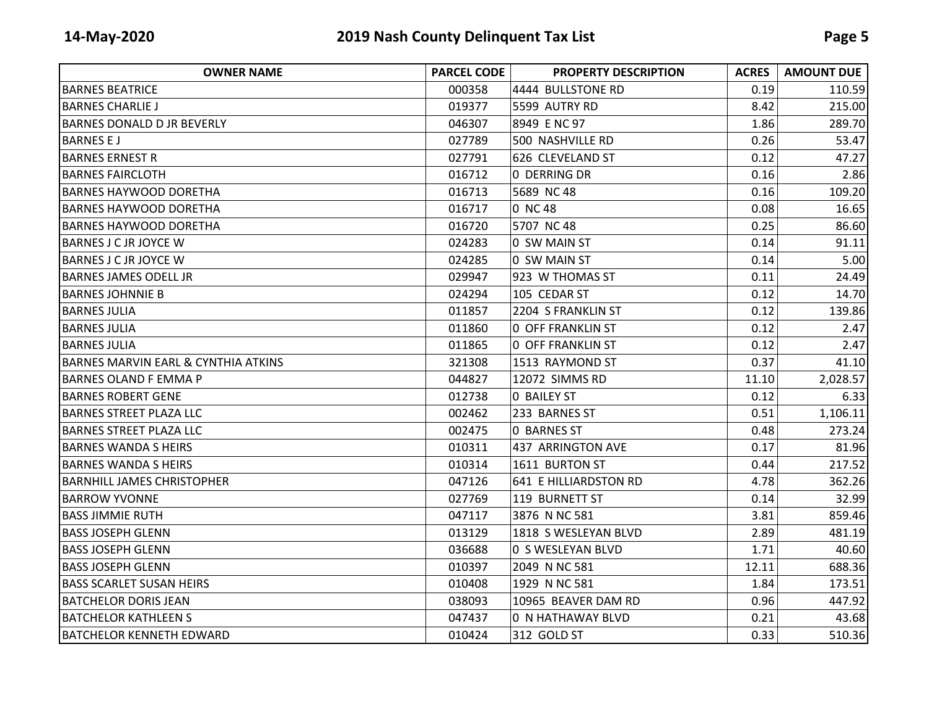| <b>OWNER NAME</b>                              | <b>PARCEL CODE</b> | <b>PROPERTY DESCRIPTION</b> | <b>ACRES</b> | <b>AMOUNT DUE</b> |
|------------------------------------------------|--------------------|-----------------------------|--------------|-------------------|
| <b>BARNES BEATRICE</b>                         | 000358             | 4444 BULLSTONE RD           | 0.19         | 110.59            |
| <b>BARNES CHARLIE J</b>                        | 019377             | 5599 AUTRY RD               | 8.42         | 215.00            |
| <b>BARNES DONALD D JR BEVERLY</b>              | 046307             | 8949 E NC 97                | 1.86         | 289.70            |
| <b>BARNES E J</b>                              | 027789             | 500 NASHVILLE RD            | 0.26         | 53.47             |
| <b>BARNES ERNEST R</b>                         | 027791             | 626 CLEVELAND ST            | 0.12         | 47.27             |
| <b>BARNES FAIRCLOTH</b>                        | 016712             | 0 DERRING DR                | 0.16         | 2.86              |
| <b>BARNES HAYWOOD DORETHA</b>                  | 016713             | 5689 NC 48                  | 0.16         | 109.20            |
| <b>BARNES HAYWOOD DORETHA</b>                  | 016717             | 0 NC 48                     | 0.08         | 16.65             |
| <b>BARNES HAYWOOD DORETHA</b>                  | 016720             | 5707 NC 48                  | 0.25         | 86.60             |
| <b>BARNES J C JR JOYCE W</b>                   | 024283             | 0 SW MAIN ST                | 0.14         | 91.11             |
| <b>BARNES J C JR JOYCE W</b>                   | 024285             | 0 SW MAIN ST                | 0.14         | 5.00              |
| <b>BARNES JAMES ODELL JR</b>                   | 029947             | 923 W THOMAS ST             | 0.11         | 24.49             |
| <b>BARNES JOHNNIE B</b>                        | 024294             | 105 CEDAR ST                | 0.12         | 14.70             |
| <b>BARNES JULIA</b>                            | 011857             | 2204 S FRANKLIN ST          | 0.12         | 139.86            |
| <b>BARNES JULIA</b>                            | 011860             | <b>0 OFF FRANKLIN ST</b>    | 0.12         | 2.47              |
| <b>BARNES JULIA</b>                            | 011865             | O OFF FRANKLIN ST           | 0.12         | 2.47              |
| <b>BARNES MARVIN EARL &amp; CYNTHIA ATKINS</b> | 321308             | 1513 RAYMOND ST             | 0.37         | 41.10             |
| <b>BARNES OLAND F EMMA P</b>                   | 044827             | 12072 SIMMS RD              | 11.10        | 2,028.57          |
| <b>BARNES ROBERT GENE</b>                      | 012738             | <b>O BAILEY ST</b>          | 0.12         | 6.33              |
| <b>BARNES STREET PLAZA LLC</b>                 | 002462             | 233 BARNES ST               | 0.51         | 1,106.11          |
| <b>BARNES STREET PLAZA LLC</b>                 | 002475             | <b>0 BARNES ST</b>          | 0.48         | 273.24            |
| <b>BARNES WANDA S HEIRS</b>                    | 010311             | 437 ARRINGTON AVE           | 0.17         | 81.96             |
| <b>BARNES WANDA S HEIRS</b>                    | 010314             | 1611 BURTON ST              | 0.44         | 217.52            |
| <b>BARNHILL JAMES CHRISTOPHER</b>              | 047126             | 641 E HILLIARDSTON RD       | 4.78         | 362.26            |
| <b>BARROW YVONNE</b>                           | 027769             | 119 BURNETT ST              | 0.14         | 32.99             |
| <b>BASS JIMMIE RUTH</b>                        | 047117             | 3876 N NC 581               | 3.81         | 859.46            |
| <b>BASS JOSEPH GLENN</b>                       | 013129             | 1818 S WESLEYAN BLVD        | 2.89         | 481.19            |
| <b>BASS JOSEPH GLENN</b>                       | 036688             | 0 S WESLEYAN BLVD           | 1.71         | 40.60             |
| <b>BASS JOSEPH GLENN</b>                       | 010397             | 2049 N NC 581               | 12.11        | 688.36            |
| <b>BASS SCARLET SUSAN HEIRS</b>                | 010408             | 1929 N NC 581               | 1.84         | 173.51            |
| <b>BATCHELOR DORIS JEAN</b>                    | 038093             | 10965 BEAVER DAM RD         | 0.96         | 447.92            |
| <b>BATCHELOR KATHLEEN S</b>                    | 047437             | 0 N HATHAWAY BLVD           | 0.21         | 43.68             |
| <b>BATCHELOR KENNETH EDWARD</b>                | 010424             | 312 GOLD ST                 | 0.33         | 510.36            |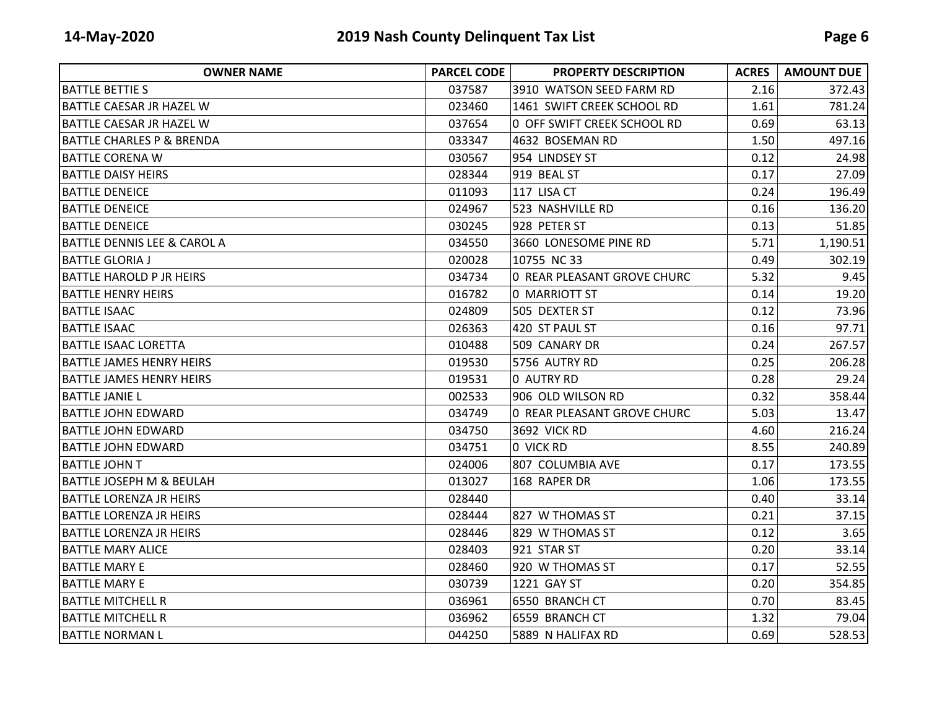| <b>OWNER NAME</b>                      | <b>PARCEL CODE</b> | <b>PROPERTY DESCRIPTION</b> | <b>ACRES</b> | <b>AMOUNT DUE</b> |
|----------------------------------------|--------------------|-----------------------------|--------------|-------------------|
| <b>BATTLE BETTIE S</b>                 | 037587             | 3910 WATSON SEED FARM RD    | 2.16         | 372.43            |
| BATTLE CAESAR JR HAZEL W               | 023460             | 1461 SWIFT CREEK SCHOOL RD  | 1.61         | 781.24            |
| BATTLE CAESAR JR HAZEL W               | 037654             | 0 OFF SWIFT CREEK SCHOOL RD | 0.69         | 63.13             |
| <b>BATTLE CHARLES P &amp; BRENDA</b>   | 033347             | 4632 BOSEMAN RD             | 1.50         | 497.16            |
| <b>BATTLE CORENA W</b>                 | 030567             | 954 LINDSEY ST              | 0.12         | 24.98             |
| BATTLE DAISY HEIRS                     | 028344             | 919 BEAL ST                 | 0.17         | 27.09             |
| <b>BATTLE DENEICE</b>                  | 011093             | 117 LISA CT                 | 0.24         | 196.49            |
| IBATTLE DENEICE                        | 024967             | 523 NASHVILLE RD            | 0.16         | 136.20            |
| <b>BATTLE DENEICE</b>                  | 030245             | 928 PETER ST                | 0.13         | 51.85             |
| <b>BATTLE DENNIS LEE &amp; CAROL A</b> | 034550             | 3660 LONESOME PINE RD       | 5.71         | 1,190.51          |
| <b>BATTLE GLORIA J</b>                 | 020028             | 10755 NC 33                 | 0.49         | 302.19            |
| <b>BATTLE HAROLD P JR HEIRS</b>        | 034734             | 0 REAR PLEASANT GROVE CHURC | 5.32         | 9.45              |
| <b>BATTLE HENRY HEIRS</b>              | 016782             | 0 MARRIOTT ST               | 0.14         | 19.20             |
| <b>BATTLE ISAAC</b>                    | 024809             | 505 DEXTER ST               | 0.12         | 73.96             |
| <b>BATTLE ISAAC</b>                    | 026363             | 420 ST PAUL ST              | 0.16         | 97.71             |
| <b>BATTLE ISAAC LORETTA</b>            | 010488             | 509 CANARY DR               | 0.24         | 267.57            |
| <b>BATTLE JAMES HENRY HEIRS</b>        | 019530             | 5756 AUTRY RD               | 0.25         | 206.28            |
| <b>BATTLE JAMES HENRY HEIRS</b>        | 019531             | 0 AUTRY RD                  | 0.28         | 29.24             |
| <b>BATTLE JANIE L</b>                  | 002533             | 906 OLD WILSON RD           | 0.32         | 358.44            |
| <b>BATTLE JOHN EDWARD</b>              | 034749             | 0 REAR PLEASANT GROVE CHURC | 5.03         | 13.47             |
| <b>BATTLE JOHN EDWARD</b>              | 034750             | <b>3692 VICK RD</b>         | 4.60         | 216.24            |
| BATTLE JOHN EDWARD                     | 034751             | 0 VICK RD                   | 8.55         | 240.89            |
| IBATTLE JOHN T                         | 024006             | 807 COLUMBIA AVE            | 0.17         | 173.55            |
| <b>BATTLE JOSEPH M &amp; BEULAH</b>    | 013027             | 168 RAPER DR                | 1.06         | 173.55            |
| <b>BATTLE LORENZA JR HEIRS</b>         | 028440             |                             | 0.40         | 33.14             |
| <b>BATTLE LORENZA JR HEIRS</b>         | 028444             | 827 W THOMAS ST             | 0.21         | 37.15             |
| <b>BATTLE LORENZA JR HEIRS</b>         | 028446             | 829 W THOMAS ST             | 0.12         | 3.65              |
| IBATTLE MARY ALICE                     | 028403             | 921 STAR ST                 | 0.20         | 33.14             |
| <b>BATTLE MARY E</b>                   | 028460             | 920 W THOMAS ST             | 0.17         | 52.55             |
| <b>BATTLE MARY E</b>                   | 030739             | 1221 GAY ST                 | 0.20         | 354.85            |
| <b>BATTLE MITCHELL R</b>               | 036961             | 6550 BRANCH CT              | 0.70         | 83.45             |
| <b>BATTLE MITCHELL R</b>               | 036962             | 6559 BRANCH CT              | 1.32         | 79.04             |
| <b>BATTLE NORMAN L</b>                 | 044250             | 5889 N HALIFAX RD           | 0.69         | 528.53            |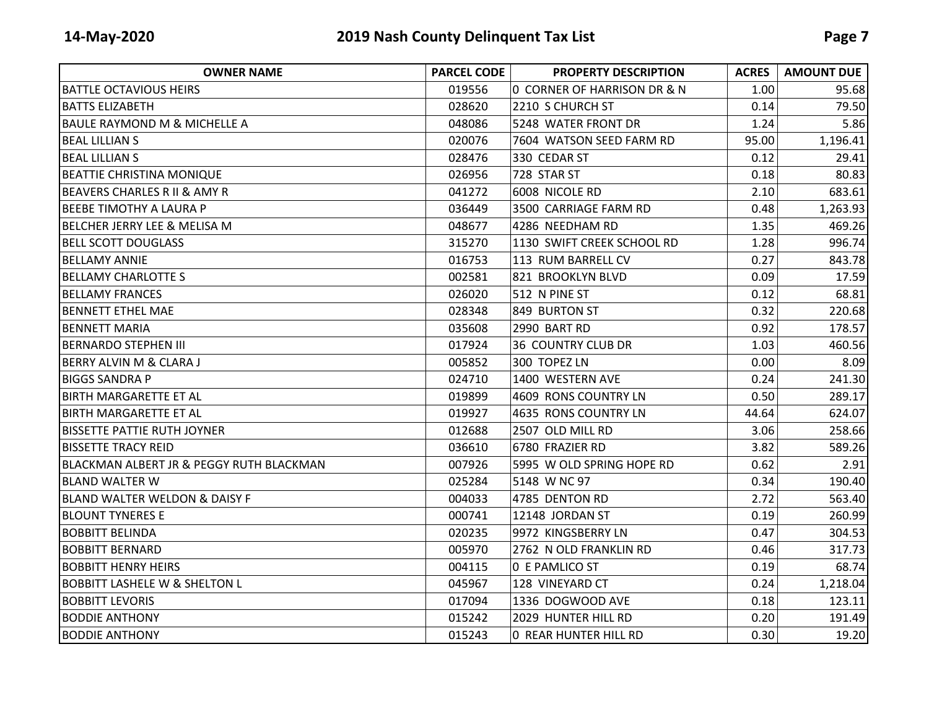| <b>OWNER NAME</b>                        | <b>PARCEL CODE</b> | <b>PROPERTY DESCRIPTION</b>  | <b>ACRES</b> | <b>AMOUNT DUE</b> |
|------------------------------------------|--------------------|------------------------------|--------------|-------------------|
| <b>BATTLE OCTAVIOUS HEIRS</b>            | 019556             | 0 CORNER OF HARRISON DR & N  | 1.00         | 95.68             |
| <b>BATTS ELIZABETH</b>                   | 028620             | 2210 S CHURCH ST             | 0.14         | 79.50             |
| <b>BAULE RAYMOND M &amp; MICHELLE A</b>  | 048086             | 5248 WATER FRONT DR          | 1.24         | 5.86              |
| <b>BEAL LILLIAN S</b>                    | 020076             | 7604 WATSON SEED FARM RD     | 95.00        | 1,196.41          |
| <b>BEAL LILLIAN S</b>                    | 028476             | 330 CEDAR ST                 | 0.12         | 29.41             |
| <b>BEATTIE CHRISTINA MONIQUE</b>         | 026956             | 728 STAR ST                  | 0.18         | 80.83             |
| <b>BEAVERS CHARLES R II &amp; AMY R</b>  | 041272             | 6008 NICOLE RD               | 2.10         | 683.61            |
| <b>BEEBE TIMOTHY A LAURA P</b>           | 036449             | 3500 CARRIAGE FARM RD        | 0.48         | 1,263.93          |
| BELCHER JERRY LEE & MELISA M             | 048677             | 4286 NEEDHAM RD              | 1.35         | 469.26            |
| <b>BELL SCOTT DOUGLASS</b>               | 315270             | 1130 SWIFT CREEK SCHOOL RD   | 1.28         | 996.74            |
| <b>BELLAMY ANNIE</b>                     | 016753             | 113 RUM BARRELL CV           | 0.27         | 843.78            |
| <b>BELLAMY CHARLOTTE S</b>               | 002581             | 821 BROOKLYN BLVD            | 0.09         | 17.59             |
| <b>BELLAMY FRANCES</b>                   | 026020             | 512 N PINE ST                | 0.12         | 68.81             |
| <b>BENNETT ETHEL MAE</b>                 | 028348             | 849 BURTON ST                | 0.32         | 220.68            |
| <b>BENNETT MARIA</b>                     | 035608             | 2990 BART RD                 | 0.92         | 178.57            |
| <b>BERNARDO STEPHEN III</b>              | 017924             | <b>36 COUNTRY CLUB DR</b>    | 1.03         | 460.56            |
| BERRY ALVIN M & CLARA J                  | 005852             | 300 TOPEZ LN                 | 0.00         | 8.09              |
| <b>BIGGS SANDRA P</b>                    | 024710             | 1400 WESTERN AVE             | 0.24         | 241.30            |
| <b>BIRTH MARGARETTE ET AL</b>            | 019899             | 4609 RONS COUNTRY LN         | 0.50         | 289.17            |
| <b>BIRTH MARGARETTE ET AL</b>            | 019927             | 4635 RONS COUNTRY LN         | 44.64        | 624.07            |
| <b>BISSETTE PATTIE RUTH JOYNER</b>       | 012688             | 2507 OLD MILL RD             | 3.06         | 258.66            |
| <b>BISSETTE TRACY REID</b>               | 036610             | 6780 FRAZIER RD              | 3.82         | 589.26            |
| BLACKMAN ALBERT JR & PEGGY RUTH BLACKMAN | 007926             | 5995 W OLD SPRING HOPE RD    | 0.62         | 2.91              |
| IBLAND WALTER W                          | 025284             | 5148 W NC 97                 | 0.34         | 190.40            |
| <b>BLAND WALTER WELDON &amp; DAISY F</b> | 004033             | 4785 DENTON RD               | 2.72         | 563.40            |
| <b>BLOUNT TYNERES E</b>                  | 000741             | 12148 JORDAN ST              | 0.19         | 260.99            |
| <b>BOBBITT BELINDA</b>                   | 020235             | 9972 KINGSBERRY LN           | 0.47         | 304.53            |
| <b>BOBBITT BERNARD</b>                   | 005970             | 2762 N OLD FRANKLIN RD       | 0.46         | 317.73            |
| <b>BOBBITT HENRY HEIRS</b>               | 004115             | <b>0 E PAMLICO ST</b>        | 0.19         | 68.74             |
| <b>BOBBITT LASHELE W &amp; SHELTON L</b> | 045967             | 128 VINEYARD CT              | 0.24         | 1,218.04          |
| <b>BOBBITT LEVORIS</b>                   | 017094             | 1336 DOGWOOD AVE             | 0.18         | 123.11            |
| <b>BODDIE ANTHONY</b>                    | 015242             | 2029 HUNTER HILL RD          | 0.20         | 191.49            |
| <b>BODDIE ANTHONY</b>                    | 015243             | <b>0 REAR HUNTER HILL RD</b> | 0.30         | 19.20             |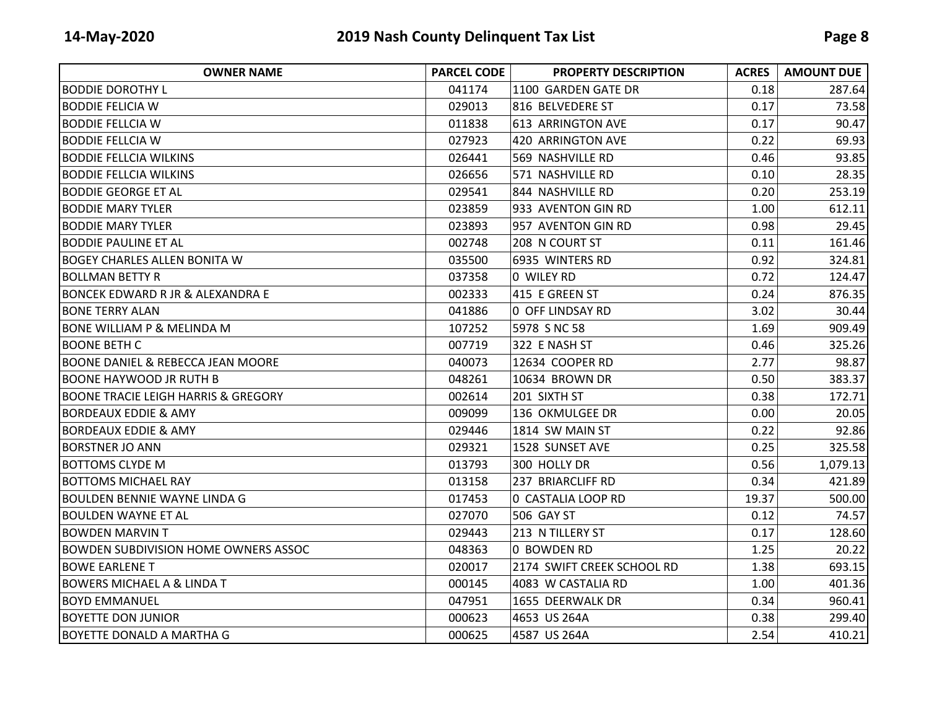| <b>OWNER NAME</b>                              | <b>PARCEL CODE</b> | <b>PROPERTY DESCRIPTION</b> | <b>ACRES</b> | <b>AMOUNT DUE</b> |
|------------------------------------------------|--------------------|-----------------------------|--------------|-------------------|
| <b>BODDIE DOROTHY L</b>                        | 041174             | 1100 GARDEN GATE DR         | 0.18         | 287.64            |
| <b>BODDIE FELICIA W</b>                        | 029013             | 816 BELVEDERE ST            | 0.17         | 73.58             |
| <b>BODDIE FELLCIA W</b>                        | 011838             | 613 ARRINGTON AVE           | 0.17         | 90.47             |
| IBODDIE FELLCIA W                              | 027923             | 420 ARRINGTON AVE           | 0.22         | 69.93             |
| <b>BODDIE FELLCIA WILKINS</b>                  | 026441             | 569 NASHVILLE RD            | 0.46         | 93.85             |
| <b>BODDIE FELLCIA WILKINS</b>                  | 026656             | 571 NASHVILLE RD            | 0.10         | 28.35             |
| <b>BODDIE GEORGE ET AL</b>                     | 029541             | 844 NASHVILLE RD            | 0.20         | 253.19            |
| <b>BODDIE MARY TYLER</b>                       | 023859             | 933 AVENTON GIN RD          | 1.00         | 612.11            |
| <b>BODDIE MARY TYLER</b>                       | 023893             | 957 AVENTON GIN RD          | 0.98         | 29.45             |
| <b>BODDIE PAULINE ET AL</b>                    | 002748             | 208 N COURT ST              | 0.11         | 161.46            |
| <b>BOGEY CHARLES ALLEN BONITA W</b>            | 035500             | 6935 WINTERS RD             | 0.92         | 324.81            |
| <b>BOLLMAN BETTY R</b>                         | 037358             | 0 WILEY RD                  | 0.72         | 124.47            |
| BONCEK EDWARD R JR & ALEXANDRA E               | 002333             | 415 E GREEN ST              | 0.24         | 876.35            |
| <b>BONE TERRY ALAN</b>                         | 041886             | 0 OFF LINDSAY RD            | 3.02         | 30.44             |
| <b>BONE WILLIAM P &amp; MELINDA M</b>          | 107252             | 5978 S NC 58                | 1.69         | 909.49            |
| IBOONE BETH C                                  | 007719             | 322 E NASH ST               | 0.46         | 325.26            |
| <b>BOONE DANIEL &amp; REBECCA JEAN MOORE</b>   | 040073             | 12634 COOPER RD             | 2.77         | 98.87             |
| <b>BOONE HAYWOOD JR RUTH B</b>                 | 048261             | 10634 BROWN DR              | 0.50         | 383.37            |
| <b>BOONE TRACIE LEIGH HARRIS &amp; GREGORY</b> | 002614             | 201 SIXTH ST                | 0.38         | 172.71            |
| <b>BORDEAUX EDDIE &amp; AMY</b>                | 009099             | 136 OKMULGEE DR             | 0.00         | 20.05             |
| <b>BORDEAUX EDDIE &amp; AMY</b>                | 029446             | 1814 SW MAIN ST             | 0.22         | 92.86             |
| <b>BORSTNER JO ANN</b>                         | 029321             | 1528 SUNSET AVE             | 0.25         | 325.58            |
| IBOTTOMS CLYDE M                               | 013793             | 300 HOLLY DR                | 0.56         | 1,079.13          |
| <b>BOTTOMS MICHAEL RAY</b>                     | 013158             | 237 BRIARCLIFF RD           | 0.34         | 421.89            |
| BOULDEN BENNIE WAYNE LINDA G                   | 017453             | 0 CASTALIA LOOP RD          | 19.37        | 500.00            |
| BOULDEN WAYNE ET AL                            | 027070             | 506 GAY ST                  | 0.12         | 74.57             |
| <b>BOWDEN MARVIN T</b>                         | 029443             | 213 N TILLERY ST            | 0.17         | 128.60            |
| <b>BOWDEN SUBDIVISION HOME OWNERS ASSOC</b>    | 048363             | 0 BOWDEN RD                 | 1.25         | 20.22             |
| <b>BOWE EARLENE T</b>                          | 020017             | 2174 SWIFT CREEK SCHOOL RD  | 1.38         | 693.15            |
| BOWERS MICHAEL A & LINDA T                     | 000145             | 4083 W CASTALIA RD          | 1.00         | 401.36            |
| IBOYD EMMANUEL                                 | 047951             | 1655 DEERWALK DR            | 0.34         | 960.41            |
| BOYETTE DON JUNIOR                             | 000623             | 4653 US 264A                | 0.38         | 299.40            |
| IBOYETTE DONALD A MARTHA G                     | 000625             | 4587 US 264A                | 2.54         | 410.21            |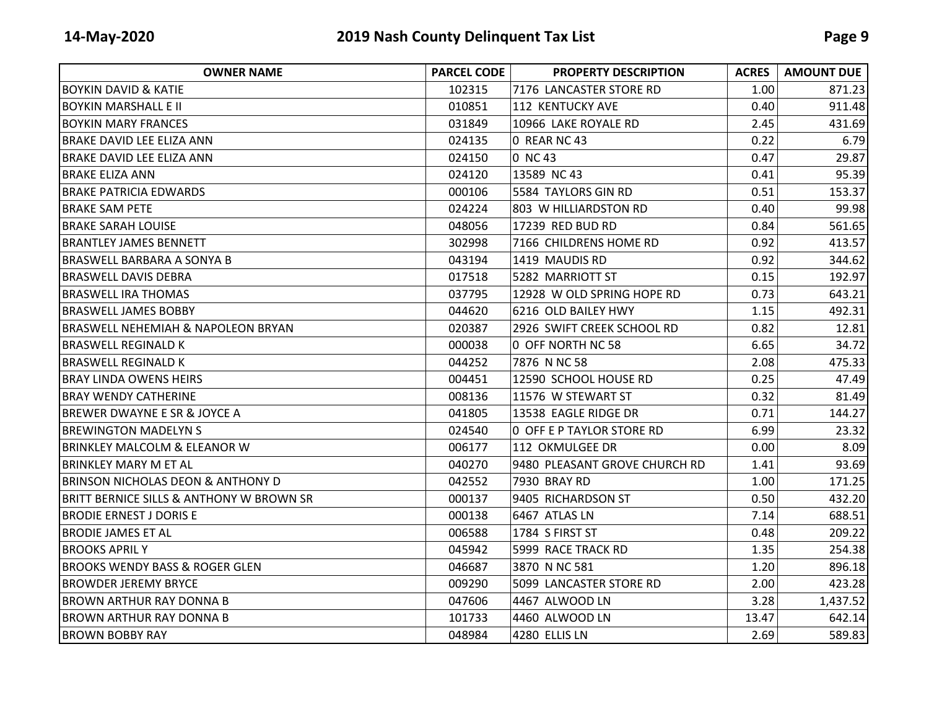| <b>OWNER NAME</b>                            | <b>PARCEL CODE</b> | <b>PROPERTY DESCRIPTION</b>   | <b>ACRES</b> | <b>AMOUNT DUE</b> |
|----------------------------------------------|--------------------|-------------------------------|--------------|-------------------|
| <b>BOYKIN DAVID &amp; KATIE</b>              | 102315             | 7176 LANCASTER STORE RD       | 1.00         | 871.23            |
| IBOYKIN MARSHALL E II                        | 010851             | 112 KENTUCKY AVE              | 0.40         | 911.48            |
| <b>BOYKIN MARY FRANCES</b>                   | 031849             | 10966 LAKE ROYALE RD          | 2.45         | 431.69            |
| <b>BRAKE DAVID LEE ELIZA ANN</b>             | 024135             | 0 REAR NC 43                  | 0.22         | 6.79              |
| BRAKE DAVID LEE ELIZA ANN                    | 024150             | 0 NC 43                       | 0.47         | 29.87             |
| IBRAKE ELIZA ANN                             | 024120             | 13589 NC 43                   | 0.41         | 95.39             |
| <b>BRAKE PATRICIA EDWARDS</b>                | 000106             | 5584 TAYLORS GIN RD           | 0.51         | 153.37            |
| <b>BRAKE SAM PETE</b>                        | 024224             | 803 W HILLIARDSTON RD         | 0.40         | 99.98             |
| IBRAKE SARAH LOUISE                          | 048056             | 17239 RED BUD RD              | 0.84         | 561.65            |
| IBRANTLEY JAMES BENNETT                      | 302998             | 7166 CHILDRENS HOME RD        | 0.92         | 413.57            |
| <b>BRASWELL BARBARA A SONYA B</b>            | 043194             | 1419 MAUDIS RD                | 0.92         | 344.62            |
| <b>BRASWELL DAVIS DEBRA</b>                  | 017518             | 5282 MARRIOTT ST              | 0.15         | 192.97            |
| <b>BRASWELL IRA THOMAS</b>                   | 037795             | 12928 W OLD SPRING HOPE RD    | 0.73         | 643.21            |
| IBRASWELL JAMES BOBBY                        | 044620             | 6216 OLD BAILEY HWY           | 1.15         | 492.31            |
| BRASWELL NEHEMIAH & NAPOLEON BRYAN           | 020387             | 2926 SWIFT CREEK SCHOOL RD    | 0.82         | 12.81             |
| <b>BRASWELL REGINALD K</b>                   | 000038             | 0 OFF NORTH NC 58             | 6.65         | 34.72             |
| <b>BRASWELL REGINALD K</b>                   | 044252             | 7876 N NC 58                  | 2.08         | 475.33            |
| <b>BRAY LINDA OWENS HEIRS</b>                | 004451             | 12590 SCHOOL HOUSE RD         | 0.25         | 47.49             |
| IBRAY WENDY CATHERINE                        | 008136             | 11576 W STEWART ST            | 0.32         | 81.49             |
| BREWER DWAYNE E SR & JOYCE A                 | 041805             | 13538 EAGLE RIDGE DR          | 0.71         | 144.27            |
| <b>BREWINGTON MADELYN S</b>                  | 024540             | 0 OFF E P TAYLOR STORE RD     | 6.99         | 23.32             |
| <b>BRINKLEY MALCOLM &amp; ELEANOR W</b>      | 006177             | 112 OKMULGEE DR               | 0.00         | 8.09              |
| <b>BRINKLEY MARY M ET AL</b>                 | 040270             | 9480 PLEASANT GROVE CHURCH RD | 1.41         | 93.69             |
| <b>BRINSON NICHOLAS DEON &amp; ANTHONY D</b> | 042552             | 7930 BRAY RD                  | 1.00         | 171.25            |
| BRITT BERNICE SILLS & ANTHONY W BROWN SR     | 000137             | 9405 RICHARDSON ST            | 0.50         | 432.20            |
| <b>BRODIE ERNEST J DORIS E</b>               | 000138             | 6467 ATLAS LN                 | 7.14         | 688.51            |
| <b>BRODIE JAMES ET AL</b>                    | 006588             | 1784 S FIRST ST               | 0.48         | 209.22            |
| <b>BROOKS APRIL Y</b>                        | 045942             | 5999 RACE TRACK RD            | 1.35         | 254.38            |
| <b>BROOKS WENDY BASS &amp; ROGER GLEN</b>    | 046687             | 3870 N NC 581                 | 1.20         | 896.18            |
| <b>BROWDER JEREMY BRYCE</b>                  | 009290             | 5099 LANCASTER STORE RD       | 2.00         | 423.28            |
| <b>BROWN ARTHUR RAY DONNA B</b>              | 047606             | 4467 ALWOOD LN                | 3.28         | 1,437.52          |
| <b>BROWN ARTHUR RAY DONNA B</b>              | 101733             | 4460 ALWOOD LN                | 13.47        | 642.14            |
| <b>BROWN BOBBY RAY</b>                       | 048984             | 4280 ELLIS LN                 | 2.69         | 589.83            |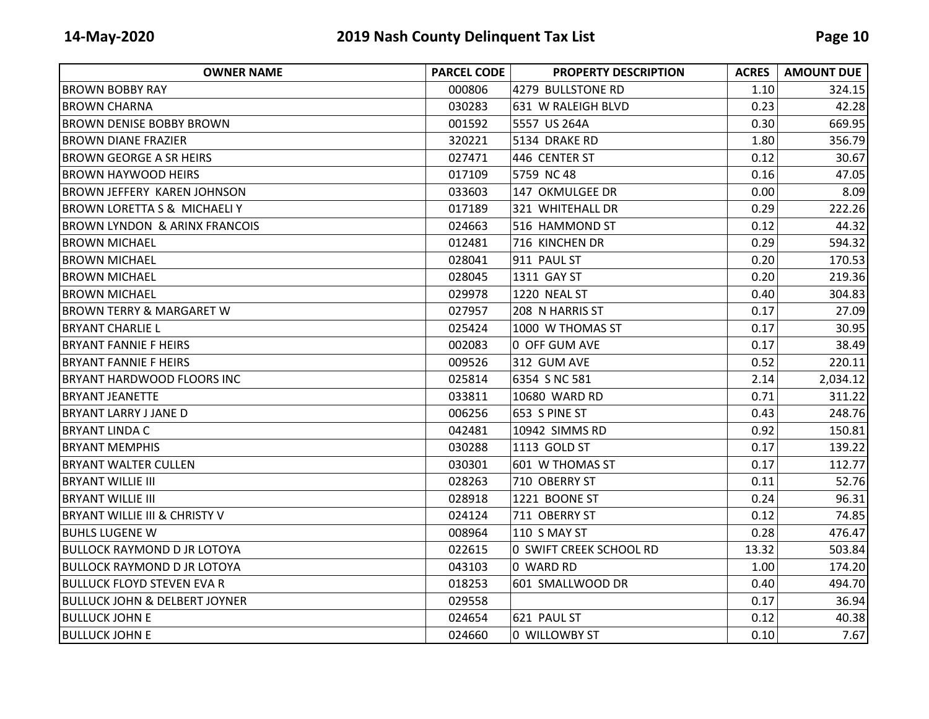| <b>OWNER NAME</b>                        | <b>PARCEL CODE</b> | <b>PROPERTY DESCRIPTION</b> | <b>ACRES</b> | <b>AMOUNT DUE</b> |
|------------------------------------------|--------------------|-----------------------------|--------------|-------------------|
| IBROWN BOBBY RAY                         | 000806             | 4279 BULLSTONE RD           | 1.10         | 324.15            |
| IBROWN CHARNA                            | 030283             | 631 W RALEIGH BLVD          | 0.23         | 42.28             |
| <b>BROWN DENISE BOBBY BROWN</b>          | 001592             | 5557 US 264A                | 0.30         | 669.95            |
| IBROWN DIANE FRAZIER                     | 320221             | 5134 DRAKE RD               | 1.80         | 356.79            |
| <b>BROWN GEORGE A SR HEIRS</b>           | 027471             | 446 CENTER ST               | 0.12         | 30.67             |
| <b>BROWN HAYWOOD HEIRS</b>               | 017109             | 5759 NC 48                  | 0.16         | 47.05             |
| <b>BROWN JEFFERY KAREN JOHNSON</b>       | 033603             | 147 OKMULGEE DR             | 0.00         | 8.09              |
| <b>BROWN LORETTA S &amp; MICHAELI Y</b>  | 017189             | 321 WHITEHALL DR            | 0.29         | 222.26            |
| <b>BROWN LYNDON &amp; ARINX FRANCOIS</b> | 024663             | 516 HAMMOND ST              | 0.12         | 44.32             |
| <b>BROWN MICHAEL</b>                     | 012481             | 716 KINCHEN DR              | 0.29         | 594.32            |
| <b>BROWN MICHAEL</b>                     | 028041             | 911 PAUL ST                 | 0.20         | 170.53            |
| <b>BROWN MICHAEL</b>                     | 028045             | 1311 GAY ST                 | 0.20         | 219.36            |
| <b>BROWN MICHAEL</b>                     | 029978             | 1220 NEAL ST                | 0.40         | 304.83            |
| <b>BROWN TERRY &amp; MARGARET W</b>      | 027957             | 208 N HARRIS ST             | 0.17         | 27.09             |
| <b>BRYANT CHARLIE L</b>                  | 025424             | 1000 W THOMAS ST            | 0.17         | 30.95             |
| <b>BRYANT FANNIE F HEIRS</b>             | 002083             | 0 OFF GUM AVE               | 0.17         | 38.49             |
| <b>BRYANT FANNIE F HEIRS</b>             | 009526             | 312 GUM AVE                 | 0.52         | 220.11            |
| <b>BRYANT HARDWOOD FLOORS INC</b>        | 025814             | 6354 S NC 581               | 2.14         | 2,034.12          |
| <b>BRYANT JEANETTE</b>                   | 033811             | 10680 WARD RD               | 0.71         | 311.22            |
| <b>BRYANT LARRY J JANE D</b>             | 006256             | 653 S PINE ST               | 0.43         | 248.76            |
| IBRYANT LINDA C                          | 042481             | 10942 SIMMS RD              | 0.92         | 150.81            |
| <b>BRYANT MEMPHIS</b>                    | 030288             | 1113 GOLD ST                | 0.17         | 139.22            |
| <b>BRYANT WALTER CULLEN</b>              | 030301             | 601 W THOMAS ST             | 0.17         | 112.77            |
| <b>BRYANT WILLIE III</b>                 | 028263             | 710 OBERRY ST               | 0.11         | 52.76             |
| <b>BRYANT WILLIE III</b>                 | 028918             | 1221 BOONE ST               | 0.24         | 96.31             |
| <b>BRYANT WILLIE III &amp; CHRISTY V</b> | 024124             | 711 OBERRY ST               | 0.12         | 74.85             |
| <b>BUHLS LUGENE W</b>                    | 008964             | 110 S MAY ST                | 0.28         | 476.47            |
| <b>BULLOCK RAYMOND D JR LOTOYA</b>       | 022615             | 0 SWIFT CREEK SCHOOL RD     | 13.32        | 503.84            |
| <b>BULLOCK RAYMOND D JR LOTOYA</b>       | 043103             | 0 WARD RD                   | 1.00         | 174.20            |
| <b>BULLUCK FLOYD STEVEN EVA R</b>        | 018253             | 601 SMALLWOOD DR            | 0.40         | 494.70            |
| <b>BULLUCK JOHN &amp; DELBERT JOYNER</b> | 029558             |                             | 0.17         | 36.94             |
| <b>BULLUCK JOHN E</b>                    | 024654             | 621 PAUL ST                 | 0.12         | 40.38             |
| <b>BULLUCK JOHN E</b>                    | 024660             | 0 WILLOWBY ST               | 0.10         | 7.67              |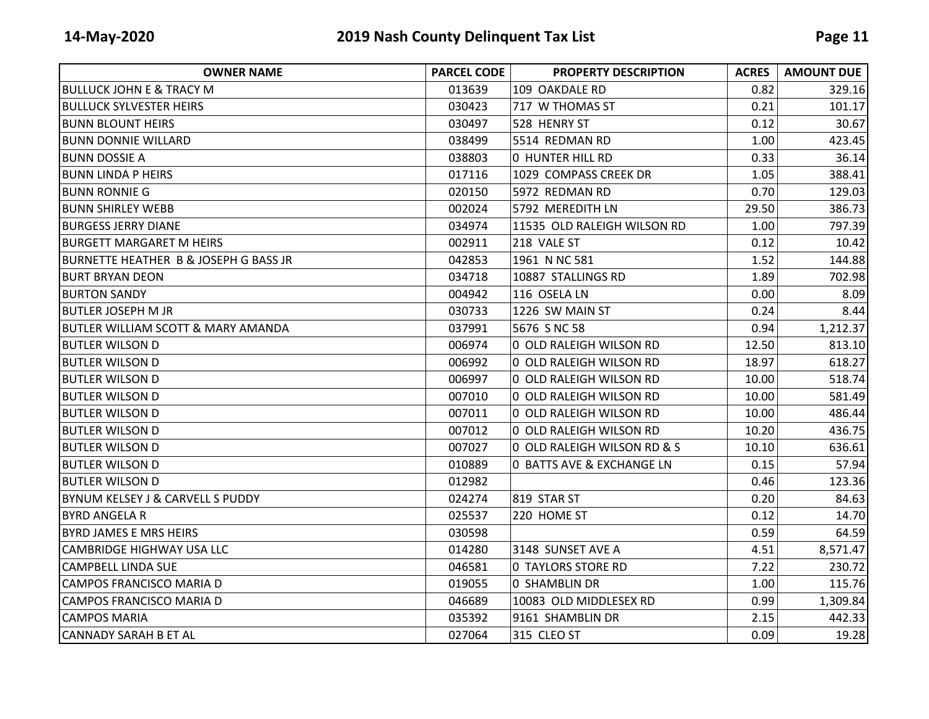| <b>OWNER NAME</b>                                | <b>PARCEL CODE</b> | <b>PROPERTY DESCRIPTION</b> | <b>ACRES</b> | <b>AMOUNT DUE</b> |
|--------------------------------------------------|--------------------|-----------------------------|--------------|-------------------|
| <b>BULLUCK JOHN E &amp; TRACY M</b>              | 013639             | 109 OAKDALE RD              | 0.82         | 329.16            |
| <b>BULLUCK SYLVESTER HEIRS</b>                   | 030423             | 717 W THOMAS ST             | 0.21         | 101.17            |
| <b>BUNN BLOUNT HEIRS</b>                         | 030497             | 528 HENRY ST                | 0.12         | 30.67             |
| <b>BUNN DONNIE WILLARD</b>                       | 038499             | 5514 REDMAN RD              | 1.00         | 423.45            |
| <b>BUNN DOSSIE A</b>                             | 038803             | <b>0 HUNTER HILL RD</b>     | 0.33         | 36.14             |
| <b>BUNN LINDA P HEIRS</b>                        | 017116             | 1029 COMPASS CREEK DR       | 1.05         | 388.41            |
| <b>BUNN RONNIE G</b>                             | 020150             | 5972 REDMAN RD              | 0.70         | 129.03            |
| <b>BUNN SHIRLEY WEBB</b>                         | 002024             | 5792 MEREDITH LN            | 29.50        | 386.73            |
| <b>BURGESS JERRY DIANE</b>                       | 034974             | 11535 OLD RALEIGH WILSON RD | 1.00         | 797.39            |
| <b>BURGETT MARGARET M HEIRS</b>                  | 002911             | 218 VALE ST                 | 0.12         | 10.42             |
| <b>BURNETTE HEATHER B &amp; JOSEPH G BASS JR</b> | 042853             | 1961 N NC 581               | 1.52         | 144.88            |
| IBURT BRYAN DEON                                 | 034718             | 10887 STALLINGS RD          | 1.89         | 702.98            |
| <b>BURTON SANDY</b>                              | 004942             | 116 OSELA LN                | 0.00         | 8.09              |
| <b>BUTLER JOSEPH M JR</b>                        | 030733             | 1226 SW MAIN ST             | 0.24         | 8.44              |
| <b>BUTLER WILLIAM SCOTT &amp; MARY AMANDA</b>    | 037991             | 5676 S NC 58                | 0.94         | 1,212.37          |
| <b>BUTLER WILSON D</b>                           | 006974             | 0 OLD RALEIGH WILSON RD     | 12.50        | 813.10            |
| <b>BUTLER WILSON D</b>                           | 006992             | 0 OLD RALEIGH WILSON RD     | 18.97        | 618.27            |
| <b>BUTLER WILSON D</b>                           | 006997             | 0 OLD RALEIGH WILSON RD     | 10.00        | 518.74            |
| <b>BUTLER WILSON D</b>                           | 007010             | 0 OLD RALEIGH WILSON RD     | 10.00        | 581.49            |
| <b>BUTLER WILSON D</b>                           | 007011             | 0 OLD RALEIGH WILSON RD     | 10.00        | 486.44            |
| <b>BUTLER WILSON D</b>                           | 007012             | 0 OLD RALEIGH WILSON RD     | 10.20        | 436.75            |
| <b>BUTLER WILSON D</b>                           | 007027             | 0 OLD RALEIGH WILSON RD & S | 10.10        | 636.61            |
| BUTLER WILSON D                                  | 010889             | 0 BATTS AVE & EXCHANGE LN   | 0.15         | 57.94             |
| <b>BUTLER WILSON D</b>                           | 012982             |                             | 0.46         | 123.36            |
| BYNUM KELSEY J & CARVELL S PUDDY                 | 024274             | 819 STAR ST                 | 0.20         | 84.63             |
| <b>BYRD ANGELA R</b>                             | 025537             | 220 HOME ST                 | 0.12         | 14.70             |
| <b>BYRD JAMES E MRS HEIRS</b>                    | 030598             |                             | 0.59         | 64.59             |
| CAMBRIDGE HIGHWAY USA LLC                        | 014280             | 3148 SUNSET AVE A           | 4.51         | 8,571.47          |
| <b>CAMPBELL LINDA SUE</b>                        | 046581             | 0 TAYLORS STORE RD          | 7.22         | 230.72            |
| CAMPOS FRANCISCO MARIA D                         | 019055             | 0 SHAMBLIN DR               | 1.00         | 115.76            |
| <b>CAMPOS FRANCISCO MARIA D</b>                  | 046689             | 10083 OLD MIDDLESEX RD      | 0.99         | 1,309.84          |
| <b>CAMPOS MARIA</b>                              | 035392             | 9161 SHAMBLIN DR            | 2.15         | 442.33            |
| <b>CANNADY SARAH B ET AL</b>                     | 027064             | 315 CLEO ST                 | 0.09         | 19.28             |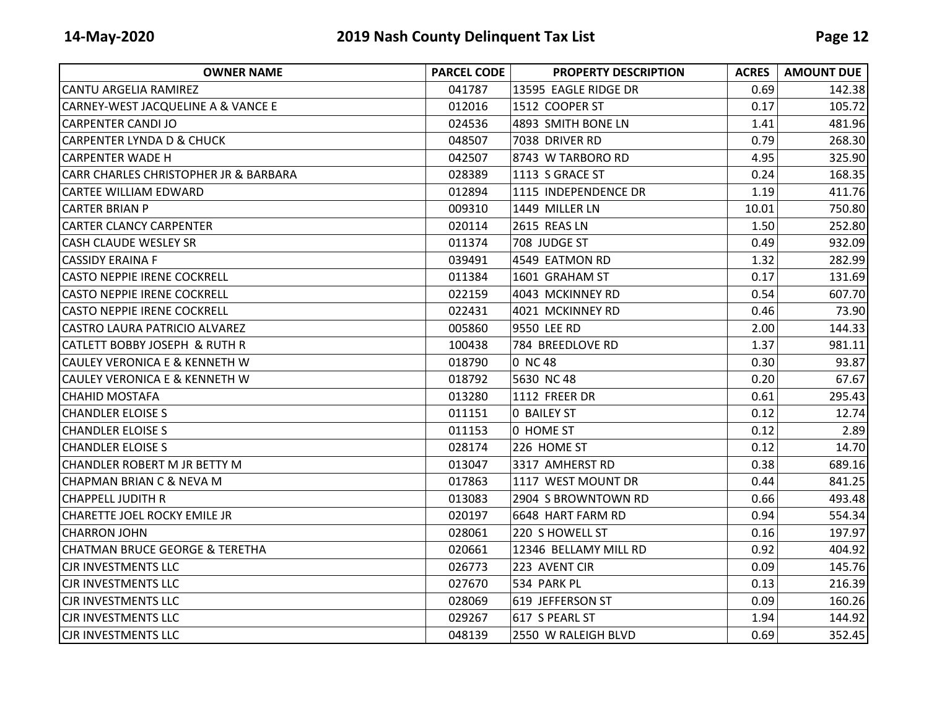| <b>OWNER NAME</b>                         | <b>PARCEL CODE</b> | <b>PROPERTY DESCRIPTION</b> | <b>ACRES</b> | <b>AMOUNT DUE</b> |
|-------------------------------------------|--------------------|-----------------------------|--------------|-------------------|
| <b>CANTU ARGELIA RAMIREZ</b>              | 041787             | 13595 EAGLE RIDGE DR        | 0.69         | 142.38            |
| CARNEY-WEST JACQUELINE A & VANCE E        | 012016             | 1512 COOPER ST              | 0.17         | 105.72            |
| <b>CARPENTER CANDI JO</b>                 | 024536             | 4893 SMITH BONE LN          | 1.41         | 481.96            |
| <b>CARPENTER LYNDA D &amp; CHUCK</b>      | 048507             | 7038 DRIVER RD              | 0.79         | 268.30            |
| <b>CARPENTER WADE H</b>                   | 042507             | 8743 W TARBORO RD           | 4.95         | 325.90            |
| CARR CHARLES CHRISTOPHER JR & BARBARA     | 028389             | 1113 S GRACE ST             | 0.24         | 168.35            |
| <b>CARTEE WILLIAM EDWARD</b>              | 012894             | 1115 INDEPENDENCE DR        | 1.19         | 411.76            |
| <b>CARTER BRIAN P</b>                     | 009310             | 1449 MILLER LN              | 10.01        | 750.80            |
| <b>CARTER CLANCY CARPENTER</b>            | 020114             | 2615 REAS LN                | 1.50         | 252.80            |
| <b>CASH CLAUDE WESLEY SR</b>              | 011374             | 708 JUDGE ST                | 0.49         | 932.09            |
| <b>CASSIDY ERAINA F</b>                   | 039491             | 4549 EATMON RD              | 1.32         | 282.99            |
| <b>CASTO NEPPIE IRENE COCKRELL</b>        | 011384             | 1601 GRAHAM ST              | 0.17         | 131.69            |
| CASTO NEPPIE IRENE COCKRELL               | 022159             | 4043 MCKINNEY RD            | 0.54         | 607.70            |
| <b>CASTO NEPPIE IRENE COCKRELL</b>        | 022431             | 4021 MCKINNEY RD            | 0.46         | 73.90             |
| CASTRO LAURA PATRICIO ALVAREZ             | 005860             | 9550 LEE RD                 | 2.00         | 144.33            |
| <b>CATLETT BOBBY JOSEPH &amp; RUTH R</b>  | 100438             | 784 BREEDLOVE RD            | 1.37         | 981.11            |
| <b>CAULEY VERONICA E &amp; KENNETH W</b>  | 018790             | 0 NC 48                     | 0.30         | 93.87             |
| <b>CAULEY VERONICA E &amp; KENNETH W</b>  | 018792             | 5630 NC 48                  | 0.20         | 67.67             |
| <b>CHAHID MOSTAFA</b>                     | 013280             | 1112 FREER DR               | 0.61         | 295.43            |
| <b>CHANDLER ELOISE S</b>                  | 011151             | <b>0 BAILEY ST</b>          | 0.12         | 12.74             |
| <b>CHANDLER ELOISE S</b>                  | 011153             | 0 HOME ST                   | 0.12         | 2.89              |
| <b>CHANDLER ELOISE S</b>                  | 028174             | 226 HOME ST                 | 0.12         | 14.70             |
| <b>CHANDLER ROBERT M JR BETTY M</b>       | 013047             | 3317 AMHERST RD             | 0.38         | 689.16            |
| CHAPMAN BRIAN C & NEVA M                  | 017863             | 1117 WEST MOUNT DR          | 0.44         | 841.25            |
| <b>CHAPPELL JUDITH R</b>                  | 013083             | 2904 S BROWNTOWN RD         | 0.66         | 493.48            |
| CHARETTE JOEL ROCKY EMILE JR              | 020197             | 6648 HART FARM RD           | 0.94         | 554.34            |
| <b>CHARRON JOHN</b>                       | 028061             | 220 S HOWELL ST             | 0.16         | 197.97            |
| <b>CHATMAN BRUCE GEORGE &amp; TERETHA</b> | 020661             | 12346 BELLAMY MILL RD       | 0.92         | 404.92            |
| <b>CJR INVESTMENTS LLC</b>                | 026773             | 223 AVENT CIR               | 0.09         | 145.76            |
| <b>CJR INVESTMENTS LLC</b>                | 027670             | 534 PARK PL                 | 0.13         | 216.39            |
| <b>CJR INVESTMENTS LLC</b>                | 028069             | 619 JEFFERSON ST            | 0.09         | 160.26            |
| <b>CJR INVESTMENTS LLC</b>                | 029267             | 617 S PEARL ST              | 1.94         | 144.92            |
| <b>CJR INVESTMENTS LLC</b>                | 048139             | 2550 W RALEIGH BLVD         | 0.69         | 352.45            |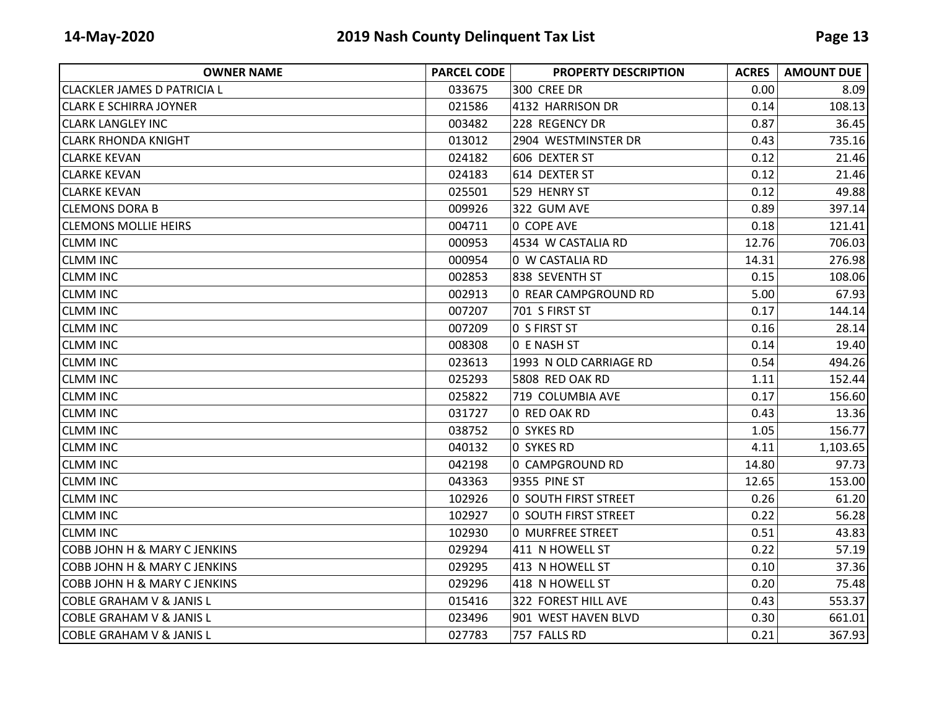| <b>OWNER NAME</b>                       | <b>PARCEL CODE</b> | <b>PROPERTY DESCRIPTION</b> | <b>ACRES</b> | <b>AMOUNT DUE</b> |
|-----------------------------------------|--------------------|-----------------------------|--------------|-------------------|
| <b>CLACKLER JAMES D PATRICIA L</b>      | 033675             | 300 CREE DR                 | 0.00         | 8.09              |
| <b>CLARK E SCHIRRA JOYNER</b>           | 021586             | 4132 HARRISON DR            | 0.14         | 108.13            |
| <b>CLARK LANGLEY INC</b>                | 003482             | 228 REGENCY DR              | 0.87         | 36.45             |
| <b>CLARK RHONDA KNIGHT</b>              | 013012             | 2904 WESTMINSTER DR         | 0.43         | 735.16            |
| <b>CLARKE KEVAN</b>                     | 024182             | 606 DEXTER ST               | 0.12         | 21.46             |
| <b>CLARKE KEVAN</b>                     | 024183             | 614 DEXTER ST               | 0.12         | 21.46             |
| <b>CLARKE KEVAN</b>                     | 025501             | 529 HENRY ST                | 0.12         | 49.88             |
| <b>CLEMONS DORA B</b>                   | 009926             | 322 GUM AVE                 | 0.89         | 397.14            |
| <b>CLEMONS MOLLIE HEIRS</b>             | 004711             | 0 COPE AVE                  | 0.18         | 121.41            |
| <b>CLMM INC</b>                         | 000953             | 4534 W CASTALIA RD          | 12.76        | 706.03            |
| <b>CLMM INC</b>                         | 000954             | 0 W CASTALIA RD             | 14.31        | 276.98            |
| <b>CLMM INC</b>                         | 002853             | 838 SEVENTH ST              | 0.15         | 108.06            |
| <b>CLMM INC</b>                         | 002913             | 0 REAR CAMPGROUND RD        | 5.00         | 67.93             |
| <b>CLMM INC</b>                         | 007207             | 701 S FIRST ST              | 0.17         | 144.14            |
| <b>CLMM INC</b>                         | 007209             | O S FIRST ST                | 0.16         | 28.14             |
| <b>CLMM INC</b>                         | 008308             | O E NASH ST                 | 0.14         | 19.40             |
| <b>CLMM INC</b>                         | 023613             | 1993 N OLD CARRIAGE RD      | 0.54         | 494.26            |
| <b>CLMM INC</b>                         | 025293             | 5808 RED OAK RD             | 1.11         | 152.44            |
| <b>CLMM INC</b>                         | 025822             | 719 COLUMBIA AVE            | 0.17         | 156.60            |
| <b>CLMM INC</b>                         | 031727             | 0 RED OAK RD                | 0.43         | 13.36             |
| <b>CLMM INC</b>                         | 038752             | O SYKES RD                  | 1.05         | 156.77            |
| <b>CLMM INC</b>                         | 040132             | 0 SYKES RD                  | 4.11         | 1,103.65          |
| <b>CLMM INC</b>                         | 042198             | 0 CAMPGROUND RD             | 14.80        | 97.73             |
| <b>CLMM INC</b>                         | 043363             | <b>9355 PINE ST</b>         | 12.65        | 153.00            |
| <b>CLMM INC</b>                         | 102926             | <b>0 SOUTH FIRST STREET</b> | 0.26         | 61.20             |
| <b>CLMM INC</b>                         | 102927             | 0 SOUTH FIRST STREET        | 0.22         | 56.28             |
| <b>CLMM INC</b>                         | 102930             | 0 MURFREE STREET            | 0.51         | 43.83             |
| <b>COBB JOHN H &amp; MARY C JENKINS</b> | 029294             | 411 N HOWELL ST             | 0.22         | 57.19             |
| <b>COBB JOHN H &amp; MARY C JENKINS</b> | 029295             | 413 N HOWELL ST             | 0.10         | 37.36             |
| <b>COBB JOHN H &amp; MARY C JENKINS</b> | 029296             | 418 N HOWELL ST             | 0.20         | 75.48             |
| <b>COBLE GRAHAM V &amp; JANIS L</b>     | 015416             | 322 FOREST HILL AVE         | 0.43         | 553.37            |
| <b>COBLE GRAHAM V &amp; JANIS L</b>     | 023496             | 901 WEST HAVEN BLVD         | 0.30         | 661.01            |
| <b>COBLE GRAHAM V &amp; JANIS L</b>     | 027783             | 757 FALLS RD                | 0.21         | 367.93            |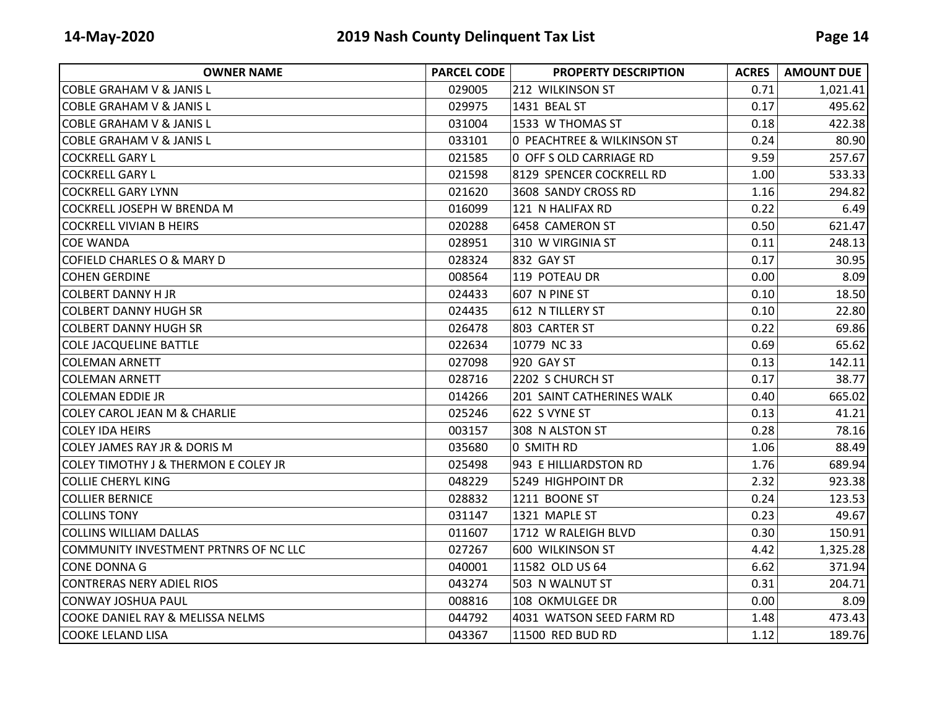| <b>OWNER NAME</b>                               | <b>PARCEL CODE</b> | <b>PROPERTY DESCRIPTION</b> | <b>ACRES</b> | <b>AMOUNT DUE</b> |
|-------------------------------------------------|--------------------|-----------------------------|--------------|-------------------|
| COBLE GRAHAM V & JANIS L                        | 029005             | 212 WILKINSON ST            | 0.71         | 1,021.41          |
| <b>COBLE GRAHAM V &amp; JANIS L</b>             | 029975             | 1431 BEAL ST                | 0.17         | 495.62            |
| <b>COBLE GRAHAM V &amp; JANIS L</b>             | 031004             | 1533 W THOMAS ST            | 0.18         | 422.38            |
| <b>COBLE GRAHAM V &amp; JANIS L</b>             | 033101             | O PEACHTREE & WILKINSON ST  | 0.24         | 80.90             |
| <b>COCKRELL GARY L</b>                          | 021585             | 0 OFF S OLD CARRIAGE RD     | 9.59         | 257.67            |
| <b>COCKRELL GARY L</b>                          | 021598             | 8129 SPENCER COCKRELL RD    | 1.00         | 533.33            |
| <b>COCKRELL GARY LYNN</b>                       | 021620             | 3608 SANDY CROSS RD         | 1.16         | 294.82            |
| COCKRELL JOSEPH W BRENDA M                      | 016099             | 121 N HALIFAX RD            | 0.22         | 6.49              |
| <b>COCKRELL VIVIAN B HEIRS</b>                  | 020288             | 6458 CAMERON ST             | 0.50         | 621.47            |
| <b>COE WANDA</b>                                | 028951             | 310 W VIRGINIA ST           | 0.11         | 248.13            |
| COFIELD CHARLES O & MARY D                      | 028324             | 832 GAY ST                  | 0.17         | 30.95             |
| <b>COHEN GERDINE</b>                            | 008564             | 119 POTEAU DR               | 0.00         | 8.09              |
| <b>COLBERT DANNY H JR</b>                       | 024433             | 607 N PINE ST               | 0.10         | 18.50             |
| <b>COLBERT DANNY HUGH SR</b>                    | 024435             | 612 N TILLERY ST            | 0.10         | 22.80             |
| <b>COLBERT DANNY HUGH SR</b>                    | 026478             | 803 CARTER ST               | 0.22         | 69.86             |
| <b>COLE JACQUELINE BATTLE</b>                   | 022634             | 10779 NC 33                 | 0.69         | 65.62             |
| <b>COLEMAN ARNETT</b>                           | 027098             | 920 GAY ST                  | 0.13         | 142.11            |
| <b>COLEMAN ARNETT</b>                           | 028716             | 2202 S CHURCH ST            | 0.17         | 38.77             |
| <b>COLEMAN EDDIE JR</b>                         | 014266             | 201 SAINT CATHERINES WALK   | 0.40         | 665.02            |
| <b>COLEY CAROL JEAN M &amp; CHARLIE</b>         | 025246             | 622 S VYNE ST               | 0.13         | 41.21             |
| <b>COLEY IDA HEIRS</b>                          | 003157             | 308 N ALSTON ST             | 0.28         | 78.16             |
| COLEY JAMES RAY JR & DORIS M                    | 035680             | 0 SMITH RD                  | 1.06         | 88.49             |
| <b>COLEY TIMOTHY J &amp; THERMON E COLEY JR</b> | 025498             | 943 E HILLIARDSTON RD       | 1.76         | 689.94            |
| <b>COLLIE CHERYL KING</b>                       | 048229             | 5249 HIGHPOINT DR           | 2.32         | 923.38            |
| <b>COLLIER BERNICE</b>                          | 028832             | 1211 BOONE ST               | 0.24         | 123.53            |
| <b>I</b> COLLINS TONY                           | 031147             | 1321 MAPLE ST               | 0.23         | 49.67             |
| <b>COLLINS WILLIAM DALLAS</b>                   | 011607             | 1712 W RALEIGH BLVD         | 0.30         | 150.91            |
| COMMUNITY INVESTMENT PRTNRS OF NC LLC           | 027267             | 600 WILKINSON ST            | 4.42         | 1,325.28          |
| ICONE DONNA G                                   | 040001             | 11582 OLD US 64             | 6.62         | 371.94            |
| CONTRERAS NERY ADIEL RIOS                       | 043274             | 503 N WALNUT ST             | 0.31         | 204.71            |
| CONWAY JOSHUA PAUL                              | 008816             | 108 OKMULGEE DR             | 0.00         | 8.09              |
| COOKE DANIEL RAY & MELISSA NELMS                | 044792             | 4031 WATSON SEED FARM RD    | 1.48         | 473.43            |
| <b>COOKE LELAND LISA</b>                        | 043367             | 11500 RED BUD RD            | 1.12         | 189.76            |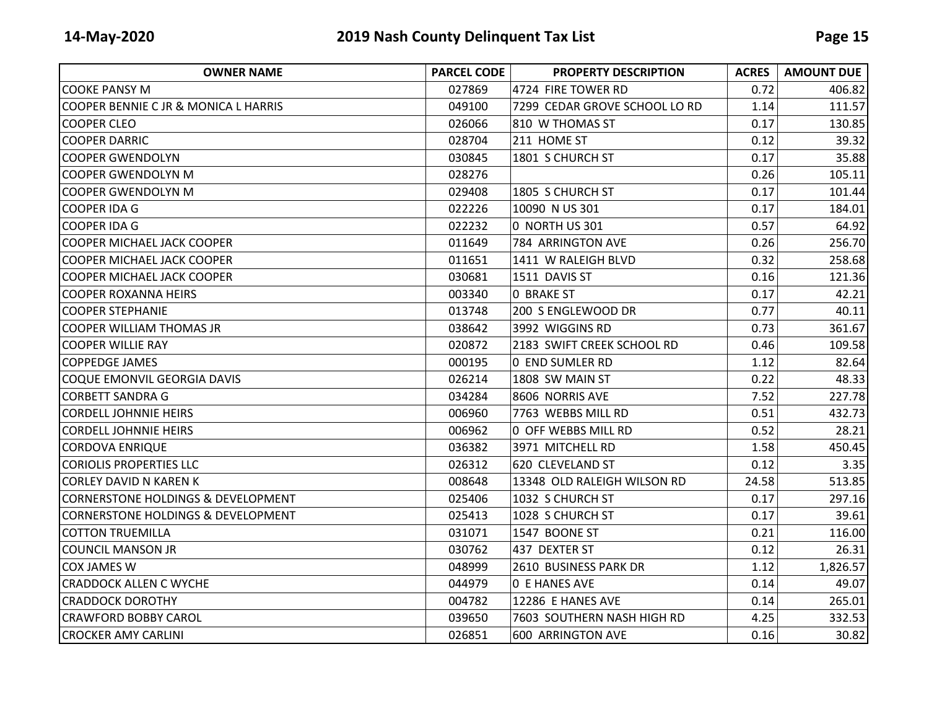| <b>OWNER NAME</b>                             | <b>PARCEL CODE</b> | <b>PROPERTY DESCRIPTION</b>   | <b>ACRES</b> | <b>AMOUNT DUE</b> |
|-----------------------------------------------|--------------------|-------------------------------|--------------|-------------------|
| ICOOKE PANSY M                                | 027869             | 4724 FIRE TOWER RD            | 0.72         | 406.82            |
| COOPER BENNIE C JR & MONICA L HARRIS          | 049100             | 7299 CEDAR GROVE SCHOOL LO RD | 1.14         | 111.57            |
| <b>COOPER CLEO</b>                            | 026066             | 810 W THOMAS ST               | 0.17         | 130.85            |
| <b>COOPER DARRIC</b>                          | 028704             | 211 HOME ST                   | 0.12         | 39.32             |
| <b>COOPER GWENDOLYN</b>                       | 030845             | 1801 S CHURCH ST              | 0.17         | 35.88             |
| COOPER GWENDOLYN M                            | 028276             |                               | 0.26         | 105.11            |
| <b>COOPER GWENDOLYN M</b>                     | 029408             | 1805 S CHURCH ST              | 0.17         | 101.44            |
| COOPER IDA G                                  | 022226             | 10090 N US 301                | 0.17         | 184.01            |
| ICOOPER IDA G                                 | 022232             | 0 NORTH US 301                | 0.57         | 64.92             |
| <b>COOPER MICHAEL JACK COOPER</b>             | 011649             | 784 ARRINGTON AVE             | 0.26         | 256.70            |
| COOPER MICHAEL JACK COOPER                    | 011651             | 1411 W RALEIGH BLVD           | 0.32         | 258.68            |
| <b>COOPER MICHAEL JACK COOPER</b>             | 030681             | 1511 DAVIS ST                 | 0.16         | 121.36            |
| COOPER ROXANNA HEIRS                          | 003340             | O BRAKE ST                    | 0.17         | 42.21             |
| <b>COOPER STEPHANIE</b>                       | 013748             | 200 S ENGLEWOOD DR            | 0.77         | 40.11             |
| <b>COOPER WILLIAM THOMAS JR</b>               | 038642             | 3992 WIGGINS RD               | 0.73         | 361.67            |
| <b>COOPER WILLIE RAY</b>                      | 020872             | 2183 SWIFT CREEK SCHOOL RD    | 0.46         | 109.58            |
| <b>COPPEDGE JAMES</b>                         | 000195             | 0 END SUMLER RD               | 1.12         | 82.64             |
| COQUE EMONVIL GEORGIA DAVIS                   | 026214             | 1808 SW MAIN ST               | 0.22         | 48.33             |
| <b>CORBETT SANDRA G</b>                       | 034284             | 8606 NORRIS AVE               | 7.52         | 227.78            |
| <b>CORDELL JOHNNIE HEIRS</b>                  | 006960             | 7763 WEBBS MILL RD            | 0.51         | 432.73            |
| <b>CORDELL JOHNNIE HEIRS</b>                  | 006962             | 0 OFF WEBBS MILL RD           | 0.52         | 28.21             |
| CORDOVA ENRIQUE                               | 036382             | 3971 MITCHELL RD              | 1.58         | 450.45            |
| <b>CORIOLIS PROPERTIES LLC</b>                | 026312             | 620 CLEVELAND ST              | 0.12         | 3.35              |
| <b>CORLEY DAVID N KAREN K</b>                 | 008648             | 13348 OLD RALEIGH WILSON RD   | 24.58        | 513.85            |
| <b>CORNERSTONE HOLDINGS &amp; DEVELOPMENT</b> | 025406             | 1032 S CHURCH ST              | 0.17         | 297.16            |
| CORNERSTONE HOLDINGS & DEVELOPMENT            | 025413             | 1028 S CHURCH ST              | 0.17         | 39.61             |
| <b>COTTON TRUEMILLA</b>                       | 031071             | 1547 BOONE ST                 | 0.21         | 116.00            |
| COUNCIL MANSON JR                             | 030762             | 437 DEXTER ST                 | 0.12         | 26.31             |
| <b>COX JAMES W</b>                            | 048999             | 2610 BUSINESS PARK DR         | 1.12         | 1,826.57          |
| <b>CRADDOCK ALLEN C WYCHE</b>                 | 044979             | <b>0 E HANES AVE</b>          | 0.14         | 49.07             |
| <b>CRADDOCK DOROTHY</b>                       | 004782             | 12286 E HANES AVE             | 0.14         | 265.01            |
| <b>CRAWFORD BOBBY CAROL</b>                   | 039650             | 7603 SOUTHERN NASH HIGH RD    | 4.25         | 332.53            |
| <b>CROCKER AMY CARLINI</b>                    | 026851             | 600 ARRINGTON AVE             | 0.16         | 30.82             |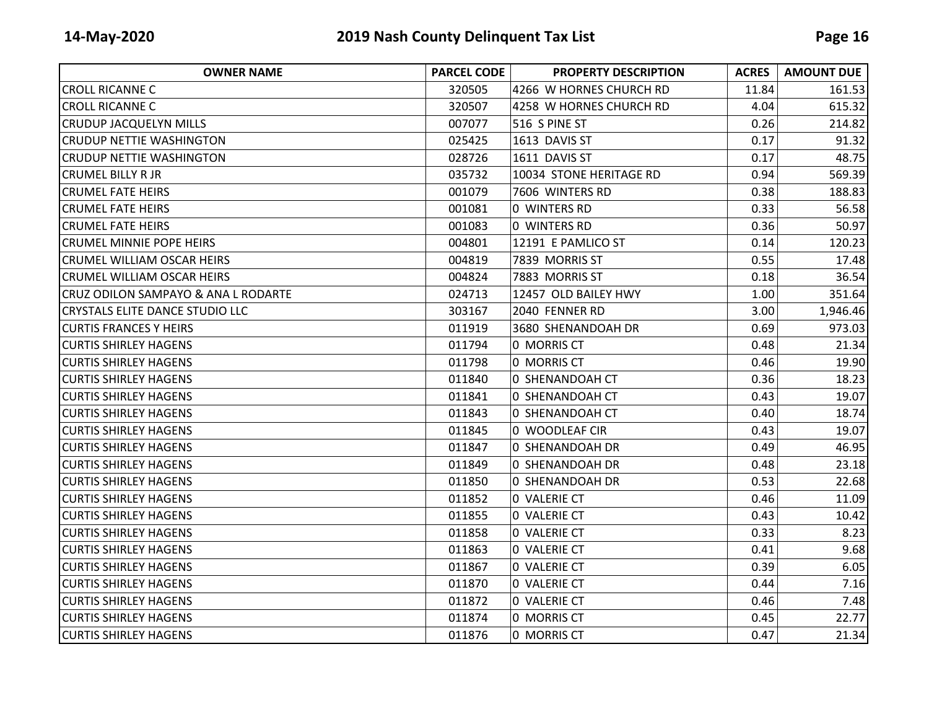| <b>OWNER NAME</b>                      | <b>PARCEL CODE</b> | <b>PROPERTY DESCRIPTION</b> | <b>ACRES</b> | <b>AMOUNT DUE</b> |
|----------------------------------------|--------------------|-----------------------------|--------------|-------------------|
| <b>CROLL RICANNE C</b>                 | 320505             | 4266 W HORNES CHURCH RD     | 11.84        | 161.53            |
| <b>CROLL RICANNE C</b>                 | 320507             | 4258 W HORNES CHURCH RD     | 4.04         | 615.32            |
| <b>CRUDUP JACQUELYN MILLS</b>          | 007077             | 516 S PINE ST               | 0.26         | 214.82            |
| <b>CRUDUP NETTIE WASHINGTON</b>        | 025425             | 1613 DAVIS ST               | 0.17         | 91.32             |
| <b>CRUDUP NETTIE WASHINGTON</b>        | 028726             | 1611 DAVIS ST               | 0.17         | 48.75             |
| <b>CRUMEL BILLY R JR</b>               | 035732             | 10034 STONE HERITAGE RD     | 0.94         | 569.39            |
| <b>CRUMEL FATE HEIRS</b>               | 001079             | 7606 WINTERS RD             | 0.38         | 188.83            |
| <b>CRUMEL FATE HEIRS</b>               | 001081             | 0 WINTERS RD                | 0.33         | 56.58             |
| <b>CRUMEL FATE HEIRS</b>               | 001083             | 0 WINTERS RD                | 0.36         | 50.97             |
| <b>CRUMEL MINNIE POPE HEIRS</b>        | 004801             | 12191 E PAMLICO ST          | 0.14         | 120.23            |
| CRUMEL WILLIAM OSCAR HEIRS             | 004819             | 7839 MORRIS ST              | 0.55         | 17.48             |
| <b>CRUMEL WILLIAM OSCAR HEIRS</b>      | 004824             | 7883 MORRIS ST              | 0.18         | 36.54             |
| CRUZ ODILON SAMPAYO & ANA L RODARTE    | 024713             | 12457 OLD BAILEY HWY        | 1.00         | 351.64            |
| <b>CRYSTALS ELITE DANCE STUDIO LLC</b> | 303167             | 2040 FENNER RD              | 3.00         | 1,946.46          |
| <b>CURTIS FRANCES Y HEIRS</b>          | 011919             | 3680 SHENANDOAH DR          | 0.69         | 973.03            |
| <b>CURTIS SHIRLEY HAGENS</b>           | 011794             | 0 MORRIS CT                 | 0.48         | 21.34             |
| <b>CURTIS SHIRLEY HAGENS</b>           | 011798             | 0 MORRIS CT                 | 0.46         | 19.90             |
| ICURTIS SHIRLEY HAGENS                 | 011840             | 0 SHENANDOAH CT             | 0.36         | 18.23             |
| <b>CURTIS SHIRLEY HAGENS</b>           | 011841             | 0 SHENANDOAH CT             | 0.43         | 19.07             |
| <b>CURTIS SHIRLEY HAGENS</b>           | 011843             | 0 SHENANDOAH CT             | 0.40         | 18.74             |
| <b>CURTIS SHIRLEY HAGENS</b>           | 011845             | 0 WOODLEAF CIR              | 0.43         | 19.07             |
| <b>CURTIS SHIRLEY HAGENS</b>           | 011847             | 0 SHENANDOAH DR             | 0.49         | 46.95             |
| <b>CURTIS SHIRLEY HAGENS</b>           | 011849             | 0 SHENANDOAH DR             | 0.48         | 23.18             |
| ICURTIS SHIRLEY HAGENS                 | 011850             | 0 SHENANDOAH DR             | 0.53         | 22.68             |
| <b>CURTIS SHIRLEY HAGENS</b>           | 011852             | <b>0 VALERIE CT</b>         | 0.46         | 11.09             |
| <b>CURTIS SHIRLEY HAGENS</b>           | 011855             | 0 VALERIE CT                | 0.43         | 10.42             |
| <b>CURTIS SHIRLEY HAGENS</b>           | 011858             | 0 VALERIE CT                | 0.33         | 8.23              |
| <b>CURTIS SHIRLEY HAGENS</b>           | 011863             | 0 VALERIE CT                | 0.41         | 9.68              |
| <b>CURTIS SHIRLEY HAGENS</b>           | 011867             | 0 VALERIE CT                | 0.39         | 6.05              |
| <b>CURTIS SHIRLEY HAGENS</b>           | 011870             | 0 VALERIE CT                | 0.44         | 7.16              |
| <b>CURTIS SHIRLEY HAGENS</b>           | 011872             | 0 VALERIE CT                | 0.46         | 7.48              |
| <b>CURTIS SHIRLEY HAGENS</b>           | 011874             | 0 MORRIS CT                 | 0.45         | 22.77             |
| <b>CURTIS SHIRLEY HAGENS</b>           | 011876             | 0 MORRIS CT                 | 0.47         | 21.34             |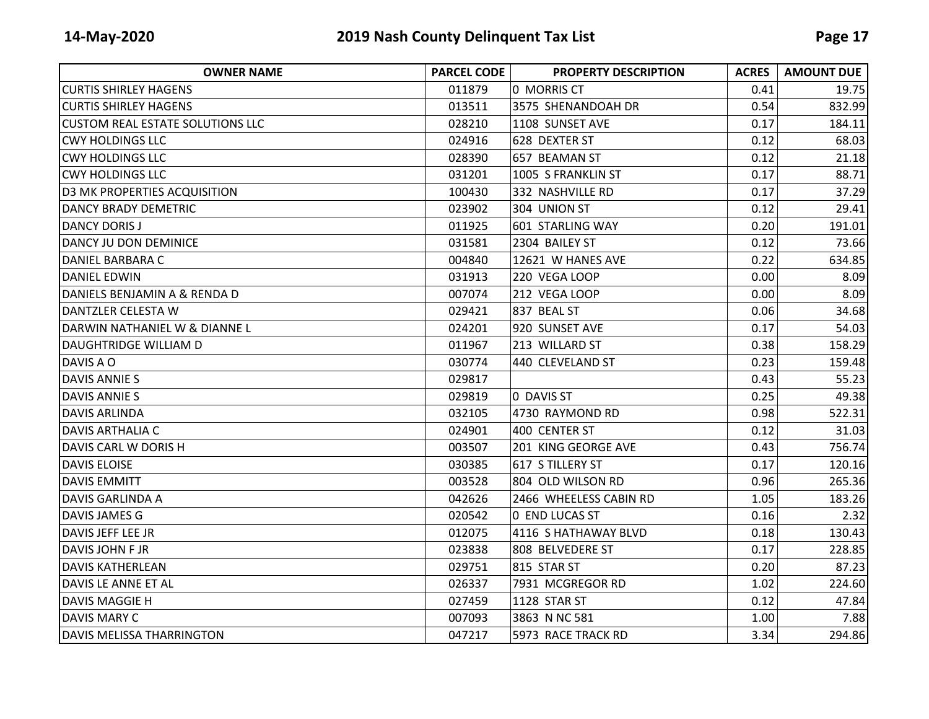| <b>OWNER NAME</b>                       | <b>PARCEL CODE</b> | <b>PROPERTY DESCRIPTION</b> | <b>ACRES</b> | <b>AMOUNT DUE</b> |
|-----------------------------------------|--------------------|-----------------------------|--------------|-------------------|
| <b>CURTIS SHIRLEY HAGENS</b>            | 011879             | 0 MORRIS CT                 | 0.41         | 19.75             |
| <b>ICURTIS SHIRLEY HAGENS</b>           | 013511             | 3575 SHENANDOAH DR          | 0.54         | 832.99            |
| <b>CUSTOM REAL ESTATE SOLUTIONS LLC</b> | 028210             | 1108 SUNSET AVE             | 0.17         | 184.11            |
| <b>CWY HOLDINGS LLC</b>                 | 024916             | 628 DEXTER ST               | 0.12         | 68.03             |
| <b>CWY HOLDINGS LLC</b>                 | 028390             | 657 BEAMAN ST               | 0.12         | 21.18             |
| <b>CWY HOLDINGS LLC</b>                 | 031201             | 1005 S FRANKLIN ST          | 0.17         | 88.71             |
| <b>D3 MK PROPERTIES ACQUISITION</b>     | 100430             | 332 NASHVILLE RD            | 0.17         | 37.29             |
| <b>DANCY BRADY DEMETRIC</b>             | 023902             | 304 UNION ST                | 0.12         | 29.41             |
| <b>DANCY DORIS J</b>                    | 011925             | 601 STARLING WAY            | 0.20         | 191.01            |
| DANCY JU DON DEMINICE                   | 031581             | 2304 BAILEY ST              | 0.12         | 73.66             |
| DANIEL BARBARA C                        | 004840             | 12621 W HANES AVE           | 0.22         | 634.85            |
| <b>DANIEL EDWIN</b>                     | 031913             | 220 VEGA LOOP               | 0.00         | 8.09              |
| DANIELS BENJAMIN A & RENDA D            | 007074             | 212 VEGA LOOP               | 0.00         | 8.09              |
| DANTZLER CELESTA W                      | 029421             | 837 BEAL ST                 | 0.06         | 34.68             |
| DARWIN NATHANIEL W & DIANNE L           | 024201             | 920 SUNSET AVE              | 0.17         | 54.03             |
| <b>DAUGHTRIDGE WILLIAM D</b>            | 011967             | 213 WILLARD ST              | 0.38         | 158.29            |
| DAVIS A O                               | 030774             | 440 CLEVELAND ST            | 0.23         | 159.48            |
| <b>DAVIS ANNIE S</b>                    | 029817             |                             | 0.43         | 55.23             |
| <b>DAVIS ANNIE S</b>                    | 029819             | 0 DAVIS ST                  | 0.25         | 49.38             |
| <b>DAVIS ARLINDA</b>                    | 032105             | 4730 RAYMOND RD             | 0.98         | 522.31            |
| <b>DAVIS ARTHALIA C</b>                 | 024901             | 400 CENTER ST               | 0.12         | 31.03             |
| DAVIS CARL W DORIS H                    | 003507             | 201 KING GEORGE AVE         | 0.43         | 756.74            |
| <b>DAVIS ELOISE</b>                     | 030385             | 617 S TILLERY ST            | 0.17         | 120.16            |
| <b>DAVIS EMMITT</b>                     | 003528             | 804 OLD WILSON RD           | 0.96         | 265.36            |
| <b>DAVIS GARLINDA A</b>                 | 042626             | 2466 WHEELESS CABIN RD      | 1.05         | 183.26            |
| <b>DAVIS JAMES G</b>                    | 020542             | 0 END LUCAS ST              | 0.16         | 2.32              |
| DAVIS JEFF LEE JR                       | 012075             | 4116 S HATHAWAY BLVD        | 0.18         | 130.43            |
| <b>DAVIS JOHN F JR</b>                  | 023838             | 808 BELVEDERE ST            | 0.17         | 228.85            |
| <b>DAVIS KATHERLEAN</b>                 | 029751             | <b>815 STAR ST</b>          | 0.20         | 87.23             |
| DAVIS LE ANNE ET AL                     | 026337             | 7931 MCGREGOR RD            | 1.02         | 224.60            |
| <b>DAVIS MAGGIE H</b>                   | 027459             | 1128 STAR ST                | 0.12         | 47.84             |
| <b>DAVIS MARY C</b>                     | 007093             | 3863 N NC 581               | 1.00         | 7.88              |
| DAVIS MELISSA THARRINGTON               | 047217             | 5973 RACE TRACK RD          | 3.34         | 294.86            |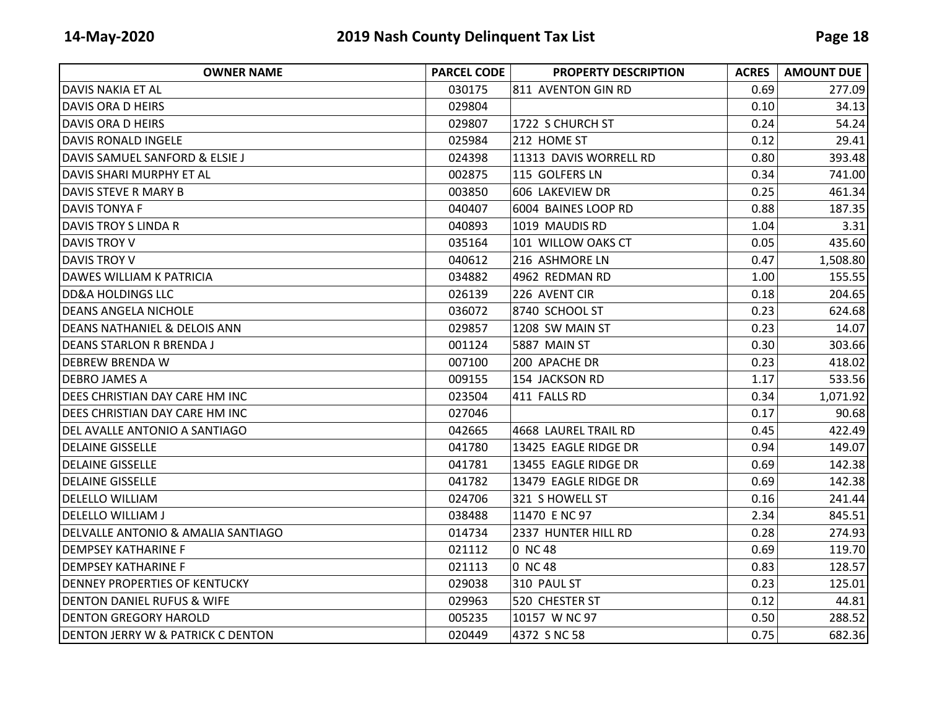| <b>OWNER NAME</b>                             | <b>PARCEL CODE</b> | <b>PROPERTY DESCRIPTION</b> | <b>ACRES</b> | <b>AMOUNT DUE</b> |
|-----------------------------------------------|--------------------|-----------------------------|--------------|-------------------|
| DAVIS NAKIA ET AL                             | 030175             | 811 AVENTON GIN RD          | 0.69         | 277.09            |
| <b>DAVIS ORA D HEIRS</b>                      | 029804             |                             | 0.10         | 34.13             |
| DAVIS ORA D HEIRS                             | 029807             | 1722 S CHURCH ST            | 0.24         | 54.24             |
| <b>DAVIS RONALD INGELE</b>                    | 025984             | 212 HOME ST                 | 0.12         | 29.41             |
| DAVIS SAMUEL SANFORD & ELSIE J                | 024398             | 11313 DAVIS WORRELL RD      | 0.80         | 393.48            |
| DAVIS SHARI MURPHY ET AL                      | 002875             | 115 GOLFERS LN              | 0.34         | 741.00            |
| DAVIS STEVE R MARY B                          | 003850             | 606 LAKEVIEW DR             | 0.25         | 461.34            |
| DAVIS TONYA F                                 | 040407             | 6004 BAINES LOOP RD         | 0.88         | 187.35            |
| <b>DAVIS TROY S LINDA R</b>                   | 040893             | 1019 MAUDIS RD              | 1.04         | 3.31              |
| <b>DAVIS TROY V</b>                           | 035164             | 101 WILLOW OAKS CT          | 0.05         | 435.60            |
| DAVIS TROY V                                  | 040612             | 216 ASHMORE LN              | 0.47         | 1,508.80          |
| <b>DAWES WILLIAM K PATRICIA</b>               | 034882             | 4962 REDMAN RD              | 1.00         | 155.55            |
| <b>DD&amp;A HOLDINGS LLC</b>                  | 026139             | 226 AVENT CIR               | 0.18         | 204.65            |
| DEANS ANGELA NICHOLE                          | 036072             | 8740 SCHOOL ST              | 0.23         | 624.68            |
| IDEANS NATHANIEL & DELOIS ANN                 | 029857             | 1208 SW MAIN ST             | 0.23         | 14.07             |
| IDEANS STARLON R BRENDA J                     | 001124             | 5887 MAIN ST                | 0.30         | 303.66            |
| <b>DEBREW BRENDA W</b>                        | 007100             | 200 APACHE DR               | 0.23         | 418.02            |
| <b>DEBRO JAMES A</b>                          | 009155             | 154 JACKSON RD              | 1.17         | 533.56            |
| DEES CHRISTIAN DAY CARE HM INC                | 023504             | 411 FALLS RD                | 0.34         | 1,071.92          |
| DEES CHRISTIAN DAY CARE HM INC                | 027046             |                             | 0.17         | 90.68             |
| DEL AVALLE ANTONIO A SANTIAGO                 | 042665             | 4668 LAUREL TRAIL RD        | 0.45         | 422.49            |
| <b>DELAINE GISSELLE</b>                       | 041780             | 13425 EAGLE RIDGE DR        | 0.94         | 149.07            |
| <b>DELAINE GISSELLE</b>                       | 041781             | 13455 EAGLE RIDGE DR        | 0.69         | 142.38            |
| IDELAINE GISSELLE                             | 041782             | 13479 EAGLE RIDGE DR        | 0.69         | 142.38            |
| DELELLO WILLIAM                               | 024706             | 321 S HOWELL ST             | 0.16         | 241.44            |
| <b>DELELLO WILLIAM J</b>                      | 038488             | 11470 E NC 97               | 2.34         | 845.51            |
| <b>DELVALLE ANTONIO &amp; AMALIA SANTIAGO</b> | 014734             | 2337 HUNTER HILL RD         | 0.28         | 274.93            |
| <b>DEMPSEY KATHARINE F</b>                    | 021112             | 0 NC 48                     | 0.69         | 119.70            |
| <b>DEMPSEY KATHARINE F</b>                    | 021113             | 0 NC 48                     | 0.83         | 128.57            |
| <b>DENNEY PROPERTIES OF KENTUCKY</b>          | 029038             | 310 PAUL ST                 | 0.23         | 125.01            |
| <b>DENTON DANIEL RUFUS &amp; WIFE</b>         | 029963             | 520 CHESTER ST              | 0.12         | 44.81             |
| <b>DENTON GREGORY HAROLD</b>                  | 005235             | 10157 W NC 97               | 0.50         | 288.52            |
| <b>DENTON JERRY W &amp; PATRICK C DENTON</b>  | 020449             | 4372 S NC 58                | 0.75         | 682.36            |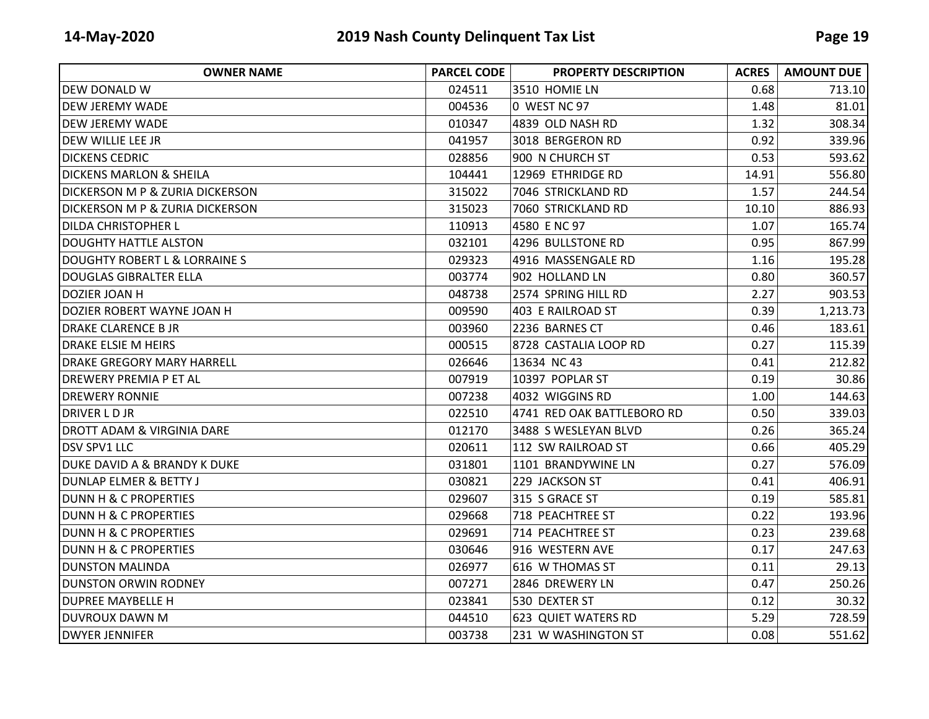| <b>OWNER NAME</b>                          | <b>PARCEL CODE</b> | <b>PROPERTY DESCRIPTION</b> | <b>ACRES</b> | <b>AMOUNT DUE</b> |
|--------------------------------------------|--------------------|-----------------------------|--------------|-------------------|
| DEW DONALD W                               | 024511             | 3510 HOMIE LN               | 0.68         | 713.10            |
| IDEW JEREMY WADE                           | 004536             | 0 WEST NC 97                | 1.48         | 81.01             |
| <b>DEW JEREMY WADE</b>                     | 010347             | 4839 OLD NASH RD            | 1.32         | 308.34            |
| DEW WILLIE LEE JR                          | 041957             | 3018 BERGERON RD            | 0.92         | 339.96            |
| <b>DICKENS CEDRIC</b>                      | 028856             | 900 N CHURCH ST             | 0.53         | 593.62            |
| <b>DICKENS MARLON &amp; SHEILA</b>         | 104441             | 12969 ETHRIDGE RD           | 14.91        | 556.80            |
| DICKERSON M P & ZURIA DICKERSON            | 315022             | 7046 STRICKLAND RD          | 1.57         | 244.54            |
| <b>DICKERSON M P &amp; ZURIA DICKERSON</b> | 315023             | 7060 STRICKLAND RD          | 10.10        | 886.93            |
| <b>DILDA CHRISTOPHER L</b>                 | 110913             | 4580 E NC 97                | 1.07         | 165.74            |
| <b>DOUGHTY HATTLE ALSTON</b>               | 032101             | 4296 BULLSTONE RD           | 0.95         | 867.99            |
| DOUGHTY ROBERT L & LORRAINE S              | 029323             | 4916 MASSENGALE RD          | 1.16         | 195.28            |
| DOUGLAS GIBRALTER ELLA                     | 003774             | 902 HOLLAND LN              | 0.80         | 360.57            |
| DOZIER JOAN H                              | 048738             | 2574 SPRING HILL RD         | 2.27         | 903.53            |
| DOZIER ROBERT WAYNE JOAN H                 | 009590             | 403 E RAILROAD ST           | 0.39         | 1,213.73          |
| <b>DRAKE CLARENCE B JR</b>                 | 003960             | 2236 BARNES CT              | 0.46         | 183.61            |
| <b>DRAKE ELSIE M HEIRS</b>                 | 000515             | 8728 CASTALIA LOOP RD       | 0.27         | 115.39            |
| <b>DRAKE GREGORY MARY HARRELL</b>          | 026646             | 13634 NC 43                 | 0.41         | 212.82            |
| <b>DREWERY PREMIA P ET AL</b>              | 007919             | 10397 POPLAR ST             | 0.19         | 30.86             |
| <b>DREWERY RONNIE</b>                      | 007238             | 4032 WIGGINS RD             | 1.00         | 144.63            |
| <b>DRIVER LD JR</b>                        | 022510             | 4741 RED OAK BATTLEBORO RD  | 0.50         | 339.03            |
| <b>DROTT ADAM &amp; VIRGINIA DARE</b>      | 012170             | 3488 S WESLEYAN BLVD        | 0.26         | 365.24            |
| <b>DSV SPV1 LLC</b>                        | 020611             | 112 SW RAILROAD ST          | 0.66         | 405.29            |
| <b>DUKE DAVID A &amp; BRANDY K DUKE</b>    | 031801             | 1101 BRANDYWINE LN          | 0.27         | 576.09            |
| <b>DUNLAP ELMER &amp; BETTY J</b>          | 030821             | 229 JACKSON ST              | 0.41         | 406.91            |
| <b>DUNN H &amp; C PROPERTIES</b>           | 029607             | 315 S GRACE ST              | 0.19         | 585.81            |
| <b>DUNN H &amp; C PROPERTIES</b>           | 029668             | 718 PEACHTREE ST            | 0.22         | 193.96            |
| <b>DUNN H &amp; C PROPERTIES</b>           | 029691             | 714 PEACHTREE ST            | 0.23         | 239.68            |
| <b>DUNN H &amp; C PROPERTIES</b>           | 030646             | 916 WESTERN AVE             | 0.17         | 247.63            |
| <b>DUNSTON MALINDA</b>                     | 026977             | 616 W THOMAS ST             | 0.11         | 29.13             |
| <b>DUNSTON ORWIN RODNEY</b>                | 007271             | 2846 DREWERY LN             | 0.47         | 250.26            |
| <b>DUPREE MAYBELLE H</b>                   | 023841             | 530 DEXTER ST               | 0.12         | 30.32             |
| <b>DUVROUX DAWN M</b>                      | 044510             | 623 QUIET WATERS RD         | 5.29         | 728.59            |
| <b>DWYER JENNIFER</b>                      | 003738             | 231 W WASHINGTON ST         | 0.08         | 551.62            |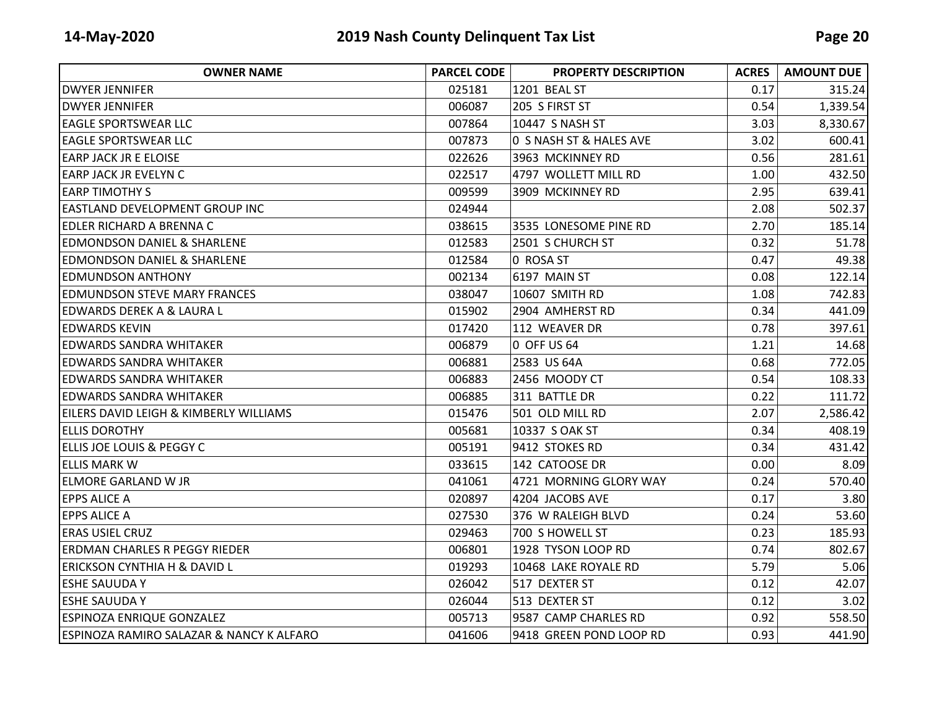| <b>OWNER NAME</b>                        | <b>PARCEL CODE</b> | <b>PROPERTY DESCRIPTION</b> | <b>ACRES</b> | <b>AMOUNT DUE</b> |
|------------------------------------------|--------------------|-----------------------------|--------------|-------------------|
| <b>DWYER JENNIFER</b>                    | 025181             | 1201 BEAL ST                | 0.17         | 315.24            |
| <b>DWYER JENNIFER</b>                    | 006087             | 205 S FIRST ST              | 0.54         | 1,339.54          |
| <b>EAGLE SPORTSWEAR LLC</b>              | 007864             | 10447 S NASH ST             | 3.03         | 8,330.67          |
| <b>EAGLE SPORTSWEAR LLC</b>              | 007873             | 0 S NASH ST & HALES AVE     | 3.02         | 600.41            |
| <b>EARP JACK JR E ELOISE</b>             | 022626             | 3963 MCKINNEY RD            | 0.56         | 281.61            |
| <b>EARP JACK JR EVELYN C</b>             | 022517             | 4797 WOLLETT MILL RD        | 1.00         | 432.50            |
| <b>EARP TIMOTHY S</b>                    | 009599             | 3909 MCKINNEY RD            | 2.95         | 639.41            |
| <b>EASTLAND DEVELOPMENT GROUP INC</b>    | 024944             |                             | 2.08         | 502.37            |
| IEDLER RICHARD A BRENNA C                | 038615             | 3535 LONESOME PINE RD       | 2.70         | 185.14            |
| <b>EDMONDSON DANIEL &amp; SHARLENE</b>   | 012583             | 2501 S CHURCH ST            | 0.32         | 51.78             |
| <b>EDMONDSON DANIEL &amp; SHARLENE</b>   | 012584             | 0 ROSA ST                   | 0.47         | 49.38             |
| <b>EDMUNDSON ANTHONY</b>                 | 002134             | 6197 MAIN ST                | 0.08         | 122.14            |
| <b>EDMUNDSON STEVE MARY FRANCES</b>      | 038047             | 10607 SMITH RD              | 1.08         | 742.83            |
| <b>EDWARDS DEREK A &amp; LAURA L</b>     | 015902             | 2904 AMHERST RD             | 0.34         | 441.09            |
| <b>EDWARDS KEVIN</b>                     | 017420             | 112 WEAVER DR               | 0.78         | 397.61            |
| <b>EDWARDS SANDRA WHITAKER</b>           | 006879             | 0 OFF US 64                 | 1.21         | 14.68             |
| <b>EDWARDS SANDRA WHITAKER</b>           | 006881             | 2583 US 64A                 | 0.68         | 772.05            |
| <b>EDWARDS SANDRA WHITAKER</b>           | 006883             | 2456 MOODY CT               | 0.54         | 108.33            |
| <b>EDWARDS SANDRA WHITAKER</b>           | 006885             | 311 BATTLE DR               | 0.22         | 111.72            |
| EILERS DAVID LEIGH & KIMBERLY WILLIAMS   | 015476             | 501 OLD MILL RD             | 2.07         | 2,586.42          |
| <b>ELLIS DOROTHY</b>                     | 005681             | 10337 S OAK ST              | 0.34         | 408.19            |
| <b>ELLIS JOE LOUIS &amp; PEGGY C</b>     | 005191             | 9412 STOKES RD              | 0.34         | 431.42            |
| <b>ELLIS MARK W</b>                      | 033615             | 142 CATOOSE DR              | 0.00         | 8.09              |
| <b>ELMORE GARLAND W JR</b>               | 041061             | 4721 MORNING GLORY WAY      | 0.24         | 570.40            |
| <b>EPPS ALICE A</b>                      | 020897             | 4204 JACOBS AVE             | 0.17         | 3.80              |
| <b>EPPS ALICE A</b>                      | 027530             | 376 W RALEIGH BLVD          | 0.24         | 53.60             |
| <b>ERAS USIEL CRUZ</b>                   | 029463             | 700 S HOWELL ST             | 0.23         | 185.93            |
| <b>ERDMAN CHARLES R PEGGY RIEDER</b>     | 006801             | 1928 TYSON LOOP RD          | 0.74         | 802.67            |
| <b>ERICKSON CYNTHIA H &amp; DAVID L</b>  | 019293             | 10468 LAKE ROYALE RD        | 5.79         | 5.06              |
| <b>ESHE SAUUDA Y</b>                     | 026042             | 517 DEXTER ST               | 0.12         | 42.07             |
| <b>ESHE SAUUDA Y</b>                     | 026044             | 513 DEXTER ST               | 0.12         | 3.02              |
| <b>ESPINOZA ENRIQUE GONZALEZ</b>         | 005713             | 9587 CAMP CHARLES RD        | 0.92         | 558.50            |
| ESPINOZA RAMIRO SALAZAR & NANCY K ALFARO | 041606             | 9418 GREEN POND LOOP RD     | 0.93         | 441.90            |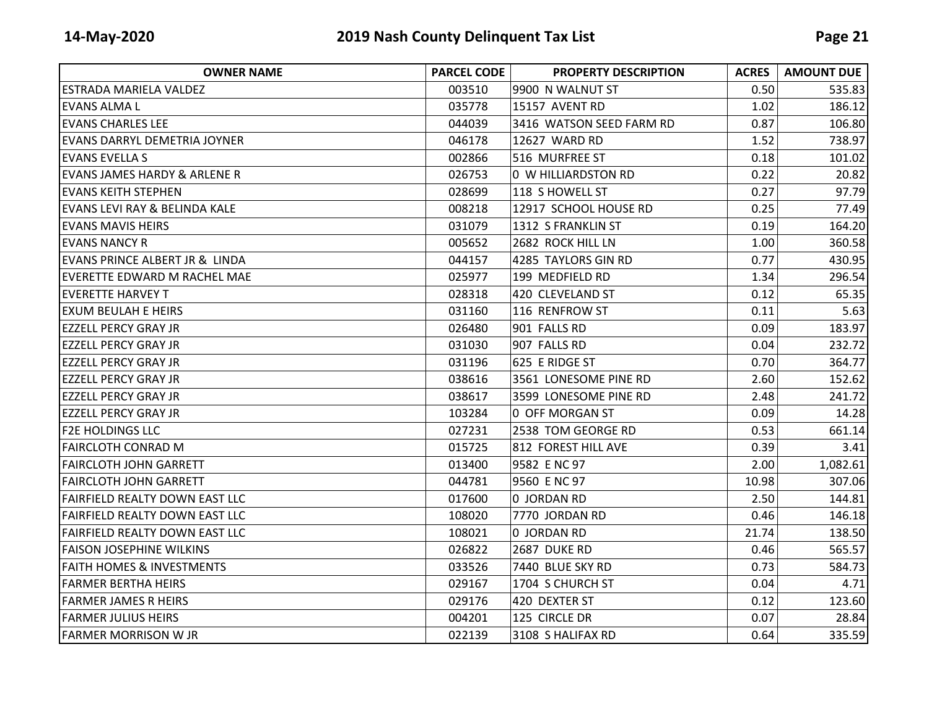| <b>OWNER NAME</b>                       | <b>PARCEL CODE</b> | <b>PROPERTY DESCRIPTION</b> | <b>ACRES</b> | <b>AMOUNT DUE</b> |
|-----------------------------------------|--------------------|-----------------------------|--------------|-------------------|
| ESTRADA MARIELA VALDEZ                  | 003510             | 9900 N WALNUT ST            | 0.50         | 535.83            |
| levans alma l                           | 035778             | 15157 AVENT RD              | 1.02         | 186.12            |
| <b>EVANS CHARLES LEE</b>                | 044039             | 3416 WATSON SEED FARM RD    | 0.87         | 106.80            |
| <b>EVANS DARRYL DEMETRIA JOYNER</b>     | 046178             | 12627 WARD RD               | 1.52         | 738.97            |
| <b>EVANS EVELLA S</b>                   | 002866             | 516 MURFREE ST              | 0.18         | 101.02            |
| <b>EVANS JAMES HARDY &amp; ARLENE R</b> | 026753             | 0 W HILLIARDSTON RD         | 0.22         | 20.82             |
| <b>EVANS KEITH STEPHEN</b>              | 028699             | 118 S HOWELL ST             | 0.27         | 97.79             |
| EVANS LEVI RAY & BELINDA KALE           | 008218             | 12917 SCHOOL HOUSE RD       | 0.25         | 77.49             |
| EVANS MAVIS HEIRS                       | 031079             | 1312 S FRANKLIN ST          | 0.19         | 164.20            |
| <b>EVANS NANCY R</b>                    | 005652             | 2682 ROCK HILL LN           | 1.00         | 360.58            |
| EVANS PRINCE ALBERT JR & LINDA          | 044157             | 4285 TAYLORS GIN RD         | 0.77         | 430.95            |
| <b>EVERETTE EDWARD M RACHEL MAE</b>     | 025977             | 199 MEDFIELD RD             | 1.34         | 296.54            |
| <b>EVERETTE HARVEY T</b>                | 028318             | 420 CLEVELAND ST            | 0.12         | 65.35             |
| IEXUM BEULAH E HEIRS                    | 031160             | 116 RENFROW ST              | 0.11         | 5.63              |
| <b>EZZELL PERCY GRAY JR</b>             | 026480             | 901 FALLS RD                | 0.09         | 183.97            |
| <b>EZZELL PERCY GRAY JR</b>             | 031030             | 907 FALLS RD                | 0.04         | 232.72            |
| <b>EZZELL PERCY GRAY JR</b>             | 031196             | 625 E RIDGE ST              | 0.70         | 364.77            |
| <b>EZZELL PERCY GRAY JR</b>             | 038616             | 3561 LONESOME PINE RD       | 2.60         | 152.62            |
| <b>EZZELL PERCY GRAY JR</b>             | 038617             | 3599 LONESOME PINE RD       | 2.48         | 241.72            |
| <b>EZZELL PERCY GRAY JR</b>             | 103284             | 0 OFF MORGAN ST             | 0.09         | 14.28             |
| <b>F2E HOLDINGS LLC</b>                 | 027231             | 2538 TOM GEORGE RD          | 0.53         | 661.14            |
| <b>FAIRCLOTH CONRAD M</b>               | 015725             | 812 FOREST HILL AVE         | 0.39         | 3.41              |
| <b>FAIRCLOTH JOHN GARRETT</b>           | 013400             | 9582 E NC 97                | 2.00         | 1,082.61          |
| <b>FAIRCLOTH JOHN GARRETT</b>           | 044781             | 9560 E NC 97                | 10.98        | 307.06            |
| <b>FAIRFIELD REALTY DOWN EAST LLC</b>   | 017600             | 0 JORDAN RD                 | 2.50         | 144.81            |
| <b>FAIRFIELD REALTY DOWN EAST LLC</b>   | 108020             | 7770 JORDAN RD              | 0.46         | 146.18            |
| <b>FAIRFIELD REALTY DOWN EAST LLC</b>   | 108021             | 0 JORDAN RD                 | 21.74        | 138.50            |
| <b>FAISON JOSEPHINE WILKINS</b>         | 026822             | 2687 DUKE RD                | 0.46         | 565.57            |
| <b>FAITH HOMES &amp; INVESTMENTS</b>    | 033526             | 7440 BLUE SKY RD            | 0.73         | 584.73            |
| <b>FARMER BERTHA HEIRS</b>              | 029167             | 1704 S CHURCH ST            | 0.04         | 4.71              |
| IFARMER JAMES R HEIRS                   | 029176             | 420 DEXTER ST               | 0.12         | 123.60            |
| <b>FARMER JULIUS HEIRS</b>              | 004201             | 125 CIRCLE DR               | 0.07         | 28.84             |
| <b>FARMER MORRISON W JR</b>             | 022139             | 3108 S HALIFAX RD           | 0.64         | 335.59            |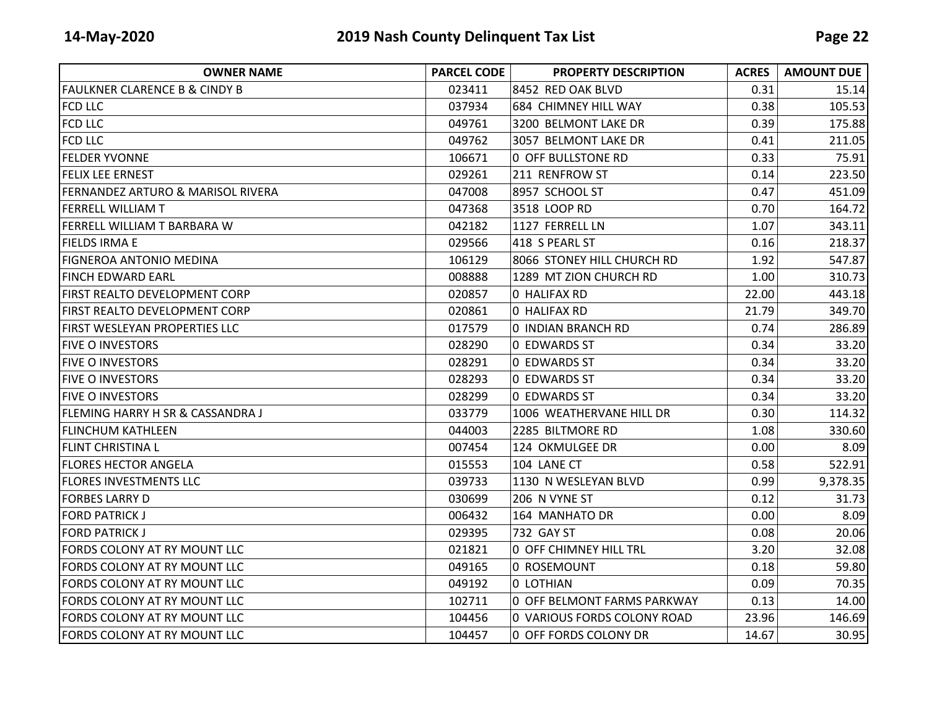| <b>OWNER NAME</b>                            | <b>PARCEL CODE</b> | <b>PROPERTY DESCRIPTION</b> | <b>ACRES</b> | <b>AMOUNT DUE</b> |
|----------------------------------------------|--------------------|-----------------------------|--------------|-------------------|
| <b>FAULKNER CLARENCE B &amp; CINDY B</b>     | 023411             | 8452 RED OAK BLVD           | 0.31         | 15.14             |
| <b>FCD LLC</b>                               | 037934             | 684 CHIMNEY HILL WAY        | 0.38         | 105.53            |
| <b>FCD LLC</b>                               | 049761             | 3200 BELMONT LAKE DR        | 0.39         | 175.88            |
| <b>FCD LLC</b>                               | 049762             | 3057 BELMONT LAKE DR        | 0.41         | 211.05            |
| <b>FELDER YVONNE</b>                         | 106671             | 0 OFF BULLSTONE RD          | 0.33         | 75.91             |
| <b>FELIX LEE ERNEST</b>                      | 029261             | 211 RENFROW ST              | 0.14         | 223.50            |
| <b>FERNANDEZ ARTURO &amp; MARISOL RIVERA</b> | 047008             | 8957 SCHOOL ST              | 0.47         | 451.09            |
| <b>FERRELL WILLIAM T</b>                     | 047368             | 3518 LOOP RD                | 0.70         | 164.72            |
| FERRELL WILLIAM T BARBARA W                  | 042182             | 1127 FERRELL LN             | 1.07         | 343.11            |
| <b>FIELDS IRMA E</b>                         | 029566             | 418 S PEARL ST              | 0.16         | 218.37            |
| <b>FIGNEROA ANTONIO MEDINA</b>               | 106129             | 8066 STONEY HILL CHURCH RD  | 1.92         | 547.87            |
| <b>FINCH EDWARD EARL</b>                     | 008888             | 1289 MT ZION CHURCH RD      | 1.00         | 310.73            |
| FIRST REALTO DEVELOPMENT CORP                | 020857             | 0 HALIFAX RD                | 22.00        | 443.18            |
| <b>FIRST REALTO DEVELOPMENT CORP</b>         | 020861             | 0 HALIFAX RD                | 21.79        | 349.70            |
| FIRST WESLEYAN PROPERTIES LLC                | 017579             | 0 INDIAN BRANCH RD          | 0.74         | 286.89            |
| <b>FIVE O INVESTORS</b>                      | 028290             | 0 EDWARDS ST                | 0.34         | 33.20             |
| <b>FIVE O INVESTORS</b>                      | 028291             | 0 EDWARDS ST                | 0.34         | 33.20             |
| <b>FIVE O INVESTORS</b>                      | 028293             | 0 EDWARDS ST                | 0.34         | 33.20             |
| <b>FIVE O INVESTORS</b>                      | 028299             | 0 EDWARDS ST                | 0.34         | 33.20             |
| FLEMING HARRY H SR & CASSANDRA J             | 033779             | 1006 WEATHERVANE HILL DR    | 0.30         | 114.32            |
| <b>FLINCHUM KATHLEEN</b>                     | 044003             | 2285 BILTMORE RD            | 1.08         | 330.60            |
| <b>FLINT CHRISTINA L</b>                     | 007454             | 124 OKMULGEE DR             | 0.00         | 8.09              |
| <b>FLORES HECTOR ANGELA</b>                  | 015553             | 104 LANE CT                 | 0.58         | 522.91            |
| <b>FLORES INVESTMENTS LLC</b>                | 039733             | 1130 N WESLEYAN BLVD        | 0.99         | 9,378.35          |
| <b>FORBES LARRY D</b>                        | 030699             | 206 N VYNE ST               | 0.12         | 31.73             |
| <b>FORD PATRICK J</b>                        | 006432             | 164 MANHATO DR              | 0.00         | 8.09              |
| <b>FORD PATRICK J</b>                        | 029395             | 732 GAY ST                  | 0.08         | 20.06             |
| FORDS COLONY AT RY MOUNT LLC                 | 021821             | 0 OFF CHIMNEY HILL TRL      | 3.20         | 32.08             |
| FORDS COLONY AT RY MOUNT LLC                 | 049165             | 0 ROSEMOUNT                 | 0.18         | 59.80             |
| FORDS COLONY AT RY MOUNT LLC                 | 049192             | 0 LOTHIAN                   | 0.09         | 70.35             |
| FORDS COLONY AT RY MOUNT LLC                 | 102711             | 0 OFF BELMONT FARMS PARKWAY | 0.13         | 14.00             |
| FORDS COLONY AT RY MOUNT LLC                 | 104456             | 0 VARIOUS FORDS COLONY ROAD | 23.96        | 146.69            |
| FORDS COLONY AT RY MOUNT LLC                 | 104457             | 0 OFF FORDS COLONY DR       | 14.67        | 30.95             |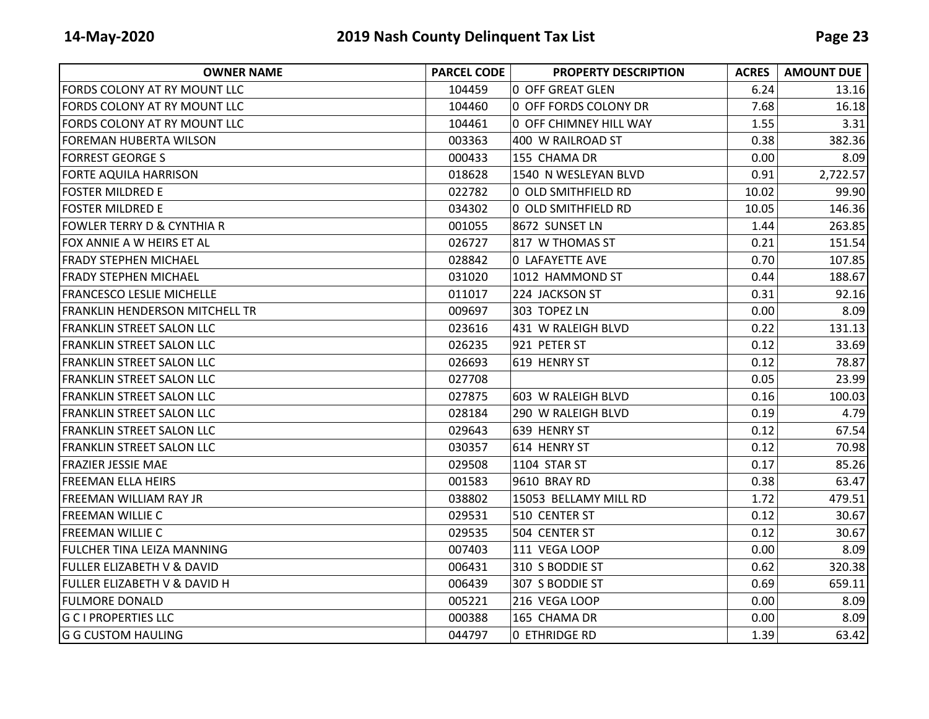| <b>OWNER NAME</b>                     | <b>PARCEL CODE</b> | <b>PROPERTY DESCRIPTION</b> | <b>ACRES</b> | <b>AMOUNT DUE</b> |
|---------------------------------------|--------------------|-----------------------------|--------------|-------------------|
| FORDS COLONY AT RY MOUNT LLC          | 104459             | <b>0 OFF GREAT GLEN</b>     | 6.24         | 13.16             |
| FORDS COLONY AT RY MOUNT LLC          | 104460             | 0 OFF FORDS COLONY DR       | 7.68         | 16.18             |
| FORDS COLONY AT RY MOUNT LLC          | 104461             | 0 OFF CHIMNEY HILL WAY      | 1.55         | 3.31              |
| FOREMAN HUBERTA WILSON                | 003363             | 400 W RAILROAD ST           | 0.38         | 382.36            |
| <b>FORREST GEORGE S</b>               | 000433             | 155 CHAMA DR                | 0.00         | 8.09              |
| <b>FORTE AQUILA HARRISON</b>          | 018628             | 1540 N WESLEYAN BLVD        | 0.91         | 2,722.57          |
| <b>FOSTER MILDRED E</b>               | 022782             | 0 OLD SMITHFIELD RD         | 10.02        | 99.90             |
| <b>FOSTER MILDRED E</b>               | 034302             | 0 OLD SMITHFIELD RD         | 10.05        | 146.36            |
| FOWLER TERRY D & CYNTHIA R            | 001055             | 8672 SUNSET LN              | 1.44         | 263.85            |
| FOX ANNIE A W HEIRS ET AL             | 026727             | 817 W THOMAS ST             | 0.21         | 151.54            |
| IFRADY STEPHEN MICHAEL                | 028842             | <b>0 LAFAYETTE AVE</b>      | 0.70         | 107.85            |
| <b>FRADY STEPHEN MICHAEL</b>          | 031020             | 1012 HAMMOND ST             | 0.44         | 188.67            |
| <b>FRANCESCO LESLIE MICHELLE</b>      | 011017             | 224 JACKSON ST              | 0.31         | 92.16             |
| <b>FRANKLIN HENDERSON MITCHELL TR</b> | 009697             | 303 TOPEZ LN                | 0.00         | 8.09              |
| <b>FRANKLIN STREET SALON LLC</b>      | 023616             | 431 W RALEIGH BLVD          | 0.22         | 131.13            |
| <b>FRANKLIN STREET SALON LLC</b>      | 026235             | 921 PETER ST                | 0.12         | 33.69             |
| <b>FRANKLIN STREET SALON LLC</b>      | 026693             | 619 HENRY ST                | 0.12         | 78.87             |
| <b>FRANKLIN STREET SALON LLC</b>      | 027708             |                             | 0.05         | 23.99             |
| <b>FRANKLIN STREET SALON LLC</b>      | 027875             | 603 W RALEIGH BLVD          | 0.16         | 100.03            |
| IFRANKLIN STREET SALON LLC            | 028184             | 290 W RALEIGH BLVD          | 0.19         | 4.79              |
| <b>FRANKLIN STREET SALON LLC</b>      | 029643             | 639 HENRY ST                | 0.12         | 67.54             |
| <b>FRANKLIN STREET SALON LLC</b>      | 030357             | 614 HENRY ST                | 0.12         | 70.98             |
| <b>FRAZIER JESSIE MAE</b>             | 029508             | 1104 STAR ST                | 0.17         | 85.26             |
| <b>FREEMAN ELLA HEIRS</b>             | 001583             | 9610 BRAY RD                | 0.38         | 63.47             |
| FREEMAN WILLIAM RAY JR                | 038802             | 15053 BELLAMY MILL RD       | 1.72         | 479.51            |
| <b>FREEMAN WILLIE C</b>               | 029531             | 510 CENTER ST               | 0.12         | 30.67             |
| <b>FREEMAN WILLIE C</b>               | 029535             | 504 CENTER ST               | 0.12         | 30.67             |
| <b>FULCHER TINA LEIZA MANNING</b>     | 007403             | 111 VEGA LOOP               | 0.00         | 8.09              |
| FULLER ELIZABETH V & DAVID            | 006431             | 310 S BODDIE ST             | 0.62         | 320.38            |
| FULLER ELIZABETH V & DAVID H          | 006439             | 307 S BODDIE ST             | 0.69         | 659.11            |
| <b>FULMORE DONALD</b>                 | 005221             | 216 VEGA LOOP               | 0.00         | 8.09              |
| <b>G C I PROPERTIES LLC</b>           | 000388             | 165 CHAMA DR                | 0.00         | 8.09              |
| <b>G G CUSTOM HAULING</b>             | 044797             | O ETHRIDGE RD               | 1.39         | 63.42             |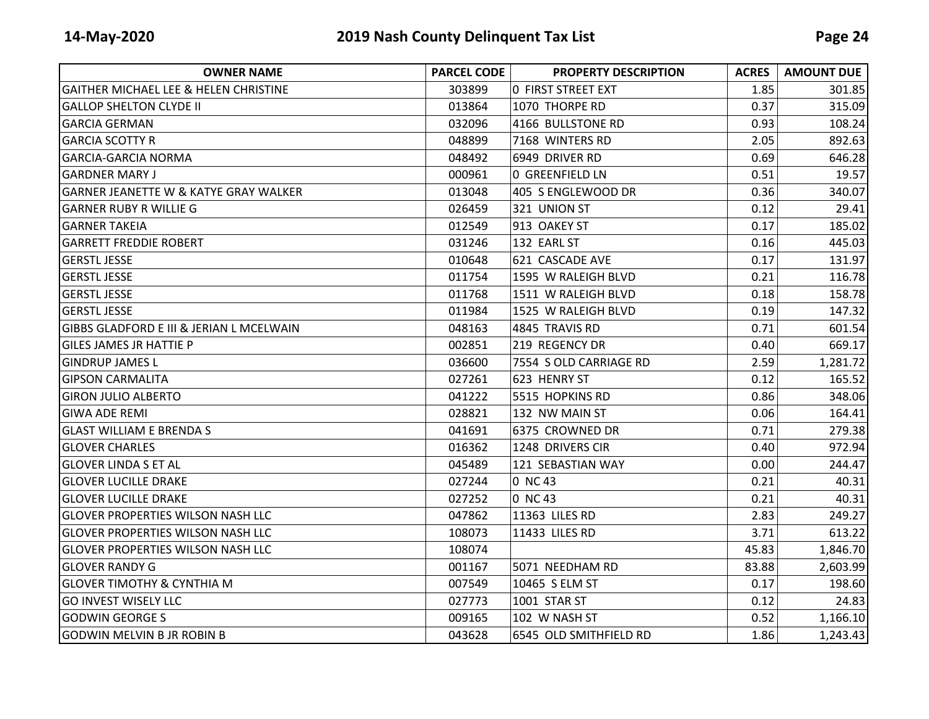| <b>OWNER NAME</b>                                | <b>PARCEL CODE</b> | <b>PROPERTY DESCRIPTION</b> | <b>ACRES</b> | <b>AMOUNT DUE</b> |
|--------------------------------------------------|--------------------|-----------------------------|--------------|-------------------|
| <b>GAITHER MICHAEL LEE &amp; HELEN CHRISTINE</b> | 303899             | <b>0 FIRST STREET EXT</b>   | 1.85         | 301.85            |
| <b>GALLOP SHELTON CLYDE II</b>                   | 013864             | 1070 THORPE RD              | 0.37         | 315.09            |
| <b>GARCIA GERMAN</b>                             | 032096             | 4166 BULLSTONE RD           | 0.93         | 108.24            |
| <b>GARCIA SCOTTY R</b>                           | 048899             | 7168 WINTERS RD             | 2.05         | 892.63            |
| <b>GARCIA-GARCIA NORMA</b>                       | 048492             | 6949 DRIVER RD              | 0.69         | 646.28            |
| <b>GARDNER MARY J</b>                            | 000961             | <b>0 GREENFIELD LN</b>      | 0.51         | 19.57             |
| <b>GARNER JEANETTE W &amp; KATYE GRAY WALKER</b> | 013048             | 405 S ENGLEWOOD DR          | 0.36         | 340.07            |
| <b>GARNER RUBY R WILLIE G</b>                    | 026459             | 321 UNION ST                | 0.12         | 29.41             |
| <b>GARNER TAKEIA</b>                             | 012549             | 913 OAKEY ST                | 0.17         | 185.02            |
| <b>GARRETT FREDDIE ROBERT</b>                    | 031246             | 132 EARL ST                 | 0.16         | 445.03            |
| <b>GERSTL JESSE</b>                              | 010648             | 621 CASCADE AVE             | 0.17         | 131.97            |
| <b>GERSTL JESSE</b>                              | 011754             | 1595 W RALEIGH BLVD         | 0.21         | 116.78            |
| <b>GERSTL JESSE</b>                              | 011768             | 1511 W RALEIGH BLVD         | 0.18         | 158.78            |
| <b>GERSTL JESSE</b>                              | 011984             | 1525 W RALEIGH BLVD         | 0.19         | 147.32            |
| GIBBS GLADFORD E III & JERIAN L MCELWAIN         | 048163             | 4845 TRAVIS RD              | 0.71         | 601.54            |
| <b>GILES JAMES JR HATTIE P</b>                   | 002851             | 219 REGENCY DR              | 0.40         | 669.17            |
| <b>GINDRUP JAMES L</b>                           | 036600             | 7554 S OLD CARRIAGE RD      | 2.59         | 1,281.72          |
| <b>GIPSON CARMALITA</b>                          | 027261             | 623 HENRY ST                | 0.12         | 165.52            |
| <b>GIRON JULIO ALBERTO</b>                       | 041222             | 5515 HOPKINS RD             | 0.86         | 348.06            |
| <b>GIWA ADE REMI</b>                             | 028821             | 132 NW MAIN ST              | 0.06         | 164.41            |
| <b>GLAST WILLIAM E BRENDA S</b>                  | 041691             | 6375 CROWNED DR             | 0.71         | 279.38            |
| <b>GLOVER CHARLES</b>                            | 016362             | 1248 DRIVERS CIR            | 0.40         | 972.94            |
| <b>l</b> GLOVER LINDA S ET AL                    | 045489             | 121 SEBASTIAN WAY           | 0.00         | 244.47            |
| <b>GLOVER LUCILLE DRAKE</b>                      | 027244             | 0 NC 43                     | 0.21         | 40.31             |
| <b>GLOVER LUCILLE DRAKE</b>                      | 027252             | 0 NC 43                     | 0.21         | 40.31             |
| <b>GLOVER PROPERTIES WILSON NASH LLC</b>         | 047862             | 11363 LILES RD              | 2.83         | 249.27            |
| <b>GLOVER PROPERTIES WILSON NASH LLC</b>         | 108073             | 11433 LILES RD              | 3.71         | 613.22            |
| <b>GLOVER PROPERTIES WILSON NASH LLC</b>         | 108074             |                             | 45.83        | 1,846.70          |
| lGLOVER RANDY G                                  | 001167             | 5071 NEEDHAM RD             | 83.88        | 2,603.99          |
| <b>GLOVER TIMOTHY &amp; CYNTHIA M</b>            | 007549             | 10465 S ELM ST              | 0.17         | 198.60            |
| <b>GO INVEST WISELY LLC</b>                      | 027773             | 1001 STAR ST                | 0.12         | 24.83             |
| <b>GODWIN GEORGE S</b>                           | 009165             | 102 W NASH ST               | 0.52         | 1,166.10          |
| <b>GODWIN MELVIN B JR ROBIN B</b>                | 043628             | 6545 OLD SMITHFIELD RD      | 1.86         | 1,243.43          |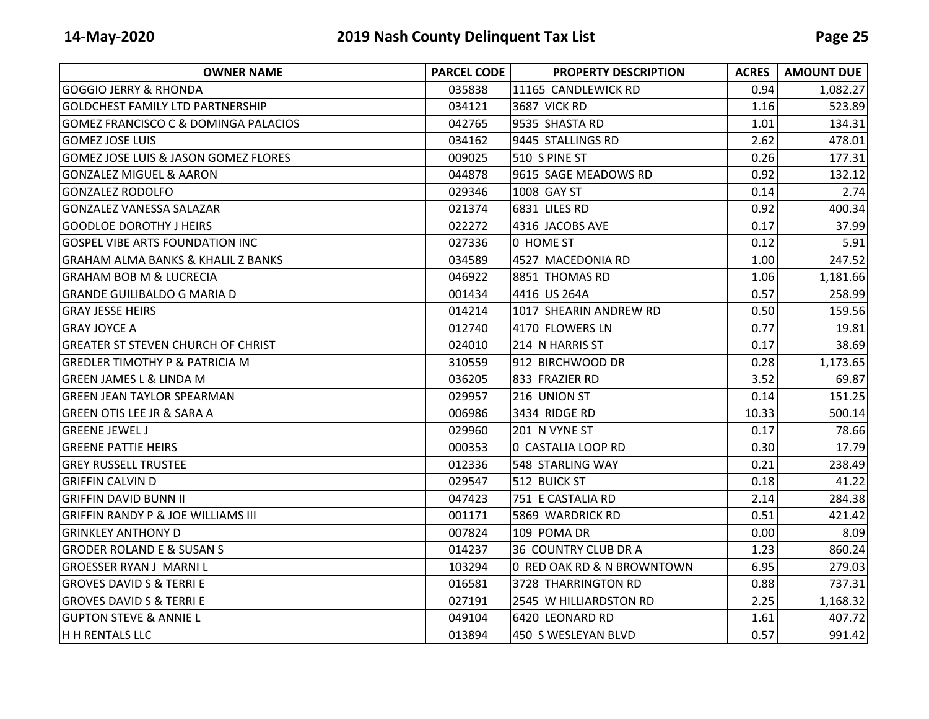| <b>OWNER NAME</b>                               | <b>PARCEL CODE</b> | <b>PROPERTY DESCRIPTION</b> | <b>ACRES</b> | <b>AMOUNT DUE</b> |
|-------------------------------------------------|--------------------|-----------------------------|--------------|-------------------|
| <b>GOGGIO JERRY &amp; RHONDA</b>                | 035838             | 11165 CANDLEWICK RD         | 0.94         | 1,082.27          |
| <b>GOLDCHEST FAMILY LTD PARTNERSHIP</b>         | 034121             | <b>3687 VICK RD</b>         | 1.16         | 523.89            |
| <b>GOMEZ FRANCISCO C &amp; DOMINGA PALACIOS</b> | 042765             | 9535 SHASTA RD              | 1.01         | 134.31            |
| <b>GOMEZ JOSE LUIS</b>                          | 034162             | 9445 STALLINGS RD           | 2.62         | 478.01            |
| <b>GOMEZ JOSE LUIS &amp; JASON GOMEZ FLORES</b> | 009025             | 510 S PINE ST               | 0.26         | 177.31            |
| <b>GONZALEZ MIGUEL &amp; AARON</b>              | 044878             | 9615 SAGE MEADOWS RD        | 0.92         | 132.12            |
| <b>GONZALEZ RODOLFO</b>                         | 029346             | 1008 GAY ST                 | 0.14         | 2.74              |
| <b>GONZALEZ VANESSA SALAZAR</b>                 | 021374             | 6831 LILES RD               | 0.92         | 400.34            |
| <b>GOODLOE DOROTHY J HEIRS</b>                  | 022272             | 4316 JACOBS AVE             | 0.17         | 37.99             |
| <b>GOSPEL VIBE ARTS FOUNDATION INC</b>          | 027336             | 0 HOME ST                   | 0.12         | 5.91              |
| <b>GRAHAM ALMA BANKS &amp; KHALIL Z BANKS</b>   | 034589             | 4527 MACEDONIA RD           | 1.00         | 247.52            |
| <b>GRAHAM BOB M &amp; LUCRECIA</b>              | 046922             | 8851 THOMAS RD              | 1.06         | 1,181.66          |
| GRANDE GUILIBALDO G MARIA D                     | 001434             | 4416 US 264A                | 0.57         | 258.99            |
| IGRAY JESSE HEIRS                               | 014214             | 1017 SHEARIN ANDREW RD      | 0.50         | 159.56            |
| <b>GRAY JOYCE A</b>                             | 012740             | 4170 FLOWERS LN             | 0.77         | 19.81             |
| <b>GREATER ST STEVEN CHURCH OF CHRIST</b>       | 024010             | 214 N HARRIS ST             | 0.17         | 38.69             |
| <b>GREDLER TIMOTHY P &amp; PATRICIA M</b>       | 310559             | 912 BIRCHWOOD DR            | 0.28         | 1,173.65          |
| <b>GREEN JAMES L &amp; LINDA M</b>              | 036205             | 833 FRAZIER RD              | 3.52         | 69.87             |
| IGREEN JEAN TAYLOR SPEARMAN                     | 029957             | 216 UNION ST                | 0.14         | 151.25            |
| <b>GREEN OTIS LEE JR &amp; SARA A</b>           | 006986             | 3434 RIDGE RD               | 10.33        | 500.14            |
| <b>GREENE JEWEL J</b>                           | 029960             | 201 N VYNE ST               | 0.17         | 78.66             |
| <b>GREENE PATTIE HEIRS</b>                      | 000353             | 0 CASTALIA LOOP RD          | 0.30         | 17.79             |
| <b>GREY RUSSELL TRUSTEE</b>                     | 012336             | 548 STARLING WAY            | 0.21         | 238.49            |
| <b>GRIFFIN CALVIN D</b>                         | 029547             | 512 BUICK ST                | 0.18         | 41.22             |
| <b>GRIFFIN DAVID BUNN II</b>                    | 047423             | 751 E CASTALIA RD           | 2.14         | 284.38            |
| <b>GRIFFIN RANDY P &amp; JOE WILLIAMS III</b>   | 001171             | 5869 WARDRICK RD            | 0.51         | 421.42            |
| <b>GRINKLEY ANTHONY D</b>                       | 007824             | 109 POMA DR                 | 0.00         | 8.09              |
| <b>GRODER ROLAND E &amp; SUSAN S</b>            | 014237             | <b>36 COUNTRY CLUB DR A</b> | 1.23         | 860.24            |
| <b>GROESSER RYAN J MARNIL</b>                   | 103294             | 0 RED OAK RD & N BROWNTOWN  | 6.95         | 279.03            |
| <b>GROVES DAVID S &amp; TERRI E</b>             | 016581             | 3728 THARRINGTON RD         | 0.88         | 737.31            |
| <b>GROVES DAVID S &amp; TERRI E</b>             | 027191             | 2545 W HILLIARDSTON RD      | 2.25         | 1,168.32          |
| <b>GUPTON STEVE &amp; ANNIE L</b>               | 049104             | 6420 LEONARD RD             | 1.61         | 407.72            |
| H H RENTALS LLC                                 | 013894             | 450 S WESLEYAN BLVD         | 0.57         | 991.42            |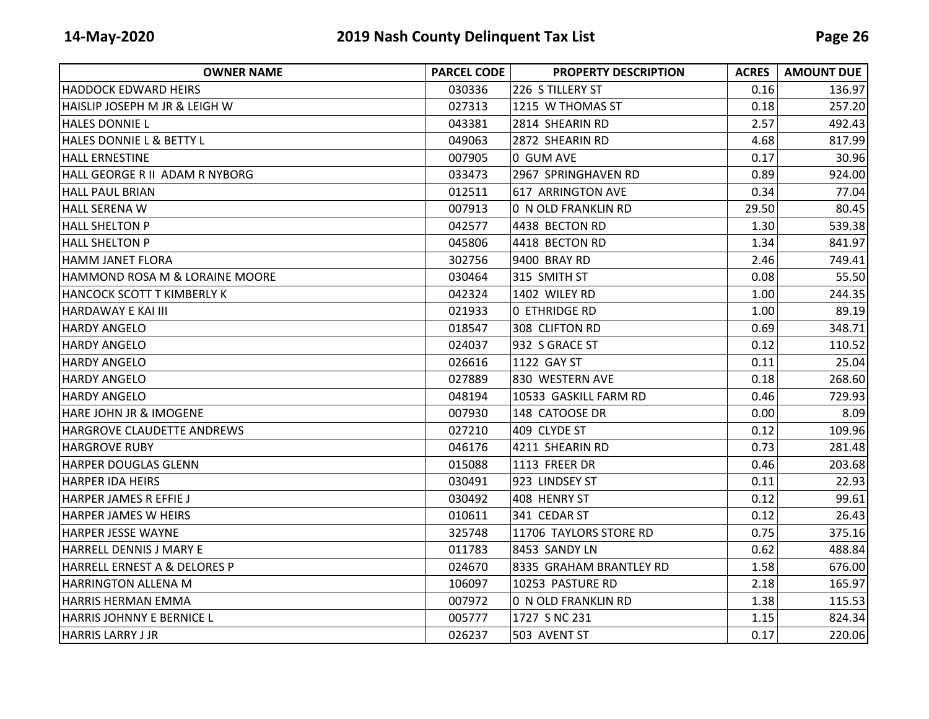| <b>OWNER NAME</b>                 | <b>PARCEL CODE</b> | <b>PROPERTY DESCRIPTION</b> | <b>ACRES</b> | <b>AMOUNT DUE</b> |
|-----------------------------------|--------------------|-----------------------------|--------------|-------------------|
| <b>HADDOCK EDWARD HEIRS</b>       | 030336             | 226 S TILLERY ST            | 0.16         | 136.97            |
| HAISLIP JOSEPH M JR & LEIGH W     | 027313             | 1215 W THOMAS ST            | 0.18         | 257.20            |
| <b>HALES DONNIE L</b>             | 043381             | 2814 SHEARIN RD             | 2.57         | 492.43            |
| HALES DONNIE L & BETTY L          | 049063             | 2872 SHEARIN RD             | 4.68         | 817.99            |
| <b>HALL ERNESTINE</b>             | 007905             | 0 GUM AVE                   | 0.17         | 30.96             |
| HALL GEORGE R II ADAM R NYBORG    | 033473             | 2967 SPRINGHAVEN RD         | 0.89         | 924.00            |
| <b>HALL PAUL BRIAN</b>            | 012511             | 617 ARRINGTON AVE           | 0.34         | 77.04             |
| <b>HALL SERENA W</b>              | 007913             | 0 N OLD FRANKLIN RD         | 29.50        | 80.45             |
| <b>HALL SHELTON P</b>             | 042577             | 4438 BECTON RD              | 1.30         | 539.38            |
| <b>HALL SHELTON P</b>             | 045806             | 4418 BECTON RD              | 1.34         | 841.97            |
| HAMM JANET FLORA                  | 302756             | 9400 BRAY RD                | 2.46         | 749.41            |
| HAMMOND ROSA M & LORAINE MOORE    | 030464             | 315 SMITH ST                | 0.08         | 55.50             |
| HANCOCK SCOTT T KIMBERLY K        | 042324             | 1402 WILEY RD               | 1.00         | 244.35            |
| HARDAWAY E KAI III                | 021933             | O ETHRIDGE RD               | 1.00         | 89.19             |
| <b>HARDY ANGELO</b>               | 018547             | 308 CLIFTON RD              | 0.69         | 348.71            |
| <b>HARDY ANGELO</b>               | 024037             | 932 S GRACE ST              | 0.12         | 110.52            |
| <b>HARDY ANGELO</b>               | 026616             | 1122 GAY ST                 | 0.11         | 25.04             |
| <b>HARDY ANGELO</b>               | 027889             | 830 WESTERN AVE             | 0.18         | 268.60            |
| <b>HARDY ANGELO</b>               | 048194             | 10533 GASKILL FARM RD       | 0.46         | 729.93            |
| <b>HARE JOHN JR &amp; IMOGENE</b> | 007930             | 148 CATOOSE DR              | 0.00         | 8.09              |
| HARGROVE CLAUDETTE ANDREWS        | 027210             | 409 CLYDE ST                | 0.12         | 109.96            |
| <b>HARGROVE RUBY</b>              | 046176             | 4211 SHEARIN RD             | 0.73         | 281.48            |
| <b>HARPER DOUGLAS GLENN</b>       | 015088             | 1113 FREER DR               | 0.46         | 203.68            |
| <b>HARPER IDA HEIRS</b>           | 030491             | 923 LINDSEY ST              | 0.11         | 22.93             |
| <b>HARPER JAMES R EFFIE J</b>     | 030492             | 408 HENRY ST                | 0.12         | 99.61             |
| HARPER JAMES W HEIRS              | 010611             | 341 CEDAR ST                | 0.12         | 26.43             |
| <b>HARPER JESSE WAYNE</b>         | 325748             | 11706 TAYLORS STORE RD      | 0.75         | 375.16            |
| HARRELL DENNIS J MARY E           | 011783             | 8453 SANDY LN               | 0.62         | 488.84            |
| HARRELL ERNEST A & DELORES P      | 024670             | 8335 GRAHAM BRANTLEY RD     | 1.58         | 676.00            |
| <b>HARRINGTON ALLENA M</b>        | 106097             | 10253 PASTURE RD            | 2.18         | 165.97            |
| HARRIS HERMAN EMMA                | 007972             | 0 N OLD FRANKLIN RD         | 1.38         | 115.53            |
| <b>HARRIS JOHNNY E BERNICE L</b>  | 005777             | 1727 S NC 231               | 1.15         | 824.34            |
| <b>HARRIS LARRY J JR</b>          | 026237             | 503 AVENT ST                | 0.17         | 220.06            |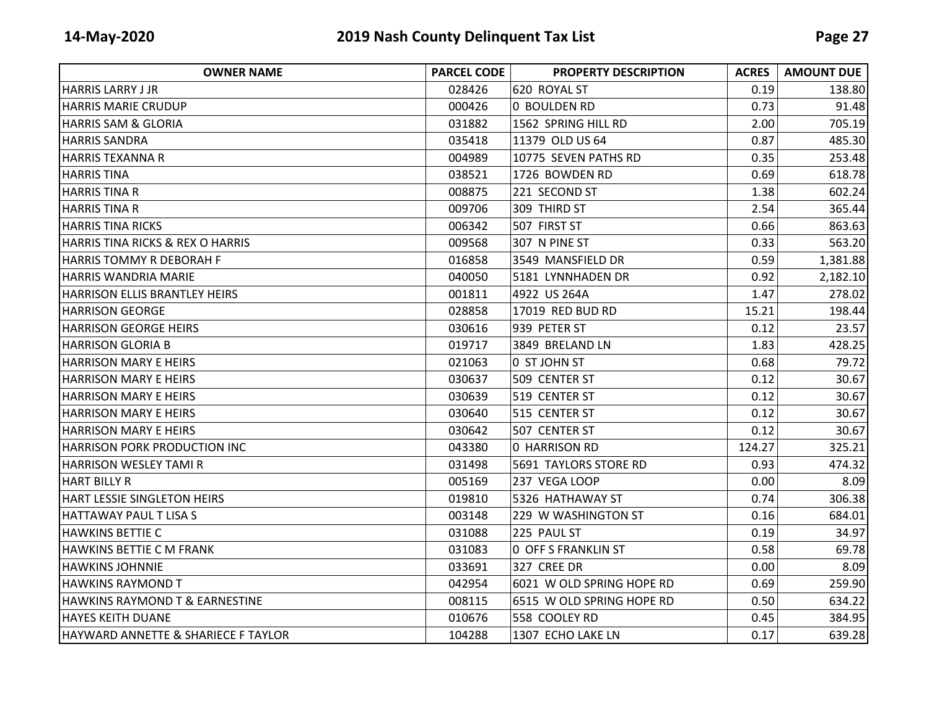| <b>OWNER NAME</b>                   | <b>PARCEL CODE</b> | <b>PROPERTY DESCRIPTION</b> | <b>ACRES</b> | <b>AMOUNT DUE</b> |
|-------------------------------------|--------------------|-----------------------------|--------------|-------------------|
| <b>HARRIS LARRY J JR</b>            | 028426             | 620 ROYAL ST                | 0.19         | 138.80            |
| <b>HARRIS MARIE CRUDUP</b>          | 000426             | O BOULDEN RD                | 0.73         | 91.48             |
| <b>HARRIS SAM &amp; GLORIA</b>      | 031882             | 1562 SPRING HILL RD         | 2.00         | 705.19            |
| <b>HARRIS SANDRA</b>                | 035418             | 11379 OLD US 64             | 0.87         | 485.30            |
| <b>HARRIS TEXANNA R</b>             | 004989             | 10775 SEVEN PATHS RD        | 0.35         | 253.48            |
| <b>HARRIS TINA</b>                  | 038521             | 1726 BOWDEN RD              | 0.69         | 618.78            |
| <b>HARRIS TINA R</b>                | 008875             | 221 SECOND ST               | 1.38         | 602.24            |
| <b>HARRIS TINA R</b>                | 009706             | 309 THIRD ST                | 2.54         | 365.44            |
| <b>HARRIS TINA RICKS</b>            | 006342             | 507 FIRST ST                | 0.66         | 863.63            |
| HARRIS TINA RICKS & REX O HARRIS    | 009568             | 307 N PINE ST               | 0.33         | 563.20            |
| HARRIS TOMMY R DEBORAH F            | 016858             | 3549 MANSFIELD DR           | 0.59         | 1,381.88          |
| <b>HARRIS WANDRIA MARIE</b>         | 040050             | 5181 LYNNHADEN DR           | 0.92         | 2,182.10          |
| HARRISON ELLIS BRANTLEY HEIRS       | 001811             | 4922 US 264A                | 1.47         | 278.02            |
| <b>HARRISON GEORGE</b>              | 028858             | 17019 RED BUD RD            | 15.21        | 198.44            |
| <b>HARRISON GEORGE HEIRS</b>        | 030616             | 939 PETER ST                | 0.12         | 23.57             |
| <b>HARRISON GLORIA B</b>            | 019717             | 3849 BRELAND LN             | 1.83         | 428.25            |
| <b>HARRISON MARY E HEIRS</b>        | 021063             | 0 ST JOHN ST                | 0.68         | 79.72             |
| <b>HARRISON MARY E HEIRS</b>        | 030637             | 509 CENTER ST               | 0.12         | 30.67             |
| <b>HARRISON MARY E HEIRS</b>        | 030639             | 519 CENTER ST               | 0.12         | 30.67             |
| <b>HARRISON MARY E HEIRS</b>        | 030640             | 515 CENTER ST               | 0.12         | 30.67             |
| <b>HARRISON MARY E HEIRS</b>        | 030642             | 507 CENTER ST               | 0.12         | 30.67             |
| <b>HARRISON PORK PRODUCTION INC</b> | 043380             | 0 HARRISON RD               | 124.27       | 325.21            |
| HARRISON WESLEY TAMI R              | 031498             | 5691 TAYLORS STORE RD       | 0.93         | 474.32            |
| <b>HART BILLY R</b>                 | 005169             | 237 VEGA LOOP               | 0.00         | 8.09              |
| HART LESSIE SINGLETON HEIRS         | 019810             | 5326 HATHAWAY ST            | 0.74         | 306.38            |
| HATTAWAY PAUL T LISA S              | 003148             | 229 W WASHINGTON ST         | 0.16         | 684.01            |
| <b>HAWKINS BETTIE C</b>             | 031088             | 225 PAUL ST                 | 0.19         | 34.97             |
| HAWKINS BETTIE C M FRANK            | 031083             | O OFF S FRANKLIN ST         | 0.58         | 69.78             |
| <b>HAWKINS JOHNNIE</b>              | 033691             | 327 CREE DR                 | 0.00         | 8.09              |
| <b>HAWKINS RAYMOND T</b>            | 042954             | 6021 W OLD SPRING HOPE RD   | 0.69         | 259.90            |
| HAWKINS RAYMOND T & EARNESTINE      | 008115             | 6515 W OLD SPRING HOPE RD   | 0.50         | 634.22            |
| <b>HAYES KEITH DUANE</b>            | 010676             | 558 COOLEY RD               | 0.45         | 384.95            |
| HAYWARD ANNETTE & SHARIECE F TAYLOR | 104288             | 1307 ECHO LAKE LN           | 0.17         | 639.28            |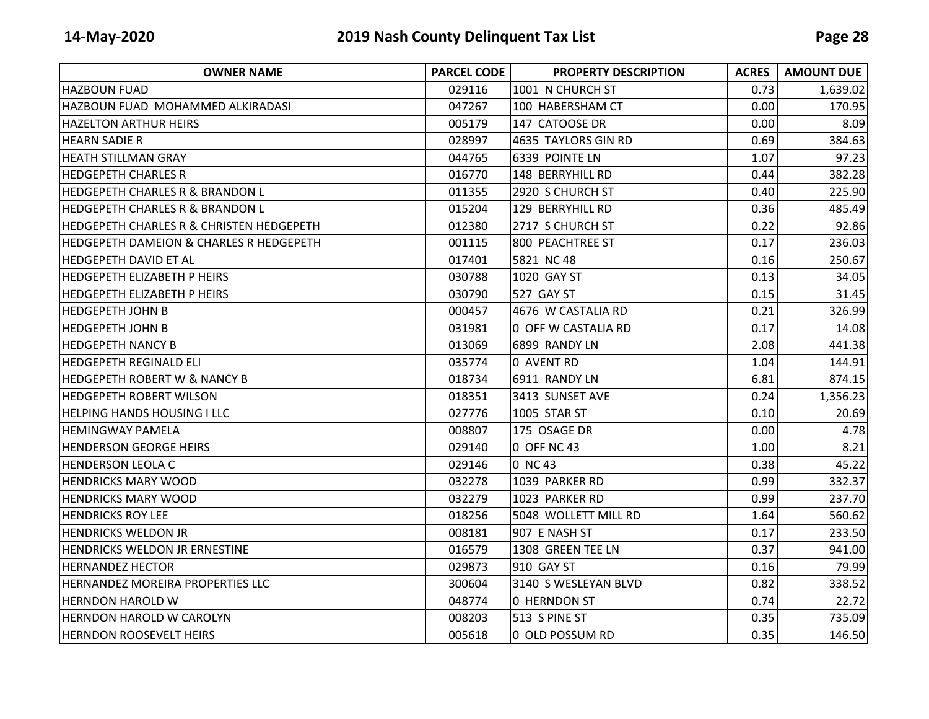| <b>OWNER NAME</b>                                  | <b>PARCEL CODE</b> | <b>PROPERTY DESCRIPTION</b> | <b>ACRES</b> | <b>AMOUNT DUE</b> |
|----------------------------------------------------|--------------------|-----------------------------|--------------|-------------------|
| <b>HAZBOUN FUAD</b>                                | 029116             | 1001 N CHURCH ST            | 0.73         | 1,639.02          |
| HAZBOUN FUAD MOHAMMED ALKIRADASI                   | 047267             | 100 HABERSHAM CT            | 0.00         | 170.95            |
| <b>HAZELTON ARTHUR HEIRS</b>                       | 005179             | 147 CATOOSE DR              | 0.00         | 8.09              |
| <b>HEARN SADIE R</b>                               | 028997             | 4635 TAYLORS GIN RD         | 0.69         | 384.63            |
| <b>HEATH STILLMAN GRAY</b>                         | 044765             | 6339 POINTE LN              | 1.07         | 97.23             |
| HEDGEPETH CHARLES R                                | 016770             | 148 BERRYHILL RD            | 0.44         | 382.28            |
| <b>HEDGEPETH CHARLES R &amp; BRANDON L</b>         | 011355             | 2920 S CHURCH ST            | 0.40         | 225.90            |
| <b>HEDGEPETH CHARLES R &amp; BRANDON L</b>         | 015204             | 129 BERRYHILL RD            | 0.36         | 485.49            |
| HEDGEPETH CHARLES R & CHRISTEN HEDGEPETH           | 012380             | 2717 S CHURCH ST            | 0.22         | 92.86             |
| <b>HEDGEPETH DAMEION &amp; CHARLES R HEDGEPETH</b> | 001115             | 800 PEACHTREE ST            | 0.17         | 236.03            |
| IHEDGEPETH DAVID ET AL                             | 017401             | 5821 NC 48                  | 0.16         | 250.67            |
| <b>HEDGEPETH ELIZABETH P HEIRS</b>                 | 030788             | 1020 GAY ST                 | 0.13         | 34.05             |
| <b>HEDGEPETH ELIZABETH P HEIRS</b>                 | 030790             | 527 GAY ST                  | 0.15         | 31.45             |
| IHEDGEPETH JOHN B                                  | 000457             | 4676 W CASTALIA RD          | 0.21         | 326.99            |
| <b>HEDGEPETH JOHN B</b>                            | 031981             | 0 OFF W CASTALIA RD         | 0.17         | 14.08             |
| <b>HEDGEPETH NANCY B</b>                           | 013069             | 6899 RANDY LN               | 2.08         | 441.38            |
| <b>HEDGEPETH REGINALD ELI</b>                      | 035774             | 0 AVENT RD                  | 1.04         | 144.91            |
| <b>HEDGEPETH ROBERT W &amp; NANCY B</b>            | 018734             | 6911 RANDY LN               | 6.81         | 874.15            |
| IHEDGEPETH ROBERT WILSON                           | 018351             | 3413 SUNSET AVE             | 0.24         | 1,356.23          |
| <b>HELPING HANDS HOUSING I LLC</b>                 | 027776             | 1005 STAR ST                | 0.10         | 20.69             |
| <b>HEMINGWAY PAMELA</b>                            | 008807             | 175 OSAGE DR                | 0.00         | 4.78              |
| <b>HENDERSON GEORGE HEIRS</b>                      | 029140             | 0 OFF NC 43                 | 1.00         | 8.21              |
| <b>HENDERSON LEOLA C</b>                           | 029146             | 0 NC 43                     | 0.38         | 45.22             |
| <b>HENDRICKS MARY WOOD</b>                         | 032278             | 1039 PARKER RD              | 0.99         | 332.37            |
| <b>HENDRICKS MARY WOOD</b>                         | 032279             | 1023 PARKER RD              | 0.99         | 237.70            |
| <b>HENDRICKS ROY LEE</b>                           | 018256             | 5048 WOLLETT MILL RD        | 1.64         | 560.62            |
| <b>HENDRICKS WELDON JR</b>                         | 008181             | 907 E NASH ST               | 0.17         | 233.50            |
| <b>HENDRICKS WELDON JR ERNESTINE</b>               | 016579             | 1308 GREEN TEE LN           | 0.37         | 941.00            |
| IHERNANDEZ HECTOR                                  | 029873             | 910 GAY ST                  | 0.16         | 79.99             |
| HERNANDEZ MOREIRA PROPERTIES LLC                   | 300604             | 3140 S WESLEYAN BLVD        | 0.82         | 338.52            |
| <b>HERNDON HAROLD W</b>                            | 048774             | 0 HERNDON ST                | 0.74         | 22.72             |
| <b>HERNDON HAROLD W CAROLYN</b>                    | 008203             | 513 S PINE ST               | 0.35         | 735.09            |
| <b>HERNDON ROOSEVELT HEIRS</b>                     | 005618             | 0 OLD POSSUM RD             | 0.35         | 146.50            |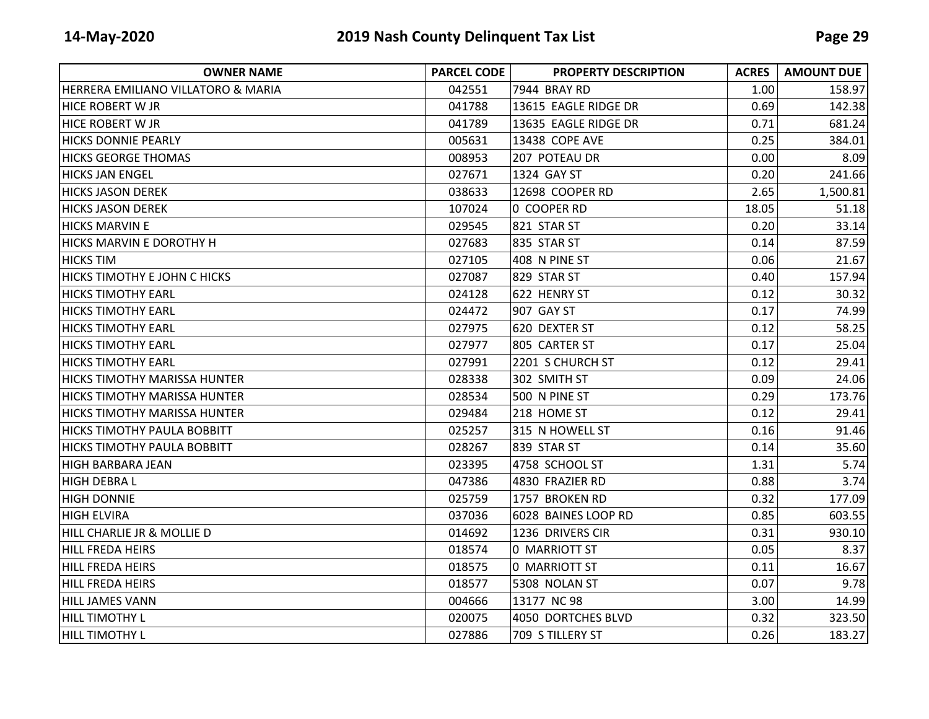| <b>OWNER NAME</b>                   | <b>PARCEL CODE</b> | <b>PROPERTY DESCRIPTION</b> | <b>ACRES</b> | <b>AMOUNT DUE</b> |
|-------------------------------------|--------------------|-----------------------------|--------------|-------------------|
| HERRERA EMILIANO VILLATORO & MARIA  | 042551             | 7944 BRAY RD                | 1.00         | 158.97            |
| <b>HICE ROBERT W JR</b>             | 041788             | 13615 EAGLE RIDGE DR        | 0.69         | 142.38            |
| <b>HICE ROBERT W JR</b>             | 041789             | 13635 EAGLE RIDGE DR        | 0.71         | 681.24            |
| <b>HICKS DONNIE PEARLY</b>          | 005631             | 13438 COPE AVE              | 0.25         | 384.01            |
| <b>HICKS GEORGE THOMAS</b>          | 008953             | 207 POTEAU DR               | 0.00         | 8.09              |
| <b>HICKS JAN ENGEL</b>              | 027671             | 1324 GAY ST                 | 0.20         | 241.66            |
| <b>HICKS JASON DEREK</b>            | 038633             | 12698 COOPER RD             | 2.65         | 1,500.81          |
| <b>HICKS JASON DEREK</b>            | 107024             | 0 COOPER RD                 | 18.05        | 51.18             |
| <b>HICKS MARVIN E</b>               | 029545             | <b>821 STAR ST</b>          | 0.20         | 33.14             |
| HICKS MARVIN E DOROTHY H            | 027683             | 835 STAR ST                 | 0.14         | 87.59             |
| <b>HICKS TIM</b>                    | 027105             | 408 N PINE ST               | 0.06         | 21.67             |
| <b>HICKS TIMOTHY E JOHN C HICKS</b> | 027087             | 829 STAR ST                 | 0.40         | 157.94            |
| <b>HICKS TIMOTHY EARL</b>           | 024128             | 622 HENRY ST                | 0.12         | 30.32             |
| <b>HICKS TIMOTHY EARL</b>           | 024472             | 907 GAY ST                  | 0.17         | 74.99             |
| <b>HICKS TIMOTHY EARL</b>           | 027975             | 620 DEXTER ST               | 0.12         | 58.25             |
| <b>HICKS TIMOTHY EARL</b>           | 027977             | 805 CARTER ST               | 0.17         | 25.04             |
| <b>HICKS TIMOTHY EARL</b>           | 027991             | 2201 S CHURCH ST            | 0.12         | 29.41             |
| HICKS TIMOTHY MARISSA HUNTER        | 028338             | 302 SMITH ST                | 0.09         | 24.06             |
| <b>HICKS TIMOTHY MARISSA HUNTER</b> | 028534             | 500 N PINE ST               | 0.29         | 173.76            |
| HICKS TIMOTHY MARISSA HUNTER        | 029484             | 218 HOME ST                 | 0.12         | 29.41             |
| <b>HICKS TIMOTHY PAULA BOBBITT</b>  | 025257             | 315 N HOWELL ST             | 0.16         | 91.46             |
| <b>HICKS TIMOTHY PAULA BOBBITT</b>  | 028267             | 839 STAR ST                 | 0.14         | 35.60             |
| <b>HIGH BARBARA JEAN</b>            | 023395             | 4758 SCHOOL ST              | 1.31         | 5.74              |
| <b>HIGH DEBRAL</b>                  | 047386             | 4830 FRAZIER RD             | 0.88         | 3.74              |
| <b>HIGH DONNIE</b>                  | 025759             | 1757 BROKEN RD              | 0.32         | 177.09            |
| <b>HIGH ELVIRA</b>                  | 037036             | 6028 BAINES LOOP RD         | 0.85         | 603.55            |
| HILL CHARLIE JR & MOLLIE D          | 014692             | 1236 DRIVERS CIR            | 0.31         | 930.10            |
| <b>HILL FREDA HEIRS</b>             | 018574             | 0 MARRIOTT ST               | 0.05         | 8.37              |
| HILL FREDA HEIRS                    | 018575             | 0 MARRIOTT ST               | 0.11         | 16.67             |
| HILL FREDA HEIRS                    | 018577             | 5308 NOLAN ST               | 0.07         | 9.78              |
| HILL JAMES VANN                     | 004666             | 13177 NC 98                 | 3.00         | 14.99             |
| HILL TIMOTHY L                      | 020075             | 4050 DORTCHES BLVD          | 0.32         | 323.50            |
| HILL TIMOTHY L                      | 027886             | 709 S TILLERY ST            | 0.26         | 183.27            |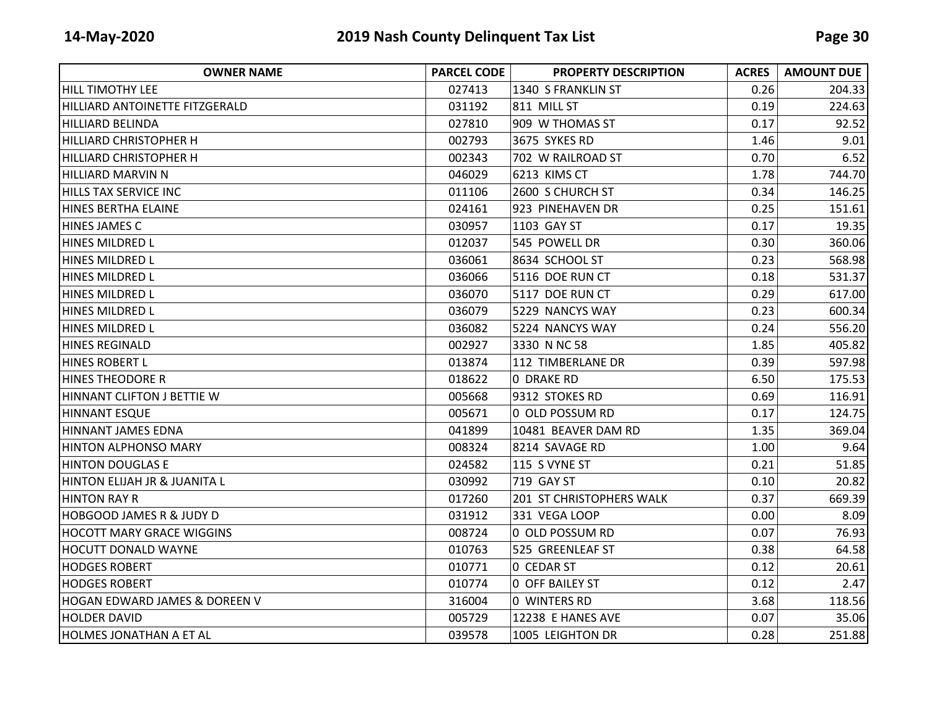| <b>OWNER NAME</b>                   | <b>PARCEL CODE</b> | <b>PROPERTY DESCRIPTION</b> | <b>ACRES</b> | <b>AMOUNT DUE</b> |
|-------------------------------------|--------------------|-----------------------------|--------------|-------------------|
| HILL TIMOTHY LEE                    | 027413             | 1340 S FRANKLIN ST          | 0.26         | 204.33            |
| HILLIARD ANTOINETTE FITZGERALD      | 031192             | 811 MILL ST                 | 0.19         | 224.63            |
| <b>HILLIARD BELINDA</b>             | 027810             | 909 W THOMAS ST             | 0.17         | 92.52             |
| HILLIARD CHRISTOPHER H              | 002793             | 3675 SYKES RD               | 1.46         | 9.01              |
| <b>HILLIARD CHRISTOPHER H</b>       | 002343             | 702 W RAILROAD ST           | 0.70         | 6.52              |
| HILLIARD MARVIN N                   | 046029             | 6213 KIMS CT                | 1.78         | 744.70            |
| HILLS TAX SERVICE INC               | 011106             | 2600 S CHURCH ST            | 0.34         | 146.25            |
| HINES BERTHA ELAINE                 | 024161             | 923 PINEHAVEN DR            | 0.25         | 151.61            |
| HINES JAMES C                       | 030957             | 1103 GAY ST                 | 0.17         | 19.35             |
| HINES MILDRED L                     | 012037             | 545 POWELL DR               | 0.30         | 360.06            |
| <b>HINES MILDRED L</b>              | 036061             | 8634 SCHOOL ST              | 0.23         | 568.98            |
| <b>HINES MILDRED L</b>              | 036066             | 5116 DOE RUN CT             | 0.18         | 531.37            |
| <b>HINES MILDRED L</b>              | 036070             | 5117 DOE RUN CT             | 0.29         | 617.00            |
| HINES MILDRED L                     | 036079             | 5229 NANCYS WAY             | 0.23         | 600.34            |
| <b>HINES MILDRED L</b>              | 036082             | 5224 NANCYS WAY             | 0.24         | 556.20            |
| HINES REGINALD                      | 002927             | 3330 N NC 58                | 1.85         | 405.82            |
| <b>HINES ROBERT L</b>               | 013874             | 112 TIMBERLANE DR           | 0.39         | 597.98            |
| <b>HINES THEODORE R</b>             | 018622             | 0 DRAKE RD                  | 6.50         | 175.53            |
| HINNANT CLIFTON J BETTIE W          | 005668             | 9312 STOKES RD              | 0.69         | 116.91            |
| <b>HINNANT ESQUE</b>                | 005671             | 0 OLD POSSUM RD             | 0.17         | 124.75            |
| HINNANT JAMES EDNA                  | 041899             | 10481 BEAVER DAM RD         | 1.35         | 369.04            |
| <b>HINTON ALPHONSO MARY</b>         | 008324             | 8214 SAVAGE RD              | 1.00         | 9.64              |
| <b>HINTON DOUGLAS E</b>             | 024582             | 115 S VYNE ST               | 0.21         | 51.85             |
| HINTON ELIJAH JR & JUANITA L        | 030992             | 719 GAY ST                  | 0.10         | 20.82             |
| <b>HINTON RAY R</b>                 | 017260             | 201 ST CHRISTOPHERS WALK    | 0.37         | 669.39            |
| <b>HOBGOOD JAMES R &amp; JUDY D</b> | 031912             | 331 VEGA LOOP               | 0.00         | 8.09              |
| <b>HOCOTT MARY GRACE WIGGINS</b>    | 008724             | 0 OLD POSSUM RD             | 0.07         | 76.93             |
| <b>HOCUTT DONALD WAYNE</b>          | 010763             | 525 GREENLEAF ST            | 0.38         | 64.58             |
| <b>HODGES ROBERT</b>                | 010771             | 0 CEDAR ST                  | 0.12         | 20.61             |
| <b>HODGES ROBERT</b>                | 010774             | <b>0 OFF BAILEY ST</b>      | 0.12         | 2.47              |
| HOGAN EDWARD JAMES & DOREEN V       | 316004             | 0 WINTERS RD                | 3.68         | 118.56            |
| <b>HOLDER DAVID</b>                 | 005729             | 12238 E HANES AVE           | 0.07         | 35.06             |
| HOLMES JONATHAN A ET AL             | 039578             | 1005 LEIGHTON DR            | 0.28         | 251.88            |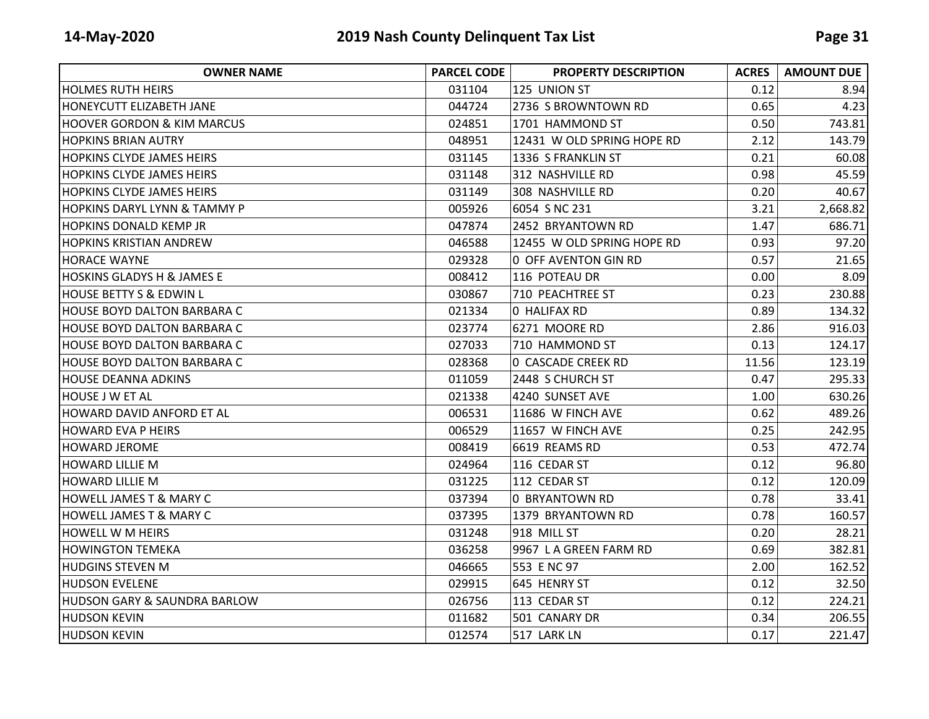| <b>OWNER NAME</b>                     | <b>PARCEL CODE</b> | <b>PROPERTY DESCRIPTION</b> | <b>ACRES</b> | <b>AMOUNT DUE</b> |
|---------------------------------------|--------------------|-----------------------------|--------------|-------------------|
| <b>HOLMES RUTH HEIRS</b>              | 031104             | 125 UNION ST                | 0.12         | 8.94              |
| IHONEYCUTT ELIZABETH JANE             | 044724             | 2736 S BROWNTOWN RD         | 0.65         | 4.23              |
| <b>HOOVER GORDON &amp; KIM MARCUS</b> | 024851             | 1701 HAMMOND ST             | 0.50         | 743.81            |
| IHOPKINS BRIAN AUTRY                  | 048951             | 12431 W OLD SPRING HOPE RD  | 2.12         | 143.79            |
| <b>HOPKINS CLYDE JAMES HEIRS</b>      | 031145             | 1336 S FRANKLIN ST          | 0.21         | 60.08             |
| <b>HOPKINS CLYDE JAMES HEIRS</b>      | 031148             | 312 NASHVILLE RD            | 0.98         | 45.59             |
| <b>HOPKINS CLYDE JAMES HEIRS</b>      | 031149             | 308 NASHVILLE RD            | 0.20         | 40.67             |
| HOPKINS DARYL LYNN & TAMMY P          | 005926             | 6054 S NC 231               | 3.21         | 2,668.82          |
| <b>HOPKINS DONALD KEMP JR</b>         | 047874             | 2452 BRYANTOWN RD           | 1.47         | 686.71            |
| <b>HOPKINS KRISTIAN ANDREW</b>        | 046588             | 12455 W OLD SPRING HOPE RD  | 0.93         | 97.20             |
| <b>HORACE WAYNE</b>                   | 029328             | 0 OFF AVENTON GIN RD        | 0.57         | 21.65             |
| <b>HOSKINS GLADYS H &amp; JAMES E</b> | 008412             | 116 POTEAU DR               | 0.00         | 8.09              |
| <b>HOUSE BETTY S &amp; EDWIN L</b>    | 030867             | 710 PEACHTREE ST            | 0.23         | 230.88            |
| HOUSE BOYD DALTON BARBARA C           | 021334             | 0 HALIFAX RD                | 0.89         | 134.32            |
| <b>HOUSE BOYD DALTON BARBARA C</b>    | 023774             | 6271 MOORE RD               | 2.86         | 916.03            |
| <b>HOUSE BOYD DALTON BARBARA C</b>    | 027033             | 710 HAMMOND ST              | 0.13         | 124.17            |
| <b>HOUSE BOYD DALTON BARBARA C</b>    | 028368             | <b>0 CASCADE CREEK RD</b>   | 11.56        | 123.19            |
| <b>HOUSE DEANNA ADKINS</b>            | 011059             | 2448 S CHURCH ST            | 0.47         | 295.33            |
| <b>HOUSE J W ET AL</b>                | 021338             | 4240 SUNSET AVE             | 1.00         | 630.26            |
| <b>HOWARD DAVID ANFORD ET AL</b>      | 006531             | 11686 W FINCH AVE           | 0.62         | 489.26            |
| IHOWARD EVA P HEIRS                   | 006529             | 11657 W FINCH AVE           | 0.25         | 242.95            |
| <b>HOWARD JEROME</b>                  | 008419             | 6619 REAMS RD               | 0.53         | 472.74            |
| <b>HOWARD LILLIE M</b>                | 024964             | 116 CEDAR ST                | 0.12         | 96.80             |
| HOWARD LILLIE M                       | 031225             | 112 CEDAR ST                | 0.12         | 120.09            |
| <b>HOWELL JAMES T &amp; MARY C</b>    | 037394             | 0 BRYANTOWN RD              | 0.78         | 33.41             |
| <b>HOWELL JAMES T &amp; MARY C</b>    | 037395             | 1379 BRYANTOWN RD           | 0.78         | 160.57            |
| <b>HOWELL W M HEIRS</b>               | 031248             | 918 MILL ST                 | 0.20         | 28.21             |
| <b>HOWINGTON TEMEKA</b>               | 036258             | 9967 LA GREEN FARM RD       | 0.69         | 382.81            |
| <b>HUDGINS STEVEN M</b>               | 046665             | 553 E NC 97                 | 2.00         | 162.52            |
| <b>HUDSON EVELENE</b>                 | 029915             | 645 HENRY ST                | 0.12         | 32.50             |
| IHUDSON GARY & SAUNDRA BARLOW         | 026756             | 113 CEDAR ST                | 0.12         | 224.21            |
| <b>HUDSON KEVIN</b>                   | 011682             | 501 CANARY DR               | 0.34         | 206.55            |
| <b>HUDSON KEVIN</b>                   | 012574             | 517 LARK LN                 | 0.17         | 221.47            |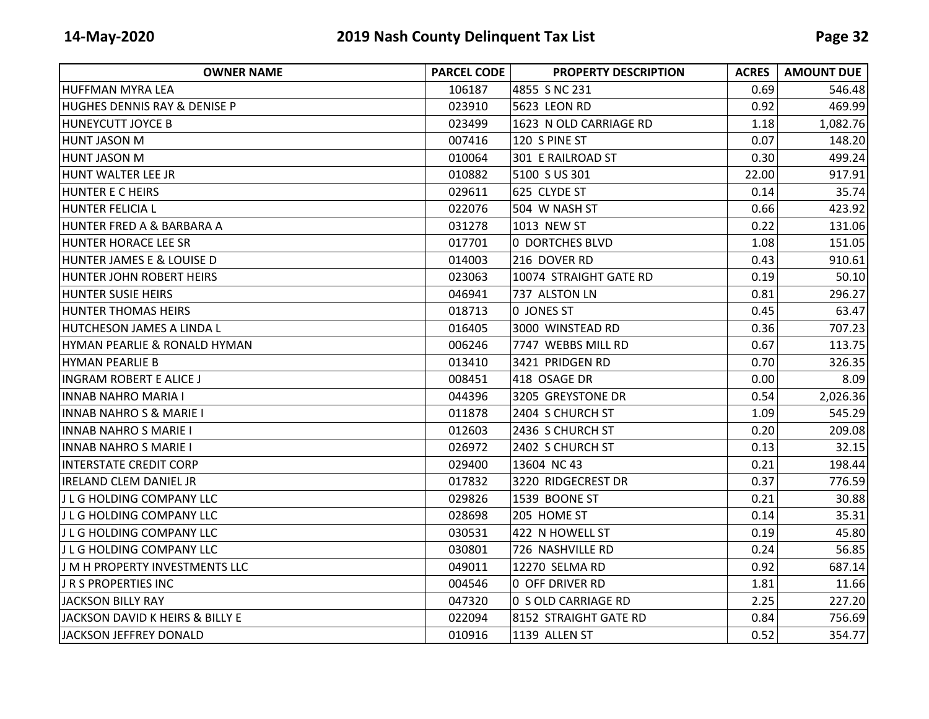| <b>OWNER NAME</b>                       | <b>PARCEL CODE</b> | <b>PROPERTY DESCRIPTION</b> | <b>ACRES</b> | <b>AMOUNT DUE</b> |
|-----------------------------------------|--------------------|-----------------------------|--------------|-------------------|
| HUFFMAN MYRA LEA                        | 106187             | 4855 S NC 231               | 0.69         | 546.48            |
| <b>HUGHES DENNIS RAY &amp; DENISE P</b> | 023910             | <b>5623 LEON RD</b>         | 0.92         | 469.99            |
| <b>HUNEYCUTT JOYCE B</b>                | 023499             | 1623 N OLD CARRIAGE RD      | 1.18         | 1,082.76          |
| <b>HUNT JASON M</b>                     | 007416             | 120 S PINE ST               | 0.07         | 148.20            |
| <b>HUNT JASON M</b>                     | 010064             | 301 E RAILROAD ST           | 0.30         | 499.24            |
| HUNT WALTER LEE JR                      | 010882             | 5100 S US 301               | 22.00        | 917.91            |
| <b>HUNTER E C HEIRS</b>                 | 029611             | 625 CLYDE ST                | 0.14         | 35.74             |
| <b>HUNTER FELICIA L</b>                 | 022076             | 504 W NASH ST               | 0.66         | 423.92            |
| HUNTER FRED A & BARBARA A               | 031278             | 1013 NEW ST                 | 0.22         | 131.06            |
| HUNTER HORACE LEE SR                    | 017701             | <b>0 DORTCHES BLVD</b>      | 1.08         | 151.05            |
| HUNTER JAMES E & LOUISE D               | 014003             | 216 DOVER RD                | 0.43         | 910.61            |
| <b>HUNTER JOHN ROBERT HEIRS</b>         | 023063             | 10074 STRAIGHT GATE RD      | 0.19         | 50.10             |
| <b>HUNTER SUSIE HEIRS</b>               | 046941             | 737 ALSTON LN               | 0.81         | 296.27            |
| <b>HUNTER THOMAS HEIRS</b>              | 018713             | 0 JONES ST                  | 0.45         | 63.47             |
| HUTCHESON JAMES A LINDA L               | 016405             | 3000 WINSTEAD RD            | 0.36         | 707.23            |
| HYMAN PEARLIE & RONALD HYMAN            | 006246             | 7747 WEBBS MILL RD          | 0.67         | 113.75            |
| <b>HYMAN PEARLIE B</b>                  | 013410             | 3421 PRIDGEN RD             | 0.70         | 326.35            |
| <b>INGRAM ROBERT E ALICE J</b>          | 008451             | 418 OSAGE DR                | 0.00         | 8.09              |
| <b>INNAB NAHRO MARIA I</b>              | 044396             | 3205 GREYSTONE DR           | 0.54         | 2,026.36          |
| <b>INNAB NAHRO S &amp; MARIE I</b>      | 011878             | 2404 S CHURCH ST            | 1.09         | 545.29            |
| <b>INNAB NAHRO S MARIE I</b>            | 012603             | 2436 S CHURCH ST            | 0.20         | 209.08            |
| <b>INNAB NAHRO S MARIE I</b>            | 026972             | 2402 S CHURCH ST            | 0.13         | 32.15             |
| <b>INTERSTATE CREDIT CORP</b>           | 029400             | 13604 NC 43                 | 0.21         | 198.44            |
| IRELAND CLEM DANIEL JR                  | 017832             | 3220 RIDGECREST DR          | 0.37         | 776.59            |
| J L G HOLDING COMPANY LLC               | 029826             | 1539 BOONE ST               | 0.21         | 30.88             |
| J L G HOLDING COMPANY LLC               | 028698             | 205 HOME ST                 | 0.14         | 35.31             |
| J L G HOLDING COMPANY LLC               | 030531             | 422 N HOWELL ST             | 0.19         | 45.80             |
| J L G HOLDING COMPANY LLC               | 030801             | 726 NASHVILLE RD            | 0.24         | 56.85             |
| J M H PROPERTY INVESTMENTS LLC          | 049011             | 12270 SELMA RD              | 0.92         | 687.14            |
| J R S PROPERTIES INC                    | 004546             | 0 OFF DRIVER RD             | 1.81         | 11.66             |
| IJACKSON BILLY RAY                      | 047320             | 0 S OLD CARRIAGE RD         | 2.25         | 227.20            |
| JACKSON DAVID K HEIRS & BILLY E         | 022094             | 8152 STRAIGHT GATE RD       | 0.84         | 756.69            |
| JACKSON JEFFREY DONALD                  | 010916             | 1139 ALLEN ST               | 0.52         | 354.77            |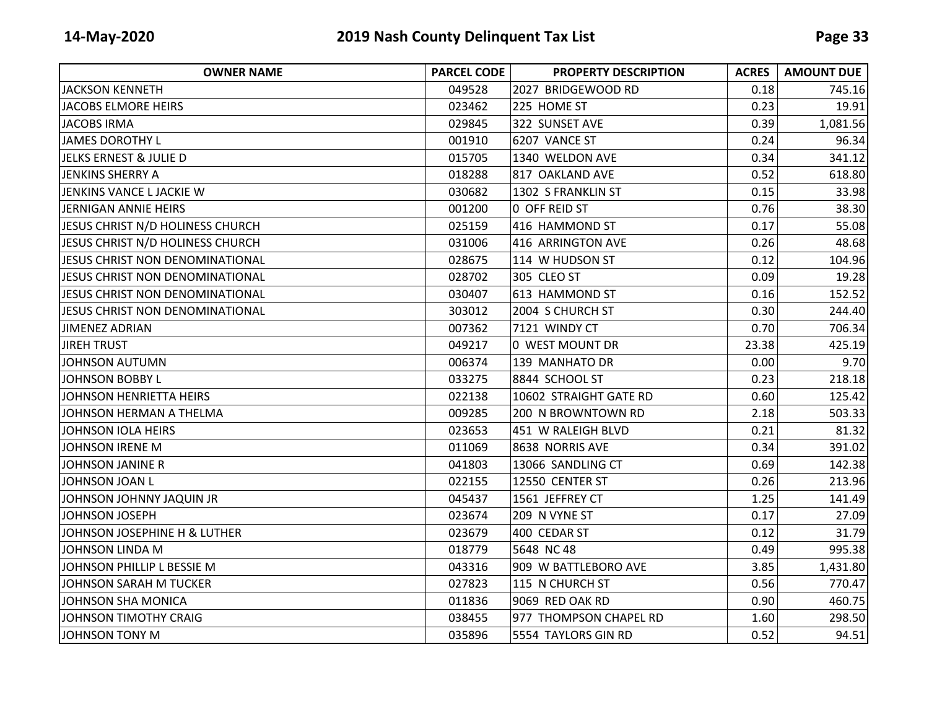| <b>OWNER NAME</b>                | <b>PARCEL CODE</b> | <b>PROPERTY DESCRIPTION</b> | <b>ACRES</b> | <b>AMOUNT DUE</b> |
|----------------------------------|--------------------|-----------------------------|--------------|-------------------|
| <b>JACKSON KENNETH</b>           | 049528             | 2027 BRIDGEWOOD RD          | 0.18         | 745.16            |
| <b>JACOBS ELMORE HEIRS</b>       | 023462             | 225 HOME ST                 | 0.23         | 19.91             |
| <b>JACOBS IRMA</b>               | 029845             | 322 SUNSET AVE              | 0.39         | 1,081.56          |
| JAMES DOROTHY L                  | 001910             | 6207 VANCE ST               | 0.24         | 96.34             |
| JELKS ERNEST & JULIE D           | 015705             | 1340 WELDON AVE             | 0.34         | 341.12            |
| JENKINS SHERRY A                 | 018288             | 817 OAKLAND AVE             | 0.52         | 618.80            |
| JENKINS VANCE L JACKIE W         | 030682             | 1302 S FRANKLIN ST          | 0.15         | 33.98             |
| JERNIGAN ANNIE HEIRS             | 001200             | 0 OFF REID ST               | 0.76         | 38.30             |
| JESUS CHRIST N/D HOLINESS CHURCH | 025159             | 416 HAMMOND ST              | 0.17         | 55.08             |
| JESUS CHRIST N/D HOLINESS CHURCH | 031006             | 416 ARRINGTON AVE           | 0.26         | 48.68             |
| JESUS CHRIST NON DENOMINATIONAL  | 028675             | 114 W HUDSON ST             | 0.12         | 104.96            |
| JESUS CHRIST NON DENOMINATIONAL  | 028702             | 305 CLEO ST                 | 0.09         | 19.28             |
| JESUS CHRIST NON DENOMINATIONAL  | 030407             | 613 HAMMOND ST              | 0.16         | 152.52            |
| JESUS CHRIST NON DENOMINATIONAL  | 303012             | 2004 S CHURCH ST            | 0.30         | 244.40            |
| <b>JIMENEZ ADRIAN</b>            | 007362             | 7121 WINDY CT               | 0.70         | 706.34            |
| <b>JIREH TRUST</b>               | 049217             | 0 WEST MOUNT DR             | 23.38        | 425.19            |
| <b>JOHNSON AUTUMN</b>            | 006374             | 139 MANHATO DR              | 0.00         | 9.70              |
| <b>JOHNSON BOBBY L</b>           | 033275             | 8844 SCHOOL ST              | 0.23         | 218.18            |
| JOHNSON HENRIETTA HEIRS          | 022138             | 10602 STRAIGHT GATE RD      | 0.60         | 125.42            |
| JOHNSON HERMAN A THELMA          | 009285             | 200 N BROWNTOWN RD          | 2.18         | 503.33            |
| JOHNSON IOLA HEIRS               | 023653             | 451 W RALEIGH BLVD          | 0.21         | 81.32             |
| JOHNSON IRENE M                  | 011069             | 8638 NORRIS AVE             | 0.34         | 391.02            |
| <b>JOHNSON JANINE R</b>          | 041803             | 13066 SANDLING CT           | 0.69         | 142.38            |
| JOHNSON JOAN L                   | 022155             | 12550 CENTER ST             | 0.26         | 213.96            |
| JOHNSON JOHNNY JAQUIN JR         | 045437             | 1561 JEFFREY CT             | 1.25         | 141.49            |
| JOHNSON JOSEPH                   | 023674             | 209 N VYNE ST               | 0.17         | 27.09             |
| JOHNSON JOSEPHINE H & LUTHER     | 023679             | 400 CEDAR ST                | 0.12         | 31.79             |
| JOHNSON LINDA M                  | 018779             | 5648 NC 48                  | 0.49         | 995.38            |
| JOHNSON PHILLIP L BESSIE M       | 043316             | 909 W BATTLEBORO AVE        | 3.85         | 1,431.80          |
| JOHNSON SARAH M TUCKER           | 027823             | 115 N CHURCH ST             | 0.56         | 770.47            |
| JOHNSON SHA MONICA               | 011836             | 9069 RED OAK RD             | 0.90         | 460.75            |
| JOHNSON TIMOTHY CRAIG            | 038455             | 977 THOMPSON CHAPEL RD      | 1.60         | 298.50            |
| JOHNSON TONY M                   | 035896             | 5554 TAYLORS GIN RD         | 0.52         | 94.51             |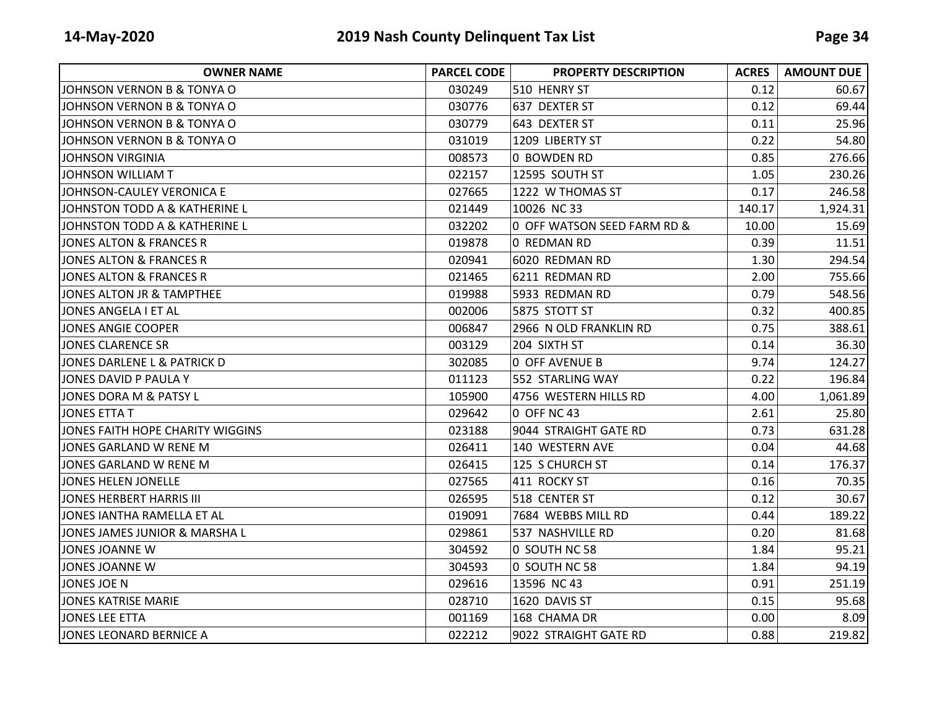| <b>OWNER NAME</b>                | <b>PARCEL CODE</b> | <b>PROPERTY DESCRIPTION</b> | <b>ACRES</b> | <b>AMOUNT DUE</b> |
|----------------------------------|--------------------|-----------------------------|--------------|-------------------|
| JIOHNSON VERNON B & TONYA O      | 030249             | 510 HENRY ST                | 0.12         | 60.67             |
| JOHNSON VERNON B & TONYA O       | 030776             | 637 DEXTER ST               | 0.12         | 69.44             |
| JOHNSON VERNON B & TONYA O       | 030779             | 643 DEXTER ST               | 0.11         | 25.96             |
| JOHNSON VERNON B & TONYA O       | 031019             | 1209 LIBERTY ST             | 0.22         | 54.80             |
| JOHNSON VIRGINIA                 | 008573             | 0 BOWDEN RD                 | 0.85         | 276.66            |
| JOHNSON WILLIAM T                | 022157             | 12595 SOUTH ST              | 1.05         | 230.26            |
| JOHNSON-CAULEY VERONICA E        | 027665             | 1222 W THOMAS ST            | 0.17         | 246.58            |
| JOHNSTON TODD A & KATHERINE L    | 021449             | 10026 NC 33                 | 140.17       | 1,924.31          |
| JOHNSTON TODD A & KATHERINE L    | 032202             | 0 OFF WATSON SEED FARM RD & | 10.00        | 15.69             |
| JONES ALTON & FRANCES R          | 019878             | 0 REDMAN RD                 | 0.39         | 11.51             |
| JONES ALTON & FRANCES R          | 020941             | 6020 REDMAN RD              | 1.30         | 294.54            |
| JONES ALTON & FRANCES R          | 021465             | 6211 REDMAN RD              | 2.00         | 755.66            |
| JONES ALTON JR & TAMPTHEE        | 019988             | 5933 REDMAN RD              | 0.79         | 548.56            |
| JONES ANGELA I ET AL             | 002006             | 5875 STOTT ST               | 0.32         | 400.85            |
| JONES ANGIE COOPER               | 006847             | 2966 N OLD FRANKLIN RD      | 0.75         | 388.61            |
| JONES CLARENCE SR                | 003129             | 204 SIXTH ST                | 0.14         | 36.30             |
| JONES DARLENE L & PATRICK D      | 302085             | 0 OFF AVENUE B              | 9.74         | 124.27            |
| JONES DAVID P PAULA Y            | 011123             | 552 STARLING WAY            | 0.22         | 196.84            |
| JONES DORA M & PATSY L           | 105900             | 4756 WESTERN HILLS RD       | 4.00         | 1,061.89          |
| <b>JONES ETTA T</b>              | 029642             | 0 OFF NC 43                 | 2.61         | 25.80             |
| JONES FAITH HOPE CHARITY WIGGINS | 023188             | 9044 STRAIGHT GATE RD       | 0.73         | 631.28            |
| JONES GARLAND W RENE M           | 026411             | 140 WESTERN AVE             | 0.04         | 44.68             |
| JONES GARLAND W RENE M           | 026415             | 125 S CHURCH ST             | 0.14         | 176.37            |
| JONES HELEN JONELLE              | 027565             | 411 ROCKY ST                | 0.16         | 70.35             |
| JONES HERBERT HARRIS III         | 026595             | 518 CENTER ST               | 0.12         | 30.67             |
| JONES IANTHA RAMELLA ET AL       | 019091             | 7684 WEBBS MILL RD          | 0.44         | 189.22            |
| JONES JAMES JUNIOR & MARSHA L    | 029861             | 537 NASHVILLE RD            | 0.20         | 81.68             |
| JONES JOANNE W                   | 304592             | 0 SOUTH NC 58               | 1.84         | 95.21             |
| JONES JOANNE W                   | 304593             | 0 SOUTH NC 58               | 1.84         | 94.19             |
| JONES JOE N                      | 029616             | 13596 NC 43                 | 0.91         | 251.19            |
| JONES KATRISE MARIE              | 028710             | 1620 DAVIS ST               | 0.15         | 95.68             |
| JONES LEE ETTA                   | 001169             | 168 CHAMA DR                | 0.00         | 8.09              |
| JONES LEONARD BERNICE A          | 022212             | 9022 STRAIGHT GATE RD       | 0.88         | 219.82            |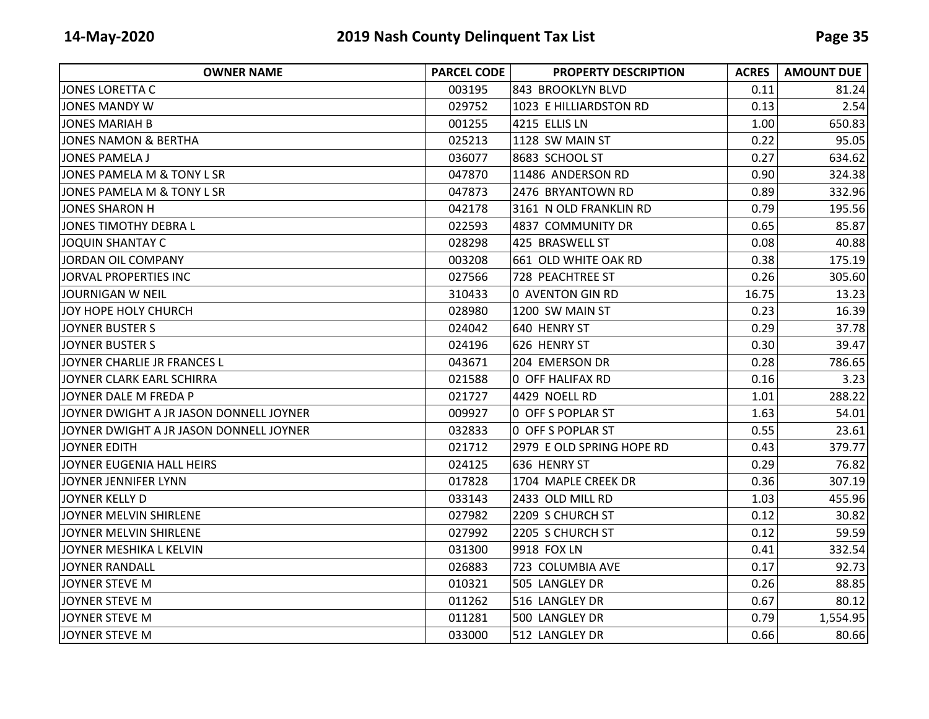| <b>OWNER NAME</b>                       | <b>PARCEL CODE</b> | <b>PROPERTY DESCRIPTION</b> | <b>ACRES</b> | <b>AMOUNT DUE</b> |
|-----------------------------------------|--------------------|-----------------------------|--------------|-------------------|
| JONES LORETTA C                         | 003195             | 843 BROOKLYN BLVD           | 0.11         | 81.24             |
| <b>JONES MANDY W</b>                    | 029752             | 1023 E HILLIARDSTON RD      | 0.13         | 2.54              |
| JONES MARIAH B                          | 001255             | 4215 ELLIS LN               | 1.00         | 650.83            |
| <b>JONES NAMON &amp; BERTHA</b>         | 025213             | 1128 SW MAIN ST             | 0.22         | 95.05             |
| <b>JONES PAMELA J</b>                   | 036077             | 8683 SCHOOL ST              | 0.27         | 634.62            |
| JONES PAMELA M & TONY L SR              | 047870             | 11486 ANDERSON RD           | 0.90         | 324.38            |
| JONES PAMELA M & TONY L SR              | 047873             | 2476 BRYANTOWN RD           | 0.89         | 332.96            |
| <b>JONES SHARON H</b>                   | 042178             | 3161 N OLD FRANKLIN RD      | 0.79         | 195.56            |
| JONES TIMOTHY DEBRA L                   | 022593             | 4837 COMMUNITY DR           | 0.65         | 85.87             |
| <b>JOQUIN SHANTAY C</b>                 | 028298             | 425 BRASWELL ST             | 0.08         | 40.88             |
| JORDAN OIL COMPANY                      | 003208             | 661 OLD WHITE OAK RD        | 0.38         | 175.19            |
| JORVAL PROPERTIES INC                   | 027566             | 728 PEACHTREE ST            | 0.26         | 305.60            |
| <b>JOURNIGAN W NEIL</b>                 | 310433             | 0 AVENTON GIN RD            | 16.75        | 13.23             |
| JOY HOPE HOLY CHURCH                    | 028980             | 1200 SW MAIN ST             | 0.23         | 16.39             |
| <b>JOYNER BUSTER S</b>                  | 024042             | 640 HENRY ST                | 0.29         | 37.78             |
| <b>JOYNER BUSTER S</b>                  | 024196             | 626 HENRY ST                | 0.30         | 39.47             |
| JOYNER CHARLIE JR FRANCES L             | 043671             | 204 EMERSON DR              | 0.28         | 786.65            |
| JOYNER CLARK EARL SCHIRRA               | 021588             | 0 OFF HALIFAX RD            | 0.16         | 3.23              |
| JOYNER DALE M FREDA P                   | 021727             | 4429 NOELL RD               | 1.01         | 288.22            |
| JOYNER DWIGHT A JR JASON DONNELL JOYNER | 009927             | 0 OFF S POPLAR ST           | 1.63         | 54.01             |
| JOYNER DWIGHT A JR JASON DONNELL JOYNER | 032833             | <b>0 OFF S POPLAR ST</b>    | 0.55         | 23.61             |
| <b>JOYNER EDITH</b>                     | 021712             | 2979 E OLD SPRING HOPE RD   | 0.43         | 379.77            |
| JOYNER EUGENIA HALL HEIRS               | 024125             | 636 HENRY ST                | 0.29         | 76.82             |
| JOYNER JENNIFER LYNN                    | 017828             | 1704 MAPLE CREEK DR         | 0.36         | 307.19            |
| JOYNER KELLY D                          | 033143             | 2433 OLD MILL RD            | 1.03         | 455.96            |
| JOYNER MELVIN SHIRLENE                  | 027982             | 2209 S CHURCH ST            | 0.12         | 30.82             |
| JOYNER MELVIN SHIRLENE                  | 027992             | 2205 S CHURCH ST            | 0.12         | 59.59             |
| JOYNER MESHIKA L KELVIN                 | 031300             | 9918 FOX LN                 | 0.41         | 332.54            |
| <b>JOYNER RANDALL</b>                   | 026883             | 723 COLUMBIA AVE            | 0.17         | 92.73             |
| JOYNER STEVE M                          | 010321             | 505 LANGLEY DR              | 0.26         | 88.85             |
| JOYNER STEVE M                          | 011262             | 516 LANGLEY DR              | 0.67         | 80.12             |
| <b>JOYNER STEVE M</b>                   | 011281             | 500 LANGLEY DR              | 0.79         | 1,554.95          |
| <b>JOYNER STEVE M</b>                   | 033000             | 512 LANGLEY DR              | 0.66         | 80.66             |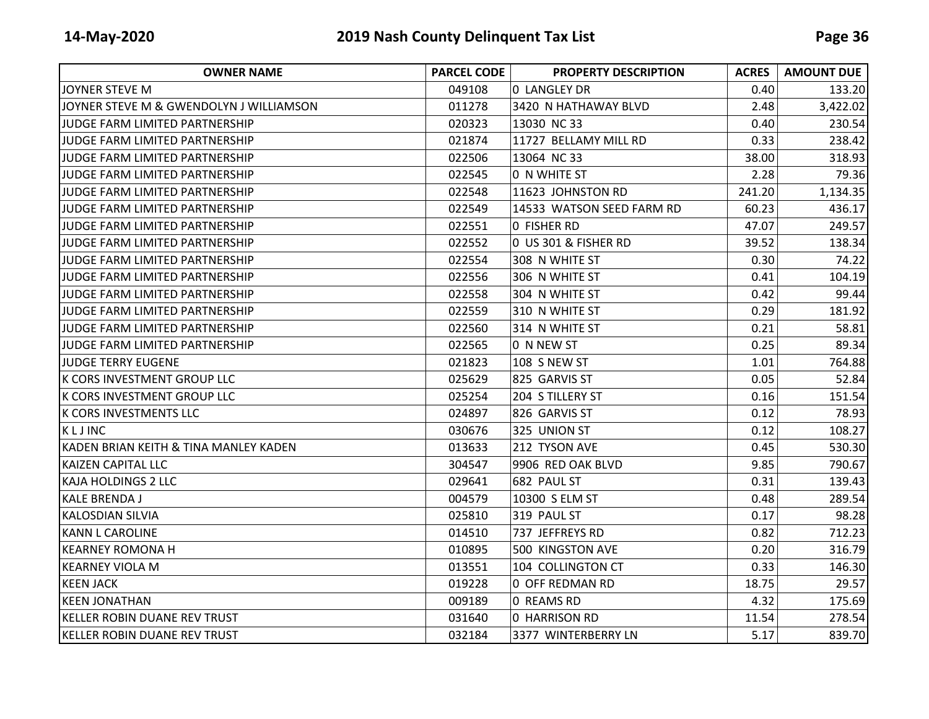| <b>OWNER NAME</b>                       | <b>PARCEL CODE</b> | <b>PROPERTY DESCRIPTION</b> | <b>ACRES</b> | <b>AMOUNT DUE</b> |
|-----------------------------------------|--------------------|-----------------------------|--------------|-------------------|
| <b>JOYNER STEVE M</b>                   | 049108             | <b>0 LANGLEY DR</b>         | 0.40         | 133.20            |
| JOYNER STEVE M & GWENDOLYN J WILLIAMSON | 011278             | 3420 N HATHAWAY BLVD        | 2.48         | 3,422.02          |
| JUDGE FARM LIMITED PARTNERSHIP          | 020323             | 13030 NC 33                 | 0.40         | 230.54            |
| JUDGE FARM LIMITED PARTNERSHIP          | 021874             | 11727 BELLAMY MILL RD       | 0.33         | 238.42            |
| JUDGE FARM LIMITED PARTNERSHIP          | 022506             | 13064 NC 33                 | 38.00        | 318.93            |
| <b>JUDGE FARM LIMITED PARTNERSHIP</b>   | 022545             | 0 N WHITE ST                | 2.28         | 79.36             |
| JUDGE FARM LIMITED PARTNERSHIP          | 022548             | 11623 JOHNSTON RD           | 241.20       | 1,134.35          |
| JUDGE FARM LIMITED PARTNERSHIP          | 022549             | 14533 WATSON SEED FARM RD   | 60.23        | 436.17            |
| JUDGE FARM LIMITED PARTNERSHIP          | 022551             | O FISHER RD                 | 47.07        | 249.57            |
| JUDGE FARM LIMITED PARTNERSHIP          | 022552             | 0 US 301 & FISHER RD        | 39.52        | 138.34            |
| <b>JUDGE FARM LIMITED PARTNERSHIP</b>   | 022554             | 308 N WHITE ST              | 0.30         | 74.22             |
| <b>JJUDGE FARM LIMITED PARTNERSHIP</b>  | 022556             | 306 N WHITE ST              | 0.41         | 104.19            |
| JUDGE FARM LIMITED PARTNERSHIP          | 022558             | 304 N WHITE ST              | 0.42         | 99.44             |
| JUDGE FARM LIMITED PARTNERSHIP          | 022559             | 310 N WHITE ST              | 0.29         | 181.92            |
| JUDGE FARM LIMITED PARTNERSHIP          | 022560             | 314 N WHITE ST              | 0.21         | 58.81             |
| JUDGE FARM LIMITED PARTNERSHIP          | 022565             | 0 N NEW ST                  | 0.25         | 89.34             |
| <b>JUDGE TERRY EUGENE</b>               | 021823             | 108 S NEW ST                | 1.01         | 764.88            |
| K CORS INVESTMENT GROUP LLC             | 025629             | 825 GARVIS ST               | 0.05         | 52.84             |
| K CORS INVESTMENT GROUP LLC             | 025254             | 204 S TILLERY ST            | 0.16         | 151.54            |
| <b>K CORS INVESTMENTS LLC</b>           | 024897             | 826 GARVIS ST               | 0.12         | 78.93             |
| KLJINC                                  | 030676             | 325 UNION ST                | 0.12         | 108.27            |
| KADEN BRIAN KEITH & TINA MANLEY KADEN   | 013633             | 212 TYSON AVE               | 0.45         | 530.30            |
| <b>KAIZEN CAPITAL LLC</b>               | 304547             | 9906 RED OAK BLVD           | 9.85         | 790.67            |
| <b>KAJA HOLDINGS 2 LLC</b>              | 029641             | 682 PAUL ST                 | 0.31         | 139.43            |
| <b>KALE BRENDA J</b>                    | 004579             | 10300 S ELM ST              | 0.48         | 289.54            |
| <b>KALOSDIAN SILVIA</b>                 | 025810             | 319 PAUL ST                 | 0.17         | 98.28             |
| <b>KANN L CAROLINE</b>                  | 014510             | 737 JEFFREYS RD             | 0.82         | 712.23            |
| IKEARNEY ROMONA H                       | 010895             | 500 KINGSTON AVE            | 0.20         | 316.79            |
| <b>KEARNEY VIOLA M</b>                  | 013551             | 104 COLLINGTON CT           | 0.33         | 146.30            |
| <b>KEEN JACK</b>                        | 019228             | 0 OFF REDMAN RD             | 18.75        | 29.57             |
| <b>KEEN JONATHAN</b>                    | 009189             | 0 REAMS RD                  | 4.32         | 175.69            |
| KELLER ROBIN DUANE REV TRUST            | 031640             | 0 HARRISON RD               | 11.54        | 278.54            |
| <b>KELLER ROBIN DUANE REV TRUST</b>     | 032184             | 3377 WINTERBERRY LN         | 5.17         | 839.70            |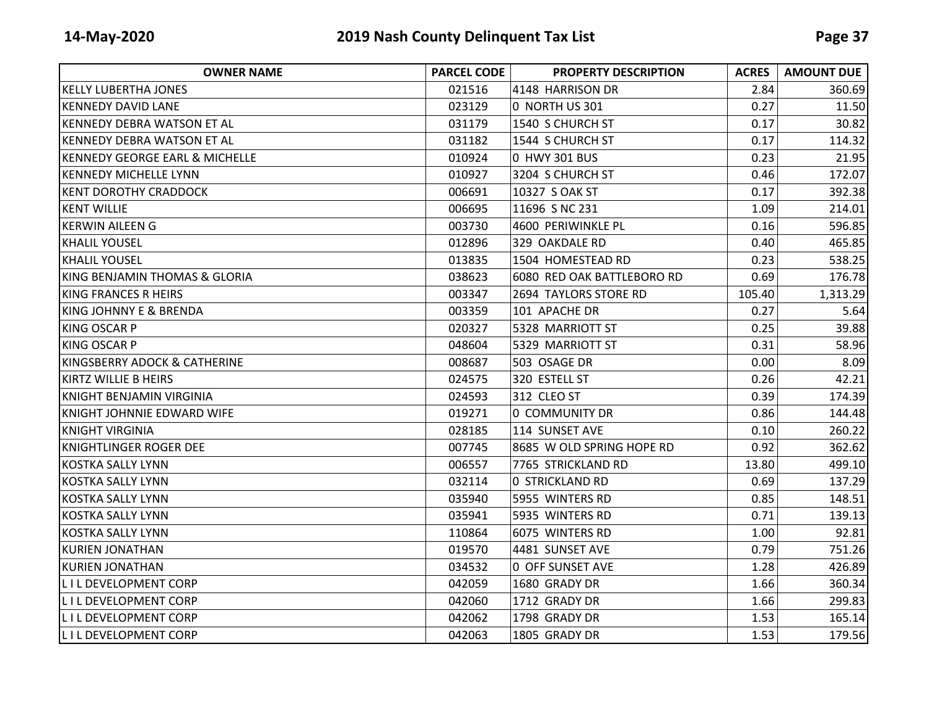| <b>OWNER NAME</b>                       | <b>PARCEL CODE</b> | <b>PROPERTY DESCRIPTION</b> | <b>ACRES</b> | <b>AMOUNT DUE</b> |
|-----------------------------------------|--------------------|-----------------------------|--------------|-------------------|
| <b>KELLY LUBERTHA JONES</b>             | 021516             | 4148 HARRISON DR            | 2.84         | 360.69            |
| <b>KENNEDY DAVID LANE</b>               | 023129             | 0 NORTH US 301              | 0.27         | 11.50             |
| KENNEDY DEBRA WATSON ET AL              | 031179             | 1540 S CHURCH ST            | 0.17         | 30.82             |
| KENNEDY DEBRA WATSON ET AL              | 031182             | 1544 S CHURCH ST            | 0.17         | 114.32            |
| KENNEDY GEORGE EARL & MICHELLE          | 010924             | 0 HWY 301 BUS               | 0.23         | 21.95             |
| <b>KENNEDY MICHELLE LYNN</b>            | 010927             | 3204 S CHURCH ST            | 0.46         | 172.07            |
| <b>KENT DOROTHY CRADDOCK</b>            | 006691             | 10327 S OAK ST              | 0.17         | 392.38            |
| <b>KENT WILLIE</b>                      | 006695             | 11696 S NC 231              | 1.09         | 214.01            |
| IKERWIN AILEEN G                        | 003730             | 4600 PERIWINKLE PL          | 0.16         | 596.85            |
| <b>KHALIL YOUSEL</b>                    | 012896             | 329 OAKDALE RD              | 0.40         | 465.85            |
| <b>KHALIL YOUSEL</b>                    | 013835             | 1504 HOMESTEAD RD           | 0.23         | 538.25            |
| KING BENJAMIN THOMAS & GLORIA           | 038623             | 6080 RED OAK BATTLEBORO RD  | 0.69         | 176.78            |
| KING FRANCES R HEIRS                    | 003347             | 2694 TAYLORS STORE RD       | 105.40       | 1,313.29          |
| <b>KING JOHNNY E &amp; BRENDA</b>       | 003359             | 101 APACHE DR               | 0.27         | $5.64$            |
| KING OSCAR P                            | 020327             | 5328 MARRIOTT ST            | 0.25         | 39.88             |
| <b>KING OSCAR P</b>                     | 048604             | 5329 MARRIOTT ST            | 0.31         | 58.96             |
| <b>KINGSBERRY ADOCK &amp; CATHERINE</b> | 008687             | 503 OSAGE DR                | 0.00         | 8.09              |
| <b>KIRTZ WILLIE B HEIRS</b>             | 024575             | 320 ESTELL ST               | 0.26         | 42.21             |
| KNIGHT BENJAMIN VIRGINIA                | 024593             | 312 CLEO ST                 | 0.39         | 174.39            |
| KNIGHT JOHNNIE EDWARD WIFE              | 019271             | 0 COMMUNITY DR              | 0.86         | 144.48            |
| <b>KNIGHT VIRGINIA</b>                  | 028185             | 114 SUNSET AVE              | 0.10         | 260.22            |
| KNIGHTLINGER ROGER DEE                  | 007745             | 8685 W OLD SPRING HOPE RD   | 0.92         | 362.62            |
| <b>KOSTKA SALLY LYNN</b>                | 006557             | 7765 STRICKLAND RD          | 13.80        | 499.10            |
| <b>KOSTKA SALLY LYNN</b>                | 032114             | <b>0 STRICKLAND RD</b>      | 0.69         | 137.29            |
| KOSTKA SALLY LYNN                       | 035940             | 5955 WINTERS RD             | 0.85         | 148.51            |
| KOSTKA SALLY LYNN                       | 035941             | 5935 WINTERS RD             | 0.71         | 139.13            |
| <b>KOSTKA SALLY LYNN</b>                | 110864             | 6075 WINTERS RD             | 1.00         | 92.81             |
| <b>KURIEN JONATHAN</b>                  | 019570             | 4481 SUNSET AVE             | 0.79         | 751.26            |
| <b>KURIEN JONATHAN</b>                  | 034532             | 0 OFF SUNSET AVE            | 1.28         | 426.89            |
| <b>LILDEVELOPMENT CORP</b>              | 042059             | 1680 GRADY DR               | 1.66         | 360.34            |
| <b>LILDEVELOPMENT CORP</b>              | 042060             | 1712 GRADY DR               | 1.66         | 299.83            |
| <b>LILDEVELOPMENT CORP</b>              | 042062             | 1798 GRADY DR               | 1.53         | 165.14            |
| <b>LILDEVELOPMENT CORP</b>              | 042063             | 1805 GRADY DR               | 1.53         | 179.56            |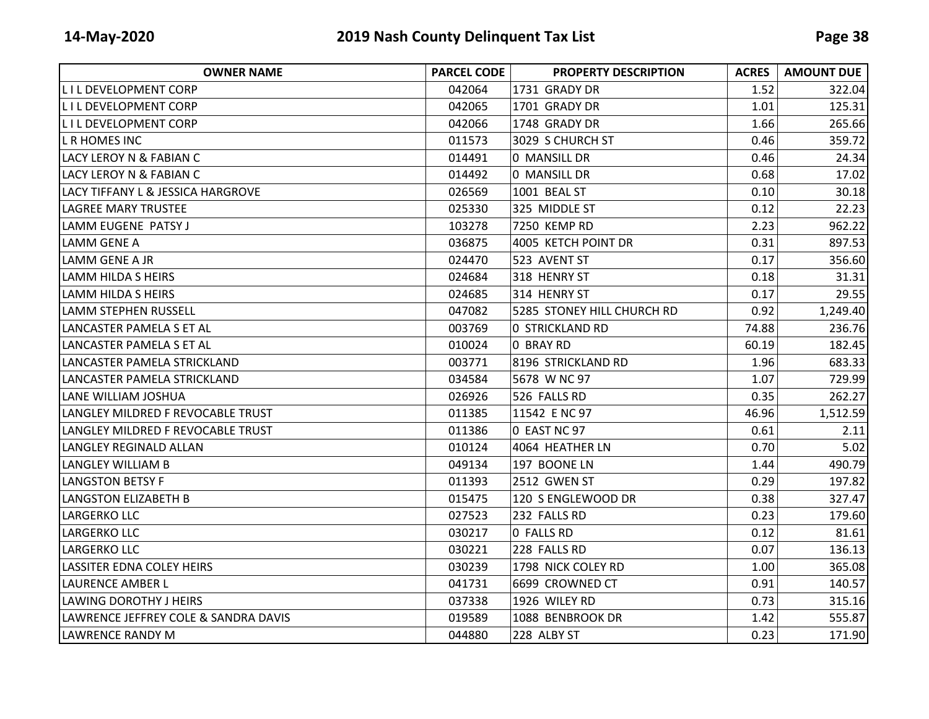| <b>OWNER NAME</b>                    | <b>PARCEL CODE</b> | <b>PROPERTY DESCRIPTION</b> | <b>ACRES</b> | <b>AMOUNT DUE</b> |
|--------------------------------------|--------------------|-----------------------------|--------------|-------------------|
| IL I L DEVELOPMENT CORP              | 042064             | 1731 GRADY DR               | 1.52         | 322.04            |
| <b>LILDEVELOPMENT CORP</b>           | 042065             | 1701 GRADY DR               | 1.01         | 125.31            |
| <b>LILDEVELOPMENT CORP</b>           | 042066             | 1748 GRADY DR               | 1.66         | 265.66            |
| L R HOMES INC                        | 011573             | 3029 S CHURCH ST            | 0.46         | 359.72            |
| LACY LEROY N & FABIAN C              | 014491             | 0 MANSILL DR                | 0.46         | 24.34             |
| LACY LEROY N & FABIAN C              | 014492             | 0 MANSILL DR                | 0.68         | 17.02             |
| LACY TIFFANY L & JESSICA HARGROVE    | 026569             | 1001 BEAL ST                | 0.10         | 30.18             |
| <b>LAGREE MARY TRUSTEE</b>           | 025330             | 325 MIDDLE ST               | 0.12         | 22.23             |
| llamm EUGENE PATSY J                 | 103278             | 7250 KEMP RD                | 2.23         | 962.22            |
| LAMM GENE A                          | 036875             | 4005 KETCH POINT DR         | 0.31         | 897.53            |
| LAMM GENE A JR                       | 024470             | 523 AVENT ST                | 0.17         | 356.60            |
| LAMM HILDA S HEIRS                   | 024684             | 318 HENRY ST                | 0.18         | 31.31             |
| LAMM HILDA S HEIRS                   | 024685             | 314 HENRY ST                | 0.17         | 29.55             |
| lLAMM STEPHEN RUSSELL                | 047082             | 5285 STONEY HILL CHURCH RD  | 0.92         | 1,249.40          |
| LANCASTER PAMELA S ET AL             | 003769             | <b>0 STRICKLAND RD</b>      | 74.88        | 236.76            |
| LANCASTER PAMELA S ET AL             | 010024             | 0 BRAY RD                   | 60.19        | 182.45            |
| LANCASTER PAMELA STRICKLAND          | 003771             | 8196 STRICKLAND RD          | 1.96         | 683.33            |
| LANCASTER PAMELA STRICKLAND          | 034584             | 5678 W NC 97                | 1.07         | 729.99            |
| LANE WILLIAM JOSHUA                  | 026926             | 526 FALLS RD                | 0.35         | 262.27            |
| LANGLEY MILDRED F REVOCABLE TRUST    | 011385             | 11542 E NC 97               | 46.96        | 1,512.59          |
| LANGLEY MILDRED F REVOCABLE TRUST    | 011386             | 0 EAST NC 97                | 0.61         | 2.11              |
| <b>LANGLEY REGINALD ALLAN</b>        | 010124             | 4064 HEATHER LN             | 0.70         | 5.02              |
| <b>LANGLEY WILLIAM B</b>             | 049134             | 197 BOONE LN                | 1.44         | 490.79            |
| LANGSTON BETSY F                     | 011393             | 2512 GWEN ST                | 0.29         | 197.82            |
| <b>LANGSTON ELIZABETH B</b>          | 015475             | 120 S ENGLEWOOD DR          | 0.38         | 327.47            |
| LARGERKO LLC                         | 027523             | 232 FALLS RD                | 0.23         | 179.60            |
| LARGERKO LLC                         | 030217             | 0 FALLS RD                  | 0.12         | 81.61             |
| LARGERKO LLC                         | 030221             | 228 FALLS RD                | 0.07         | 136.13            |
| <b>LASSITER EDNA COLEY HEIRS</b>     | 030239             | 1798 NICK COLEY RD          | 1.00         | 365.08            |
| LAURENCE AMBER L                     | 041731             | 6699 CROWNED CT             | 0.91         | 140.57            |
| LAWING DOROTHY J HEIRS               | 037338             | 1926 WILEY RD               | 0.73         | 315.16            |
| LAWRENCE JEFFREY COLE & SANDRA DAVIS | 019589             | 1088 BENBROOK DR            | 1.42         | 555.87            |
| <b>LAWRENCE RANDY M</b>              | 044880             | 228 ALBY ST                 | 0.23         | 171.90            |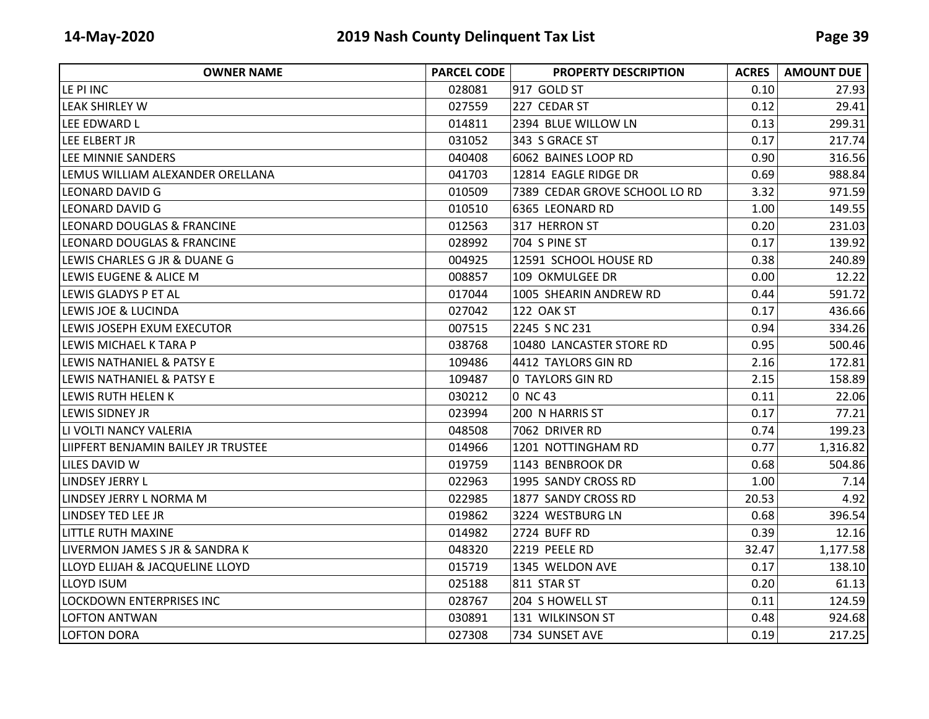| <b>OWNER NAME</b>                   | <b>PARCEL CODE</b> | <b>PROPERTY DESCRIPTION</b>   | <b>ACRES</b> | <b>AMOUNT DUE</b> |
|-------------------------------------|--------------------|-------------------------------|--------------|-------------------|
| LE PI INC                           | 028081             | 917 GOLD ST                   | 0.10         | 27.93             |
| lleak Shirley W                     | 027559             | 227 CEDAR ST                  | 0.12         | 29.41             |
| LEE EDWARD L                        | 014811             | 2394 BLUE WILLOW LN           | 0.13         | 299.31            |
| LEE ELBERT JR                       | 031052             | 343 S GRACE ST                | 0.17         | 217.74            |
| LEE MINNIE SANDERS                  | 040408             | 6062 BAINES LOOP RD           | 0.90         | 316.56            |
| LEMUS WILLIAM ALEXANDER ORELLANA    | 041703             | 12814 EAGLE RIDGE DR          | 0.69         | 988.84            |
| <b>LEONARD DAVID G</b>              | 010509             | 7389 CEDAR GROVE SCHOOL LO RD | 3.32         | 971.59            |
| <b>LEONARD DAVID G</b>              | 010510             | 6365 LEONARD RD               | 1.00         | 149.55            |
| LEONARD DOUGLAS & FRANCINE          | 012563             | 317 HERRON ST                 | 0.20         | 231.03            |
| LEONARD DOUGLAS & FRANCINE          | 028992             | 704 S PINE ST                 | 0.17         | 139.92            |
| LEWIS CHARLES G JR & DUANE G        | 004925             | 12591 SCHOOL HOUSE RD         | 0.38         | 240.89            |
| LEWIS EUGENE & ALICE M              | 008857             | 109 OKMULGEE DR               | 0.00         | 12.22             |
| LEWIS GLADYS P ET AL                | 017044             | 1005 SHEARIN ANDREW RD        | 0.44         | 591.72            |
| LEWIS JOE & LUCINDA                 | 027042             | 122 OAK ST                    | 0.17         | 436.66            |
| LEWIS JOSEPH EXUM EXECUTOR          | 007515             | 2245 S NC 231                 | 0.94         | 334.26            |
| LEWIS MICHAEL K TARA P              | 038768             | 10480 LANCASTER STORE RD      | 0.95         | 500.46            |
| LEWIS NATHANIEL & PATSY E           | 109486             | 4412 TAYLORS GIN RD           | 2.16         | 172.81            |
| LEWIS NATHANIEL & PATSY E           | 109487             | <b>0 TAYLORS GIN RD</b>       | 2.15         | 158.89            |
| LEWIS RUTH HELEN K                  | 030212             | 0 NC 43                       | 0.11         | 22.06             |
| LEWIS SIDNEY JR                     | 023994             | 200 N HARRIS ST               | 0.17         | 77.21             |
| LI VOLTI NANCY VALERIA              | 048508             | 7062 DRIVER RD                | 0.74         | 199.23            |
| LIIPFERT BENJAMIN BAILEY JR TRUSTEE | 014966             | 1201 NOTTINGHAM RD            | 0.77         | 1,316.82          |
| LILES DAVID W                       | 019759             | 1143 BENBROOK DR              | 0.68         | 504.86            |
| LINDSEY JERRY L                     | 022963             | 1995 SANDY CROSS RD           | 1.00         | 7.14              |
| LINDSEY JERRY L NORMA M             | 022985             | 1877 SANDY CROSS RD           | 20.53        | 4.92              |
| LINDSEY TED LEE JR                  | 019862             | 3224 WESTBURG LN              | 0.68         | 396.54            |
| LITTLE RUTH MAXINE                  | 014982             | 2724 BUFF RD                  | 0.39         | 12.16             |
| LIVERMON JAMES S JR & SANDRA K      | 048320             | 2219 PEELE RD                 | 32.47        | 1,177.58          |
| LLOYD ELIJAH & JACQUELINE LLOYD     | 015719             | 1345 WELDON AVE               | 0.17         | 138.10            |
| <b>LLOYD ISUM</b>                   | 025188             | 811 STAR ST                   | 0.20         | 61.13             |
| LOCKDOWN ENTERPRISES INC            | 028767             | 204 S HOWELL ST               | 0.11         | 124.59            |
| <b>LOFTON ANTWAN</b>                | 030891             | 131 WILKINSON ST              | 0.48         | 924.68            |
| <b>LOFTON DORA</b>                  | 027308             | 734 SUNSET AVE                | 0.19         | 217.25            |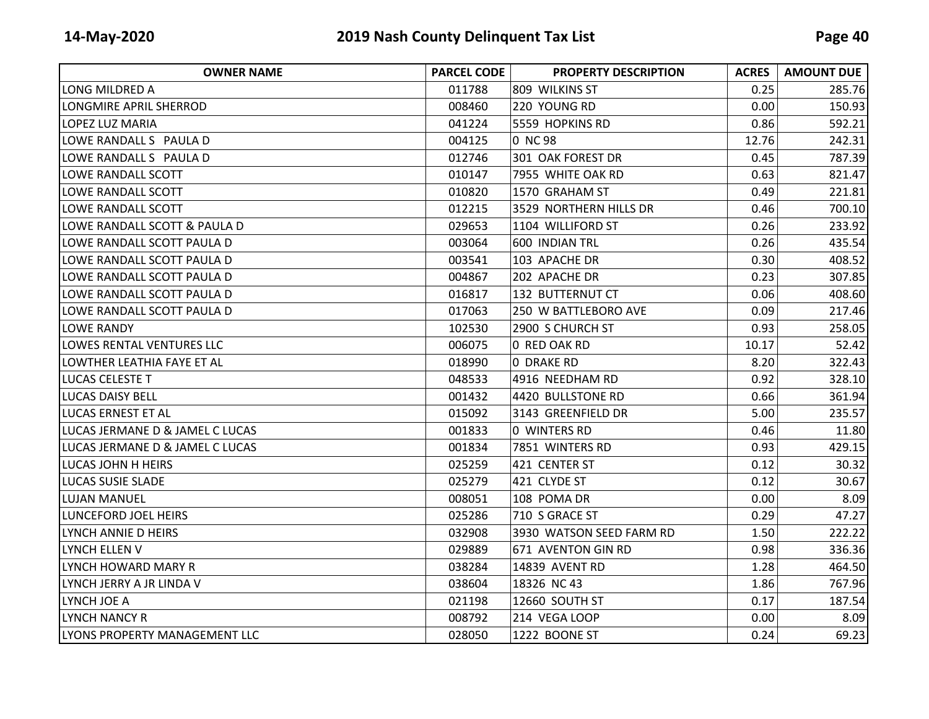| <b>OWNER NAME</b>               | <b>PARCEL CODE</b> | <b>PROPERTY DESCRIPTION</b> | <b>ACRES</b> | <b>AMOUNT DUE</b> |
|---------------------------------|--------------------|-----------------------------|--------------|-------------------|
| LONG MILDRED A                  | 011788             | 809 WILKINS ST              | 0.25         | 285.76            |
| <b>LONGMIRE APRIL SHERROD</b>   | 008460             | 220 YOUNG RD                | 0.00         | 150.93            |
| LOPEZ LUZ MARIA                 | 041224             | 5559 HOPKINS RD             | 0.86         | 592.21            |
| LOWE RANDALL S PAULA D          | 004125             | 0 NC 98                     | 12.76        | 242.31            |
| LOWE RANDALL S PAULA D          | 012746             | 301 OAK FOREST DR           | 0.45         | 787.39            |
| LOWE RANDALL SCOTT              | 010147             | 7955 WHITE OAK RD           | 0.63         | 821.47            |
| LOWE RANDALL SCOTT              | 010820             | 1570 GRAHAM ST              | 0.49         | 221.81            |
| LOWE RANDALL SCOTT              | 012215             | 3529 NORTHERN HILLS DR      | 0.46         | 700.10            |
| LOWE RANDALL SCOTT & PAULA D    | 029653             | 1104 WILLIFORD ST           | 0.26         | 233.92            |
| LOWE RANDALL SCOTT PAULA D      | 003064             | 600 INDIAN TRL              | 0.26         | 435.54            |
| LOWE RANDALL SCOTT PAULA D      | 003541             | 103 APACHE DR               | 0.30         | 408.52            |
| LOWE RANDALL SCOTT PAULA D      | 004867             | 202 APACHE DR               | 0.23         | 307.85            |
| LOWE RANDALL SCOTT PAULA D      | 016817             | 132 BUTTERNUT CT            | 0.06         | 408.60            |
| LOWE RANDALL SCOTT PAULA D      | 017063             | 250 W BATTLEBORO AVE        | 0.09         | 217.46            |
| <b>LOWE RANDY</b>               | 102530             | 2900 S CHURCH ST            | 0.93         | 258.05            |
| LOWES RENTAL VENTURES LLC       | 006075             | 0 RED OAK RD                | 10.17        | 52.42             |
| LOWTHER LEATHIA FAYE ET AL      | 018990             | O DRAKE RD                  | 8.20         | 322.43            |
| <b>LUCAS CELESTE T</b>          | 048533             | 4916 NEEDHAM RD             | 0.92         | 328.10            |
| <b>LUCAS DAISY BELL</b>         | 001432             | 4420 BULLSTONE RD           | 0.66         | 361.94            |
| LUCAS ERNEST ET AL              | 015092             | 3143 GREENFIELD DR          | 5.00         | 235.57            |
| LUCAS JERMANE D & JAMEL C LUCAS | 001833             | 0 WINTERS RD                | 0.46         | 11.80             |
| LUCAS JERMANE D & JAMEL C LUCAS | 001834             | 7851 WINTERS RD             | 0.93         | 429.15            |
| LUCAS JOHN H HEIRS              | 025259             | 421 CENTER ST               | 0.12         | 30.32             |
| <b>LUCAS SUSIE SLADE</b>        | 025279             | 421 CLYDE ST                | 0.12         | 30.67             |
| <b>LUJAN MANUEL</b>             | 008051             | 108 POMA DR                 | 0.00         | 8.09              |
| LUNCEFORD JOEL HEIRS            | 025286             | 710 S GRACE ST              | 0.29         | 47.27             |
| LYNCH ANNIE D HEIRS             | 032908             | 3930 WATSON SEED FARM RD    | 1.50         | 222.22            |
| LYNCH ELLEN V                   | 029889             | 671 AVENTON GIN RD          | 0.98         | 336.36            |
| ILYNCH HOWARD MARY R            | 038284             | 14839 AVENT RD              | 1.28         | 464.50            |
| LYNCH JERRY A JR LINDA V        | 038604             | 18326 NC 43                 | 1.86         | 767.96            |
| LYNCH JOE A                     | 021198             | 12660 SOUTH ST              | 0.17         | 187.54            |
| LYNCH NANCY R                   | 008792             | 214 VEGA LOOP               | 0.00         | 8.09              |
| LYONS PROPERTY MANAGEMENT LLC   | 028050             | 1222 BOONE ST               | 0.24         | 69.23             |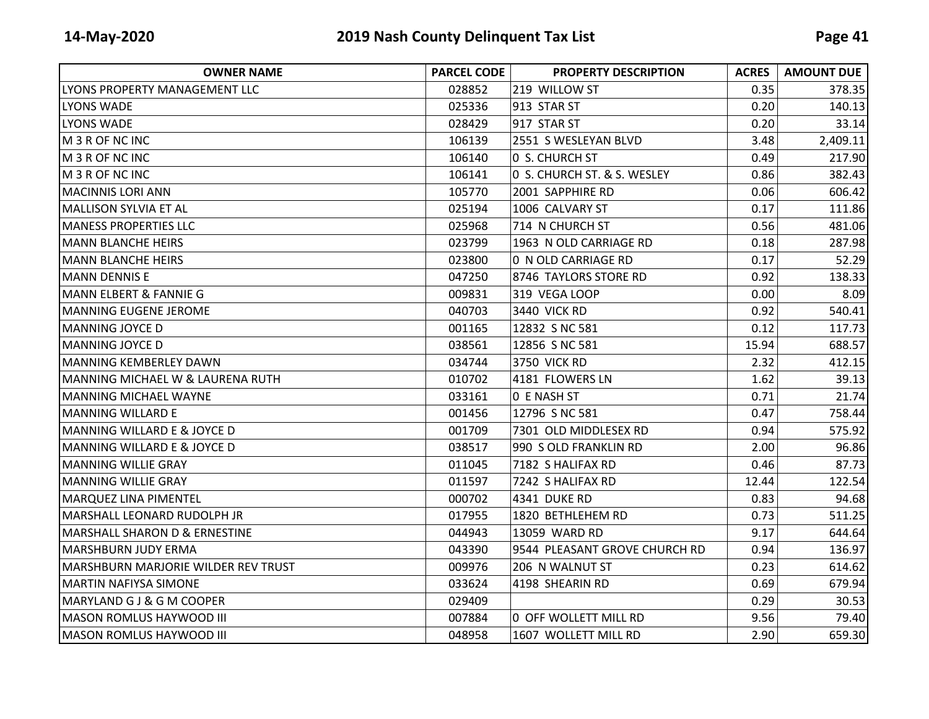| <b>OWNER NAME</b>                          | <b>PARCEL CODE</b> | <b>PROPERTY DESCRIPTION</b>   | <b>ACRES</b> | <b>AMOUNT DUE</b> |
|--------------------------------------------|--------------------|-------------------------------|--------------|-------------------|
| LYONS PROPERTY MANAGEMENT LLC              | 028852             | 219 WILLOW ST                 | 0.35         | 378.35            |
| LYONS WADE                                 | 025336             | 913 STAR ST                   | 0.20         | 140.13            |
| LYONS WADE                                 | 028429             | 917 STAR ST                   | 0.20         | 33.14             |
| M 3 R OF NC INC                            | 106139             | 2551 S WESLEYAN BLVD          | 3.48         | 2,409.11          |
| M 3 R OF NC INC                            | 106140             | 0 S. CHURCH ST                | 0.49         | 217.90            |
| M 3 R OF NC INC                            | 106141             | 0 S. CHURCH ST. & S. WESLEY   | 0.86         | 382.43            |
| <b>MACINNIS LORI ANN</b>                   | 105770             | 2001 SAPPHIRE RD              | 0.06         | 606.42            |
| <b>MALLISON SYLVIA ET AL</b>               | 025194             | 1006 CALVARY ST               | 0.17         | 111.86            |
| <b>MANESS PROPERTIES LLC</b>               | 025968             | 714 N CHURCH ST               | 0.56         | 481.06            |
| <b>MANN BLANCHE HEIRS</b>                  | 023799             | 1963 N OLD CARRIAGE RD        | 0.18         | 287.98            |
| <b>MANN BLANCHE HEIRS</b>                  | 023800             | 0 N OLD CARRIAGE RD           | 0.17         | 52.29             |
| <b>MANN DENNIS E</b>                       | 047250             | 8746 TAYLORS STORE RD         | 0.92         | 138.33            |
| <b>MANN ELBERT &amp; FANNIE G</b>          | 009831             | 319 VEGA LOOP                 | 0.00         | 8.09              |
| <b>MANNING EUGENE JEROME</b>               | 040703             | <b>3440 VICK RD</b>           | 0.92         | 540.41            |
| <b>MANNING JOYCE D</b>                     | 001165             | 12832 S NC 581                | 0.12         | 117.73            |
| <b>MANNING JOYCE D</b>                     | 038561             | 12856 S NC 581                | 15.94        | 688.57            |
| <b>MANNING KEMBERLEY DAWN</b>              | 034744             | <b>3750 VICK RD</b>           | 2.32         | 412.15            |
| MANNING MICHAEL W & LAURENA RUTH           | 010702             | 4181 FLOWERS LN               | 1.62         | 39.13             |
| <b>MANNING MICHAEL WAYNE</b>               | 033161             | O E NASH ST                   | 0.71         | 21.74             |
| <b>MANNING WILLARD E</b>                   | 001456             | 12796 S NC 581                | 0.47         | 758.44            |
| <b>MANNING WILLARD E &amp; JOYCE D</b>     | 001709             | 7301 OLD MIDDLESEX RD         | 0.94         | 575.92            |
| <b>MANNING WILLARD E &amp; JOYCE D</b>     | 038517             | 990 S OLD FRANKLIN RD         | 2.00         | 96.86             |
| MANNING WILLIE GRAY                        | 011045             | 7182 S HALIFAX RD             | 0.46         | 87.73             |
| <b>MANNING WILLIE GRAY</b>                 | 011597             | 7242 S HALIFAX RD             | 12.44        | 122.54            |
| <b>MARQUEZ LINA PIMENTEL</b>               | 000702             | 4341 DUKE RD                  | 0.83         | 94.68             |
| MARSHALL LEONARD RUDOLPH JR                | 017955             | 1820 BETHLEHEM RD             | 0.73         | 511.25            |
| <b>MARSHALL SHARON D &amp; ERNESTINE</b>   | 044943             | 13059 WARD RD                 | 9.17         | 644.64            |
| <b>MARSHBURN JUDY ERMA</b>                 | 043390             | 9544 PLEASANT GROVE CHURCH RD | 0.94         | 136.97            |
| <b>MARSHBURN MARJORIE WILDER REV TRUST</b> | 009976             | 206 N WALNUT ST               | 0.23         | 614.62            |
| <b>MARTIN NAFIYSA SIMONE</b>               | 033624             | 4198 SHEARIN RD               | 0.69         | 679.94            |
| MARYLAND G J & G M COOPER                  | 029409             |                               | 0.29         | 30.53             |
| <b>MASON ROMLUS HAYWOOD III</b>            | 007884             | 0 OFF WOLLETT MILL RD         | 9.56         | 79.40             |
| <b>MASON ROMLUS HAYWOOD III</b>            | 048958             | 1607 WOLLETT MILL RD          | 2.90         | 659.30            |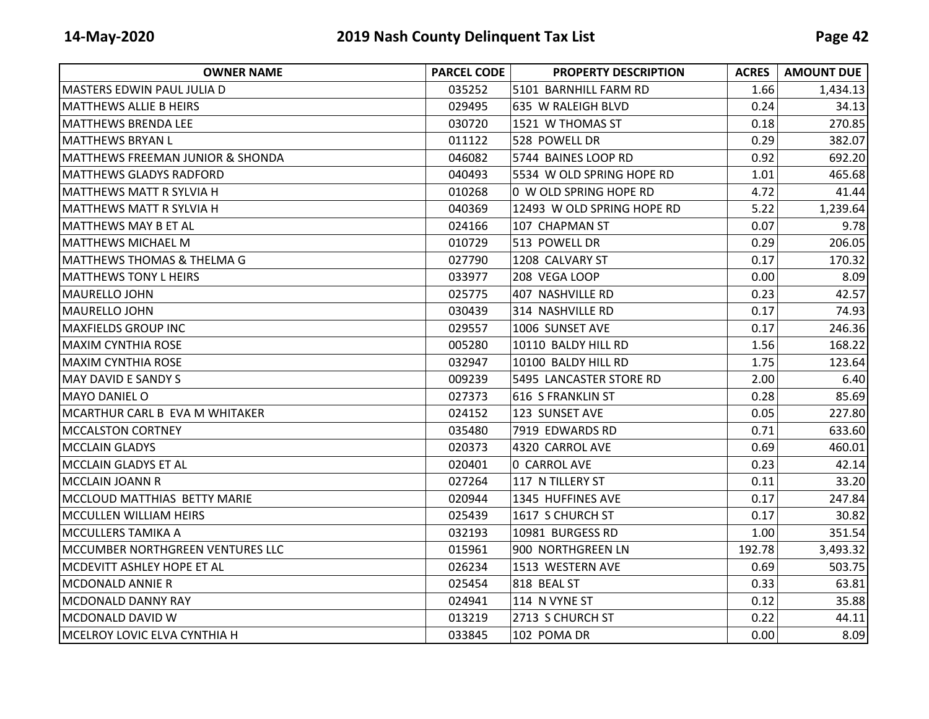| <b>OWNER NAME</b>                     | <b>PARCEL CODE</b> | <b>PROPERTY DESCRIPTION</b> | <b>ACRES</b> | <b>AMOUNT DUE</b> |
|---------------------------------------|--------------------|-----------------------------|--------------|-------------------|
| MASTERS EDWIN PAUL JULIA D            | 035252             | 5101 BARNHILL FARM RD       | 1.66         | 1,434.13          |
| <b>MATTHEWS ALLIE B HEIRS</b>         | 029495             | 635 W RALEIGH BLVD          | 0.24         | 34.13             |
| IMATTHEWS BRENDA LEE                  | 030720             | 1521 W THOMAS ST            | 0.18         | 270.85            |
| IMATTHEWS BRYAN L                     | 011122             | 528 POWELL DR               | 0.29         | 382.07            |
| MATTHEWS FREEMAN JUNIOR & SHONDA      | 046082             | 5744 BAINES LOOP RD         | 0.92         | 692.20            |
| <b>MATTHEWS GLADYS RADFORD</b>        | 040493             | 5534 W OLD SPRING HOPE RD   | 1.01         | 465.68            |
| <b>MATTHEWS MATT R SYLVIA H</b>       | 010268             | 0 W OLD SPRING HOPE RD      | 4.72         | 41.44             |
| IMATTHEWS MATT R SYLVIA H             | 040369             | 12493 W OLD SPRING HOPE RD  | 5.22         | 1,239.64          |
| IMATTHEWS MAY B ET AL                 | 024166             | 107 CHAPMAN ST              | 0.07         | 9.78              |
| <b>MATTHEWS MICHAEL M</b>             | 010729             | 513 POWELL DR               | 0.29         | 206.05            |
| <b>MATTHEWS THOMAS &amp; THELMA G</b> | 027790             | 1208 CALVARY ST             | 0.17         | 170.32            |
| <b>MATTHEWS TONY L HEIRS</b>          | 033977             | 208 VEGA LOOP               | 0.00         | 8.09              |
| lMAURELLO JOHN                        | 025775             | 407 NASHVILLE RD            | 0.23         | 42.57             |
| <b>MAURELLO JOHN</b>                  | 030439             | 314 NASHVILLE RD            | 0.17         | 74.93             |
| <b>MAXFIELDS GROUP INC</b>            | 029557             | 1006 SUNSET AVE             | 0.17         | 246.36            |
| <b>MAXIM CYNTHIA ROSE</b>             | 005280             | 10110 BALDY HILL RD         | 1.56         | 168.22            |
| <b>MAXIM CYNTHIA ROSE</b>             | 032947             | 10100 BALDY HILL RD         | 1.75         | 123.64            |
| <b>MAY DAVID E SANDY S</b>            | 009239             | 5495 LANCASTER STORE RD     | 2.00         | 6.40              |
| IMAYO DANIEL O                        | 027373             | 616 S FRANKLIN ST           | 0.28         | 85.69             |
| MCARTHUR CARL B EVA M WHITAKER        | 024152             | 123 SUNSET AVE              | 0.05         | 227.80            |
| <b>MCCALSTON CORTNEY</b>              | 035480             | 7919 EDWARDS RD             | 0.71         | 633.60            |
| <b>MCCLAIN GLADYS</b>                 | 020373             | 4320 CARROL AVE             | 0.69         | 460.01            |
| <b>MCCLAIN GLADYS ET AL</b>           | 020401             | 0 CARROL AVE                | 0.23         | 42.14             |
| <b>MCCLAIN JOANN R</b>                | 027264             | 117 N TILLERY ST            | 0.11         | 33.20             |
| MCCLOUD MATTHIAS BETTY MARIE          | 020944             | 1345 HUFFINES AVE           | 0.17         | 247.84            |
| MCCULLEN WILLIAM HEIRS                | 025439             | 1617 S CHURCH ST            | 0.17         | 30.82             |
| <b>MCCULLERS TAMIKA A</b>             | 032193             | 10981 BURGESS RD            | 1.00         | 351.54            |
| MCCUMBER NORTHGREEN VENTURES LLC      | 015961             | 900 NORTHGREEN LN           | 192.78       | 3,493.32          |
| MCDEVITT ASHLEY HOPE ET AL            | 026234             | 1513 WESTERN AVE            | 0.69         | 503.75            |
| <b>MCDONALD ANNIE R</b>               | 025454             | 818 BEAL ST                 | 0.33         | 63.81             |
| <b>MCDONALD DANNY RAY</b>             | 024941             | 114 N VYNE ST               | 0.12         | 35.88             |
| MCDONALD DAVID W                      | 013219             | 2713 S CHURCH ST            | 0.22         | 44.11             |
| MCELROY LOVIC ELVA CYNTHIA H          | 033845             | 102 POMA DR                 | 0.00         | 8.09              |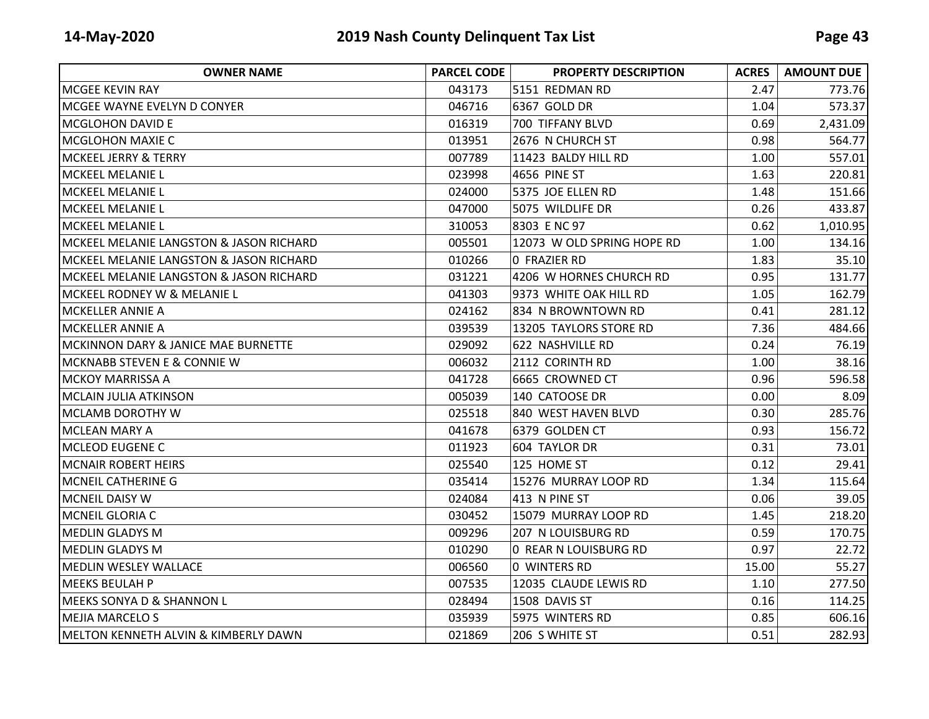| <b>OWNER NAME</b>                       | <b>PARCEL CODE</b> | <b>PROPERTY DESCRIPTION</b> | <b>ACRES</b> | <b>AMOUNT DUE</b> |
|-----------------------------------------|--------------------|-----------------------------|--------------|-------------------|
| <b>MCGEE KEVIN RAY</b>                  | 043173             | 5151 REDMAN RD              | 2.47         | 773.76            |
| MCGEE WAYNE EVELYN D CONYER             | 046716             | 6367 GOLD DR                | 1.04         | 573.37            |
| <b>MCGLOHON DAVID E</b>                 | 016319             | 700 TIFFANY BLVD            | 0.69         | 2,431.09          |
| <b>MCGLOHON MAXIE C</b>                 | 013951             | 2676 N CHURCH ST            | 0.98         | 564.77            |
| <b>MCKEEL JERRY &amp; TERRY</b>         | 007789             | 11423 BALDY HILL RD         | 1.00         | 557.01            |
| <b>MCKEEL MELANIE L</b>                 | 023998             | 4656 PINE ST                | 1.63         | 220.81            |
| MCKEEL MELANIE L                        | 024000             | 5375 JOE ELLEN RD           | 1.48         | 151.66            |
| <b>MCKEEL MELANIE L</b>                 | 047000             | 5075 WILDLIFE DR            | 0.26         | 433.87            |
| <b>MCKEEL MELANIE L</b>                 | 310053             | 8303 E NC 97                | 0.62         | 1,010.95          |
| MCKEEL MELANIE LANGSTON & JASON RICHARD | 005501             | 12073 W OLD SPRING HOPE RD  | 1.00         | 134.16            |
| MCKEEL MELANIE LANGSTON & JASON RICHARD | 010266             | 0 FRAZIER RD                | 1.83         | 35.10             |
| MCKEEL MELANIE LANGSTON & JASON RICHARD | 031221             | 4206 W HORNES CHURCH RD     | 0.95         | 131.77            |
| MCKEEL RODNEY W & MELANIE L             | 041303             | 9373 WHITE OAK HILL RD      | 1.05         | 162.79            |
| MCKELLER ANNIE A                        | 024162             | 834 N BROWNTOWN RD          | 0.41         | 281.12            |
| <b>MCKELLER ANNIE A</b>                 | 039539             | 13205 TAYLORS STORE RD      | 7.36         | 484.66            |
| IMCKINNON DARY & JANICE MAE BURNETTE    | 029092             | 622 NASHVILLE RD            | 0.24         | 76.19             |
| <b>MCKNABB STEVEN E &amp; CONNIE W</b>  | 006032             | 2112 CORINTH RD             | 1.00         | 38.16             |
| <b>MCKOY MARRISSA A</b>                 | 041728             | 6665 CROWNED CT             | 0.96         | 596.58            |
| MCLAIN JULIA ATKINSON                   | 005039             | 140 CATOOSE DR              | 0.00         | 8.09              |
| <b>MCLAMB DOROTHY W</b>                 | 025518             | 840 WEST HAVEN BLVD         | 0.30         | 285.76            |
| <b>MCLEAN MARY A</b>                    | 041678             | 6379 GOLDEN CT              | 0.93         | 156.72            |
| <b>MCLEOD EUGENE C</b>                  | 011923             | 604 TAYLOR DR               | 0.31         | 73.01             |
| <b>MCNAIR ROBERT HEIRS</b>              | 025540             | 125 HOME ST                 | 0.12         | 29.41             |
| <b>MCNEIL CATHERINE G</b>               | 035414             | 15276 MURRAY LOOP RD        | 1.34         | 115.64            |
| <b>MCNEIL DAISY W</b>                   | 024084             | 413 N PINE ST               | 0.06         | 39.05             |
| <b>MCNEIL GLORIA C</b>                  | 030452             | 15079 MURRAY LOOP RD        | 1.45         | 218.20            |
| <b>MEDLIN GLADYS M</b>                  | 009296             | 207 N LOUISBURG RD          | 0.59         | 170.75            |
| <b>MEDLIN GLADYS M</b>                  | 010290             | 0 REAR N LOUISBURG RD       | 0.97         | 22.72             |
| <b>MEDLIN WESLEY WALLACE</b>            | 006560             | 0 WINTERS RD                | 15.00        | 55.27             |
| <b>MEEKS BEULAH P</b>                   | 007535             | 12035 CLAUDE LEWIS RD       | 1.10         | 277.50            |
| MEEKS SONYA D & SHANNON L               | 028494             | 1508 DAVIS ST               | 0.16         | 114.25            |
| <b>MEJIA MARCELO S</b>                  | 035939             | 5975 WINTERS RD             | 0.85         | 606.16            |
| MELTON KENNETH ALVIN & KIMBERLY DAWN    | 021869             | 206 S WHITE ST              | 0.51         | 282.93            |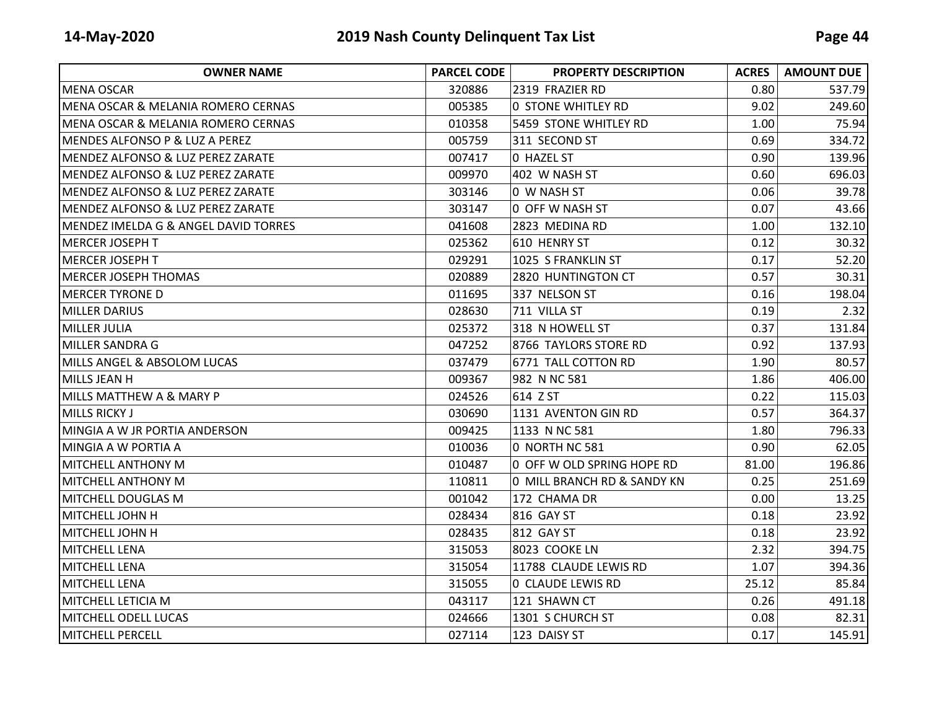| <b>OWNER NAME</b>                               | <b>PARCEL CODE</b> | <b>PROPERTY DESCRIPTION</b> | <b>ACRES</b> | <b>AMOUNT DUE</b> |
|-------------------------------------------------|--------------------|-----------------------------|--------------|-------------------|
| <b>MENA OSCAR</b>                               | 320886             | 2319 FRAZIER RD             | 0.80         | 537.79            |
| <b>MENA OSCAR &amp; MELANIA ROMERO CERNAS</b>   | 005385             | <b>0 STONE WHITLEY RD</b>   | 9.02         | 249.60            |
| <b>MENA OSCAR &amp; MELANIA ROMERO CERNAS</b>   | 010358             | 5459 STONE WHITLEY RD       | 1.00         | 75.94             |
| <b>MENDES ALFONSO P &amp; LUZ A PEREZ</b>       | 005759             | 311 SECOND ST               | 0.69         | 334.72            |
| MENDEZ ALFONSO & LUZ PEREZ ZARATE               | 007417             | 0 HAZEL ST                  | 0.90         | 139.96            |
| MENDEZ ALFONSO & LUZ PEREZ ZARATE               | 009970             | 402 W NASH ST               | 0.60         | 696.03            |
| <b>MENDEZ ALFONSO &amp; LUZ PEREZ ZARATE</b>    | 303146             | 0 W NASH ST                 | 0.06         | 39.78             |
| <b>MENDEZ ALFONSO &amp; LUZ PEREZ ZARATE</b>    | 303147             | 0 OFF W NASH ST             | 0.07         | 43.66             |
| <b>MENDEZ IMELDA G &amp; ANGEL DAVID TORRES</b> | 041608             | 2823 MEDINA RD              | 1.00         | 132.10            |
| <b>MERCER JOSEPH T</b>                          | 025362             | 610 HENRY ST                | 0.12         | 30.32             |
| <b>MERCER JOSEPH T</b>                          | 029291             | 1025 S FRANKLIN ST          | 0.17         | 52.20             |
| <b>MERCER JOSEPH THOMAS</b>                     | 020889             | 2820 HUNTINGTON CT          | 0.57         | 30.31             |
| <b>MERCER TYRONE D</b>                          | 011695             | 337 NELSON ST               | 0.16         | 198.04            |
| <b>MILLER DARIUS</b>                            | 028630             | 711 VILLA ST                | 0.19         | 2.32              |
| <b>MILLER JULIA</b>                             | 025372             | 318 N HOWELL ST             | 0.37         | 131.84            |
| <b>MILLER SANDRA G</b>                          | 047252             | 8766 TAYLORS STORE RD       | 0.92         | 137.93            |
| MILLS ANGEL & ABSOLOM LUCAS                     | 037479             | 6771 TALL COTTON RD         | 1.90         | 80.57             |
| MILLS JEAN H                                    | 009367             | 982 N NC 581                | 1.86         | 406.00            |
| MILLS MATTHEW A & MARY P                        | 024526             | 614 Z ST                    | 0.22         | 115.03            |
| <b>MILLS RICKY J</b>                            | 030690             | 1131 AVENTON GIN RD         | 0.57         | 364.37            |
| MINGIA A W JR PORTIA ANDERSON                   | 009425             | 1133 N NC 581               | 1.80         | 796.33            |
| MINGIA A W PORTIA A                             | 010036             | 0 NORTH NC 581              | 0.90         | 62.05             |
| <b>MITCHELL ANTHONY M</b>                       | 010487             | 0 OFF W OLD SPRING HOPE RD  | 81.00        | 196.86            |
| <b>MITCHELL ANTHONY M</b>                       | 110811             | 0 MILL BRANCH RD & SANDY KN | 0.25         | 251.69            |
| MITCHELL DOUGLAS M                              | 001042             | 172 CHAMA DR                | 0.00         | 13.25             |
| MITCHELL JOHN H                                 | 028434             | 816 GAY ST                  | 0.18         | 23.92             |
| <b>MITCHELL JOHN H</b>                          | 028435             | 812 GAY ST                  | 0.18         | 23.92             |
| <b>MITCHELL LENA</b>                            | 315053             | 8023 COOKE LN               | 2.32         | 394.75            |
| <b>MITCHELL LENA</b>                            | 315054             | 11788 CLAUDE LEWIS RD       | 1.07         | 394.36            |
| <b>MITCHELL LENA</b>                            | 315055             | 0 CLAUDE LEWIS RD           | 25.12        | 85.84             |
| MITCHELL LETICIA M                              | 043117             | 121 SHAWN CT                | 0.26         | 491.18            |
| MITCHELL ODELL LUCAS                            | 024666             | 1301 S CHURCH ST            | 0.08         | 82.31             |
| <b>MITCHELL PERCELL</b>                         | 027114             | 123 DAISY ST                | 0.17         | 145.91            |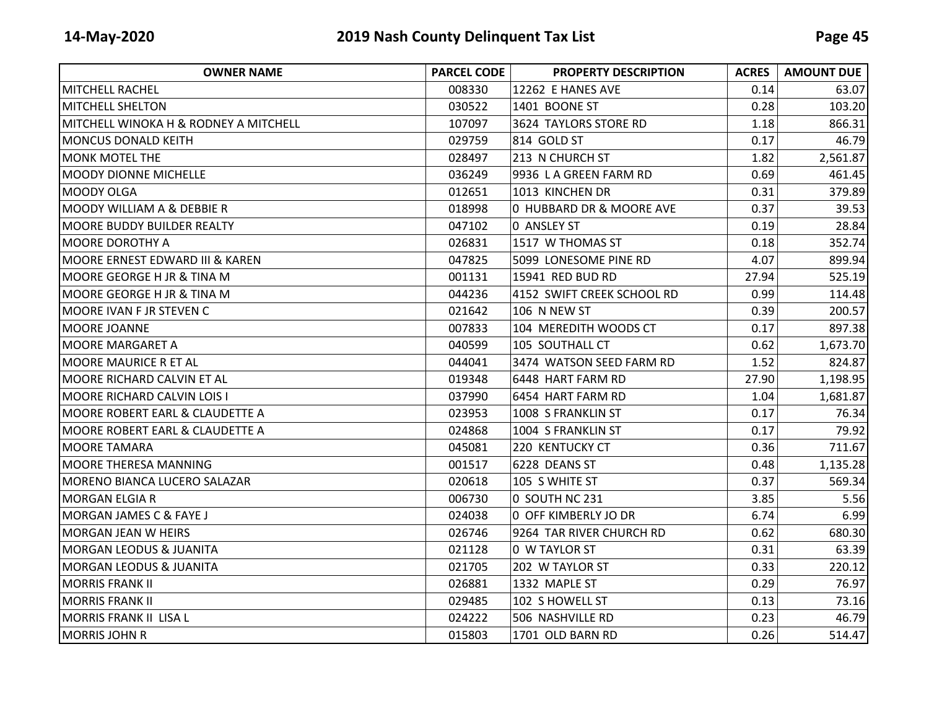| <b>OWNER NAME</b>                     | <b>PARCEL CODE</b> | <b>PROPERTY DESCRIPTION</b> | <b>ACRES</b> | <b>AMOUNT DUE</b> |
|---------------------------------------|--------------------|-----------------------------|--------------|-------------------|
| MITCHELL RACHEL                       | 008330             | 12262 E HANES AVE           | 0.14         | 63.07             |
| <b>MITCHELL SHELTON</b>               | 030522             | 1401 BOONE ST               | 0.28         | 103.20            |
| MITCHELL WINOKA H & RODNEY A MITCHELL | 107097             | 3624 TAYLORS STORE RD       | 1.18         | 866.31            |
| IMONCUS DONALD KEITH                  | 029759             | 814 GOLD ST                 | 0.17         | 46.79             |
| <b>MONK MOTEL THE</b>                 | 028497             | 213 N CHURCH ST             | 1.82         | 2,561.87          |
| <b>MOODY DIONNE MICHELLE</b>          | 036249             | 9936 LA GREEN FARM RD       | 0.69         | 461.45            |
| <b>MOODY OLGA</b>                     | 012651             | 1013 KINCHEN DR             | 0.31         | 379.89            |
| <b>MOODY WILLIAM A &amp; DEBBIE R</b> | 018998             | 0 HUBBARD DR & MOORE AVE    | 0.37         | 39.53             |
| MOORE BUDDY BUILDER REALTY            | 047102             | 0 ANSLEY ST                 | 0.19         | 28.84             |
| <b>MOORE DOROTHY A</b>                | 026831             | 1517 W THOMAS ST            | 0.18         | 352.74            |
| IMOORE ERNEST EDWARD III & KAREN      | 047825             | 5099 LONESOME PINE RD       | 4.07         | 899.94            |
| MOORE GEORGE H JR & TINA M            | 001131             | 15941 RED BUD RD            | 27.94        | 525.19            |
| MOORE GEORGE H JR & TINA M            | 044236             | 4152 SWIFT CREEK SCHOOL RD  | 0.99         | 114.48            |
| MOORE IVAN F JR STEVEN C              | 021642             | 106 N NEW ST                | 0.39         | 200.57            |
| MOORE JOANNE                          | 007833             | 104 MEREDITH WOODS CT       | 0.17         | 897.38            |
| IMOORE MARGARET A                     | 040599             | 105 SOUTHALL CT             | 0.62         | 1,673.70          |
| MOORE MAURICE R ET AL                 | 044041             | 3474 WATSON SEED FARM RD    | 1.52         | 824.87            |
| MOORE RICHARD CALVIN ET AL            | 019348             | 6448 HART FARM RD           | 27.90        | 1,198.95          |
| MOORE RICHARD CALVIN LOIS I           | 037990             | 6454 HART FARM RD           | 1.04         | 1,681.87          |
| MOORE ROBERT EARL & CLAUDETTE A       | 023953             | 1008 S FRANKLIN ST          | 0.17         | 76.34             |
| MOORE ROBERT EARL & CLAUDETTE A       | 024868             | 1004 S FRANKLIN ST          | 0.17         | 79.92             |
| MOORE TAMARA                          | 045081             | 220 KENTUCKY CT             | 0.36         | 711.67            |
| MOORE THERESA MANNING                 | 001517             | 6228 DEANS ST               | 0.48         | 1,135.28          |
| MORENO BIANCA LUCERO SALAZAR          | 020618             | 105 S WHITE ST              | 0.37         | 569.34            |
| <b>MORGAN ELGIA R</b>                 | 006730             | 0 SOUTH NC 231              | 3.85         | 5.56              |
| <b>MORGAN JAMES C &amp; FAYE J</b>    | 024038             | 0 OFF KIMBERLY JO DR        | 6.74         | 6.99              |
| MORGAN JEAN W HEIRS                   | 026746             | 9264 TAR RIVER CHURCH RD    | 0.62         | 680.30            |
| <b>MORGAN LEODUS &amp; JUANITA</b>    | 021128             | <b>0 W TAYLOR ST</b>        | 0.31         | 63.39             |
| <b>MORGAN LEODUS &amp; JUANITA</b>    | 021705             | 202 W TAYLOR ST             | 0.33         | 220.12            |
| <b>MORRIS FRANK II</b>                | 026881             | 1332 MAPLE ST               | 0.29         | 76.97             |
| IMORRIS FRANK II                      | 029485             | 102 S HOWELL ST             | 0.13         | 73.16             |
| MORRIS FRANK II LISA L                | 024222             | 506 NASHVILLE RD            | 0.23         | 46.79             |
| MORRIS JOHN R                         | 015803             | 1701 OLD BARN RD            | 0.26         | 514.47            |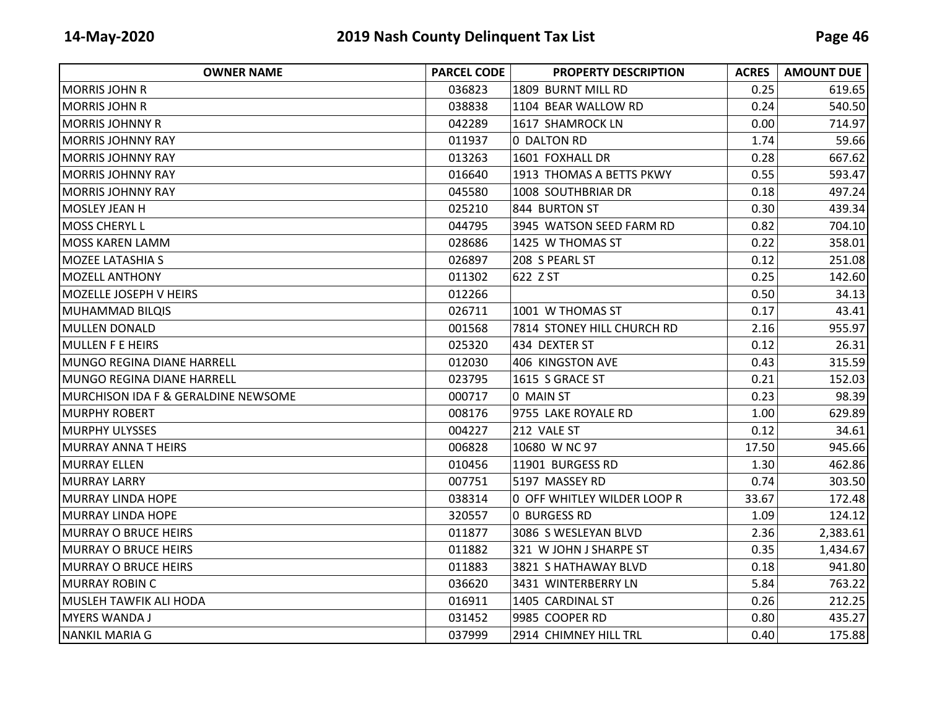| <b>OWNER NAME</b>                              | <b>PARCEL CODE</b> | <b>PROPERTY DESCRIPTION</b> | <b>ACRES</b> | <b>AMOUNT DUE</b> |
|------------------------------------------------|--------------------|-----------------------------|--------------|-------------------|
| IMORRIS JOHN R                                 | 036823             | 1809 BURNT MILL RD          | 0.25         | 619.65            |
| <b>MORRIS JOHN R</b>                           | 038838             | 1104 BEAR WALLOW RD         | 0.24         | 540.50            |
| <b>MORRIS JOHNNY R</b>                         | 042289             | 1617 SHAMROCK LN            | 0.00         | 714.97            |
| <b>MORRIS JOHNNY RAY</b>                       | 011937             | 0 DALTON RD                 | 1.74         | 59.66             |
| <b>MORRIS JOHNNY RAY</b>                       | 013263             | 1601 FOXHALL DR             | 0.28         | 667.62            |
| <b>MORRIS JOHNNY RAY</b>                       | 016640             | 1913 THOMAS A BETTS PKWY    | 0.55         | 593.47            |
| <b>MORRIS JOHNNY RAY</b>                       | 045580             | 1008 SOUTHBRIAR DR          | 0.18         | 497.24            |
| MOSLEY JEAN H                                  | 025210             | 844 BURTON ST               | 0.30         | 439.34            |
| MOSS CHERYL L                                  | 044795             | 3945 WATSON SEED FARM RD    | 0.82         | 704.10            |
| lMOSS KAREN LAMM                               | 028686             | 1425 W THOMAS ST            | 0.22         | 358.01            |
| <b>MOZEE LATASHIA S</b>                        | 026897             | 208 S PEARL ST              | 0.12         | 251.08            |
| <b>MOZELL ANTHONY</b>                          | 011302             | 622 Z ST                    | 0.25         | 142.60            |
| MOZELLE JOSEPH V HEIRS                         | 012266             |                             | 0.50         | 34.13             |
| MUHAMMAD BILQIS                                | 026711             | 1001 W THOMAS ST            | 0.17         | 43.41             |
| MULLEN DONALD                                  | 001568             | 7814 STONEY HILL CHURCH RD  | 2.16         | 955.97            |
| MULLEN F E HEIRS                               | 025320             | 434 DEXTER ST               | 0.12         | 26.31             |
| MUNGO REGINA DIANE HARRELL                     | 012030             | 406 KINGSTON AVE            | 0.43         | 315.59            |
| MUNGO REGINA DIANE HARRELL                     | 023795             | 1615 S GRACE ST             | 0.21         | 152.03            |
| <b>MURCHISON IDA F &amp; GERALDINE NEWSOME</b> | 000717             | 0 MAIN ST                   | 0.23         | 98.39             |
| <b>MURPHY ROBERT</b>                           | 008176             | 9755 LAKE ROYALE RD         | 1.00         | 629.89            |
| <b>MURPHY ULYSSES</b>                          | 004227             | 212 VALE ST                 | 0.12         | 34.61             |
| MURRAY ANNA THEIRS                             | 006828             | 10680 W NC 97               | 17.50        | 945.66            |
| <b>MURRAY ELLEN</b>                            | 010456             | 11901 BURGESS RD            | 1.30         | 462.86            |
| <b>MURRAY LARRY</b>                            | 007751             | 5197 MASSEY RD              | 0.74         | 303.50            |
| <b>MURRAY LINDA HOPE</b>                       | 038314             | 0 OFF WHITLEY WILDER LOOP R | 33.67        | 172.48            |
| <b>MURRAY LINDA HOPE</b>                       | 320557             | <b>0 BURGESS RD</b>         | 1.09         | 124.12            |
| <b>MURRAY O BRUCE HEIRS</b>                    | 011877             | 3086 S WESLEYAN BLVD        | 2.36         | 2,383.61          |
| MURRAY O BRUCE HEIRS                           | 011882             | 321 W JOHN J SHARPE ST      | 0.35         | 1,434.67          |
| <b>MURRAY O BRUCE HEIRS</b>                    | 011883             | 3821 S HATHAWAY BLVD        | 0.18         | 941.80            |
| <b>MURRAY ROBIN C</b>                          | 036620             | 3431 WINTERBERRY LN         | 5.84         | 763.22            |
| MUSLEH TAWFIK ALI HODA                         | 016911             | 1405 CARDINAL ST            | 0.26         | 212.25            |
| <b>MYERS WANDA J</b>                           | 031452             | 9985 COOPER RD              | 0.80         | 435.27            |
| <b>NANKIL MARIA G</b>                          | 037999             | 2914 CHIMNEY HILL TRL       | 0.40         | 175.88            |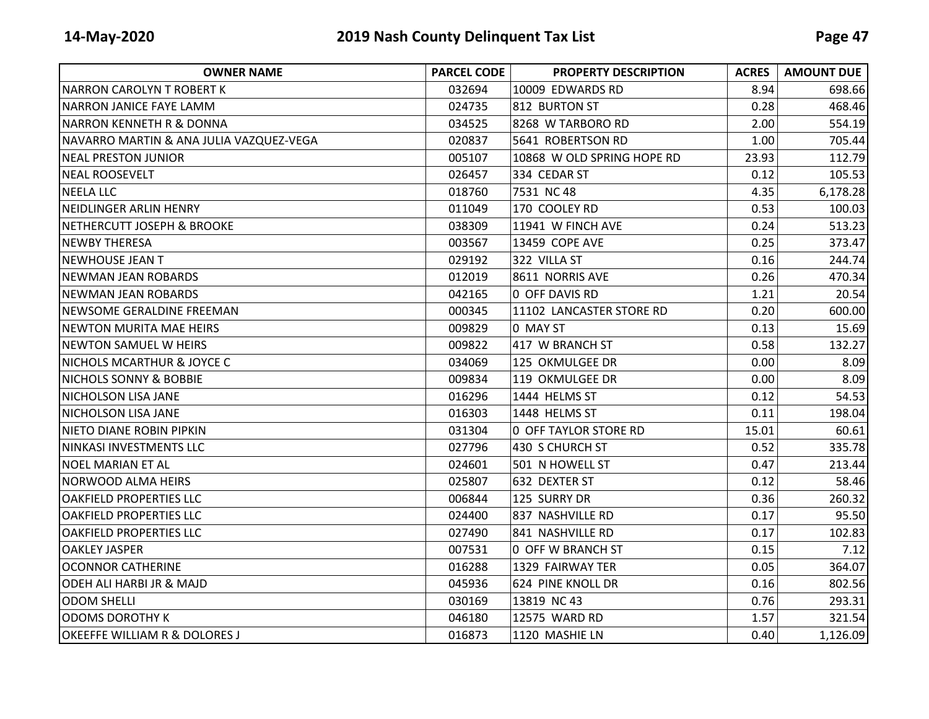| <b>OWNER NAME</b>                       | <b>PARCEL CODE</b> | <b>PROPERTY DESCRIPTION</b>  | <b>ACRES</b> | <b>AMOUNT DUE</b> |
|-----------------------------------------|--------------------|------------------------------|--------------|-------------------|
| INARRON CAROLYN T ROBERT K              | 032694             | 10009 EDWARDS RD             | 8.94         | 698.66            |
| NARRON JANICE FAYE LAMM                 | 024735             | 812 BURTON ST                | 0.28         | 468.46            |
| <b>NARRON KENNETH R &amp; DONNA</b>     | 034525             | 8268 W TARBORO RD            | 2.00         | 554.19            |
| NAVARRO MARTIN & ANA JULIA VAZQUEZ-VEGA | 020837             | 5641 ROBERTSON RD            | 1.00         | 705.44            |
| <b>NEAL PRESTON JUNIOR</b>              | 005107             | 10868 W OLD SPRING HOPE RD   | 23.93        | 112.79            |
| <b>NEAL ROOSEVELT</b>                   | 026457             | 334 CEDAR ST                 | 0.12         | 105.53            |
| <b>NEELA LLC</b>                        | 018760             | 7531 NC 48                   | 4.35         | 6,178.28          |
| NEIDLINGER ARLIN HENRY                  | 011049             | 170 COOLEY RD                | 0.53         | 100.03            |
| <b>NETHERCUTT JOSEPH &amp; BROOKE</b>   | 038309             | 11941 W FINCH AVE            | 0.24         | 513.23            |
| INEWBY THERESA                          | 003567             | 13459 COPE AVE               | 0.25         | 373.47            |
| <b>NEWHOUSE JEAN T</b>                  | 029192             | 322 VILLA ST                 | 0.16         | 244.74            |
| <b>NEWMAN JEAN ROBARDS</b>              | 012019             | 8611 NORRIS AVE              | 0.26         | 470.34            |
| <b>NEWMAN JEAN ROBARDS</b>              | 042165             | 0 OFF DAVIS RD               | 1.21         | 20.54             |
| INEWSOME GERALDINE FREEMAN              | 000345             | 11102 LANCASTER STORE RD     | 0.20         | 600.00            |
| <b>NEWTON MURITA MAE HEIRS</b>          | 009829             | 0 MAY ST                     | 0.13         | 15.69             |
| <b>NEWTON SAMUEL W HEIRS</b>            | 009822             | 417 W BRANCH ST              | 0.58         | 132.27            |
| <b>NICHOLS MCARTHUR &amp; JOYCE C</b>   | 034069             | 125 OKMULGEE DR              | 0.00         | 8.09              |
| <b>NICHOLS SONNY &amp; BOBBIE</b>       | 009834             | 119 OKMULGEE DR              | 0.00         | 8.09              |
| <b>NICHOLSON LISA JANE</b>              | 016296             | 1444 HELMS ST                | 0.12         | 54.53             |
| <b>NICHOLSON LISA JANE</b>              | 016303             | 1448 HELMS ST                | 0.11         | 198.04            |
| <b>NIETO DIANE ROBIN PIPKIN</b>         | 031304             | <b>0 OFF TAYLOR STORE RD</b> | 15.01        | 60.61             |
| NINKASI INVESTMENTS LLC                 | 027796             | 430 S CHURCH ST              | 0.52         | 335.78            |
| INOEL MARIAN ET AL                      | 024601             | 501 N HOWELL ST              | 0.47         | 213.44            |
| <b>NORWOOD ALMA HEIRS</b>               | 025807             | 632 DEXTER ST                | 0.12         | 58.46             |
| <b>OAKFIELD PROPERTIES LLC</b>          | 006844             | 125 SURRY DR                 | 0.36         | 260.32            |
| <b>OAKFIELD PROPERTIES LLC</b>          | 024400             | 837 NASHVILLE RD             | 0.17         | 95.50             |
| <b>OAKFIELD PROPERTIES LLC</b>          | 027490             | 841 NASHVILLE RD             | 0.17         | 102.83            |
| <b>OAKLEY JASPER</b>                    | 007531             | 0 OFF W BRANCH ST            | 0.15         | 7.12              |
| <b>OCONNOR CATHERINE</b>                | 016288             | 1329 FAIRWAY TER             | 0.05         | 364.07            |
| ODEH ALI HARBI JR & MAJD                | 045936             | 624 PINE KNOLL DR            | 0.16         | 802.56            |
| <b>ODOM SHELLI</b>                      | 030169             | 13819 NC 43                  | 0.76         | 293.31            |
| <b>ODOMS DOROTHY K</b>                  | 046180             | 12575 WARD RD                | 1.57         | 321.54            |
| OKEEFFE WILLIAM R & DOLORES J           | 016873             | 1120 MASHIE LN               | 0.40         | 1,126.09          |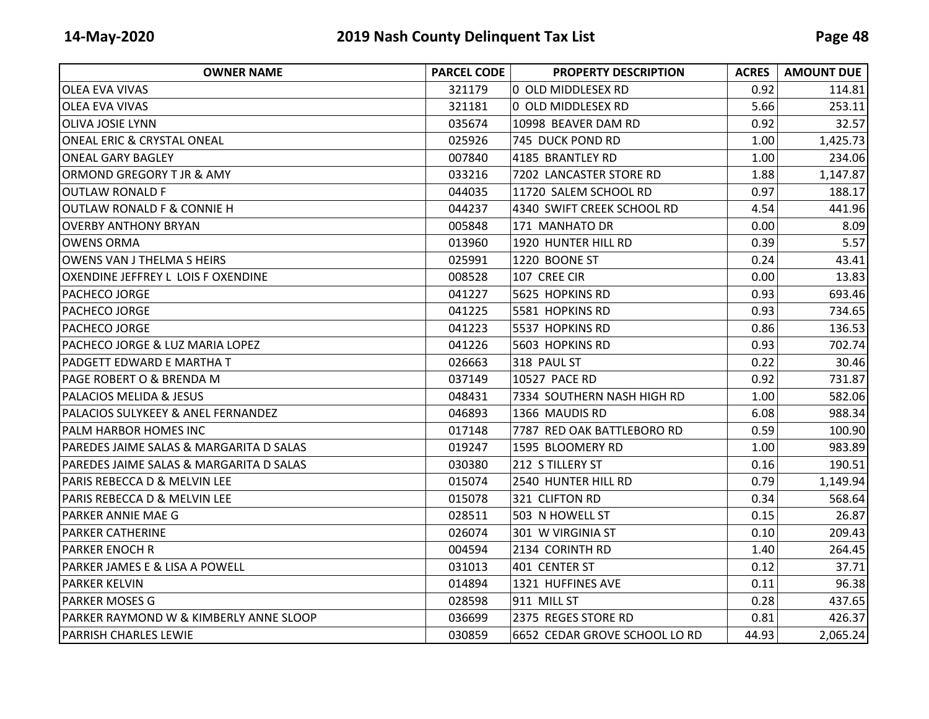| <b>OWNER NAME</b>                         | <b>PARCEL CODE</b> | <b>PROPERTY DESCRIPTION</b>   | <b>ACRES</b> | <b>AMOUNT DUE</b> |
|-------------------------------------------|--------------------|-------------------------------|--------------|-------------------|
| <b>OLEA EVA VIVAS</b>                     | 321179             | 0 OLD MIDDLESEX RD            | 0.92         | 114.81            |
| <b>OLEA EVA VIVAS</b>                     | 321181             | 0 OLD MIDDLESEX RD            | 5.66         | 253.11            |
| <b>OLIVA JOSIE LYNN</b>                   | 035674             | 10998 BEAVER DAM RD           | 0.92         | 32.57             |
| <b>ONEAL ERIC &amp; CRYSTAL ONEAL</b>     | 025926             | 745 DUCK POND RD              | 1.00         | 1,425.73          |
| <b>ONEAL GARY BAGLEY</b>                  | 007840             | 4185 BRANTLEY RD              | 1.00         | 234.06            |
| ORMOND GREGORY T JR & AMY                 | 033216             | 7202 LANCASTER STORE RD       | 1.88         | 1,147.87          |
| <b>OUTLAW RONALD F</b>                    | 044035             | 11720 SALEM SCHOOL RD         | 0.97         | 188.17            |
| OUTLAW RONALD F & CONNIE H                | 044237             | 4340 SWIFT CREEK SCHOOL RD    | 4.54         | 441.96            |
| <b>OVERBY ANTHONY BRYAN</b>               | 005848             | 171 MANHATO DR                | 0.00         | 8.09              |
| <b>OWENS ORMA</b>                         | 013960             | 1920 HUNTER HILL RD           | 0.39         | 5.57              |
| OWENS VAN J THELMA S HEIRS                | 025991             | 1220 BOONE ST                 | 0.24         | 43.41             |
| OXENDINE JEFFREY L LOIS F OXENDINE        | 008528             | 107 CREE CIR                  | 0.00         | 13.83             |
| <b>PACHECO JORGE</b>                      | 041227             | 5625 HOPKINS RD               | 0.93         | 693.46            |
| <b>PACHECO JORGE</b>                      | 041225             | 5581 HOPKINS RD               | 0.93         | 734.65            |
| PACHECO JORGE                             | 041223             | 5537 HOPKINS RD               | 0.86         | 136.53            |
| PACHECO JORGE & LUZ MARIA LOPEZ           | 041226             | 5603 HOPKINS RD               | 0.93         | 702.74            |
| <b>PADGETT EDWARD E MARTHA T</b>          | 026663             | 318 PAUL ST                   | 0.22         | 30.46             |
| <b>PAGE ROBERT O &amp; BRENDA M</b>       | 037149             | 10527 PACE RD                 | 0.92         | 731.87            |
| IPALACIOS MELIDA & JESUS                  | 048431             | 7334 SOUTHERN NASH HIGH RD    | 1.00         | 582.06            |
| PALACIOS SULYKEEY & ANEL FERNANDEZ        | 046893             | 1366 MAUDIS RD                | 6.08         | 988.34            |
| PALM HARBOR HOMES INC                     | 017148             | 7787 RED OAK BATTLEBORO RD    | 0.59         | 100.90            |
| PAREDES JAIME SALAS & MARGARITA D SALAS   | 019247             | 1595 BLOOMERY RD              | 1.00         | 983.89            |
| PAREDES JAIME SALAS & MARGARITA D SALAS   | 030380             | 212 S TILLERY ST              | 0.16         | 190.51            |
| <b>PARIS REBECCA D &amp; MELVIN LEE</b>   | 015074             | 2540 HUNTER HILL RD           | 0.79         | 1,149.94          |
| PARIS REBECCA D & MELVIN LEE              | 015078             | 321 CLIFTON RD                | 0.34         | 568.64            |
| <b>PARKER ANNIE MAE G</b>                 | 028511             | 503 N HOWELL ST               | 0.15         | 26.87             |
| <b>PARKER CATHERINE</b>                   | 026074             | 301 W VIRGINIA ST             | 0.10         | 209.43            |
| <b>PARKER ENOCH R</b>                     | 004594             | 2134 CORINTH RD               | 1.40         | 264.45            |
| <b>PARKER JAMES E &amp; LISA A POWELL</b> | 031013             | 401 CENTER ST                 | 0.12         | 37.71             |
| <b>PARKER KELVIN</b>                      | 014894             | 1321 HUFFINES AVE             | 0.11         | 96.38             |
| IPARKER MOSES G                           | 028598             | 911 MILL ST                   | 0.28         | 437.65            |
| PARKER RAYMOND W & KIMBERLY ANNE SLOOP    | 036699             | 2375 REGES STORE RD           | 0.81         | 426.37            |
| <b>PARRISH CHARLES LEWIE</b>              | 030859             | 6652 CEDAR GROVE SCHOOL LO RD | 44.93        | 2,065.24          |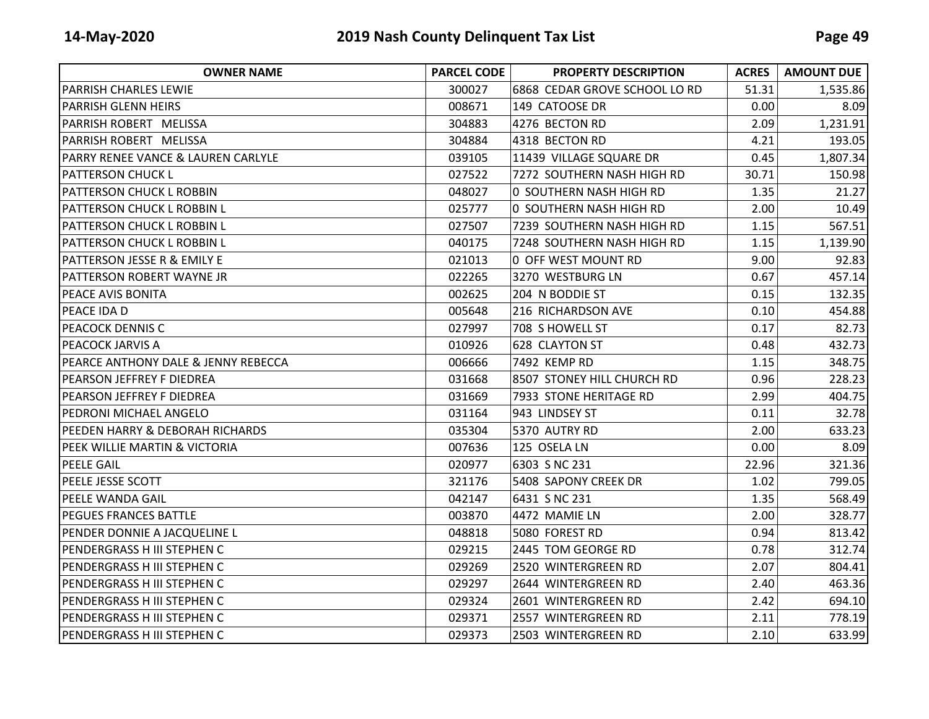| <b>OWNER NAME</b>                              | <b>PARCEL CODE</b> | <b>PROPERTY DESCRIPTION</b>   | <b>ACRES</b> | <b>AMOUNT DUE</b> |
|------------------------------------------------|--------------------|-------------------------------|--------------|-------------------|
| <b>PARRISH CHARLES LEWIE</b>                   | 300027             | 6868 CEDAR GROVE SCHOOL LO RD | 51.31        | 1,535.86          |
| <b>PARRISH GLENN HEIRS</b>                     | 008671             | 149 CATOOSE DR                | 0.00         | 8.09              |
| PARRISH ROBERT MELISSA                         | 304883             | 4276 BECTON RD                | 2.09         | 1,231.91          |
| PARRISH ROBERT MELISSA                         | 304884             | 4318 BECTON RD                | 4.21         | 193.05            |
| PARRY RENEE VANCE & LAUREN CARLYLE             | 039105             | 11439 VILLAGE SQUARE DR       | 0.45         | 1,807.34          |
| <b>PATTERSON CHUCK L</b>                       | 027522             | 7272 SOUTHERN NASH HIGH RD    | 30.71        | 150.98            |
| <b>PATTERSON CHUCK L ROBBIN</b>                | 048027             | 0 SOUTHERN NASH HIGH RD       | 1.35         | 21.27             |
| <b>PATTERSON CHUCK L ROBBIN L</b>              | 025777             | 0 SOUTHERN NASH HIGH RD       | 2.00         | 10.49             |
| <b>PATTERSON CHUCK L ROBBIN L</b>              | 027507             | 7239 SOUTHERN NASH HIGH RD    | 1.15         | 567.51            |
| <b>PATTERSON CHUCK L ROBBIN L</b>              | 040175             | 7248 SOUTHERN NASH HIGH RD    | 1.15         | 1,139.90          |
| <b>PATTERSON JESSE R &amp; EMILY E</b>         | 021013             | 0 OFF WEST MOUNT RD           | 9.00         | 92.83             |
| <b>PATTERSON ROBERT WAYNE JR</b>               | 022265             | 3270 WESTBURG LN              | 0.67         | 457.14            |
| PEACE AVIS BONITA                              | 002625             | 204 N BODDIE ST               | 0.15         | 132.35            |
| PEACE IDA D                                    | 005648             | 216 RICHARDSON AVE            | 0.10         | 454.88            |
| <b>PEACOCK DENNIS C</b>                        | 027997             | 708 S HOWELL ST               | 0.17         | 82.73             |
| IPEACOCK JARVIS A                              | 010926             | 628 CLAYTON ST                | 0.48         | 432.73            |
| <b>PEARCE ANTHONY DALE &amp; JENNY REBECCA</b> | 006666             | 7492 KEMP RD                  | 1.15         | 348.75            |
| <b>PEARSON JEFFREY F DIEDREA</b>               | 031668             | 8507 STONEY HILL CHURCH RD    | 0.96         | 228.23            |
| PEARSON JEFFREY F DIEDREA                      | 031669             | 7933 STONE HERITAGE RD        | 2.99         | 404.75            |
| PEDRONI MICHAEL ANGELO                         | 031164             | 943 LINDSEY ST                | 0.11         | 32.78             |
| <b>PEEDEN HARRY &amp; DEBORAH RICHARDS</b>     | 035304             | 5370 AUTRY RD                 | 2.00         | 633.23            |
| PEEK WILLIE MARTIN & VICTORIA                  | 007636             | 125 OSELA LN                  | 0.00         | 8.09              |
| <b>PEELE GAIL</b>                              | 020977             | 6303 S NC 231                 | 22.96        | 321.36            |
| <b>PEELE JESSE SCOTT</b>                       | 321176             | 5408 SAPONY CREEK DR          | 1.02         | 799.05            |
| <b>PEELE WANDA GAIL</b>                        | 042147             | 6431 S NC 231                 | 1.35         | 568.49            |
| <b>PEGUES FRANCES BATTLE</b>                   | 003870             | 4472 MAMIE LN                 | 2.00         | 328.77            |
| PENDER DONNIE A JACQUELINE L                   | 048818             | 5080 FOREST RD                | 0.94         | 813.42            |
| PENDERGRASS H III STEPHEN C                    | 029215             | 2445 TOM GEORGE RD            | 0.78         | 312.74            |
| PENDERGRASS H III STEPHEN C                    | 029269             | 2520 WINTERGREEN RD           | 2.07         | 804.41            |
| PENDERGRASS H III STEPHEN C                    | 029297             | 2644 WINTERGREEN RD           | 2.40         | 463.36            |
| PENDERGRASS H III STEPHEN C                    | 029324             | 2601 WINTERGREEN RD           | 2.42         | 694.10            |
| PENDERGRASS H III STEPHEN C                    | 029371             | 2557 WINTERGREEN RD           | 2.11         | 778.19            |
| PENDERGRASS H III STEPHEN C                    | 029373             | 2503 WINTERGREEN RD           | 2.10         | 633.99            |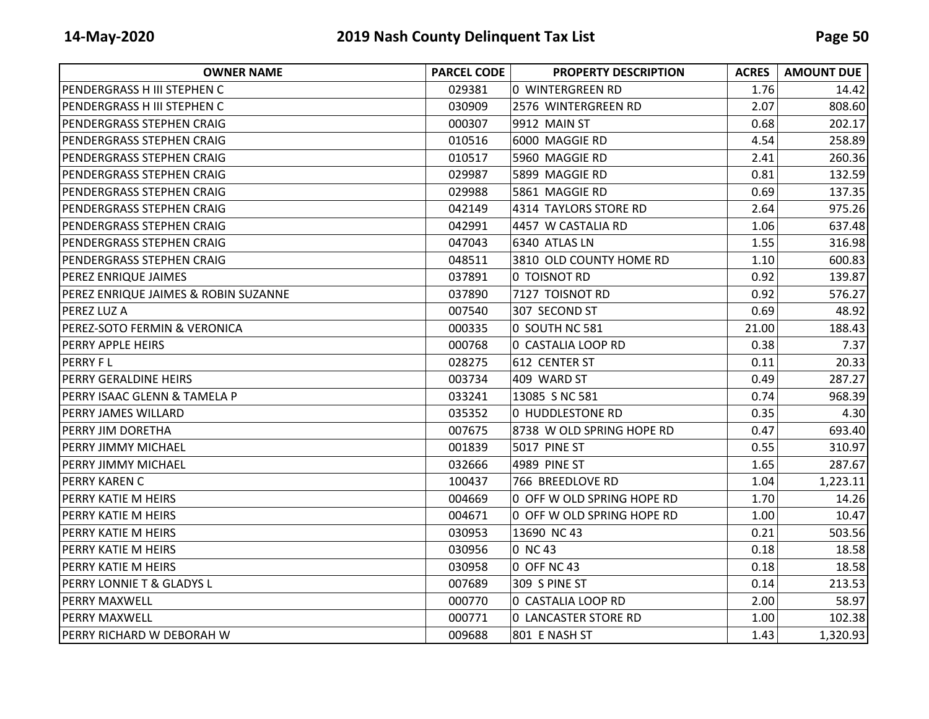| <b>OWNER NAME</b>                               | <b>PARCEL CODE</b> | <b>PROPERTY DESCRIPTION</b> | <b>ACRES</b> | <b>AMOUNT DUE</b> |
|-------------------------------------------------|--------------------|-----------------------------|--------------|-------------------|
| IPENDERGRASS H III STEPHEN C                    | 029381             | 0 WINTERGREEN RD            | 1.76         | 14.42             |
| PENDERGRASS H III STEPHEN C                     | 030909             | 2576 WINTERGREEN RD         | 2.07         | 808.60            |
| PENDERGRASS STEPHEN CRAIG                       | 000307             | 9912 MAIN ST                | 0.68         | 202.17            |
| PENDERGRASS STEPHEN CRAIG                       | 010516             | 6000 MAGGIE RD              | 4.54         | 258.89            |
| PENDERGRASS STEPHEN CRAIG                       | 010517             | 5960 MAGGIE RD              | 2.41         | 260.36            |
| PENDERGRASS STEPHEN CRAIG                       | 029987             | 5899 MAGGIE RD              | 0.81         | 132.59            |
| PENDERGRASS STEPHEN CRAIG                       | 029988             | 5861 MAGGIE RD              | 0.69         | 137.35            |
| PENDERGRASS STEPHEN CRAIG                       | 042149             | 4314 TAYLORS STORE RD       | 2.64         | 975.26            |
| PENDERGRASS STEPHEN CRAIG                       | 042991             | 4457 W CASTALIA RD          | 1.06         | 637.48            |
| PENDERGRASS STEPHEN CRAIG                       | 047043             | 6340 ATLAS LN               | 1.55         | 316.98            |
| PENDERGRASS STEPHEN CRAIG                       | 048511             | 3810 OLD COUNTY HOME RD     | 1.10         | 600.83            |
| <b>PEREZ ENRIQUE JAIMES</b>                     | 037891             | 0 TOISNOT RD                | 0.92         | 139.87            |
| <b>PEREZ ENRIQUE JAIMES &amp; ROBIN SUZANNE</b> | 037890             | 7127 TOISNOT RD             | 0.92         | 576.27            |
| <b>PEREZ LUZ A</b>                              | 007540             | 307 SECOND ST               | 0.69         | 48.92             |
| PEREZ-SOTO FERMIN & VERONICA                    | 000335             | 0 SOUTH NC 581              | 21.00        | 188.43            |
| <b>PERRY APPLE HEIRS</b>                        | 000768             | 0 CASTALIA LOOP RD          | 0.38         | 7.37              |
| <b>PERRY FL</b>                                 | 028275             | 612 CENTER ST               | 0.11         | 20.33             |
| <b>PERRY GERALDINE HEIRS</b>                    | 003734             | 409 WARD ST                 | 0.49         | 287.27            |
| IPERRY ISAAC GLENN & TAMELA P                   | 033241             | 13085 S NC 581              | 0.74         | 968.39            |
| <b>PERRY JAMES WILLARD</b>                      | 035352             | 0 HUDDLESTONE RD            | 0.35         | 4.30              |
| <b>PERRY JIM DORETHA</b>                        | 007675             | 8738 W OLD SPRING HOPE RD   | 0.47         | 693.40            |
| <b>PERRY JIMMY MICHAEL</b>                      | 001839             | 5017 PINE ST                | 0.55         | 310.97            |
| PERRY JIMMY MICHAEL                             | 032666             | 4989 PINE ST                | 1.65         | 287.67            |
| IPERRY KAREN C                                  | 100437             | 766 BREEDLOVE RD            | 1.04         | 1,223.11          |
| <b>PERRY KATIE M HEIRS</b>                      | 004669             | 0 OFF W OLD SPRING HOPE RD  | 1.70         | 14.26             |
| <b>PERRY KATIE M HEIRS</b>                      | 004671             | 0 OFF W OLD SPRING HOPE RD  | 1.00         | 10.47             |
| <b>PERRY KATIE M HEIRS</b>                      | 030953             | 13690 NC 43                 | 0.21         | 503.56            |
| IPERRY KATIE M HEIRS                            | 030956             | 0 NC 43                     | 0.18         | 18.58             |
| <b>PERRY KATIE M HEIRS</b>                      | 030958             | 0 OFF NC 43                 | 0.18         | 18.58             |
| PERRY LONNIE T & GLADYS L                       | 007689             | 309 S PINE ST               | 0.14         | 213.53            |
| <b>PERRY MAXWELL</b>                            | 000770             | 0 CASTALIA LOOP RD          | 2.00         | 58.97             |
| <b>PERRY MAXWELL</b>                            | 000771             | <b>0 LANCASTER STORE RD</b> | 1.00         | 102.38            |
| PERRY RICHARD W DEBORAH W                       | 009688             | 801 E NASH ST               | 1.43         | 1,320.93          |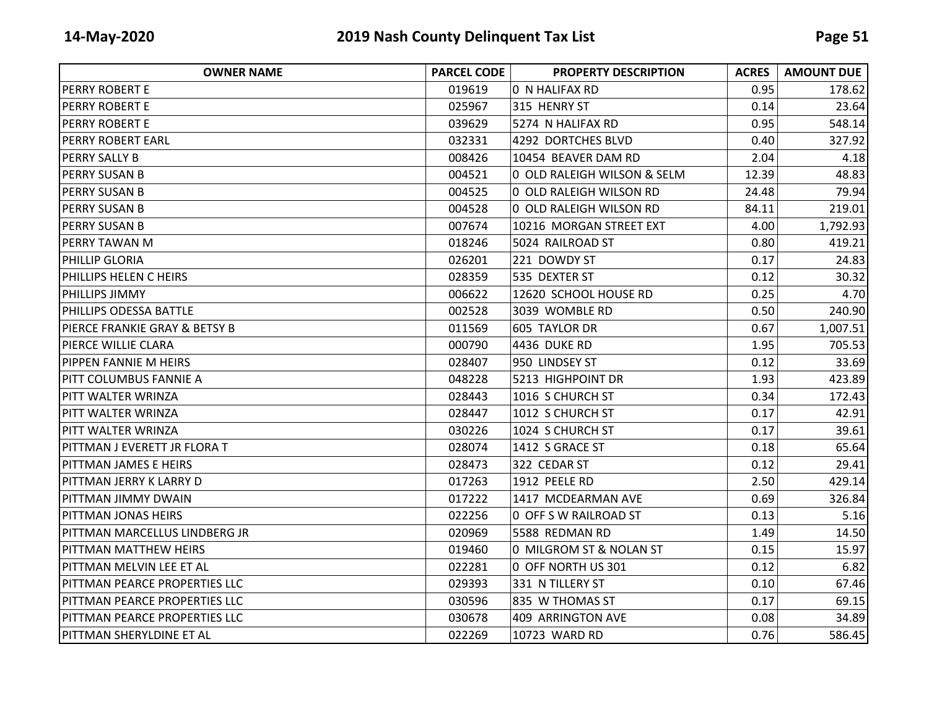| <b>OWNER NAME</b>                        | <b>PARCEL CODE</b> | <b>PROPERTY DESCRIPTION</b> | <b>ACRES</b> | <b>AMOUNT DUE</b> |
|------------------------------------------|--------------------|-----------------------------|--------------|-------------------|
| <b>PERRY ROBERT E</b>                    | 019619             | 0 N HALIFAX RD              | 0.95         | 178.62            |
| IPERRY ROBERT E                          | 025967             | 315 HENRY ST                | 0.14         | 23.64             |
| IPERRY ROBERT E                          | 039629             | 5274 N HALIFAX RD           | 0.95         | 548.14            |
| <b>PERRY ROBERT EARL</b>                 | 032331             | 4292 DORTCHES BLVD          | 0.40         | 327.92            |
| <b>PERRY SALLY B</b>                     | 008426             | 10454 BEAVER DAM RD         | 2.04         | 4.18              |
| <b>PERRY SUSAN B</b>                     | 004521             | 0 OLD RALEIGH WILSON & SELM | 12.39        | 48.83             |
| <b>PERRY SUSAN B</b>                     | 004525             | 0 OLD RALEIGH WILSON RD     | 24.48        | 79.94             |
| <b>PERRY SUSAN B</b>                     | 004528             | 0 OLD RALEIGH WILSON RD     | 84.11        | 219.01            |
| IPERRY SUSAN B                           | 007674             | 10216 MORGAN STREET EXT     | 4.00         | 1,792.93          |
| <b>PERRY TAWAN M</b>                     | 018246             | 5024 RAILROAD ST            | 0.80         | 419.21            |
| IPHILLIP GLORIA                          | 026201             | 221 DOWDY ST                | 0.17         | 24.83             |
| <b>PHILLIPS HELEN C HEIRS</b>            | 028359             | 535 DEXTER ST               | 0.12         | 30.32             |
| <b>PHILLIPS JIMMY</b>                    | 006622             | 12620 SCHOOL HOUSE RD       | 0.25         | 4.70              |
| <b>PHILLIPS ODESSA BATTLE</b>            | 002528             | 3039 WOMBLE RD              | 0.50         | 240.90            |
| <b>PIERCE FRANKIE GRAY &amp; BETSY B</b> | 011569             | 605 TAYLOR DR               | 0.67         | 1,007.51          |
| PIERCE WILLIE CLARA                      | 000790             | 4436 DUKE RD                | 1.95         | 705.53            |
| <b>PIPPEN FANNIE M HEIRS</b>             | 028407             | 950 LINDSEY ST              | 0.12         | 33.69             |
| <b>PITT COLUMBUS FANNIE A</b>            | 048228             | 5213 HIGHPOINT DR           | 1.93         | 423.89            |
| IPITT WALTER WRINZA                      | 028443             | 1016 S CHURCH ST            | 0.34         | 172.43            |
| PITT WALTER WRINZA                       | 028447             | 1012 S CHURCH ST            | 0.17         | 42.91             |
| IPITT WALTER WRINZA                      | 030226             | 1024 S CHURCH ST            | 0.17         | 39.61             |
| PITTMAN J EVERETT JR FLORA T             | 028074             | 1412 S GRACE ST             | 0.18         | 65.64             |
| <b>PITTMAN JAMES E HEIRS</b>             | 028473             | 322 CEDAR ST                | 0.12         | 29.41             |
| PITTMAN JERRY K LARRY D                  | 017263             | 1912 PEELE RD               | 2.50         | 429.14            |
| PITTMAN JIMMY DWAIN                      | 017222             | 1417 MCDEARMAN AVE          | 0.69         | 326.84            |
| <b>PITTMAN JONAS HEIRS</b>               | 022256             | 0 OFF S W RAILROAD ST       | 0.13         | 5.16              |
| PITTMAN MARCELLUS LINDBERG JR            | 020969             | 5588 REDMAN RD              | 1.49         | 14.50             |
| <b>PITTMAN MATTHEW HEIRS</b>             | 019460             | 0 MILGROM ST & NOLAN ST     | 0.15         | 15.97             |
| IPITTMAN MELVIN LEE ET AL                | 022281             | 0 OFF NORTH US 301          | 0.12         | 6.82              |
| PITTMAN PEARCE PROPERTIES LLC            | 029393             | 331 N TILLERY ST            | 0.10         | 67.46             |
| <b>PITTMAN PEARCE PROPERTIES LLC</b>     | 030596             | 835 W THOMAS ST             | 0.17         | 69.15             |
| <b>PITTMAN PEARCE PROPERTIES LLC</b>     | 030678             | 409 ARRINGTON AVE           | 0.08         | 34.89             |
| PITTMAN SHERYLDINE ET AL                 | 022269             | 10723 WARD RD               | 0.76         | 586.45            |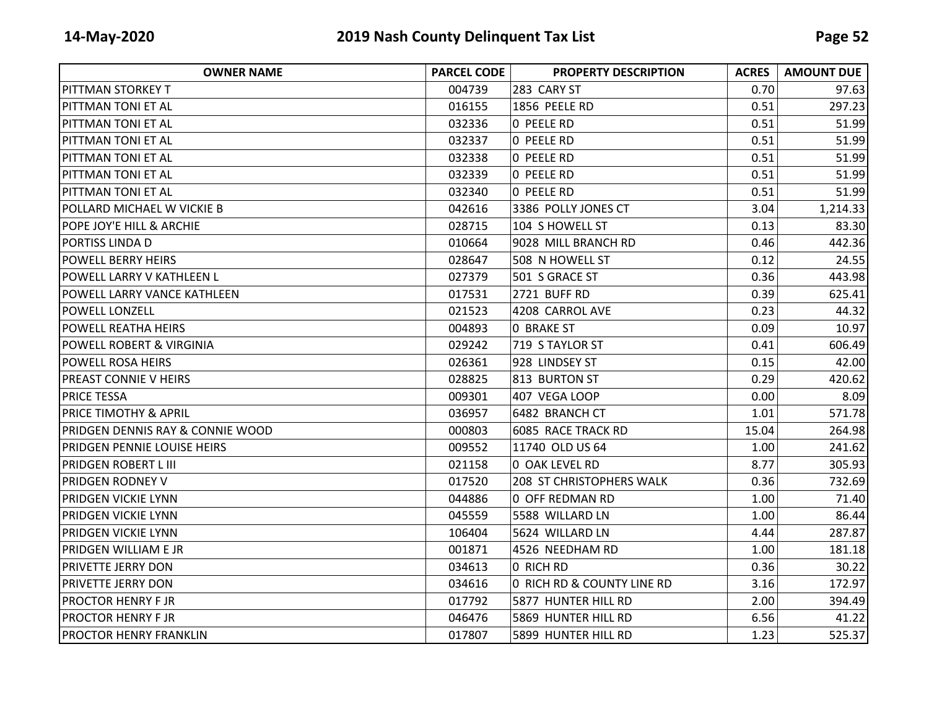| <b>OWNER NAME</b>                   | <b>PARCEL CODE</b> | <b>PROPERTY DESCRIPTION</b> | <b>ACRES</b> | <b>AMOUNT DUE</b> |
|-------------------------------------|--------------------|-----------------------------|--------------|-------------------|
| <b>PITTMAN STORKEY T</b>            | 004739             | 283 CARY ST                 | 0.70         | 97.63             |
| <b>PITTMAN TONI ET AL</b>           | 016155             | 1856 PEELE RD               | 0.51         | 297.23            |
| <b>PITTMAN TONI ET AL</b>           | 032336             | O PEELE RD                  | 0.51         | 51.99             |
| <b>PITTMAN TONI ET AL</b>           | 032337             | O PEELE RD                  | 0.51         | 51.99             |
| <b>PITTMAN TONI ET AL</b>           | 032338             | O PEELE RD                  | 0.51         | 51.99             |
| <b>PITTMAN TONI ET AL</b>           | 032339             | O PEELE RD                  | 0.51         | 51.99             |
| <b>PITTMAN TONI ET AL</b>           | 032340             | O PEELE RD                  | 0.51         | 51.99             |
| POLLARD MICHAEL W VICKIE B          | 042616             | 3386 POLLY JONES CT         | 3.04         | 1,214.33          |
| POPE JOY'E HILL & ARCHIE            | 028715             | 104 S HOWELL ST             | 0.13         | 83.30             |
| PORTISS LINDA D                     | 010664             | 9028 MILL BRANCH RD         | 0.46         | 442.36            |
| <b>POWELL BERRY HEIRS</b>           | 028647             | 508 N HOWELL ST             | 0.12         | 24.55             |
| <b>POWELL LARRY V KATHLEEN L</b>    | 027379             | 501 S GRACE ST              | 0.36         | 443.98            |
| POWELL LARRY VANCE KATHLEEN         | 017531             | 2721 BUFF RD                | 0.39         | 625.41            |
| <b>POWELL LONZELL</b>               | 021523             | 4208 CARROL AVE             | 0.23         | 44.32             |
| POWELL REATHA HEIRS                 | 004893             | 0 BRAKE ST                  | 0.09         | 10.97             |
| <b>POWELL ROBERT &amp; VIRGINIA</b> | 029242             | 719 S TAYLOR ST             | 0.41         | 606.49            |
| <b>POWELL ROSA HEIRS</b>            | 026361             | 928 LINDSEY ST              | 0.15         | 42.00             |
| <b>PREAST CONNIE V HEIRS</b>        | 028825             | 813 BURTON ST               | 0.29         | 420.62            |
| <b>PRICE TESSA</b>                  | 009301             | 407 VEGA LOOP               | 0.00         | 8.09              |
| <b>PRICE TIMOTHY &amp; APRIL</b>    | 036957             | 6482 BRANCH CT              | 1.01         | 571.78            |
| PRIDGEN DENNIS RAY & CONNIE WOOD    | 000803             | 6085 RACE TRACK RD          | 15.04        | 264.98            |
| <b>PRIDGEN PENNIE LOUISE HEIRS</b>  | 009552             | 11740 OLD US 64             | 1.00         | 241.62            |
| <b>PRIDGEN ROBERT L III</b>         | 021158             | 0 OAK LEVEL RD              | 8.77         | 305.93            |
| <b>PRIDGEN RODNEY V</b>             | 017520             | 208 ST CHRISTOPHERS WALK    | 0.36         | 732.69            |
| PRIDGEN VICKIE LYNN                 | 044886             | 0 OFF REDMAN RD             | 1.00         | 71.40             |
| <b>PRIDGEN VICKIE LYNN</b>          | 045559             | 5588 WILLARD LN             | 1.00         | 86.44             |
| <b>PRIDGEN VICKIE LYNN</b>          | 106404             | 5624 WILLARD LN             | 4.44         | 287.87            |
| <b>PRIDGEN WILLIAM E JR</b>         | 001871             | 4526 NEEDHAM RD             | 1.00         | 181.18            |
| <b>PRIVETTE JERRY DON</b>           | 034613             | 0 RICH RD                   | 0.36         | 30.22             |
| PRIVETTE JERRY DON                  | 034616             | 0 RICH RD & COUNTY LINE RD  | 3.16         | 172.97            |
| <b>PROCTOR HENRY F JR</b>           | 017792             | 5877 HUNTER HILL RD         | 2.00         | 394.49            |
| <b>PROCTOR HENRY FJR</b>            | 046476             | 5869 HUNTER HILL RD         | 6.56         | 41.22             |
| <b>PROCTOR HENRY FRANKLIN</b>       | 017807             | 5899 HUNTER HILL RD         | 1.23         | 525.37            |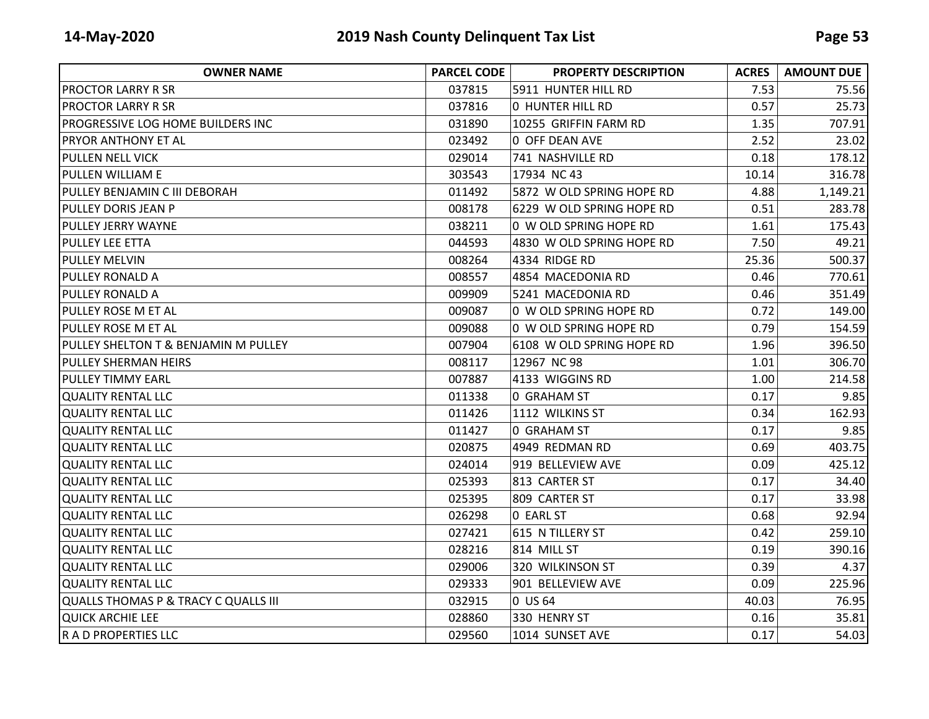| <b>OWNER NAME</b>                    | <b>PARCEL CODE</b> | <b>PROPERTY DESCRIPTION</b> | <b>ACRES</b> | <b>AMOUNT DUE</b> |
|--------------------------------------|--------------------|-----------------------------|--------------|-------------------|
| <b>PROCTOR LARRY R SR</b>            | 037815             | 5911 HUNTER HILL RD         | 7.53         | 75.56             |
| <b>PROCTOR LARRY R SR</b>            | 037816             | O HUNTER HILL RD            | 0.57         | 25.73             |
| PROGRESSIVE LOG HOME BUILDERS INC    | 031890             | 10255 GRIFFIN FARM RD       | 1.35         | 707.91            |
| <b>PRYOR ANTHONY ET AL</b>           | 023492             | 0 OFF DEAN AVE              | 2.52         | 23.02             |
| <b>PULLEN NELL VICK</b>              | 029014             | 741 NASHVILLE RD            | 0.18         | 178.12            |
| <b>PULLEN WILLIAM E</b>              | 303543             | 17934 NC 43                 | 10.14        | 316.78            |
| PULLEY BENJAMIN C III DEBORAH        | 011492             | 5872 W OLD SPRING HOPE RD   | 4.88         | 1,149.21          |
| PULLEY DORIS JEAN P                  | 008178             | 6229 W OLD SPRING HOPE RD   | 0.51         | 283.78            |
| PULLEY JERRY WAYNE                   | 038211             | 0 W OLD SPRING HOPE RD      | 1.61         | 175.43            |
| <b>PULLEY LEE ETTA</b>               | 044593             | 4830 W OLD SPRING HOPE RD   | 7.50         | 49.21             |
| <b>PULLEY MELVIN</b>                 | 008264             | 4334 RIDGE RD               | 25.36        | 500.37            |
| <b>PULLEY RONALD A</b>               | 008557             | 4854 MACEDONIA RD           | 0.46         | 770.61            |
| PULLEY RONALD A                      | 009909             | 5241 MACEDONIA RD           | 0.46         | 351.49            |
| <b>PULLEY ROSE M ET AL</b>           | 009087             | 0 W OLD SPRING HOPE RD      | 0.72         | 149.00            |
| <b>PULLEY ROSE M ET AL</b>           | 009088             | 0 W OLD SPRING HOPE RD      | 0.79         | 154.59            |
| PULLEY SHELTON T & BENJAMIN M PULLEY | 007904             | 6108 W OLD SPRING HOPE RD   | 1.96         | 396.50            |
| PULLEY SHERMAN HEIRS                 | 008117             | 12967 NC 98                 | 1.01         | 306.70            |
| <b>PULLEY TIMMY EARL</b>             | 007887             | 4133 WIGGINS RD             | 1.00         | 214.58            |
| <b>QUALITY RENTAL LLC</b>            | 011338             | <b>0 GRAHAM ST</b>          | 0.17         | 9.85              |
| <b>QUALITY RENTAL LLC</b>            | 011426             | 1112 WILKINS ST             | 0.34         | 162.93            |
| QUALITY RENTAL LLC                   | 011427             | <b>0 GRAHAM ST</b>          | 0.17         | 9.85              |
| QUALITY RENTAL LLC                   | 020875             | 4949 REDMAN RD              | 0.69         | 403.75            |
| <b>QUALITY RENTAL LLC</b>            | 024014             | 919 BELLEVIEW AVE           | 0.09         | 425.12            |
| <b>QUALITY RENTAL LLC</b>            | 025393             | 813 CARTER ST               | 0.17         | 34.40             |
| <b>QUALITY RENTAL LLC</b>            | 025395             | 809 CARTER ST               | 0.17         | 33.98             |
| QUALITY RENTAL LLC                   | 026298             | 0 EARL ST                   | 0.68         | 92.94             |
| QUALITY RENTAL LLC                   | 027421             | 615 N TILLERY ST            | 0.42         | 259.10            |
| <b>QUALITY RENTAL LLC</b>            | 028216             | 814 MILL ST                 | 0.19         | 390.16            |
| <b>QUALITY RENTAL LLC</b>            | 029006             | 320 WILKINSON ST            | 0.39         | 4.37              |
| <b>QUALITY RENTAL LLC</b>            | 029333             | 901 BELLEVIEW AVE           | 0.09         | 225.96            |
| QUALLS THOMAS P & TRACY C QUALLS III | 032915             | 0 US 64                     | 40.03        | 76.95             |
| QUICK ARCHIE LEE                     | 028860             | 330 HENRY ST                | 0.16         | 35.81             |
| R A D PROPERTIES LLC                 | 029560             | 1014 SUNSET AVE             | 0.17         | 54.03             |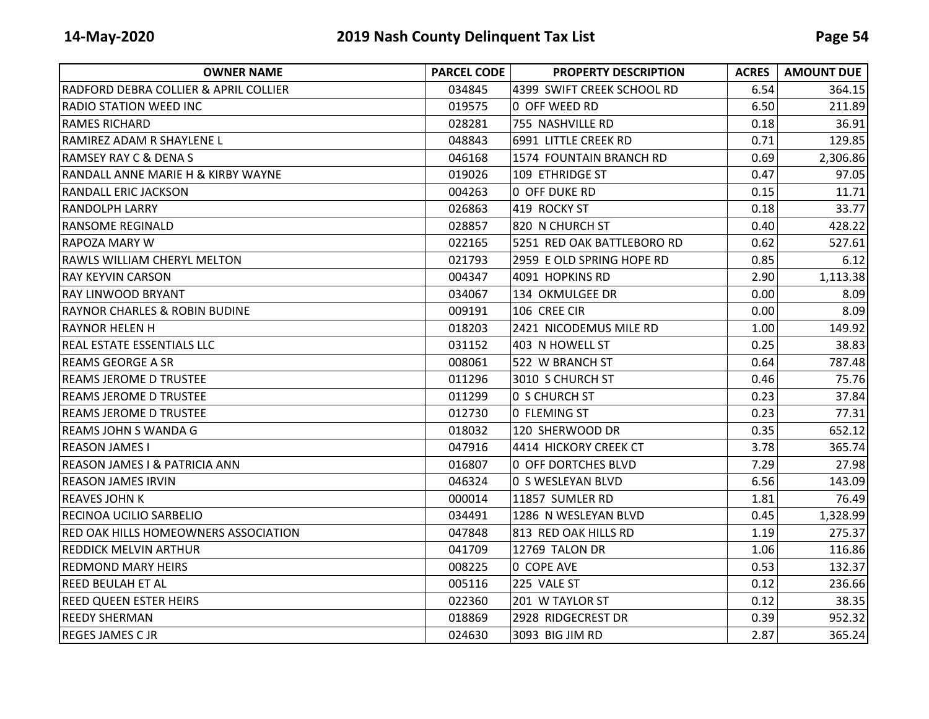| <b>OWNER NAME</b>                             | <b>PARCEL CODE</b> | <b>PROPERTY DESCRIPTION</b> | <b>ACRES</b> | <b>AMOUNT DUE</b> |
|-----------------------------------------------|--------------------|-----------------------------|--------------|-------------------|
| RADFORD DEBRA COLLIER & APRIL COLLIER         | 034845             | 4399 SWIFT CREEK SCHOOL RD  | 6.54         | 364.15            |
| <b>RADIO STATION WEED INC</b>                 | 019575             | 0 OFF WEED RD               | 6.50         | 211.89            |
| <b>RAMES RICHARD</b>                          | 028281             | 755 NASHVILLE RD            | 0.18         | 36.91             |
| IRAMIREZ ADAM R SHAYLENE L                    | 048843             | 6991 LITTLE CREEK RD        | 0.71         | 129.85            |
| <b>RAMSEY RAY C &amp; DENA S</b>              | 046168             | 1574 FOUNTAIN BRANCH RD     | 0.69         | 2,306.86          |
| <b>RANDALL ANNE MARIE H &amp; KIRBY WAYNE</b> | 019026             | 109 ETHRIDGE ST             | 0.47         | 97.05             |
| <b>RANDALL ERIC JACKSON</b>                   | 004263             | 0 OFF DUKE RD               | 0.15         | 11.71             |
| <b>RANDOLPH LARRY</b>                         | 026863             | 419 ROCKY ST                | 0.18         | 33.77             |
| <b>RANSOME REGINALD</b>                       | 028857             | 820 N CHURCH ST             | 0.40         | 428.22            |
| <b>RAPOZA MARY W</b>                          | 022165             | 5251 RED OAK BATTLEBORO RD  | 0.62         | 527.61            |
| IRAWLS WILLIAM CHERYL MELTON                  | 021793             | 2959 E OLD SPRING HOPE RD   | 0.85         | 6.12              |
| <b>RAY KEYVIN CARSON</b>                      | 004347             | 4091 HOPKINS RD             | 2.90         | 1,113.38          |
| IRAY LINWOOD BRYANT                           | 034067             | 134 OKMULGEE DR             | 0.00         | 8.09              |
| <b>RAYNOR CHARLES &amp; ROBIN BUDINE</b>      | 009191             | 106 CREE CIR                | 0.00         | 8.09              |
| IRAYNOR HELEN H                               | 018203             | 2421 NICODEMUS MILE RD      | 1.00         | 149.92            |
| IREAL ESTATE ESSENTIALS LLC                   | 031152             | 403 N HOWELL ST             | 0.25         | 38.83             |
| REAMS GEORGE A SR                             | 008061             | 522 W BRANCH ST             | 0.64         | 787.48            |
| IREAMS JEROME D TRUSTEE                       | 011296             | 3010 S CHURCH ST            | 0.46         | 75.76             |
| <b>REAMS JEROME D TRUSTEE</b>                 | 011299             | <b>0 S CHURCH ST</b>        | 0.23         | 37.84             |
| IREAMS JEROME D TRUSTEE                       | 012730             | 0 FLEMING ST                | 0.23         | 77.31             |
| <b>REAMS JOHN S WANDA G</b>                   | 018032             | 120 SHERWOOD DR             | 0.35         | 652.12            |
| <b>REASON JAMES I</b>                         | 047916             | 4414 HICKORY CREEK CT       | 3.78         | 365.74            |
| <b>REASON JAMES I &amp; PATRICIA ANN</b>      | 016807             | 0 OFF DORTCHES BLVD         | 7.29         | 27.98             |
| <b>REASON JAMES IRVIN</b>                     | 046324             | 0 S WESLEYAN BLVD           | 6.56         | 143.09            |
| <b>REAVES JOHN K</b>                          | 000014             | 11857 SUMLER RD             | 1.81         | 76.49             |
| RECINOA UCILIO SARBELIO                       | 034491             | 1286 N WESLEYAN BLVD        | 0.45         | 1,328.99          |
| <b>RED OAK HILLS HOMEOWNERS ASSOCIATION</b>   | 047848             | 813 RED OAK HILLS RD        | 1.19         | 275.37            |
| <b>REDDICK MELVIN ARTHUR</b>                  | 041709             | 12769 TALON DR              | 1.06         | 116.86            |
| IREDMOND MARY HEIRS                           | 008225             | 0 COPE AVE                  | 0.53         | 132.37            |
| <b>REED BEULAH ET AL</b>                      | 005116             | 225 VALE ST                 | 0.12         | 236.66            |
| <b>REED QUEEN ESTER HEIRS</b>                 | 022360             | 201 W TAYLOR ST             | 0.12         | 38.35             |
| <b>REEDY SHERMAN</b>                          | 018869             | 2928 RIDGECREST DR          | 0.39         | 952.32            |
| <b>REGES JAMES C JR</b>                       | 024630             | 3093 BIG JIM RD             | 2.87         | 365.24            |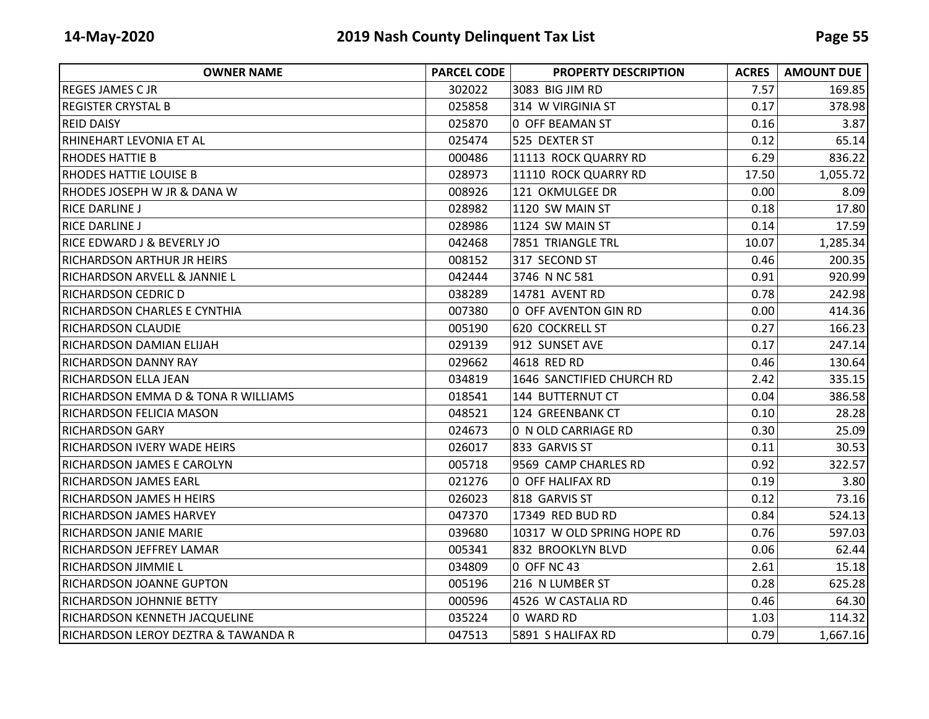| <b>OWNER NAME</b>                       | <b>PARCEL CODE</b> | <b>PROPERTY DESCRIPTION</b> | <b>ACRES</b> | <b>AMOUNT DUE</b> |
|-----------------------------------------|--------------------|-----------------------------|--------------|-------------------|
| <b>REGES JAMES C JR</b>                 | 302022             | 3083 BIG JIM RD             | 7.57         | 169.85            |
| <b>REGISTER CRYSTAL B</b>               | 025858             | 314 W VIRGINIA ST           | 0.17         | 378.98            |
| <b>REID DAISY</b>                       | 025870             | 0 OFF BEAMAN ST             | 0.16         | 3.87              |
| RHINEHART LEVONIA ET AL                 | 025474             | 525 DEXTER ST               | 0.12         | 65.14             |
| <b>RHODES HATTIE B</b>                  | 000486             | 11113 ROCK QUARRY RD        | 6.29         | 836.22            |
| RHODES HATTIE LOUISE B                  | 028973             | 11110 ROCK QUARRY RD        | 17.50        | 1,055.72          |
| RHODES JOSEPH W JR & DANA W             | 008926             | 121 OKMULGEE DR             | 0.00         | 8.09              |
| <b>RICE DARLINE J</b>                   | 028982             | 1120 SW MAIN ST             | 0.18         | 17.80             |
| <b>RICE DARLINE J</b>                   | 028986             | 1124 SW MAIN ST             | 0.14         | 17.59             |
| RICE EDWARD J & BEVERLY JO              | 042468             | 7851 TRIANGLE TRL           | 10.07        | 1,285.34          |
| RICHARDSON ARTHUR JR HEIRS              | 008152             | 317 SECOND ST               | 0.46         | 200.35            |
| <b>RICHARDSON ARVELL &amp; JANNIE L</b> | 042444             | 3746 N NC 581               | 0.91         | 920.99            |
| <b>RICHARDSON CEDRIC D</b>              | 038289             | 14781 AVENT RD              | 0.78         | 242.98            |
| RICHARDSON CHARLES E CYNTHIA            | 007380             | 0 OFF AVENTON GIN RD        | 0.00         | 414.36            |
| <b>RICHARDSON CLAUDIE</b>               | 005190             | 620 COCKRELL ST             | 0.27         | 166.23            |
| RICHARDSON DAMIAN ELIJAH                | 029139             | 912 SUNSET AVE              | 0.17         | 247.14            |
| <b>RICHARDSON DANNY RAY</b>             | 029662             | 4618 RED RD                 | 0.46         | 130.64            |
| <b>RICHARDSON ELLA JEAN</b>             | 034819             | 1646 SANCTIFIED CHURCH RD   | 2.42         | 335.15            |
| RICHARDSON EMMA D & TONA R WILLIAMS     | 018541             | 144 BUTTERNUT CT            | 0.04         | 386.58            |
| <b>RICHARDSON FELICIA MASON</b>         | 048521             | 124 GREENBANK CT            | 0.10         | 28.28             |
| <b>RICHARDSON GARY</b>                  | 024673             | 0 N OLD CARRIAGE RD         | 0.30         | 25.09             |
| <b>RICHARDSON IVERY WADE HEIRS</b>      | 026017             | 833 GARVIS ST               | 0.11         | 30.53             |
| <b>RICHARDSON JAMES E CAROLYN</b>       | 005718             | 9569 CAMP CHARLES RD        | 0.92         | 322.57            |
| <b>RICHARDSON JAMES EARL</b>            | 021276             | 0 OFF HALIFAX RD            | 0.19         | 3.80              |
| <b>RICHARDSON JAMES H HEIRS</b>         | 026023             | 818 GARVIS ST               | 0.12         | 73.16             |
| <b>RICHARDSON JAMES HARVEY</b>          | 047370             | 17349 RED BUD RD            | 0.84         | 524.13            |
| <b>RICHARDSON JANIE MARIE</b>           | 039680             | 10317 W OLD SPRING HOPE RD  | 0.76         | 597.03            |
| <b>RICHARDSON JEFFREY LAMAR</b>         | 005341             | 832 BROOKLYN BLVD           | 0.06         | 62.44             |
| RICHARDSON JIMMIE L                     | 034809             | 0 OFF NC 43                 | 2.61         | 15.18             |
| <b>RICHARDSON JOANNE GUPTON</b>         | 005196             | 216 N LUMBER ST             | 0.28         | 625.28            |
| <b>RICHARDSON JOHNNIE BETTY</b>         | 000596             | 4526 W CASTALIA RD          | 0.46         | 64.30             |
| RICHARDSON KENNETH JACQUELINE           | 035224             | 0 WARD RD                   | 1.03         | 114.32            |
| RICHARDSON LEROY DEZTRA & TAWANDA R     | 047513             | 5891 S HALIFAX RD           | 0.79         | 1,667.16          |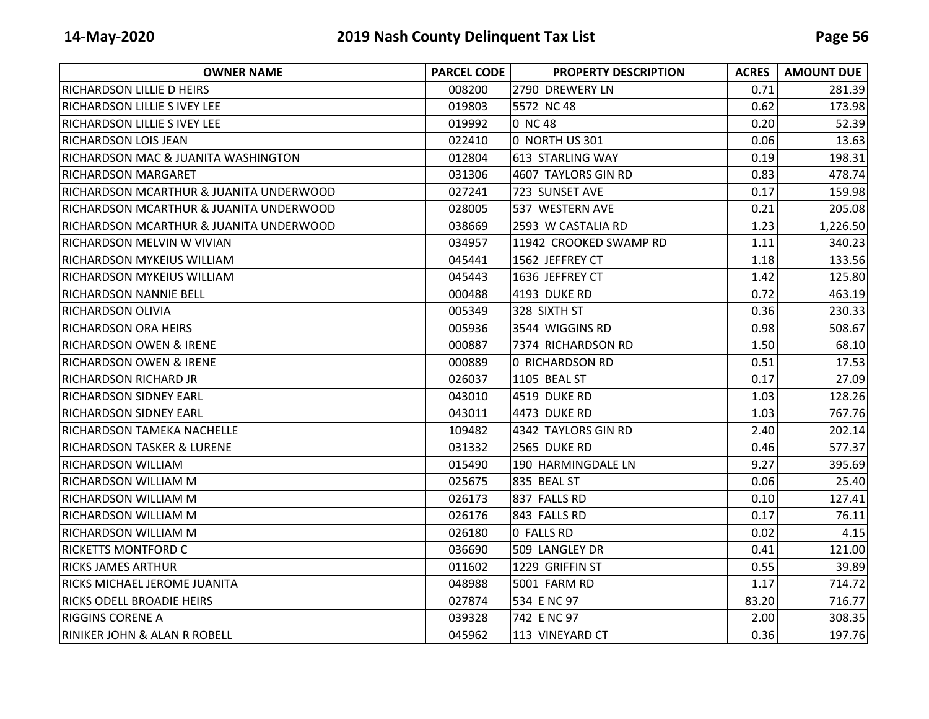| <b>OWNER NAME</b>                       | <b>PARCEL CODE</b> | <b>PROPERTY DESCRIPTION</b> | <b>ACRES</b> | <b>AMOUNT DUE</b> |
|-----------------------------------------|--------------------|-----------------------------|--------------|-------------------|
| IRICHARDSON LILLIE D HEIRS              | 008200             | 2790 DREWERY LN             | 0.71         | 281.39            |
| <b>RICHARDSON LILLIE S IVEY LEE</b>     | 019803             | 5572 NC 48                  | 0.62         | 173.98            |
| IRICHARDSON LILLIE S IVEY LEE           | 019992             | 0 NC 48                     | 0.20         | 52.39             |
| IRICHARDSON LOIS JEAN                   | 022410             | 0 NORTH US 301              | 0.06         | 13.63             |
| RICHARDSON MAC & JUANITA WASHINGTON     | 012804             | 613 STARLING WAY            | 0.19         | 198.31            |
| RICHARDSON MARGARET                     | 031306             | 4607 TAYLORS GIN RD         | 0.83         | 478.74            |
| RICHARDSON MCARTHUR & JUANITA UNDERWOOD | 027241             | 723 SUNSET AVE              | 0.17         | 159.98            |
| RICHARDSON MCARTHUR & JUANITA UNDERWOOD | 028005             | 537 WESTERN AVE             | 0.21         | 205.08            |
| RICHARDSON MCARTHUR & JUANITA UNDERWOOD | 038669             | 2593 W CASTALIA RD          | 1.23         | 1,226.50          |
| RICHARDSON MELVIN W VIVIAN              | 034957             | 11942 CROOKED SWAMP RD      | 1.11         | 340.23            |
| IRICHARDSON MYKEIUS WILLIAM             | 045441             | 1562 JEFFREY CT             | 1.18         | 133.56            |
| <b>RICHARDSON MYKEIUS WILLIAM</b>       | 045443             | 1636 JEFFREY CT             | 1.42         | 125.80            |
| IRICHARDSON NANNIE BELL                 | 000488             | 4193 DUKE RD                | 0.72         | 463.19            |
| IRICHARDSON OLIVIA                      | 005349             | 328 SIXTH ST                | 0.36         | 230.33            |
| <b>RICHARDSON ORA HEIRS</b>             | 005936             | 3544 WIGGINS RD             | 0.98         | 508.67            |
| <b>RICHARDSON OWEN &amp; IRENE</b>      | 000887             | 7374 RICHARDSON RD          | 1.50         | 68.10             |
| <b>RICHARDSON OWEN &amp; IRENE</b>      | 000889             | 0 RICHARDSON RD             | 0.51         | 17.53             |
| <b>RICHARDSON RICHARD JR</b>            | 026037             | 1105 BEAL ST                | 0.17         | 27.09             |
| IRICHARDSON SIDNEY EARL                 | 043010             | 4519 DUKE RD                | 1.03         | 128.26            |
| <b>RICHARDSON SIDNEY EARL</b>           | 043011             | 4473 DUKE RD                | 1.03         | 767.76            |
| RICHARDSON TAMEKA NACHELLE              | 109482             | 4342 TAYLORS GIN RD         | 2.40         | 202.14            |
| <b>RICHARDSON TASKER &amp; LURENE</b>   | 031332             | 2565 DUKE RD                | 0.46         | 577.37            |
| IRICHARDSON WILLIAM                     | 015490             | 190 HARMINGDALE LN          | 9.27         | 395.69            |
| IRICHARDSON WILLIAM M                   | 025675             | 835 BEAL ST                 | 0.06         | 25.40             |
| <b>RICHARDSON WILLIAM M</b>             | 026173             | 837 FALLS RD                | 0.10         | 127.41            |
| <b>RICHARDSON WILLIAM M</b>             | 026176             | 843 FALLS RD                | 0.17         | 76.11             |
| <b>RICHARDSON WILLIAM M</b>             | 026180             | 0 FALLS RD                  | 0.02         | 4.15              |
| <b>RICKETTS MONTFORD C</b>              | 036690             | 509 LANGLEY DR              | 0.41         | 121.00            |
| IRICKS JAMES ARTHUR                     | 011602             | 1229 GRIFFIN ST             | 0.55         | 39.89             |
| IRICKS MICHAEL JEROME JUANITA           | 048988             | 5001 FARM RD                | 1.17         | 714.72            |
| <b>RICKS ODELL BROADIE HEIRS</b>        | 027874             | 534 E NC 97                 | 83.20        | 716.77            |
| <b>RIGGINS CORENE A</b>                 | 039328             | 742 E NC 97                 | 2.00         | 308.35            |
| <b>RINIKER JOHN &amp; ALAN R ROBELL</b> | 045962             | 113 VINEYARD CT             | 0.36         | 197.76            |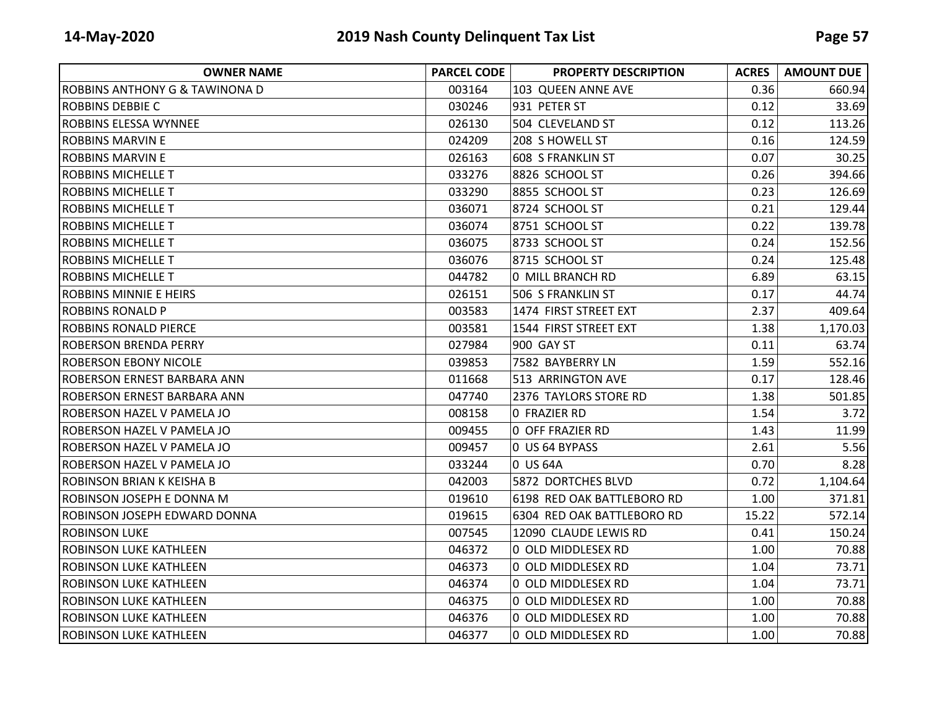| <b>OWNER NAME</b>                         | <b>PARCEL CODE</b> | <b>PROPERTY DESCRIPTION</b> | <b>ACRES</b> | <b>AMOUNT DUE</b> |
|-------------------------------------------|--------------------|-----------------------------|--------------|-------------------|
| <b>ROBBINS ANTHONY G &amp; TAWINONA D</b> | 003164             | 103 QUEEN ANNE AVE          | 0.36         | 660.94            |
| <b>ROBBINS DEBBIE C</b>                   | 030246             | 931 PETER ST                | 0.12         | 33.69             |
| <b>ROBBINS ELESSA WYNNEE</b>              | 026130             | 504 CLEVELAND ST            | 0.12         | 113.26            |
| <b>ROBBINS MARVIN E</b>                   | 024209             | 208 S HOWELL ST             | 0.16         | 124.59            |
| ROBBINS MARVIN E                          | 026163             | 608 S FRANKLIN ST           | 0.07         | 30.25             |
| <b>ROBBINS MICHELLE T</b>                 | 033276             | 8826 SCHOOL ST              | 0.26         | 394.66            |
| <b>ROBBINS MICHELLE T</b>                 | 033290             | 8855 SCHOOL ST              | 0.23         | 126.69            |
| <b>ROBBINS MICHELLE T</b>                 | 036071             | 8724 SCHOOL ST              | 0.21         | 129.44            |
| IROBBINS MICHELLE T                       | 036074             | 8751 SCHOOL ST              | 0.22         | 139.78            |
| ROBBINS MICHELLE T                        | 036075             | 8733 SCHOOL ST              | 0.24         | 152.56            |
| <b>ROBBINS MICHELLE T</b>                 | 036076             | 8715 SCHOOL ST              | 0.24         | 125.48            |
| <b>ROBBINS MICHELLE T</b>                 | 044782             | 0 MILL BRANCH RD            | 6.89         | 63.15             |
| ROBBINS MINNIE E HEIRS                    | 026151             | 506 S FRANKLIN ST           | 0.17         | 44.74             |
| <b>ROBBINS RONALD P</b>                   | 003583             | 1474 FIRST STREET EXT       | 2.37         | 409.64            |
| <b>ROBBINS RONALD PIERCE</b>              | 003581             | 1544 FIRST STREET EXT       | 1.38         | 1,170.03          |
| <b>ROBERSON BRENDA PERRY</b>              | 027984             | 900 GAY ST                  | 0.11         | 63.74             |
| <b>ROBERSON EBONY NICOLE</b>              | 039853             | 7582 BAYBERRY LN            | 1.59         | 552.16            |
| <b>ROBERSON ERNEST BARBARA ANN</b>        | 011668             | 513 ARRINGTON AVE           | 0.17         | 128.46            |
| ROBERSON ERNEST BARBARA ANN               | 047740             | 2376 TAYLORS STORE RD       | 1.38         | 501.85            |
| <b>ROBERSON HAZEL V PAMELA JO</b>         | 008158             | 0 FRAZIER RD                | 1.54         | 3.72              |
| <b>ROBERSON HAZEL V PAMELA JO</b>         | 009455             | 0 OFF FRAZIER RD            | 1.43         | 11.99             |
| <b>ROBERSON HAZEL V PAMELA JO</b>         | 009457             | 0 US 64 BYPASS              | 2.61         | 5.56              |
| <b>ROBERSON HAZEL V PAMELA JO</b>         | 033244             | 0 US 64A                    | 0.70         | 8.28              |
| <b>ROBINSON BRIAN K KEISHA B</b>          | 042003             | 5872 DORTCHES BLVD          | 0.72         | 1,104.64          |
| ROBINSON JOSEPH E DONNA M                 | 019610             | 6198 RED OAK BATTLEBORO RD  | 1.00         | 371.81            |
| ROBINSON JOSEPH EDWARD DONNA              | 019615             | 6304 RED OAK BATTLEBORO RD  | 15.22        | 572.14            |
| <b>ROBINSON LUKE</b>                      | 007545             | 12090 CLAUDE LEWIS RD       | 0.41         | 150.24            |
| <b>ROBINSON LUKE KATHLEEN</b>             | 046372             | 0 OLD MIDDLESEX RD          | 1.00         | 70.88             |
| <b>ROBINSON LUKE KATHLEEN</b>             | 046373             | 0 OLD MIDDLESEX RD          | 1.04         | 73.71             |
| <b>ROBINSON LUKE KATHLEEN</b>             | 046374             | 0 OLD MIDDLESEX RD          | 1.04         | 73.71             |
| <b>ROBINSON LUKE KATHLEEN</b>             | 046375             | 0 OLD MIDDLESEX RD          | 1.00         | 70.88             |
| <b>ROBINSON LUKE KATHLEEN</b>             | 046376             | 0 OLD MIDDLESEX RD          | 1.00         | 70.88             |
| <b>ROBINSON LUKE KATHLEEN</b>             | 046377             | 0 OLD MIDDLESEX RD          | 1.00         | 70.88             |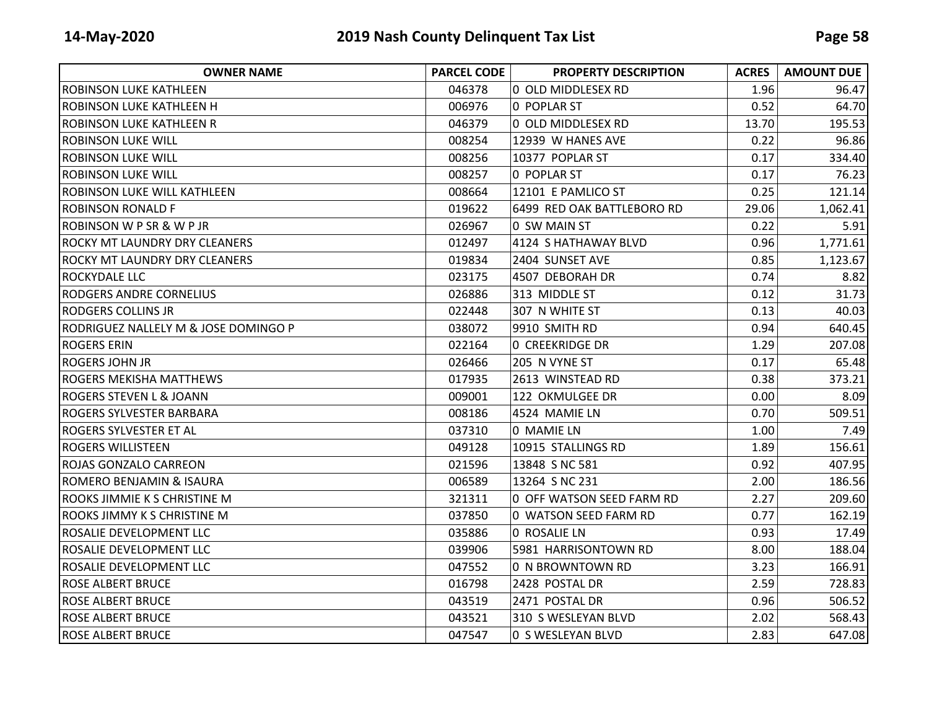| <b>OWNER NAME</b>                    | <b>PARCEL CODE</b> | <b>PROPERTY DESCRIPTION</b> | <b>ACRES</b> | <b>AMOUNT DUE</b> |
|--------------------------------------|--------------------|-----------------------------|--------------|-------------------|
| IROBINSON LUKE KATHLEEN              | 046378             | 0 OLD MIDDLESEX RD          | 1.96         | 96.47             |
| ROBINSON LUKE KATHLEEN H             | 006976             | 0 POPLAR ST                 | 0.52         | 64.70             |
| <b>ROBINSON LUKE KATHLEEN R</b>      | 046379             | 0 OLD MIDDLESEX RD          | 13.70        | 195.53            |
| IROBINSON LUKE WILL                  | 008254             | 12939 W HANES AVE           | 0.22         | 96.86             |
| <b>ROBINSON LUKE WILL</b>            | 008256             | 10377 POPLAR ST             | 0.17         | 334.40            |
| <b>ROBINSON LUKE WILL</b>            | 008257             | 0 POPLAR ST                 | 0.17         | 76.23             |
| <b>ROBINSON LUKE WILL KATHLEEN</b>   | 008664             | 12101 E PAMLICO ST          | 0.25         | 121.14            |
| IROBINSON RONALD F                   | 019622             | 6499 RED OAK BATTLEBORO RD  | 29.06        | 1,062.41          |
| <b>ROBINSON W P SR &amp; W P JR</b>  | 026967             | 0 SW MAIN ST                | 0.22         | 5.91              |
| <b>ROCKY MT LAUNDRY DRY CLEANERS</b> | 012497             | 4124 S HATHAWAY BLVD        | 0.96         | 1,771.61          |
| <b>ROCKY MT LAUNDRY DRY CLEANERS</b> | 019834             | 2404 SUNSET AVE             | 0.85         | 1,123.67          |
| <b>ROCKYDALE LLC</b>                 | 023175             | 4507 DEBORAH DR             | 0.74         | 8.82              |
| RODGERS ANDRE CORNELIUS              | 026886             | 313 MIDDLE ST               | 0.12         | 31.73             |
| <b>RODGERS COLLINS JR</b>            | 022448             | 307 N WHITE ST              | 0.13         | 40.03             |
| RODRIGUEZ NALLELY M & JOSE DOMINGO P | 038072             | 9910 SMITH RD               | 0.94         | 640.45            |
| <b>ROGERS ERIN</b>                   | 022164             | <b>0 CREEKRIDGE DR</b>      | 1.29         | 207.08            |
| <b>ROGERS JOHN JR</b>                | 026466             | 205 N VYNE ST               | 0.17         | 65.48             |
| <b>ROGERS MEKISHA MATTHEWS</b>       | 017935             | 2613 WINSTEAD RD            | 0.38         | 373.21            |
| <b>ROGERS STEVEN L &amp; JOANN</b>   | 009001             | 122 OKMULGEE DR             | 0.00         | 8.09              |
| <b>ROGERS SYLVESTER BARBARA</b>      | 008186             | 4524 MAMIE LN               | 0.70         | 509.51            |
| <b>ROGERS SYLVESTER ET AL</b>        | 037310             | 0 MAMIE LN                  | 1.00         | 7.49              |
| <b>ROGERS WILLISTEEN</b>             | 049128             | 10915 STALLINGS RD          | 1.89         | 156.61            |
| <b>ROJAS GONZALO CARREON</b>         | 021596             | 13848 S NC 581              | 0.92         | 407.95            |
| ROMERO BENJAMIN & ISAURA             | 006589             | 13264 S NC 231              | 2.00         | 186.56            |
| <b>ROOKS JIMMIE K S CHRISTINE M</b>  | 321311             | 0 OFF WATSON SEED FARM RD   | 2.27         | 209.60            |
| <b>ROOKS JIMMY K S CHRISTINE M</b>   | 037850             | 0 WATSON SEED FARM RD       | 0.77         | 162.19            |
| <b>ROSALIE DEVELOPMENT LLC</b>       | 035886             | 0 ROSALIE LN                | 0.93         | 17.49             |
| ROSALIE DEVELOPMENT LLC              | 039906             | 5981 HARRISONTOWN RD        | 8.00         | 188.04            |
| ROSALIE DEVELOPMENT LLC              | 047552             | 0 N BROWNTOWN RD            | 3.23         | 166.91            |
| <b>ROSE ALBERT BRUCE</b>             | 016798             | 2428 POSTAL DR              | 2.59         | 728.83            |
| <b>ROSE ALBERT BRUCE</b>             | 043519             | 2471 POSTAL DR              | 0.96         | 506.52            |
| <b>ROSE ALBERT BRUCE</b>             | 043521             | 310 S WESLEYAN BLVD         | 2.02         | 568.43            |
| <b>ROSE ALBERT BRUCE</b>             | 047547             | 0 S WESLEYAN BLVD           | 2.83         | 647.08            |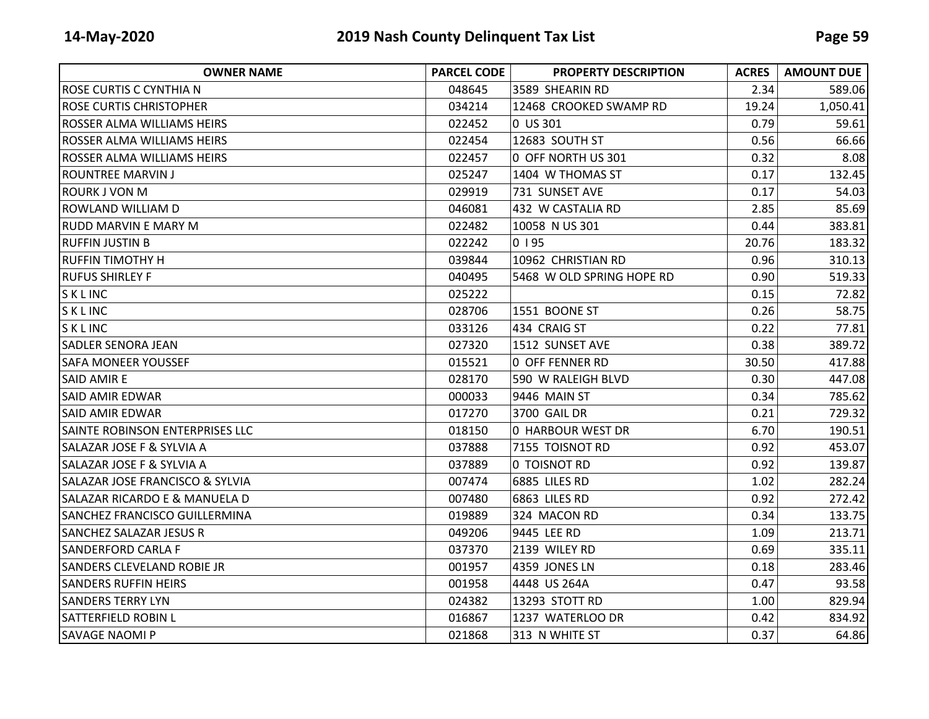| <b>OWNER NAME</b>                      | <b>PARCEL CODE</b> | <b>PROPERTY DESCRIPTION</b> | <b>ACRES</b> | <b>AMOUNT DUE</b> |
|----------------------------------------|--------------------|-----------------------------|--------------|-------------------|
| ROSE CURTIS C CYNTHIA N                | 048645             | 3589 SHEARIN RD             | 2.34         | 589.06            |
| <b>ROSE CURTIS CHRISTOPHER</b>         | 034214             | 12468 CROOKED SWAMP RD      | 19.24        | 1,050.41          |
| <b>ROSSER ALMA WILLIAMS HEIRS</b>      | 022452             | 0 US 301                    | 0.79         | 59.61             |
| ROSSER ALMA WILLIAMS HEIRS             | 022454             | 12683 SOUTH ST              | 0.56         | 66.66             |
| <b>ROSSER ALMA WILLIAMS HEIRS</b>      | 022457             | 0 OFF NORTH US 301          | 0.32         | 8.08              |
| ROUNTREE MARVIN J                      | 025247             | 1404 W THOMAS ST            | 0.17         | 132.45            |
| <b>ROURK J VON M</b>                   | 029919             | 731 SUNSET AVE              | 0.17         | 54.03             |
| ROWLAND WILLIAM D                      | 046081             | 432 W CASTALIA RD           | 2.85         | 85.69             |
| IRUDD MARVIN E MARY M                  | 022482             | 10058 N US 301              | 0.44         | 383.81            |
| RUFFIN JUSTIN B                        | 022242             | 0195                        | 20.76        | 183.32            |
| <b>RUFFIN TIMOTHY H</b>                | 039844             | 10962 CHRISTIAN RD          | 0.96         | 310.13            |
| <b>RUFUS SHIRLEY F</b>                 | 040495             | 5468 W OLD SPRING HOPE RD   | 0.90         | 519.33            |
| SKLINC                                 | 025222             |                             | 0.15         | 72.82             |
| SKLINC                                 | 028706             | 1551 BOONE ST               | 0.26         | 58.75             |
| SKLINC                                 | 033126             | 434 CRAIG ST                | 0.22         | 77.81             |
| <b>SADLER SENORA JEAN</b>              | 027320             | 1512 SUNSET AVE             | 0.38         | 389.72            |
| <b>SAFA MONEER YOUSSEF</b>             | 015521             | <b>0 OFF FENNER RD</b>      | 30.50        | 417.88            |
| <b>SAID AMIRE</b>                      | 028170             | 590 W RALEIGH BLVD          | 0.30         | 447.08            |
| <b>SAID AMIR EDWAR</b>                 | 000033             | 9446 MAIN ST                | 0.34         | 785.62            |
| <b>SAID AMIR EDWAR</b>                 | 017270             | 3700 GAIL DR                | 0.21         | 729.32            |
| <b>SAINTE ROBINSON ENTERPRISES LLC</b> | 018150             | 0 HARBOUR WEST DR           | 6.70         | 190.51            |
| <b>SALAZAR JOSE F &amp; SYLVIA A</b>   | 037888             | 7155 TOISNOT RD             | 0.92         | 453.07            |
| <b>SALAZAR JOSE F &amp; SYLVIA A</b>   | 037889             | 0 TOISNOT RD                | 0.92         | 139.87            |
| SALAZAR JOSE FRANCISCO & SYLVIA        | 007474             | 6885 LILES RD               | 1.02         | 282.24            |
| SALAZAR RICARDO E & MANUELA D          | 007480             | 6863 LILES RD               | 0.92         | 272.42            |
| <b>SANCHEZ FRANCISCO GUILLERMINA</b>   | 019889             | 324 MACON RD                | 0.34         | 133.75            |
| <b>SANCHEZ SALAZAR JESUS R</b>         | 049206             | 9445 LEE RD                 | 1.09         | 213.71            |
| <b>SANDERFORD CARLA F</b>              | 037370             | 2139 WILEY RD               | 0.69         | 335.11            |
| <b>SANDERS CLEVELAND ROBIE JR</b>      | 001957             | 4359 JONES LN               | 0.18         | 283.46            |
| <b>SANDERS RUFFIN HEIRS</b>            | 001958             | 4448 US 264A                | 0.47         | 93.58             |
| <b>SANDERS TERRY LYN</b>               | 024382             | 13293 STOTT RD              | 1.00         | 829.94            |
| <b>SATTERFIELD ROBIN L</b>             | 016867             | 1237 WATERLOO DR            | 0.42         | 834.92            |
| <b>SAVAGE NAOMI P</b>                  | 021868             | 313 N WHITE ST              | 0.37         | 64.86             |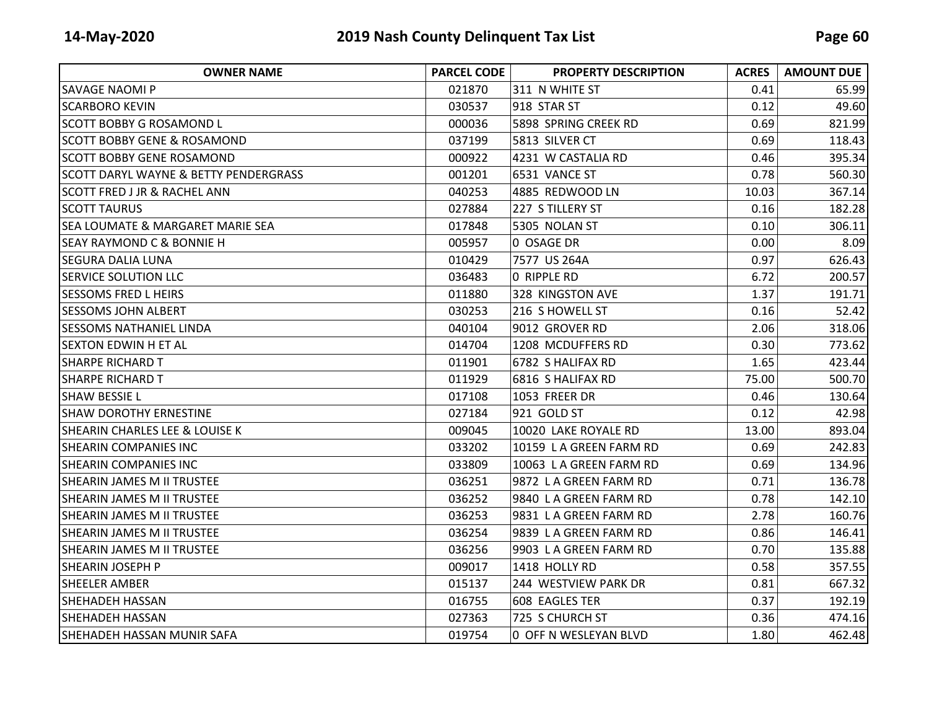| <b>OWNER NAME</b>                           | <b>PARCEL CODE</b> | <b>PROPERTY DESCRIPTION</b> | <b>ACRES</b> | <b>AMOUNT DUE</b> |
|---------------------------------------------|--------------------|-----------------------------|--------------|-------------------|
| <b>SAVAGE NAOMI P</b>                       | 021870             | 311 N WHITE ST              | 0.41         | 65.99             |
| <b>SCARBORO KEVIN</b>                       | 030537             | 918 STAR ST                 | 0.12         | 49.60             |
| <b>SCOTT BOBBY G ROSAMOND L</b>             | 000036             | 5898 SPRING CREEK RD        | 0.69         | 821.99            |
| <b>SCOTT BOBBY GENE &amp; ROSAMOND</b>      | 037199             | 5813 SILVER CT              | 0.69         | 118.43            |
| <b>SCOTT BOBBY GENE ROSAMOND</b>            | 000922             | 4231 W CASTALIA RD          | 0.46         | 395.34            |
| SCOTT DARYL WAYNE & BETTY PENDERGRASS       | 001201             | 6531 VANCE ST               | 0.78         | 560.30            |
| <b>SCOTT FRED J JR &amp; RACHEL ANN</b>     | 040253             | 4885 REDWOOD LN             | 10.03        | 367.14            |
| <b>SCOTT TAURUS</b>                         | 027884             | 227 S TILLERY ST            | 0.16         | 182.28            |
| <b>SEA LOUMATE &amp; MARGARET MARIE SEA</b> | 017848             | 5305 NOLAN ST               | 0.10         | 306.11            |
| <b>SEAY RAYMOND C &amp; BONNIE H</b>        | 005957             | 0 OSAGE DR                  | 0.00         | 8.09              |
| <b>SEGURA DALIA LUNA</b>                    | 010429             | 7577 US 264A                | 0.97         | 626.43            |
| <b>SERVICE SOLUTION LLC</b>                 | 036483             | O RIPPLE RD                 | 6.72         | 200.57            |
| ISESSOMS FRED L HEIRS                       | 011880             | 328 KINGSTON AVE            | 1.37         | 191.71            |
| <b>SESSOMS JOHN ALBERT</b>                  | 030253             | 216 S HOWELL ST             | 0.16         | 52.42             |
| SESSOMS NATHANIEL LINDA                     | 040104             | 9012 GROVER RD              | 2.06         | 318.06            |
| <b>SEXTON EDWIN H ET AL</b>                 | 014704             | 1208 MCDUFFERS RD           | 0.30         | 773.62            |
| <b>SHARPE RICHARD T</b>                     | 011901             | 6782 S HALIFAX RD           | 1.65         | 423.44            |
| <b>SHARPE RICHARD T</b>                     | 011929             | 6816 S HALIFAX RD           | 75.00        | 500.70            |
| <b>SHAW BESSIE L</b>                        | 017108             | 1053 FREER DR               | 0.46         | 130.64            |
| <b>SHAW DOROTHY ERNESTINE</b>               | 027184             | 921 GOLD ST                 | 0.12         | 42.98             |
| <b>SHEARIN CHARLES LEE &amp; LOUISE K</b>   | 009045             | 10020 LAKE ROYALE RD        | 13.00        | 893.04            |
| SHEARIN COMPANIES INC                       | 033202             | 10159 LA GREEN FARM RD      | 0.69         | 242.83            |
| <b>SHEARIN COMPANIES INC</b>                | 033809             | 10063 LA GREEN FARM RD      | 0.69         | 134.96            |
| <b>SHEARIN JAMES M II TRUSTEE</b>           | 036251             | 9872 LA GREEN FARM RD       | 0.71         | 136.78            |
| <b>SHEARIN JAMES M II TRUSTEE</b>           | 036252             | 9840 LA GREEN FARM RD       | 0.78         | 142.10            |
| <b>SHEARIN JAMES M II TRUSTEE</b>           | 036253             | 9831 LA GREEN FARM RD       | 2.78         | 160.76            |
| <b>SHEARIN JAMES M II TRUSTEE</b>           | 036254             | 9839 LA GREEN FARM RD       | 0.86         | 146.41            |
| <b>SHEARIN JAMES M II TRUSTEE</b>           | 036256             | 9903 LA GREEN FARM RD       | 0.70         | 135.88            |
| <b>SHEARIN JOSEPH P</b>                     | 009017             | 1418 HOLLY RD               | 0.58         | 357.55            |
| SHEELER AMBER                               | 015137             | 244 WESTVIEW PARK DR        | 0.81         | 667.32            |
| ISHEHADEH HASSAN                            | 016755             | 608 EAGLES TER              | 0.37         | 192.19            |
| <b>SHEHADEH HASSAN</b>                      | 027363             | 725 S CHURCH ST             | 0.36         | 474.16            |
| SHEHADEH HASSAN MUNIR SAFA                  | 019754             | 0 OFF N WESLEYAN BLVD       | 1.80         | 462.48            |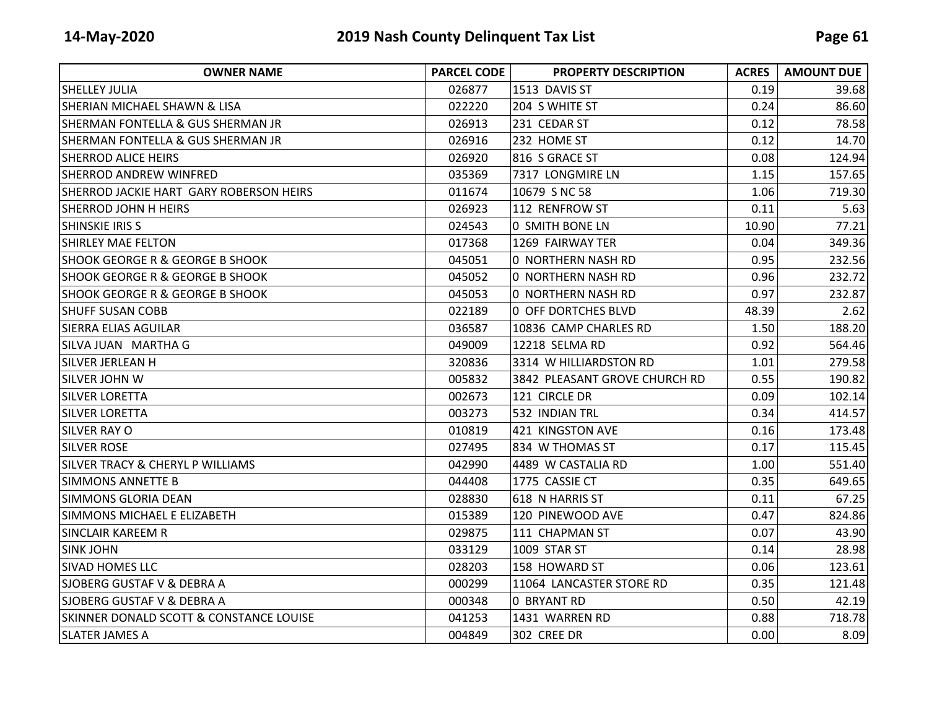| <b>OWNER NAME</b>                                  | <b>PARCEL CODE</b> | <b>PROPERTY DESCRIPTION</b>   | <b>ACRES</b> | <b>AMOUNT DUE</b> |
|----------------------------------------------------|--------------------|-------------------------------|--------------|-------------------|
| ISHELLEY JULIA                                     | 026877             | 1513 DAVIS ST                 | 0.19         | 39.68             |
| <b>SHERIAN MICHAEL SHAWN &amp; LISA</b>            | 022220             | 204 S WHITE ST                | 0.24         | 86.60             |
| <b>SHERMAN FONTELLA &amp; GUS SHERMAN JR</b>       | 026913             | 231 CEDAR ST                  | 0.12         | 78.58             |
| <b>ISHERMAN FONTELLA &amp; GUS SHERMAN JR</b>      | 026916             | 232 HOME ST                   | 0.12         | 14.70             |
| <b>SHERROD ALICE HEIRS</b>                         | 026920             | 816 S GRACE ST                | 0.08         | 124.94            |
| <b>SHERROD ANDREW WINFRED</b>                      | 035369             | 7317 LONGMIRE LN              | 1.15         | 157.65            |
| <b>SHERROD JACKIE HART GARY ROBERSON HEIRS</b>     | 011674             | 10679 S NC 58                 | 1.06         | 719.30            |
| <b>SHERROD JOHN H HEIRS</b>                        | 026923             | 112 RENFROW ST                | 0.11         | 5.63              |
| <b>SHINSKIE IRIS S</b>                             | 024543             | 0 SMITH BONE LN               | 10.90        | 77.21             |
| <b>SHIRLEY MAE FELTON</b>                          | 017368             | 1269 FAIRWAY TER              | 0.04         | 349.36            |
| <b>SHOOK GEORGE R &amp; GEORGE B SHOOK</b>         | 045051             | 0 NORTHERN NASH RD            | 0.95         | 232.56            |
| <b>SHOOK GEORGE R &amp; GEORGE B SHOOK</b>         | 045052             | 0 NORTHERN NASH RD            | 0.96         | 232.72            |
| <b>SHOOK GEORGE R &amp; GEORGE B SHOOK</b>         | 045053             | 0 NORTHERN NASH RD            | 0.97         | 232.87            |
| <b>SHUFF SUSAN COBB</b>                            | 022189             | 0 OFF DORTCHES BLVD           | 48.39        | 2.62              |
| <b>SIERRA ELIAS AGUILAR</b>                        | 036587             | 10836 CAMP CHARLES RD         | 1.50         | 188.20            |
| ISILVA JUAN) MARTHA G                              | 049009             | 12218 SELMA RD                | 0.92         | 564.46            |
| <b>SILVER JERLEAN H</b>                            | 320836             | 3314 W HILLIARDSTON RD        | 1.01         | 279.58            |
| <b>SILVER JOHN W</b>                               | 005832             | 3842 PLEASANT GROVE CHURCH RD | 0.55         | 190.82            |
| ISILVER LORETTA                                    | 002673             | 121 CIRCLE DR                 | 0.09         | 102.14            |
| ISILVER LORETTA                                    | 003273             | 532 INDIAN TRL                | 0.34         | 414.57            |
| <b>SILVER RAY O</b>                                | 010819             | 421 KINGSTON AVE              | 0.16         | 173.48            |
| ISILVER ROSE                                       | 027495             | 834 W THOMAS ST               | 0.17         | 115.45            |
| <b>SILVER TRACY &amp; CHERYL P WILLIAMS</b>        | 042990             | 4489 W CASTALIA RD            | 1.00         | 551.40            |
| <b>SIMMONS ANNETTE B</b>                           | 044408             | 1775 CASSIE CT                | 0.35         | 649.65            |
| <b>SIMMONS GLORIA DEAN</b>                         | 028830             | 618 N HARRIS ST               | 0.11         | 67.25             |
| SIMMONS MICHAEL E ELIZABETH                        | 015389             | 120 PINEWOOD AVE              | 0.47         | 824.86            |
| <b>SINCLAIR KAREEM R</b>                           | 029875             | 111 CHAPMAN ST                | 0.07         | 43.90             |
| <b>SINK JOHN</b>                                   | 033129             | 1009 STAR ST                  | 0.14         | 28.98             |
| <b>SIVAD HOMES LLC</b>                             | 028203             | 158 HOWARD ST                 | 0.06         | 123.61            |
| <b>SJOBERG GUSTAF V &amp; DEBRA A</b>              | 000299             | 11064 LANCASTER STORE RD      | 0.35         | 121.48            |
| <b>SJOBERG GUSTAF V &amp; DEBRA A</b>              | 000348             | 0 BRYANT RD                   | 0.50         | 42.19             |
| <b>SKINNER DONALD SCOTT &amp; CONSTANCE LOUISE</b> | 041253             | 1431 WARREN RD                | 0.88         | 718.78            |
| <b>SLATER JAMES A</b>                              | 004849             | 302 CREE DR                   | 0.00         | 8.09              |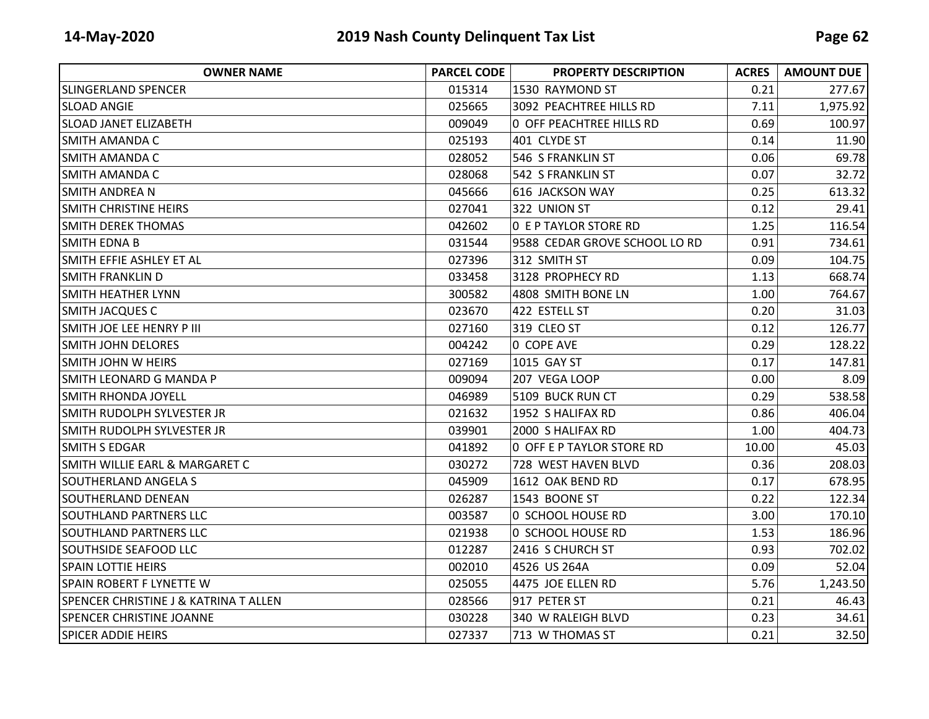| <b>OWNER NAME</b>                                | <b>PARCEL CODE</b> | <b>PROPERTY DESCRIPTION</b>     | <b>ACRES</b> | <b>AMOUNT DUE</b> |
|--------------------------------------------------|--------------------|---------------------------------|--------------|-------------------|
| <b>SLINGERLAND SPENCER</b>                       | 015314             | 1530 RAYMOND ST                 | 0.21         | 277.67            |
| <b>SLOAD ANGIE</b>                               | 025665             | 3092 PEACHTREE HILLS RD         | 7.11         | 1,975.92          |
| <b>SLOAD JANET ELIZABETH</b>                     | 009049             | <b>0 OFF PEACHTREE HILLS RD</b> | 0.69         | 100.97            |
| <b>SMITH AMANDA C</b>                            | 025193             | 401 CLYDE ST                    | 0.14         | 11.90             |
| <b>SMITH AMANDA C</b>                            | 028052             | 546 S FRANKLIN ST               | 0.06         | 69.78             |
| ISMITH AMANDA C                                  | 028068             | 542 S FRANKLIN ST               | 0.07         | 32.72             |
| <b>SMITH ANDREA N</b>                            | 045666             | 616 JACKSON WAY                 | 0.25         | 613.32            |
| <b>SMITH CHRISTINE HEIRS</b>                     | 027041             | 322 UNION ST                    | 0.12         | 29.41             |
| <b>SMITH DEREK THOMAS</b>                        | 042602             | <b>O E P TAYLOR STORE RD</b>    | 1.25         | 116.54            |
| <b>SMITH EDNA B</b>                              | 031544             | 9588 CEDAR GROVE SCHOOL LO RD   | 0.91         | 734.61            |
| SMITH EFFIE ASHLEY ET AL                         | 027396             | 312 SMITH ST                    | 0.09         | 104.75            |
| <b>SMITH FRANKLIN D</b>                          | 033458             | 3128 PROPHECY RD                | 1.13         | 668.74            |
| <b>SMITH HEATHER LYNN</b>                        | 300582             | 4808 SMITH BONE LN              | 1.00         | 764.67            |
| <b>SMITH JACQUES C</b>                           | 023670             | 422 ESTELL ST                   | 0.20         | 31.03             |
| SMITH JOE LEE HENRY P III                        | 027160             | 319 CLEO ST                     | 0.12         | 126.77            |
| <b>SMITH JOHN DELORES</b>                        | 004242             | 0 COPE AVE                      | 0.29         | 128.22            |
| <b>SMITH JOHN W HEIRS</b>                        | 027169             | 1015 GAY ST                     | 0.17         | 147.81            |
| SMITH LEONARD G MANDA P                          | 009094             | 207 VEGA LOOP                   | 0.00         | 8.09              |
| ISMITH RHONDA JOYELL                             | 046989             | 5109 BUCK RUN CT                | 0.29         | 538.58            |
| SMITH RUDOLPH SYLVESTER JR                       | 021632             | 1952 S HALIFAX RD               | 0.86         | 406.04            |
| SMITH RUDOLPH SYLVESTER JR                       | 039901             | 2000 S HALIFAX RD               | 1.00         | 404.73            |
| <b>SMITH S EDGAR</b>                             | 041892             | 0 OFF E P TAYLOR STORE RD       | 10.00        | 45.03             |
| SMITH WILLIE EARL & MARGARET C                   | 030272             | 728 WEST HAVEN BLVD             | 0.36         | 208.03            |
| SOUTHERLAND ANGELA S                             | 045909             | 1612 OAK BEND RD                | 0.17         | 678.95            |
| <b>SOUTHERLAND DENEAN</b>                        | 026287             | 1543 BOONE ST                   | 0.22         | 122.34            |
| <b>SOUTHLAND PARTNERS LLC</b>                    | 003587             | 0 SCHOOL HOUSE RD               | 3.00         | 170.10            |
| <b>SOUTHLAND PARTNERS LLC</b>                    | 021938             | 0 SCHOOL HOUSE RD               | 1.53         | 186.96            |
| <b>SOUTHSIDE SEAFOOD LLC</b>                     | 012287             | 2416 S CHURCH ST                | 0.93         | 702.02            |
| <b>SPAIN LOTTIE HEIRS</b>                        | 002010             | 4526 US 264A                    | 0.09         | 52.04             |
| SPAIN ROBERT F LYNETTE W                         | 025055             | 4475 JOE ELLEN RD               | 5.76         | 1,243.50          |
| <b>SPENCER CHRISTINE J &amp; KATRINA T ALLEN</b> | 028566             | 917 PETER ST                    | 0.21         | 46.43             |
| <b>SPENCER CHRISTINE JOANNE</b>                  | 030228             | 340 W RALEIGH BLVD              | 0.23         | 34.61             |
| <b>SPICER ADDIE HEIRS</b>                        | 027337             | 713 W THOMAS ST                 | 0.21         | 32.50             |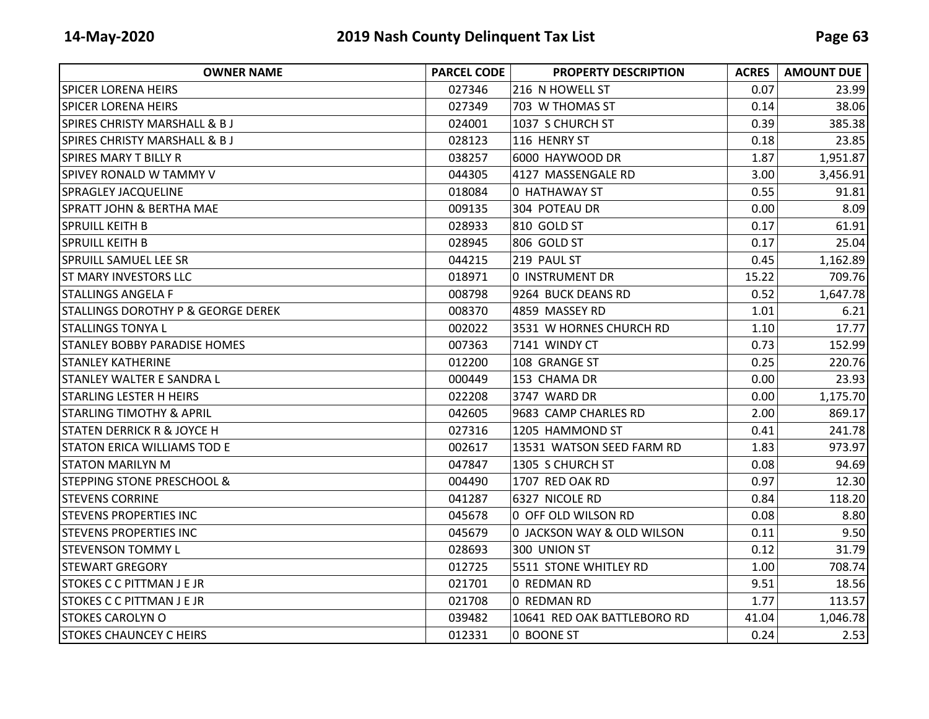| <b>OWNER NAME</b>                             | <b>PARCEL CODE</b> | <b>PROPERTY DESCRIPTION</b> | <b>ACRES</b> | <b>AMOUNT DUE</b> |
|-----------------------------------------------|--------------------|-----------------------------|--------------|-------------------|
| <b>SPICER LORENA HEIRS</b>                    | 027346             | 216 N HOWELL ST             | 0.07         | 23.99             |
| <b>SPICER LORENA HEIRS</b>                    | 027349             | 703 W THOMAS ST             | 0.14         | 38.06             |
| <b>SPIRES CHRISTY MARSHALL &amp; BJ</b>       | 024001             | 1037 S CHURCH ST            | 0.39         | 385.38            |
| SPIRES CHRISTY MARSHALL & B J                 | 028123             | 116 HENRY ST                | 0.18         | 23.85             |
| <b>SPIRES MARY T BILLY R</b>                  | 038257             | 6000 HAYWOOD DR             | 1.87         | 1,951.87          |
| SPIVEY RONALD W TAMMY V                       | 044305             | 4127 MASSENGALE RD          | 3.00         | 3,456.91          |
| <b>SPRAGLEY JACQUELINE</b>                    | 018084             | 0 HATHAWAY ST               | 0.55         | 91.81             |
| <b>SPRATT JOHN &amp; BERTHA MAE</b>           | 009135             | 304 POTEAU DR               | 0.00         | 8.09              |
| <b>SPRUILL KEITH B</b>                        | 028933             | 810 GOLD ST                 | 0.17         | 61.91             |
| <b>SPRUILL KEITH B</b>                        | 028945             | 806 GOLD ST                 | 0.17         | 25.04             |
| <b>SPRUILL SAMUEL LEE SR</b>                  | 044215             | 219 PAUL ST                 | 0.45         | 1,162.89          |
| <b>ST MARY INVESTORS LLC</b>                  | 018971             | 0 INSTRUMENT DR             | 15.22        | 709.76            |
| <b>STALLINGS ANGELA F</b>                     | 008798             | 9264 BUCK DEANS RD          | 0.52         | 1,647.78          |
| <b>STALLINGS DOROTHY P &amp; GEORGE DEREK</b> | 008370             | 4859 MASSEY RD              | 1.01         | 6.21              |
| <b>STALLINGS TONYAL</b>                       | 002022             | 3531 W HORNES CHURCH RD     | 1.10         | 17.77             |
| <b>STANLEY BOBBY PARADISE HOMES</b>           | 007363             | 7141 WINDY CT               | 0.73         | 152.99            |
| <b>STANLEY KATHERINE</b>                      | 012200             | 108 GRANGE ST               | 0.25         | 220.76            |
| <b>STANLEY WALTER E SANDRA L</b>              | 000449             | 153 CHAMA DR                | 0.00         | 23.93             |
| <b>STARLING LESTER H HEIRS</b>                | 022208             | 3747 WARD DR                | 0.00         | 1,175.70          |
| <b>STARLING TIMOTHY &amp; APRIL</b>           | 042605             | 9683 CAMP CHARLES RD        | 2.00         | 869.17            |
| <b>STATEN DERRICK R &amp; JOYCE H</b>         | 027316             | 1205 HAMMOND ST             | 0.41         | 241.78            |
| <b>STATON ERICA WILLIAMS TOD E</b>            | 002617             | 13531 WATSON SEED FARM RD   | 1.83         | 973.97            |
| <b>STATON MARILYN M</b>                       | 047847             | 1305 S CHURCH ST            | 0.08         | 94.69             |
| ISTEPPING STONE PRESCHOOL &                   | 004490             | 1707 RED OAK RD             | 0.97         | 12.30             |
| <b>STEVENS CORRINE</b>                        | 041287             | 6327 NICOLE RD              | 0.84         | 118.20            |
| <b>STEVENS PROPERTIES INC</b>                 | 045678             | 0 OFF OLD WILSON RD         | 0.08         | 8.80              |
| <b>STEVENS PROPERTIES INC</b>                 | 045679             | 0 JACKSON WAY & OLD WILSON  | 0.11         | 9.50              |
| <b>STEVENSON TOMMY L</b>                      | 028693             | 300 UNION ST                | 0.12         | 31.79             |
| <b>STEWART GREGORY</b>                        | 012725             | 5511 STONE WHITLEY RD       | 1.00         | 708.74            |
| <b>STOKES C C PITTMAN J E JR</b>              | 021701             | 0 REDMAN RD                 | 9.51         | 18.56             |
| <b>STOKES C C PITTMAN J E JR</b>              | 021708             | 0 REDMAN RD                 | 1.77         | 113.57            |
| <b>STOKES CAROLYN O</b>                       | 039482             | 10641 RED OAK BATTLEBORO RD | 41.04        | 1,046.78          |
| <b>STOKES CHAUNCEY C HEIRS</b>                | 012331             | 0 BOONE ST                  | 0.24         | 2.53              |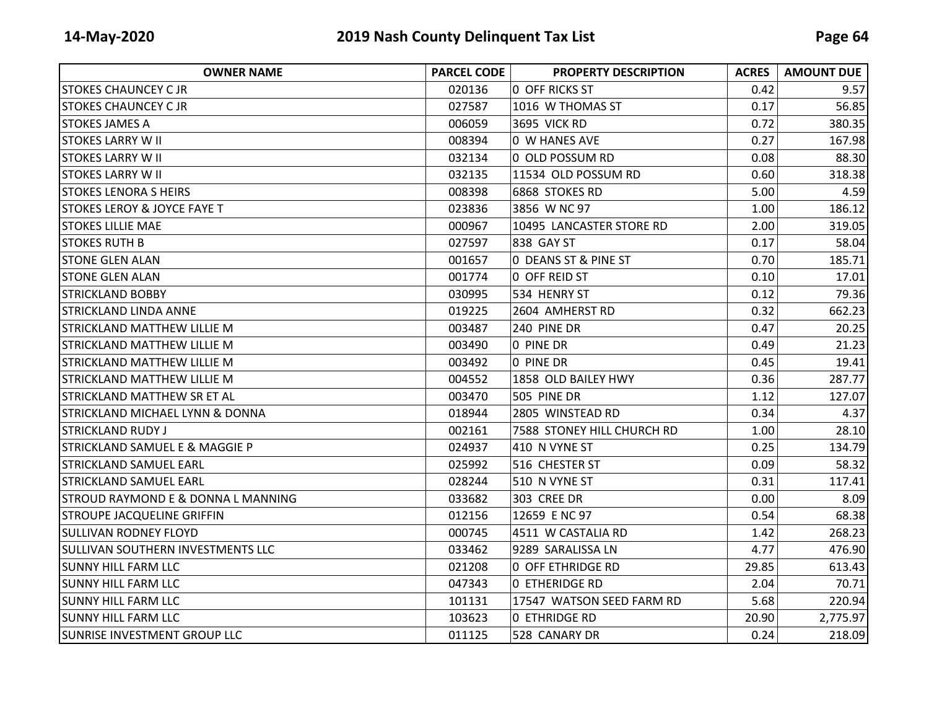| <b>OWNER NAME</b>                             | <b>PARCEL CODE</b> | <b>PROPERTY DESCRIPTION</b> | <b>ACRES</b> | <b>AMOUNT DUE</b> |
|-----------------------------------------------|--------------------|-----------------------------|--------------|-------------------|
| <b>STOKES CHAUNCEY C JR</b>                   | 020136             | <b>0 OFF RICKS ST</b>       | 0.42         | 9.57              |
| <b>STOKES CHAUNCEY C JR</b>                   | 027587             | 1016 W THOMAS ST            | 0.17         | 56.85             |
| ISTOKES JAMES A                               | 006059             | 3695 VICK RD                | 0.72         | 380.35            |
| <b>STOKES LARRY W II</b>                      | 008394             | 0 W HANES AVE               | 0.27         | 167.98            |
| <b>STOKES LARRY W II</b>                      | 032134             | 0 OLD POSSUM RD             | 0.08         | 88.30             |
| <b>STOKES LARRY W II</b>                      | 032135             | 11534 OLD POSSUM RD         | 0.60         | 318.38            |
| <b>STOKES LENORA S HEIRS</b>                  | 008398             | 6868 STOKES RD              | 5.00         | 4.59              |
| <b>STOKES LEROY &amp; JOYCE FAYE T</b>        | 023836             | 3856 W NC 97                | 1.00         | 186.12            |
| ISTOKES LILLIE MAE                            | 000967             | 10495 LANCASTER STORE RD    | 2.00         | 319.05            |
| <b>STOKES RUTH B</b>                          | 027597             | 838 GAY ST                  | 0.17         | 58.04             |
| <b>STONE GLEN ALAN</b>                        | 001657             | 0 DEANS ST & PINE ST        | 0.70         | 185.71            |
| <b>STONE GLEN ALAN</b>                        | 001774             | 0 OFF REID ST               | 0.10         | 17.01             |
| <b>STRICKLAND BOBBY</b>                       | 030995             | 534 HENRY ST                | 0.12         | 79.36             |
| ISTRICKLAND LINDA ANNE                        | 019225             | 2604 AMHERST RD             | 0.32         | 662.23            |
| <b>STRICKLAND MATTHEW LILLIE M</b>            | 003487             | 240 PINE DR                 | 0.47         | 20.25             |
| <b>STRICKLAND MATTHEW LILLIE M</b>            | 003490             | 0 PINE DR                   | 0.49         | 21.23             |
| <b>STRICKLAND MATTHEW LILLIE M</b>            | 003492             | 0 PINE DR                   | 0.45         | 19.41             |
| <b>STRICKLAND MATTHEW LILLIE M</b>            | 004552             | 1858 OLD BAILEY HWY         | 0.36         | 287.77            |
| ISTRICKLAND MATTHEW SR ET AL                  | 003470             | 505 PINE DR                 | 1.12         | 127.07            |
| <b>STRICKLAND MICHAEL LYNN &amp; DONNA</b>    | 018944             | 2805 WINSTEAD RD            | 0.34         | 4.37              |
| <b>STRICKLAND RUDY J</b>                      | 002161             | 7588 STONEY HILL CHURCH RD  | 1.00         | 28.10             |
| <b>STRICKLAND SAMUEL E &amp; MAGGIE P</b>     | 024937             | 410 N VYNE ST               | 0.25         | 134.79            |
| <b>STRICKLAND SAMUEL EARL</b>                 | 025992             | 516 CHESTER ST              | 0.09         | 58.32             |
| <b>STRICKLAND SAMUEL EARL</b>                 | 028244             | 510 N VYNE ST               | 0.31         | 117.41            |
| <b>STROUD RAYMOND E &amp; DONNA L MANNING</b> | 033682             | 303 CREE DR                 | 0.00         | 8.09              |
| <b>STROUPE JACQUELINE GRIFFIN</b>             | 012156             | 12659 E NC 97               | 0.54         | 68.38             |
| <b>SULLIVAN RODNEY FLOYD</b>                  | 000745             | 4511 W CASTALIA RD          | 1.42         | 268.23            |
| <b>SULLIVAN SOUTHERN INVESTMENTS LLC</b>      | 033462             | 9289 SARALISSA LN           | 4.77         | 476.90            |
| <b>SUNNY HILL FARM LLC</b>                    | 021208             | 0 OFF ETHRIDGE RD           | 29.85        | 613.43            |
| <b>SUNNY HILL FARM LLC</b>                    | 047343             | <b>0 ETHERIDGE RD</b>       | 2.04         | 70.71             |
| <b>SUNNY HILL FARM LLC</b>                    | 101131             | 17547 WATSON SEED FARM RD   | 5.68         | 220.94            |
| <b>SUNNY HILL FARM LLC</b>                    | 103623             | <b>0 ETHRIDGE RD</b>        | 20.90        | 2,775.97          |
| SUNRISE INVESTMENT GROUP LLC                  | 011125             | 528 CANARY DR               | 0.24         | 218.09            |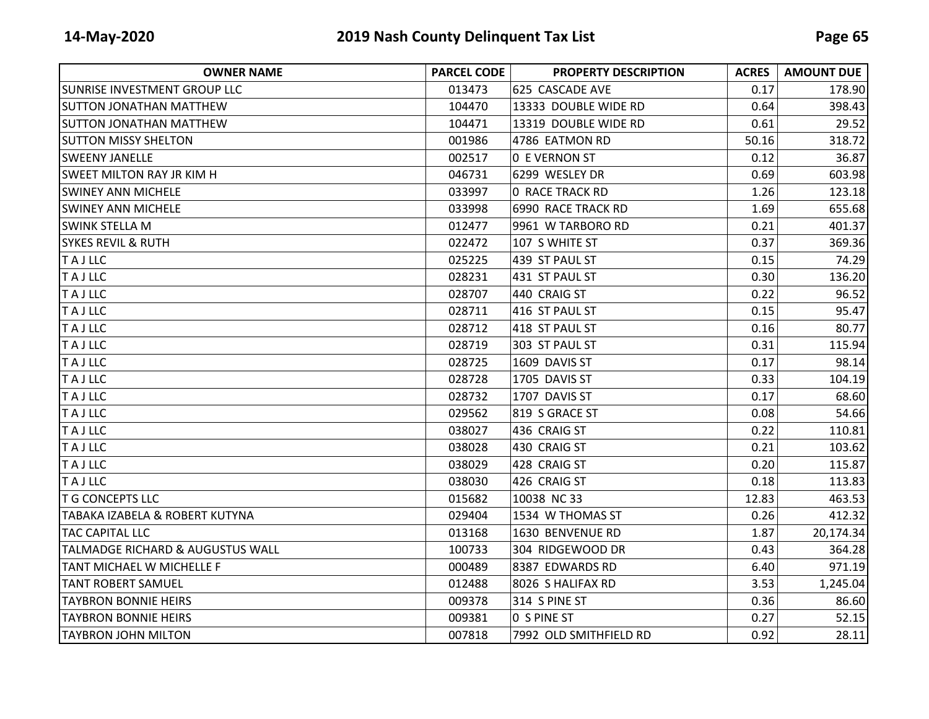| <b>OWNER NAME</b>                | <b>PARCEL CODE</b> | <b>PROPERTY DESCRIPTION</b> | <b>ACRES</b> | <b>AMOUNT DUE</b> |
|----------------------------------|--------------------|-----------------------------|--------------|-------------------|
| SUNRISE INVESTMENT GROUP LLC     | 013473             | 625 CASCADE AVE             | 0.17         | 178.90            |
| <b>SUTTON JONATHAN MATTHEW</b>   | 104470             | 13333 DOUBLE WIDE RD        | 0.64         | 398.43            |
| <b>SUTTON JONATHAN MATTHEW</b>   | 104471             | 13319 DOUBLE WIDE RD        | 0.61         | 29.52             |
| <b>SUTTON MISSY SHELTON</b>      | 001986             | 4786 EATMON RD              | 50.16        | 318.72            |
| <b>SWEENY JANELLE</b>            | 002517             | <b>0 E VERNON ST</b>        | 0.12         | 36.87             |
| <b>SWEET MILTON RAY JR KIM H</b> | 046731             | 6299 WESLEY DR              | 0.69         | 603.98            |
| <b>SWINEY ANN MICHELE</b>        | 033997             | 0 RACE TRACK RD             | 1.26         | 123.18            |
| <b>SWINEY ANN MICHELE</b>        | 033998             | 6990 RACE TRACK RD          | 1.69         | 655.68            |
| <b>SWINK STELLA M</b>            | 012477             | 9961 W TARBORO RD           | 0.21         | 401.37            |
| <b>SYKES REVIL &amp; RUTH</b>    | 022472             | 107 S WHITE ST              | 0.37         | 369.36            |
| <b>TAJLLC</b>                    | 025225             | 439 ST PAUL ST              | 0.15         | 74.29             |
| <b>TAJLLC</b>                    | 028231             | 431 ST PAUL ST              | 0.30         | 136.20            |
| <b>TAJLLC</b>                    | 028707             | 440 CRAIG ST                | 0.22         | 96.52             |
| <b>TAJLLC</b>                    | 028711             | 416 ST PAUL ST              | 0.15         | 95.47             |
| <b>TAJLLC</b>                    | 028712             | 418 ST PAUL ST              | 0.16         | 80.77             |
| <b>TAJLLC</b>                    | 028719             | 303 ST PAUL ST              | 0.31         | 115.94            |
| <b>TAJLLC</b>                    | 028725             | 1609 DAVIS ST               | 0.17         | 98.14             |
| <b>TAJLLC</b>                    | 028728             | 1705 DAVIS ST               | 0.33         | 104.19            |
| <b>TAJLLC</b>                    | 028732             | 1707 DAVIS ST               | 0.17         | 68.60             |
| <b>TAJLLC</b>                    | 029562             | 819 S GRACE ST              | 0.08         | 54.66             |
| <b>TAJLLC</b>                    | 038027             | 436 CRAIG ST                | 0.22         | 110.81            |
| <b>TAJLLC</b>                    | 038028             | 430 CRAIG ST                | 0.21         | 103.62            |
| <b>TAJLLC</b>                    | 038029             | 428 CRAIG ST                | 0.20         | 115.87            |
| <b>TAJLLC</b>                    | 038030             | 426 CRAIG ST                | 0.18         | 113.83            |
| <b>T G CONCEPTS LLC</b>          | 015682             | 10038 NC 33                 | 12.83        | 463.53            |
| TABAKA IZABELA & ROBERT KUTYNA   | 029404             | 1534 W THOMAS ST            | 0.26         | 412.32            |
| <b>TAC CAPITAL LLC</b>           | 013168             | 1630 BENVENUE RD            | 1.87         | 20,174.34         |
| TALMADGE RICHARD & AUGUSTUS WALL | 100733             | 304 RIDGEWOOD DR            | 0.43         | 364.28            |
| TANT MICHAEL W MICHELLE F        | 000489             | 8387 EDWARDS RD             | 6.40         | 971.19            |
| <b>TANT ROBERT SAMUEL</b>        | 012488             | 8026 S HALIFAX RD           | 3.53         | 1,245.04          |
| <b>TAYBRON BONNIE HEIRS</b>      | 009378             | 314 S PINE ST               | 0.36         | 86.60             |
| <b>TAYBRON BONNIE HEIRS</b>      | 009381             | 0 S PINE ST                 | 0.27         | 52.15             |
| <b>TAYBRON JOHN MILTON</b>       | 007818             | 7992 OLD SMITHFIELD RD      | 0.92         | 28.11             |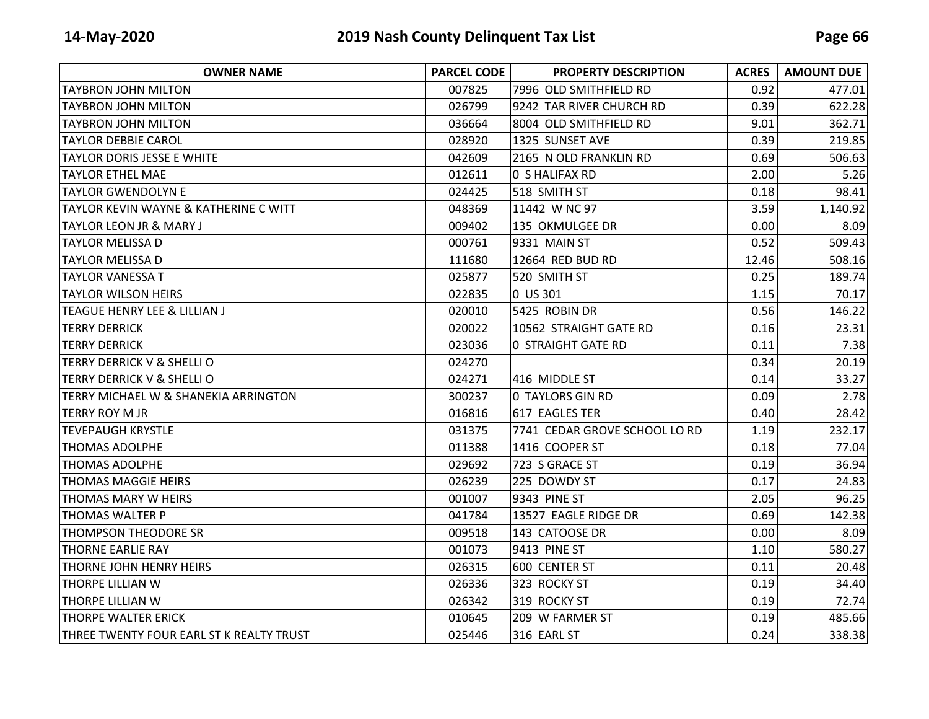| <b>OWNER NAME</b>                        | <b>PARCEL CODE</b> | <b>PROPERTY DESCRIPTION</b>   | <b>ACRES</b> | <b>AMOUNT DUE</b> |
|------------------------------------------|--------------------|-------------------------------|--------------|-------------------|
| TAYBRON JOHN MILTON                      | 007825             | 7996 OLD SMITHFIELD RD        | 0.92         | 477.01            |
| <b>TAYBRON JOHN MILTON</b>               | 026799             | 9242 TAR RIVER CHURCH RD      | 0.39         | 622.28            |
| TAYBRON JOHN MILTON                      | 036664             | 8004 OLD SMITHFIELD RD        | 9.01         | 362.71            |
| <b>TAYLOR DEBBIE CAROL</b>               | 028920             | 1325 SUNSET AVE               | 0.39         | 219.85            |
| <b>TAYLOR DORIS JESSE E WHITE</b>        | 042609             | 2165 N OLD FRANKLIN RD        | 0.69         | 506.63            |
| <b>TAYLOR ETHEL MAE</b>                  | 012611             | 0 S HALIFAX RD                | 2.00         | 5.26              |
| <b>TAYLOR GWENDOLYN E</b>                | 024425             | 518 SMITH ST                  | 0.18         | 98.41             |
| TAYLOR KEVIN WAYNE & KATHERINE C WITT    | 048369             | 11442 W NC 97                 | 3.59         | 1,140.92          |
| <b>TAYLOR LEON JR &amp; MARY J</b>       | 009402             | 135 OKMULGEE DR               | 0.00         | 8.09              |
| <b>TAYLOR MELISSA D</b>                  | 000761             | 9331 MAIN ST                  | 0.52         | 509.43            |
| <b>TAYLOR MELISSA D</b>                  | 111680             | 12664 RED BUD RD              | 12.46        | 508.16            |
| <b>TAYLOR VANESSA T</b>                  | 025877             | 520 SMITH ST                  | 0.25         | 189.74            |
| <b>TAYLOR WILSON HEIRS</b>               | 022835             | 0 US 301                      | 1.15         | 70.17             |
| TEAGUE HENRY LEE & LILLIAN J             | 020010             | 5425 ROBIN DR                 | 0.56         | 146.22            |
| <b>TERRY DERRICK</b>                     | 020022             | 10562 STRAIGHT GATE RD        | 0.16         | 23.31             |
| <b>TERRY DERRICK</b>                     | 023036             | <b>0 STRAIGHT GATE RD</b>     | 0.11         | 7.38              |
| TERRY DERRICK V & SHELLI O               | 024270             |                               | 0.34         | 20.19             |
| <b>TERRY DERRICK V &amp; SHELLI O</b>    | 024271             | 416 MIDDLE ST                 | 0.14         | 33.27             |
| TERRY MICHAEL W & SHANEKIA ARRINGTON     | 300237             | <b>0 TAYLORS GIN RD</b>       | 0.09         | 2.78              |
| <b>TERRY ROY M JR</b>                    | 016816             | 617 EAGLES TER                | 0.40         | 28.42             |
| <b>TEVEPAUGH KRYSTLE</b>                 | 031375             | 7741 CEDAR GROVE SCHOOL LO RD | 1.19         | 232.17            |
| <b>THOMAS ADOLPHE</b>                    | 011388             | 1416 COOPER ST                | 0.18         | 77.04             |
| <b>THOMAS ADOLPHE</b>                    | 029692             | 723 S GRACE ST                | 0.19         | 36.94             |
| <b>THOMAS MAGGIE HEIRS</b>               | 026239             | 225 DOWDY ST                  | 0.17         | 24.83             |
| <b>THOMAS MARY W HEIRS</b>               | 001007             | 9343 PINE ST                  | 2.05         | 96.25             |
| <b>THOMAS WALTER P</b>                   | 041784             | 13527 EAGLE RIDGE DR          | 0.69         | 142.38            |
| <b>THOMPSON THEODORE SR</b>              | 009518             | 143 CATOOSE DR                | 0.00         | 8.09              |
| <b>THORNE EARLIE RAY</b>                 | 001073             | 9413 PINE ST                  | 1.10         | 580.27            |
| ITHORNE JOHN HENRY HEIRS                 | 026315             | 600 CENTER ST                 | 0.11         | 20.48             |
| <b>THORPE LILLIAN W</b>                  | 026336             | 323 ROCKY ST                  | 0.19         | 34.40             |
| THORPE LILLIAN W                         | 026342             | 319 ROCKY ST                  | 0.19         | 72.74             |
| <b>THORPE WALTER ERICK</b>               | 010645             | 209 W FARMER ST               | 0.19         | 485.66            |
| THREE TWENTY FOUR EARL ST K REALTY TRUST | 025446             | 316 EARL ST                   | 0.24         | 338.38            |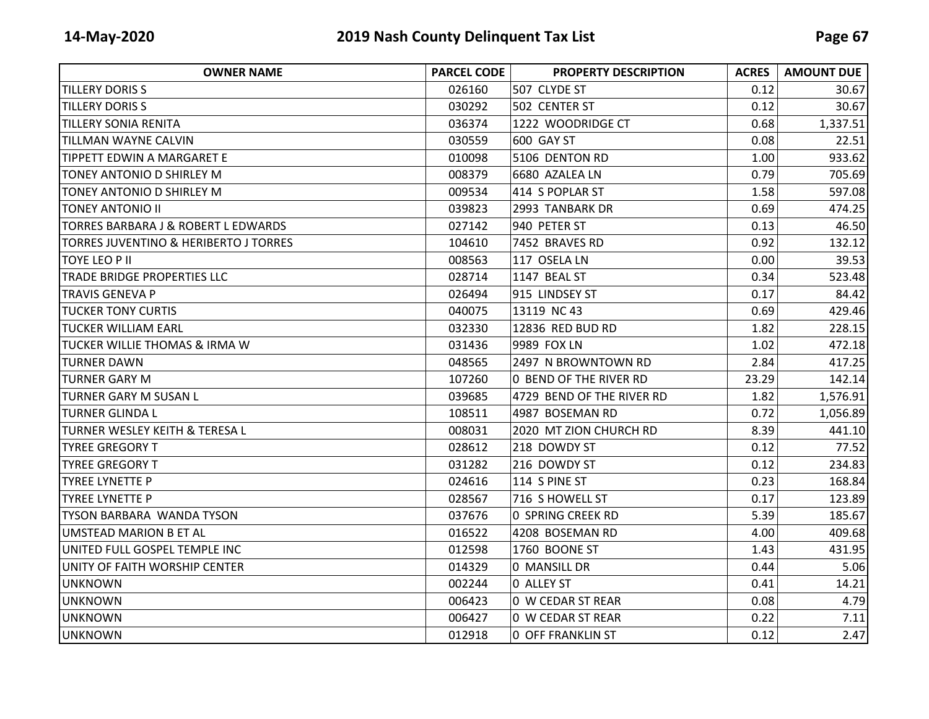| <b>OWNER NAME</b>                                | <b>PARCEL CODE</b> | <b>PROPERTY DESCRIPTION</b> | <b>ACRES</b> | <b>AMOUNT DUE</b> |
|--------------------------------------------------|--------------------|-----------------------------|--------------|-------------------|
| <b>TILLERY DORIS S</b>                           | 026160             | 507 CLYDE ST                | 0.12         | 30.67             |
| <b>TILLERY DORIS S</b>                           | 030292             | 502 CENTER ST               | 0.12         | 30.67             |
| <b>TILLERY SONIA RENITA</b>                      | 036374             | 1222 WOODRIDGE CT           | 0.68         | 1,337.51          |
| <b>TILLMAN WAYNE CALVIN</b>                      | 030559             | 600 GAY ST                  | 0.08         | 22.51             |
| <b>TIPPETT EDWIN A MARGARET E</b>                | 010098             | 5106 DENTON RD              | 1.00         | 933.62            |
| TONEY ANTONIO D SHIRLEY M                        | 008379             | 6680 AZALEA LN              | 0.79         | 705.69            |
| TONEY ANTONIO D SHIRLEY M                        | 009534             | 414 S POPLAR ST             | 1.58         | 597.08            |
| <b>TONEY ANTONIO II</b>                          | 039823             | 2993 TANBARK DR             | 0.69         | 474.25            |
| <b>TORRES BARBARA J &amp; ROBERT L EDWARDS</b>   | 027142             | 940 PETER ST                | 0.13         | 46.50             |
| <b>TORRES JUVENTINO &amp; HERIBERTO J TORRES</b> | 104610             | 7452 BRAVES RD              | 0.92         | 132.12            |
| <b>TOYE LEO P II</b>                             | 008563             | 117 OSELA LN                | 0.00         | 39.53             |
| TRADE BRIDGE PROPERTIES LLC                      | 028714             | 1147 BEAL ST                | 0.34         | 523.48            |
| <b>TRAVIS GENEVA P</b>                           | 026494             | 915 LINDSEY ST              | 0.17         | 84.42             |
| <b>TUCKER TONY CURTIS</b>                        | 040075             | 13119 NC 43                 | 0.69         | 429.46            |
| <b>TUCKER WILLIAM EARL</b>                       | 032330             | 12836 RED BUD RD            | 1.82         | 228.15            |
| <b>TUCKER WILLIE THOMAS &amp; IRMA W</b>         | 031436             | 9989 FOX LN                 | 1.02         | 472.18            |
| <b>TURNER DAWN</b>                               | 048565             | 2497 N BROWNTOWN RD         | 2.84         | 417.25            |
| <b>TURNER GARY M</b>                             | 107260             | 0 BEND OF THE RIVER RD      | 23.29        | 142.14            |
| <b>TURNER GARY M SUSAN L</b>                     | 039685             | 4729 BEND OF THE RIVER RD   | 1.82         | 1,576.91          |
| <b>TURNER GLINDA L</b>                           | 108511             | 4987 BOSEMAN RD             | 0.72         | 1,056.89          |
| TURNER WESLEY KEITH & TERESA L                   | 008031             | 2020 MT ZION CHURCH RD      | 8.39         | 441.10            |
| <b>TYREE GREGORY T</b>                           | 028612             | 218 DOWDY ST                | 0.12         | 77.52             |
| <b>TYREE GREGORY T</b>                           | 031282             | 216 DOWDY ST                | 0.12         | 234.83            |
| <b>TYREE LYNETTE P</b>                           | 024616             | 114 S PINE ST               | 0.23         | 168.84            |
| <b>TYREE LYNETTE P</b>                           | 028567             | 716 S HOWELL ST             | 0.17         | 123.89            |
| <b>TYSON BARBARA WANDA TYSON</b>                 | 037676             | O SPRING CREEK RD           | 5.39         | 185.67            |
| <b>UMSTEAD MARION B ET AL</b>                    | 016522             | 4208 BOSEMAN RD             | 4.00         | 409.68            |
| UNITED FULL GOSPEL TEMPLE INC                    | 012598             | 1760 BOONE ST               | 1.43         | 431.95            |
| UNITY OF FAITH WORSHIP CENTER                    | 014329             | 0 MANSILL DR                | 0.44         | 5.06              |
| <b>UNKNOWN</b>                                   | 002244             | 0 ALLEY ST                  | 0.41         | 14.21             |
| <b>UNKNOWN</b>                                   | 006423             | 0 W CEDAR ST REAR           | 0.08         | 4.79              |
| <b>UNKNOWN</b>                                   | 006427             | 0 W CEDAR ST REAR           | 0.22         | 7.11              |
| <b>UNKNOWN</b>                                   | 012918             | <b>0 OFF FRANKLIN ST</b>    | 0.12         | 2.47              |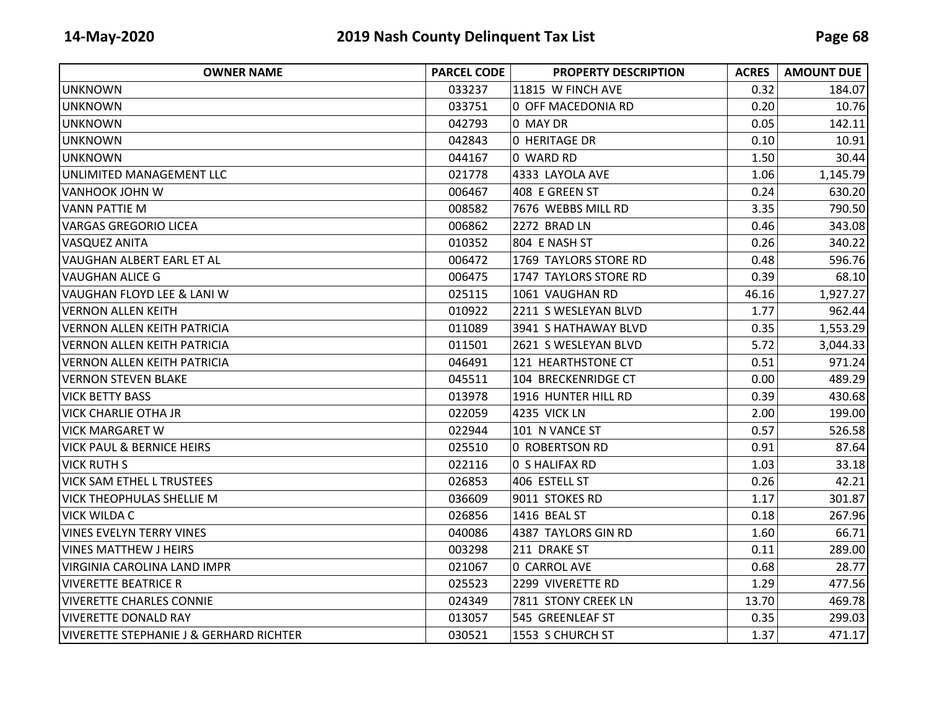| <b>OWNER NAME</b>                       | <b>PARCEL CODE</b> | <b>PROPERTY DESCRIPTION</b> | <b>ACRES</b> | <b>AMOUNT DUE</b> |
|-----------------------------------------|--------------------|-----------------------------|--------------|-------------------|
| <b>UNKNOWN</b>                          | 033237             | 11815 W FINCH AVE           | 0.32         | 184.07            |
| <b>UNKNOWN</b>                          | 033751             | 0 OFF MACEDONIA RD          | 0.20         | 10.76             |
| <b>UNKNOWN</b>                          | 042793             | 0 MAY DR                    | 0.05         | 142.11            |
| <b>UNKNOWN</b>                          | 042843             | 0 HERITAGE DR               | 0.10         | 10.91             |
| <b>UNKNOWN</b>                          | 044167             | 0 WARD RD                   | 1.50         | 30.44             |
| UNLIMITED MANAGEMENT LLC                | 021778             | 4333 LAYOLA AVE             | 1.06         | 1,145.79          |
| <b>VANHOOK JOHN W</b>                   | 006467             | 408 E GREEN ST              | 0.24         | 630.20            |
| <b>VANN PATTIE M</b>                    | 008582             | 7676 WEBBS MILL RD          | 3.35         | 790.50            |
| <b>VARGAS GREGORIO LICEA</b>            | 006862             | 2272 BRAD LN                | 0.46         | 343.08            |
| <b>VASQUEZ ANITA</b>                    | 010352             | 804 E NASH ST               | 0.26         | 340.22            |
| <b>VAUGHAN ALBERT EARL ET AL</b>        | 006472             | 1769 TAYLORS STORE RD       | 0.48         | 596.76            |
| <b>VAUGHAN ALICE G</b>                  | 006475             | 1747 TAYLORS STORE RD       | 0.39         | 68.10             |
| VAUGHAN FLOYD LEE & LANI W              | 025115             | 1061 VAUGHAN RD             | 46.16        | 1,927.27          |
| <b>VERNON ALLEN KEITH</b>               | 010922             | 2211 S WESLEYAN BLVD        | 1.77         | 962.44            |
| <b>VERNON ALLEN KEITH PATRICIA</b>      | 011089             | 3941 S HATHAWAY BLVD        | 0.35         | 1,553.29          |
| VERNON ALLEN KEITH PATRICIA             | 011501             | 2621 S WESLEYAN BLVD        | 5.72         | 3,044.33          |
| <b>VERNON ALLEN KEITH PATRICIA</b>      | 046491             | 121 HEARTHSTONE CT          | 0.51         | 971.24            |
| <b>VERNON STEVEN BLAKE</b>              | 045511             | 104 BRECKENRIDGE CT         | 0.00         | 489.29            |
| <b>VICK BETTY BASS</b>                  | 013978             | 1916 HUNTER HILL RD         | 0.39         | 430.68            |
| <b>VICK CHARLIE OTHA JR</b>             | 022059             | 4235 VICK LN                | 2.00         | 199.00            |
| <b>VICK MARGARET W</b>                  | 022944             | 101 N VANCE ST              | 0.57         | 526.58            |
| <b>VICK PAUL &amp; BERNICE HEIRS</b>    | 025510             | 0 ROBERTSON RD              | 0.91         | 87.64             |
| <b>VICK RUTH S</b>                      | 022116             | 0 S HALIFAX RD              | 1.03         | 33.18             |
| <b>VICK SAM ETHEL L TRUSTEES</b>        | 026853             | 406 ESTELL ST               | 0.26         | 42.21             |
| <b>VICK THEOPHULAS SHELLIE M</b>        | 036609             | 9011 STOKES RD              | 1.17         | 301.87            |
| <b>VICK WILDA C</b>                     | 026856             | 1416 BEAL ST                | 0.18         | 267.96            |
| <b>VINES EVELYN TERRY VINES</b>         | 040086             | 4387 TAYLORS GIN RD         | 1.60         | 66.71             |
| <b>VINES MATTHEW J HEIRS</b>            | 003298             | 211 DRAKE ST                | 0.11         | 289.00            |
| <b>VIRGINIA CAROLINA LAND IMPR</b>      | 021067             | 0 CARROL AVE                | 0.68         | 28.77             |
| <b>VIVERETTE BEATRICE R</b>             | 025523             | 2299 VIVERETTE RD           | 1.29         | 477.56            |
| <b>VIVERETTE CHARLES CONNIE</b>         | 024349             | 7811 STONY CREEK LN         | 13.70        | 469.78            |
| <b>VIVERETTE DONALD RAY</b>             | 013057             | 545 GREENLEAF ST            | 0.35         | 299.03            |
| VIVERETTE STEPHANIE J & GERHARD RICHTER | 030521             | 1553 S CHURCH ST            | 1.37         | 471.17            |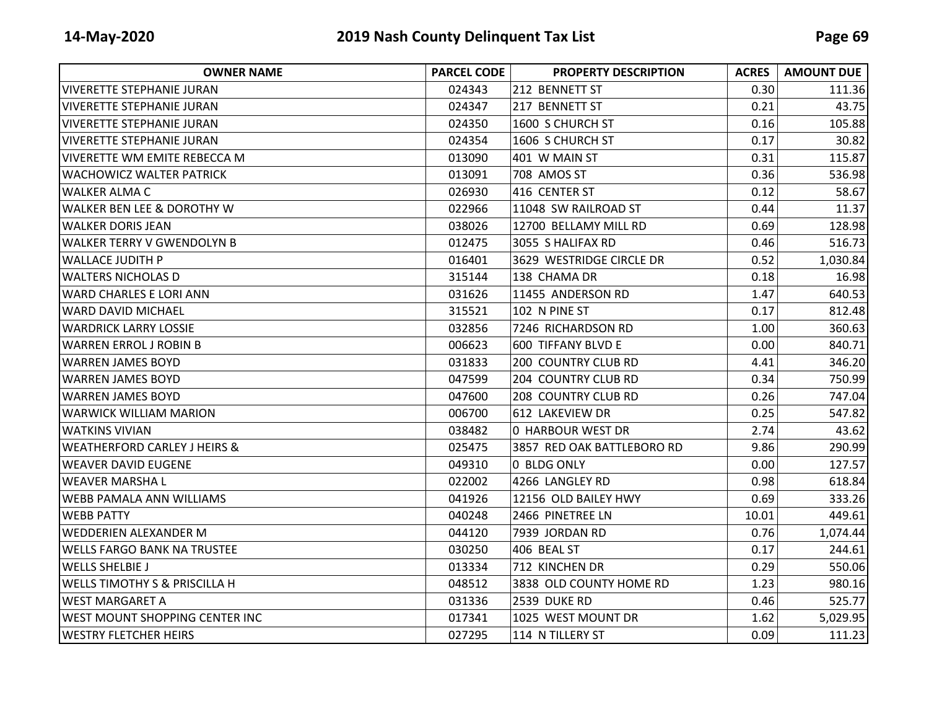| <b>OWNER NAME</b>                        | <b>PARCEL CODE</b> | <b>PROPERTY DESCRIPTION</b> | <b>ACRES</b> | <b>AMOUNT DUE</b> |
|------------------------------------------|--------------------|-----------------------------|--------------|-------------------|
| lVIVERETTE STEPHANIE JURAN               | 024343             | 212 BENNETT ST              | 0.30         | 111.36            |
| <b>VIVERETTE STEPHANIE JURAN</b>         | 024347             | 217 BENNETT ST              | 0.21         | 43.75             |
| lVIVERETTE STEPHANIE JURAN               | 024350             | 1600 S CHURCH ST            | 0.16         | 105.88            |
| <b>VIVERETTE STEPHANIE JURAN</b>         | 024354             | 1606 S CHURCH ST            | 0.17         | 30.82             |
| <b>VIVERETTE WM EMITE REBECCA M</b>      | 013090             | 401 W MAIN ST               | 0.31         | 115.87            |
| <b>WACHOWICZ WALTER PATRICK</b>          | 013091             | 708 AMOS ST                 | 0.36         | 536.98            |
| <b>WALKER ALMA C</b>                     | 026930             | 416 CENTER ST               | 0.12         | 58.67             |
| <b>WALKER BEN LEE &amp; DOROTHY W</b>    | 022966             | 11048 SW RAILROAD ST        | 0.44         | 11.37             |
| <b>WALKER DORIS JEAN</b>                 | 038026             | 12700 BELLAMY MILL RD       | 0.69         | 128.98            |
| <b>WALKER TERRY V GWENDOLYN B</b>        | 012475             | 3055 S HALIFAX RD           | 0.46         | 516.73            |
| <b>WALLACE JUDITH P</b>                  | 016401             | 3629 WESTRIDGE CIRCLE DR    | 0.52         | 1,030.84          |
| <b>WALTERS NICHOLAS D</b>                | 315144             | 138 CHAMA DR                | 0.18         | 16.98             |
| <b>WARD CHARLES E LORI ANN</b>           | 031626             | 11455 ANDERSON RD           | 1.47         | 640.53            |
| <b>WARD DAVID MICHAEL</b>                | 315521             | 102 N PINE ST               | 0.17         | 812.48            |
| <b>WARDRICK LARRY LOSSIE</b>             | 032856             | 7246 RICHARDSON RD          | 1.00         | 360.63            |
| WARREN ERROL J ROBIN B                   | 006623             | 600 TIFFANY BLVD E          | 0.00         | 840.71            |
| <b>WARREN JAMES BOYD</b>                 | 031833             | 200 COUNTRY CLUB RD         | 4.41         | 346.20            |
| lWARREN JAMES BOYD                       | 047599             | 204 COUNTRY CLUB RD         | 0.34         | 750.99            |
| <b>WARREN JAMES BOYD</b>                 | 047600             | <b>208 COUNTRY CLUB RD</b>  | 0.26         | 747.04            |
| <b>WARWICK WILLIAM MARION</b>            | 006700             | 612 LAKEVIEW DR             | 0.25         | 547.82            |
| <b>WATKINS VIVIAN</b>                    | 038482             | 0 HARBOUR WEST DR           | 2.74         | 43.62             |
| <b>WEATHERFORD CARLEY J HEIRS &amp;</b>  | 025475             | 3857 RED OAK BATTLEBORO RD  | 9.86         | 290.99            |
| IWEAVER DAVID EUGENE                     | 049310             | 0 BLDG ONLY                 | 0.00         | 127.57            |
| lWEAVER MARSHA L                         | 022002             | 4266 LANGLEY RD             | 0.98         | 618.84            |
| <b>WEBB PAMALA ANN WILLIAMS</b>          | 041926             | 12156 OLD BAILEY HWY        | 0.69         | 333.26            |
| <b>WEBB PATTY</b>                        | 040248             | 2466 PINETREE LN            | 10.01        | 449.61            |
| WEDDERIEN ALEXANDER M                    | 044120             | 7939 JORDAN RD              | 0.76         | 1,074.44          |
| <b>WELLS FARGO BANK NA TRUSTEE</b>       | 030250             | 406 BEAL ST                 | 0.17         | 244.61            |
| <b>WELLS SHELBIE J</b>                   | 013334             | 712 KINCHEN DR              | 0.29         | 550.06            |
| <b>WELLS TIMOTHY S &amp; PRISCILLA H</b> | 048512             | 3838 OLD COUNTY HOME RD     | 1.23         | 980.16            |
| <b>WEST MARGARET A</b>                   | 031336             | 2539 DUKE RD                | 0.46         | 525.77            |
| WEST MOUNT SHOPPING CENTER INC           | 017341             | 1025 WEST MOUNT DR          | 1.62         | 5,029.95          |
| <b>WESTRY FLETCHER HEIRS</b>             | 027295             | 114 N TILLERY ST            | 0.09         | 111.23            |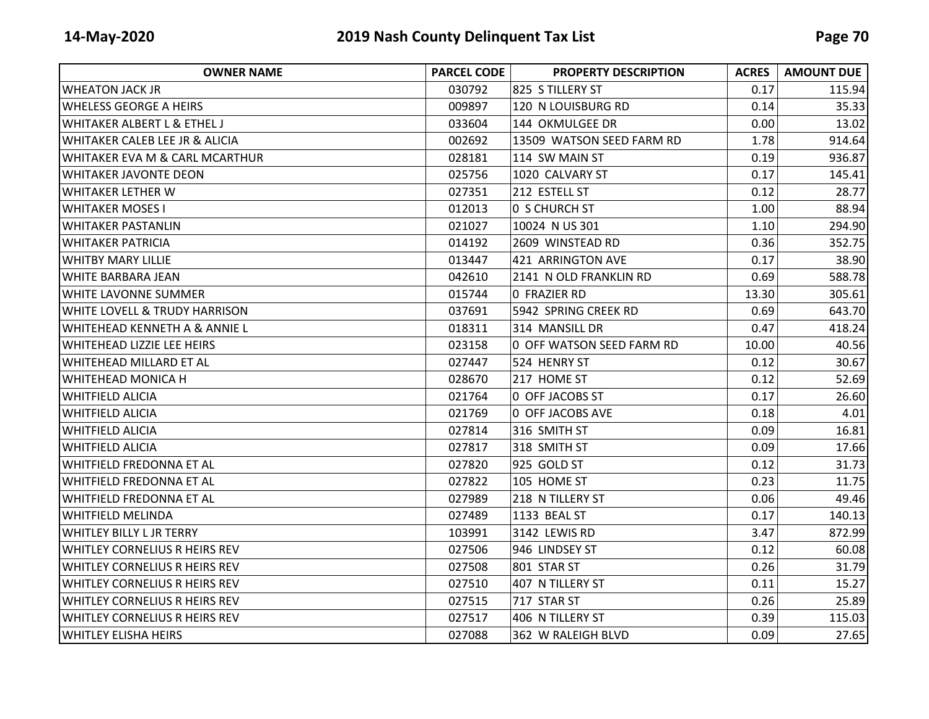| <b>OWNER NAME</b>                        | <b>PARCEL CODE</b> | <b>PROPERTY DESCRIPTION</b> | <b>ACRES</b> | <b>AMOUNT DUE</b> |
|------------------------------------------|--------------------|-----------------------------|--------------|-------------------|
| <b>WHEATON JACK JR</b>                   | 030792             | 825 S TILLERY ST            | 0.17         | 115.94            |
| <b>WHELESS GEORGE A HEIRS</b>            | 009897             | 120 N LOUISBURG RD          | 0.14         | 35.33             |
| <b>WHITAKER ALBERT L &amp; ETHEL J</b>   | 033604             | 144 OKMULGEE DR             | 0.00         | 13.02             |
| WHITAKER CALEB LEE JR & ALICIA           | 002692             | 13509 WATSON SEED FARM RD   | 1.78         | 914.64            |
| WHITAKER EVA M & CARL MCARTHUR           | 028181             | 114 SW MAIN ST              | 0.19         | 936.87            |
| <b>WHITAKER JAVONTE DEON</b>             | 025756             | 1020 CALVARY ST             | 0.17         | 145.41            |
| <b>WHITAKER LETHER W</b>                 | 027351             | 212 ESTELL ST               | 0.12         | 28.77             |
| <b>WHITAKER MOSES I</b>                  | 012013             | <b>O S CHURCH ST</b>        | 1.00         | 88.94             |
| <b>WHITAKER PASTANLIN</b>                | 021027             | 10024 N US 301              | 1.10         | 294.90            |
| <b>WHITAKER PATRICIA</b>                 | 014192             | 2609 WINSTEAD RD            | 0.36         | 352.75            |
| <b>WHITBY MARY LILLIE</b>                | 013447             | 421 ARRINGTON AVE           | 0.17         | 38.90             |
| <b>WHITE BARBARA JEAN</b>                | 042610             | 2141 N OLD FRANKLIN RD      | 0.69         | 588.78            |
| <b>WHITE LAVONNE SUMMER</b>              | 015744             | 0 FRAZIER RD                | 13.30        | 305.61            |
| <b>WHITE LOVELL &amp; TRUDY HARRISON</b> | 037691             | 5942 SPRING CREEK RD        | 0.69         | 643.70            |
| WHITEHEAD KENNETH A & ANNIE L            | 018311             | 314 MANSILL DR              | 0.47         | 418.24            |
| <b>WHITEHEAD LIZZIE LEE HEIRS</b>        | 023158             | 0 OFF WATSON SEED FARM RD   | 10.00        | 40.56             |
| <b>WHITEHEAD MILLARD ET AL</b>           | 027447             | 524 HENRY ST                | 0.12         | 30.67             |
| <b>WHITEHEAD MONICA H</b>                | 028670             | 217 HOME ST                 | 0.12         | 52.69             |
| <b>WHITFIELD ALICIA</b>                  | 021764             | 0 OFF JACOBS ST             | 0.17         | 26.60             |
| <b>WHITFIELD ALICIA</b>                  | 021769             | 0 OFF JACOBS AVE            | 0.18         | 4.01              |
| <b>WHITFIELD ALICIA</b>                  | 027814             | 316 SMITH ST                | 0.09         | 16.81             |
| <b>WHITFIELD ALICIA</b>                  | 027817             | 318 SMITH ST                | 0.09         | 17.66             |
| <b>WHITFIELD FREDONNA ET AL</b>          | 027820             | 925 GOLD ST                 | 0.12         | 31.73             |
| <b>WHITFIELD FREDONNA ET AL</b>          | 027822             | 105 HOME ST                 | 0.23         | 11.75             |
| <b>WHITFIELD FREDONNA ET AL</b>          | 027989             | 218 N TILLERY ST            | 0.06         | 49.46             |
| <b>WHITFIELD MELINDA</b>                 | 027489             | 1133 BEAL ST                | 0.17         | 140.13            |
| <b>WHITLEY BILLY L JR TERRY</b>          | 103991             | 3142 LEWIS RD               | 3.47         | 872.99            |
| <b>WHITLEY CORNELIUS R HEIRS REV</b>     | 027506             | 946 LINDSEY ST              | 0.12         | 60.08             |
| <b>WHITLEY CORNELIUS R HEIRS REV</b>     | 027508             | 801 STAR ST                 | 0.26         | 31.79             |
| <b>WHITLEY CORNELIUS R HEIRS REV</b>     | 027510             | 407 N TILLERY ST            | 0.11         | 15.27             |
| <b>WHITLEY CORNELIUS R HEIRS REV</b>     | 027515             | 717 STAR ST                 | 0.26         | 25.89             |
| <b>WHITLEY CORNELIUS R HEIRS REV</b>     | 027517             | 406 N TILLERY ST            | 0.39         | 115.03            |
| <b>WHITLEY ELISHA HEIRS</b>              | 027088             | 362 W RALEIGH BLVD          | 0.09         | 27.65             |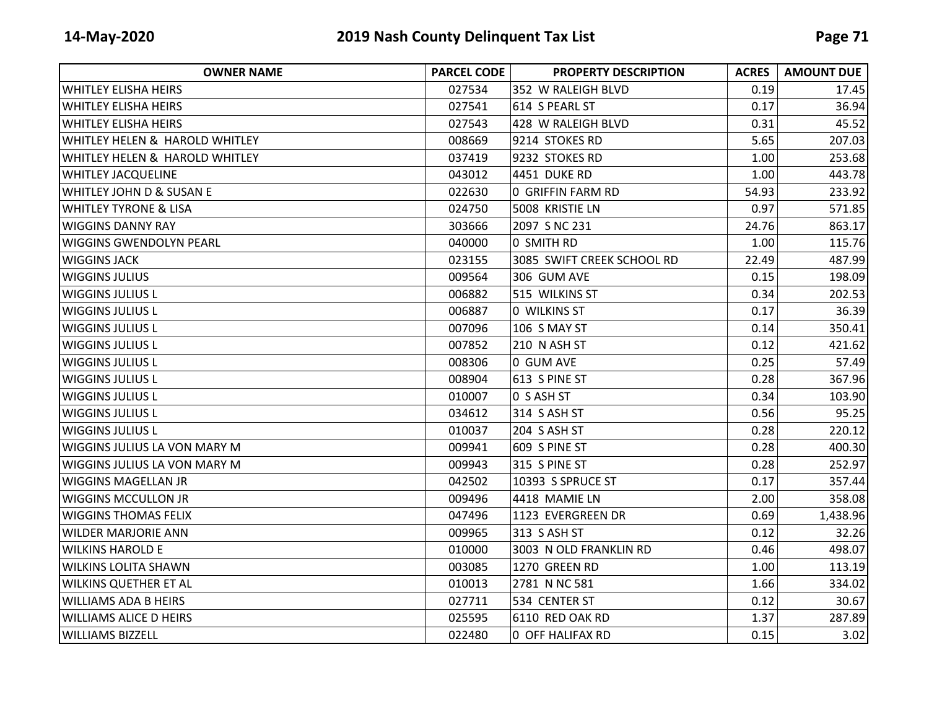| <b>OWNER NAME</b>                   | <b>PARCEL CODE</b> | <b>PROPERTY DESCRIPTION</b> | <b>ACRES</b> | <b>AMOUNT DUE</b> |
|-------------------------------------|--------------------|-----------------------------|--------------|-------------------|
| <b>WHITLEY ELISHA HEIRS</b>         | 027534             | 352 W RALEIGH BLVD          | 0.19         | 17.45             |
| <b>WHITLEY ELISHA HEIRS</b>         | 027541             | 614 S PEARL ST              | 0.17         | 36.94             |
| <b>WHITLEY ELISHA HEIRS</b>         | 027543             | 428 W RALEIGH BLVD          | 0.31         | 45.52             |
| WHITLEY HELEN & HAROLD WHITLEY      | 008669             | 9214 STOKES RD              | 5.65         | 207.03            |
| WHITLEY HELEN & HAROLD WHITLEY      | 037419             | 9232 STOKES RD              | 1.00         | 253.68            |
| <b>WHITLEY JACQUELINE</b>           | 043012             | 4451 DUKE RD                | 1.00         | 443.78            |
| <b>WHITLEY JOHN D &amp; SUSAN E</b> | 022630             | <b>0 GRIFFIN FARM RD</b>    | 54.93        | 233.92            |
| <b>WHITLEY TYRONE &amp; LISA</b>    | 024750             | 5008 KRISTIE LN             | 0.97         | 571.85            |
| <b>WIGGINS DANNY RAY</b>            | 303666             | 2097 S NC 231               | 24.76        | 863.17            |
| <b>WIGGINS GWENDOLYN PEARL</b>      | 040000             | 0 SMITH RD                  | 1.00         | 115.76            |
| <b>WIGGINS JACK</b>                 | 023155             | 3085 SWIFT CREEK SCHOOL RD  | 22.49        | 487.99            |
| <b>WIGGINS JULIUS</b>               | 009564             | 306 GUM AVE                 | 0.15         | 198.09            |
| <b>WIGGINS JULIUS L</b>             | 006882             | 515 WILKINS ST              | 0.34         | 202.53            |
| <b>WIGGINS JULIUS L</b>             | 006887             | 0 WILKINS ST                | 0.17         | 36.39             |
| <b>WIGGINS JULIUS L</b>             | 007096             | 106 S MAY ST                | 0.14         | 350.41            |
| <b>WIGGINS JULIUS L</b>             | 007852             | 210 N ASH ST                | 0.12         | 421.62            |
| <b>WIGGINS JULIUS L</b>             | 008306             | 0 GUM AVE                   | 0.25         | 57.49             |
| <b>WIGGINS JULIUS L</b>             | 008904             | 613 S PINE ST               | 0.28         | 367.96            |
| <b>WIGGINS JULIUS L</b>             | 010007             | 0 S ASH ST                  | 0.34         | 103.90            |
| <b>WIGGINS JULIUS L</b>             | 034612             | 314 S ASH ST                | 0.56         | 95.25             |
| <b>WIGGINS JULIUS L</b>             | 010037             | 204 S ASH ST                | 0.28         | 220.12            |
| <b>WIGGINS JULIUS LA VON MARY M</b> | 009941             | 609 S PINE ST               | 0.28         | 400.30            |
| <b>WIGGINS JULIUS LA VON MARY M</b> | 009943             | 315 S PINE ST               | 0.28         | 252.97            |
| WIGGINS MAGELLAN JR                 | 042502             | 10393 S SPRUCE ST           | 0.17         | 357.44            |
| <b>WIGGINS MCCULLON JR</b>          | 009496             | 4418 MAMIE LN               | 2.00         | 358.08            |
| <b>WIGGINS THOMAS FELIX</b>         | 047496             | 1123 EVERGREEN DR           | 0.69         | 1,438.96          |
| <b>WILDER MARJORIE ANN</b>          | 009965             | 313 S ASH ST                | 0.12         | 32.26             |
| <b>WILKINS HAROLD E</b>             | 010000             | 3003 N OLD FRANKLIN RD      | 0.46         | 498.07            |
| <b>WILKINS LOLITA SHAWN</b>         | 003085             | 1270 GREEN RD               | 1.00         | 113.19            |
| <b>WILKINS QUETHER ET AL</b>        | 010013             | 2781 N NC 581               | 1.66         | 334.02            |
| <b>WILLIAMS ADA B HEIRS</b>         | 027711             | 534 CENTER ST               | 0.12         | 30.67             |
| <b>WILLIAMS ALICE D HEIRS</b>       | 025595             | 6110 RED OAK RD             | 1.37         | 287.89            |
| <b>WILLIAMS BIZZELL</b>             | 022480             | 0 OFF HALIFAX RD            | 0.15         | 3.02              |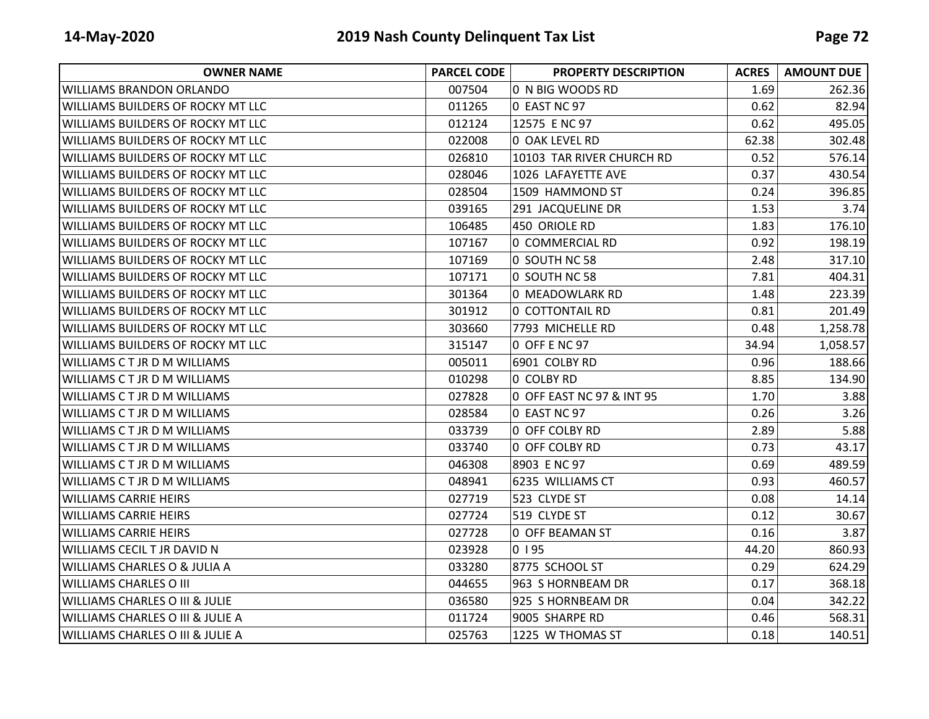| <b>OWNER NAME</b>                           | <b>PARCEL CODE</b> | <b>PROPERTY DESCRIPTION</b> | <b>ACRES</b> | <b>AMOUNT DUE</b> |
|---------------------------------------------|--------------------|-----------------------------|--------------|-------------------|
| <b>WILLIAMS BRANDON ORLANDO</b>             | 007504             | 0 N BIG WOODS RD            | 1.69         | 262.36            |
| <b>WILLIAMS BUILDERS OF ROCKY MT LLC</b>    | 011265             | 0 EAST NC 97                | 0.62         | 82.94             |
| WILLIAMS BUILDERS OF ROCKY MT LLC           | 012124             | 12575 E NC 97               | 0.62         | 495.05            |
| <b>WILLIAMS BUILDERS OF ROCKY MT LLC</b>    | 022008             | <b>0 OAK LEVEL RD</b>       | 62.38        | 302.48            |
| <b>WILLIAMS BUILDERS OF ROCKY MT LLC</b>    | 026810             | 10103 TAR RIVER CHURCH RD   | 0.52         | 576.14            |
| <b>WILLIAMS BUILDERS OF ROCKY MT LLC</b>    | 028046             | 1026 LAFAYETTE AVE          | 0.37         | 430.54            |
| WILLIAMS BUILDERS OF ROCKY MT LLC           | 028504             | 1509 HAMMOND ST             | 0.24         | 396.85            |
| WILLIAMS BUILDERS OF ROCKY MT LLC           | 039165             | 291 JACQUELINE DR           | 1.53         | 3.74              |
| <b>WILLIAMS BUILDERS OF ROCKY MT LLC</b>    | 106485             | 450 ORIOLE RD               | 1.83         | 176.10            |
| <b>WILLIAMS BUILDERS OF ROCKY MT LLC</b>    | 107167             | 0 COMMERCIAL RD             | 0.92         | 198.19            |
| <b>WILLIAMS BUILDERS OF ROCKY MT LLC</b>    | 107169             | 0 SOUTH NC 58               | 2.48         | 317.10            |
| WILLIAMS BUILDERS OF ROCKY MT LLC           | 107171             | 0 SOUTH NC 58               | 7.81         | 404.31            |
| <b>WILLIAMS BUILDERS OF ROCKY MT LLC</b>    | 301364             | 0 MEADOWLARK RD             | 1.48         | 223.39            |
| <b>WILLIAMS BUILDERS OF ROCKY MT LLC</b>    | 301912             | 0 COTTONTAIL RD             | 0.81         | 201.49            |
| <b>WILLIAMS BUILDERS OF ROCKY MT LLC</b>    | 303660             | 7793 MICHELLE RD            | 0.48         | 1,258.78          |
| <b>WILLIAMS BUILDERS OF ROCKY MT LLC</b>    | 315147             | 0 OFF E NC 97               | 34.94        | 1,058.57          |
| <b>WILLIAMS C T JR D M WILLIAMS</b>         | 005011             | 6901 COLBY RD               | 0.96         | 188.66            |
| <b>WILLIAMS C T JR D M WILLIAMS</b>         | 010298             | 0 COLBY RD                  | 8.85         | 134.90            |
| <b>WILLIAMS CT JR D M WILLIAMS</b>          | 027828             | 0 OFF EAST NC 97 & INT 95   | 1.70         | 3.88              |
| <b>WILLIAMS C T JR D M WILLIAMS</b>         | 028584             | 0 EAST NC 97                | 0.26         | 3.26              |
| <b>WILLIAMS CT JR D M WILLIAMS</b>          | 033739             | 0 OFF COLBY RD              | 2.89         | 5.88              |
| <b>WILLIAMS C T JR D M WILLIAMS</b>         | 033740             | 0 OFF COLBY RD              | 0.73         | 43.17             |
| <b>WILLIAMS C T JR D M WILLIAMS</b>         | 046308             | 8903 E NC 97                | 0.69         | 489.59            |
| <b>WILLIAMS CT JR D M WILLIAMS</b>          | 048941             | 6235 WILLIAMS CT            | 0.93         | 460.57            |
| <b>WILLIAMS CARRIE HEIRS</b>                | 027719             | 523 CLYDE ST                | 0.08         | 14.14             |
| <b>WILLIAMS CARRIE HEIRS</b>                | 027724             | 519 CLYDE ST                | 0.12         | 30.67             |
| <b>WILLIAMS CARRIE HEIRS</b>                | 027728             | 0 OFF BEAMAN ST             | 0.16         | 3.87              |
| <b>WILLIAMS CECIL T JR DAVID N</b>          | 023928             | 0195                        | 44.20        | 860.93            |
| <b>WILLIAMS CHARLES O &amp; JULIA A</b>     | 033280             | 8775 SCHOOL ST              | 0.29         | 624.29            |
| <b>WILLIAMS CHARLES O III</b>               | 044655             | 963 S HORNBEAM DR           | 0.17         | 368.18            |
| <b>WILLIAMS CHARLES O III &amp; JULIE</b>   | 036580             | 925 S HORNBEAM DR           | 0.04         | 342.22            |
| <b>WILLIAMS CHARLES O III &amp; JULIE A</b> | 011724             | 9005 SHARPE RD              | 0.46         | 568.31            |
| <b>WILLIAMS CHARLES O III &amp; JULIE A</b> | 025763             | 1225 W THOMAS ST            | 0.18         | 140.51            |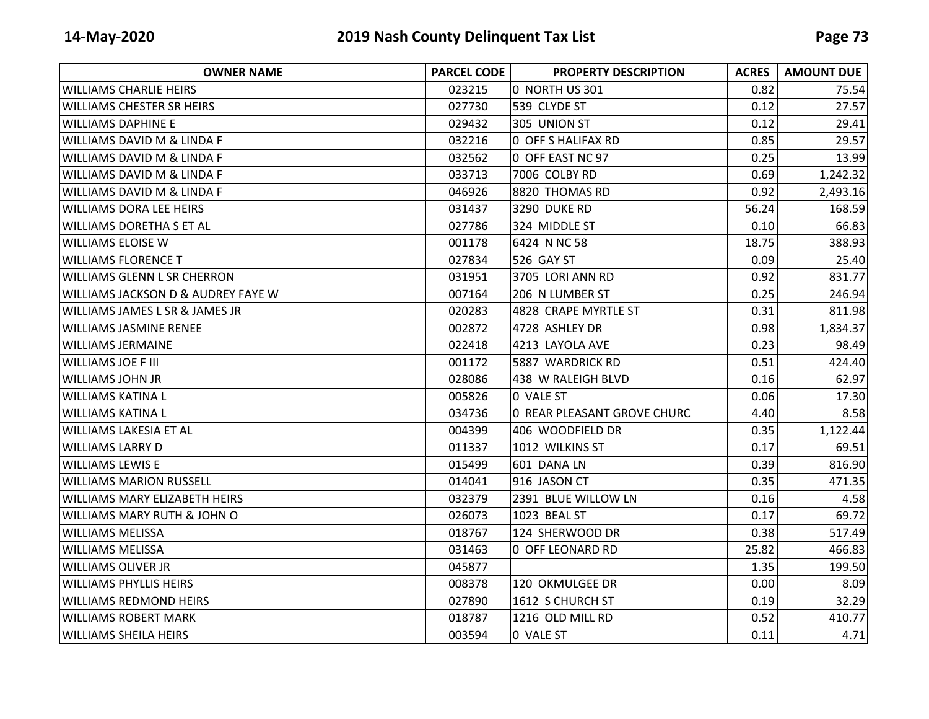| <b>OWNER NAME</b>                             | <b>PARCEL CODE</b> | <b>PROPERTY DESCRIPTION</b> | <b>ACRES</b> | <b>AMOUNT DUE</b> |
|-----------------------------------------------|--------------------|-----------------------------|--------------|-------------------|
| <b>WILLIAMS CHARLIE HEIRS</b>                 | 023215             | 0 NORTH US 301              | 0.82         | 75.54             |
| <b>WILLIAMS CHESTER SR HEIRS</b>              | 027730             | 539 CLYDE ST                | 0.12         | 27.57             |
| <b>WILLIAMS DAPHINE E</b>                     | 029432             | 305 UNION ST                | 0.12         | 29.41             |
| <b>WILLIAMS DAVID M &amp; LINDA F</b>         | 032216             | 0 OFF S HALIFAX RD          | 0.85         | 29.57             |
| <b>WILLIAMS DAVID M &amp; LINDA F</b>         | 032562             | 0 OFF EAST NC 97            | 0.25         | 13.99             |
| <b>WILLIAMS DAVID M &amp; LINDA F</b>         | 033713             | 7006 COLBY RD               | 0.69         | 1,242.32          |
| WILLIAMS DAVID M & LINDA F                    | 046926             | 8820 THOMAS RD              | 0.92         | 2,493.16          |
| <b>WILLIAMS DORA LEE HEIRS</b>                | 031437             | 3290 DUKE RD                | 56.24        | 168.59            |
| WILLIAMS DORETHA S ET AL                      | 027786             | 324 MIDDLE ST               | 0.10         | 66.83             |
| <b>WILLIAMS ELOISE W</b>                      | 001178             | 6424 N NC 58                | 18.75        | 388.93            |
| <b>WILLIAMS FLORENCE T</b>                    | 027834             | 526 GAY ST                  | 0.09         | 25.40             |
| WILLIAMS GLENN L SR CHERRON                   | 031951             | 3705 LORI ANN RD            | 0.92         | 831.77            |
| <b>WILLIAMS JACKSON D &amp; AUDREY FAYE W</b> | 007164             | 206 N LUMBER ST             | 0.25         | 246.94            |
| <b>WILLIAMS JAMES L SR &amp; JAMES JR</b>     | 020283             | 4828 CRAPE MYRTLE ST        | 0.31         | 811.98            |
| <b>WILLIAMS JASMINE RENEE</b>                 | 002872             | 4728 ASHLEY DR              | 0.98         | 1,834.37          |
| <b>WILLIAMS JERMAINE</b>                      | 022418             | 4213 LAYOLA AVE             | 0.23         | 98.49             |
| <b>WILLIAMS JOE F III</b>                     | 001172             | 5887 WARDRICK RD            | 0.51         | 424.40            |
| IWILLIAMS JOHN JR                             | 028086             | 438 W RALEIGH BLVD          | 0.16         | 62.97             |
| <b>WILLIAMS KATINA L</b>                      | 005826             | 0 VALE ST                   | 0.06         | 17.30             |
| <b>WILLIAMS KATINA L</b>                      | 034736             | 0 REAR PLEASANT GROVE CHURC | 4.40         | 8.58              |
| <b>WILLIAMS LAKESIA ET AL</b>                 | 004399             | 406 WOODFIELD DR            | 0.35         | 1,122.44          |
| <b>WILLIAMS LARRY D</b>                       | 011337             | 1012 WILKINS ST             | 0.17         | 69.51             |
| <b>WILLIAMS LEWIS E</b>                       | 015499             | 601 DANA LN                 | 0.39         | 816.90            |
| <b>WILLIAMS MARION RUSSELL</b>                | 014041             | 916 JASON CT                | 0.35         | 471.35            |
| <b>WILLIAMS MARY ELIZABETH HEIRS</b>          | 032379             | 2391 BLUE WILLOW LN         | 0.16         | 4.58              |
| <b>WILLIAMS MARY RUTH &amp; JOHN O</b>        | 026073             | 1023 BEAL ST                | 0.17         | 69.72             |
| <b>WILLIAMS MELISSA</b>                       | 018767             | 124 SHERWOOD DR             | 0.38         | 517.49            |
| <b>WILLIAMS MELISSA</b>                       | 031463             | 0 OFF LEONARD RD            | 25.82        | 466.83            |
| <b>WILLIAMS OLIVER JR</b>                     | 045877             |                             | 1.35         | 199.50            |
| <b>WILLIAMS PHYLLIS HEIRS</b>                 | 008378             | 120 OKMULGEE DR             | 0.00         | 8.09              |
| WILLIAMS REDMOND HEIRS                        | 027890             | 1612 S CHURCH ST            | 0.19         | 32.29             |
| <b>WILLIAMS ROBERT MARK</b>                   | 018787             | 1216 OLD MILL RD            | 0.52         | 410.77            |
| <b>WILLIAMS SHEILA HEIRS</b>                  | 003594             | 0 VALE ST                   | 0.11         | 4.71              |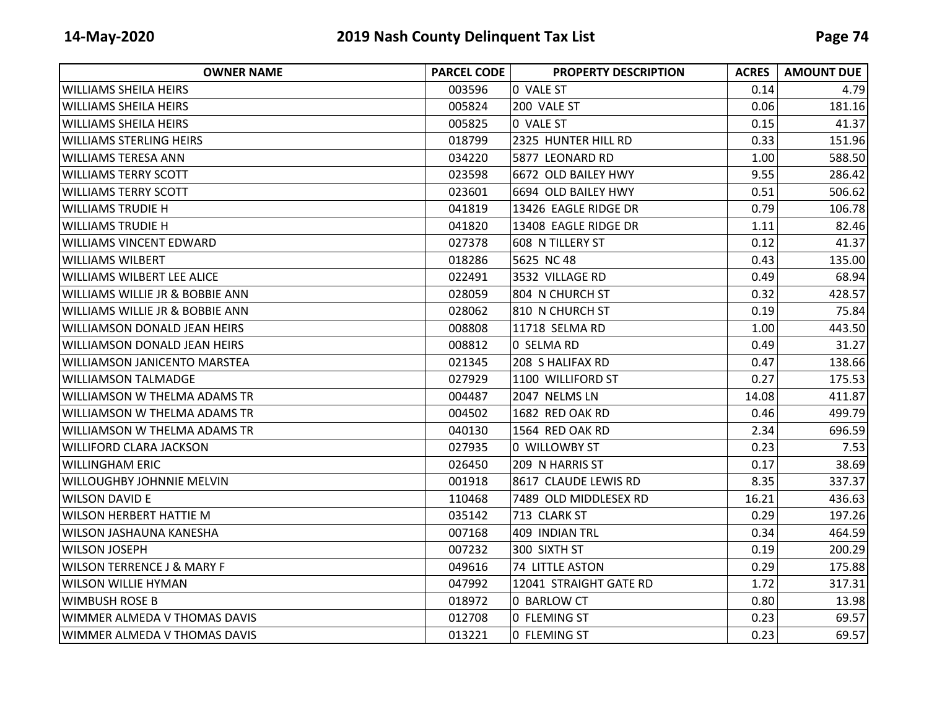| <b>OWNER NAME</b>                          | <b>PARCEL CODE</b> | <b>PROPERTY DESCRIPTION</b> | <b>ACRES</b> | <b>AMOUNT DUE</b> |
|--------------------------------------------|--------------------|-----------------------------|--------------|-------------------|
| <b>WILLIAMS SHEILA HEIRS</b>               | 003596             | 0 VALE ST                   | 0.14         | 4.79              |
| <b>WILLIAMS SHEILA HEIRS</b>               | 005824             | 200 VALE ST                 | 0.06         | 181.16            |
| <b>WILLIAMS SHEILA HEIRS</b>               | 005825             | 0 VALE ST                   | 0.15         | 41.37             |
| <b>WILLIAMS STERLING HEIRS</b>             | 018799             | 2325 HUNTER HILL RD         | 0.33         | 151.96            |
| <b>WILLIAMS TERESA ANN</b>                 | 034220             | 5877 LEONARD RD             | 1.00         | 588.50            |
| <b>WILLIAMS TERRY SCOTT</b>                | 023598             | 6672 OLD BAILEY HWY         | 9.55         | 286.42            |
| WILLIAMS TERRY SCOTT                       | 023601             | 6694 OLD BAILEY HWY         | 0.51         | 506.62            |
| <b>WILLIAMS TRUDIE H</b>                   | 041819             | 13426 EAGLE RIDGE DR        | 0.79         | 106.78            |
| WILLIAMS TRUDIE H                          | 041820             | 13408 EAGLE RIDGE DR        | 1.11         | 82.46             |
| <b>WILLIAMS VINCENT EDWARD</b>             | 027378             | 608 N TILLERY ST            | 0.12         | 41.37             |
| <b>WILLIAMS WILBERT</b>                    | 018286             | 5625 NC 48                  | 0.43         | 135.00            |
| <b>WILLIAMS WILBERT LEE ALICE</b>          | 022491             | 3532 VILLAGE RD             | 0.49         | 68.94             |
| <b>WILLIAMS WILLIE JR &amp; BOBBIE ANN</b> | 028059             | 804 N CHURCH ST             | 0.32         | 428.57            |
| <b>WILLIAMS WILLIE JR &amp; BOBBIE ANN</b> | 028062             | 810 N CHURCH ST             | 0.19         | 75.84             |
| <b>WILLIAMSON DONALD JEAN HEIRS</b>        | 008808             | 11718 SELMA RD              | 1.00         | 443.50            |
| WILLIAMSON DONALD JEAN HEIRS               | 008812             | 0 SELMA RD                  | 0.49         | 31.27             |
| WILLIAMSON JANICENTO MARSTEA               | 021345             | 208 S HALIFAX RD            | 0.47         | 138.66            |
| <b>WILLIAMSON TALMADGE</b>                 | 027929             | 1100 WILLIFORD ST           | 0.27         | 175.53            |
| WILLIAMSON W THELMA ADAMS TR               | 004487             | 2047 NELMS LN               | 14.08        | 411.87            |
| <b>WILLIAMSON W THELMA ADAMS TR</b>        | 004502             | 1682 RED OAK RD             | 0.46         | 499.79            |
| WILLIAMSON W THELMA ADAMS TR               | 040130             | 1564 RED OAK RD             | 2.34         | 696.59            |
| WILLIFORD CLARA JACKSON                    | 027935             | 0 WILLOWBY ST               | 0.23         | 7.53              |
| <b>WILLINGHAM ERIC</b>                     | 026450             | 209 N HARRIS ST             | 0.17         | 38.69             |
| WILLOUGHBY JOHNNIE MELVIN                  | 001918             | 8617 CLAUDE LEWIS RD        | 8.35         | 337.37            |
| <b>WILSON DAVID E</b>                      | 110468             | 7489 OLD MIDDLESEX RD       | 16.21        | 436.63            |
| <b>WILSON HERBERT HATTIE M</b>             | 035142             | 713 CLARK ST                | 0.29         | 197.26            |
| WILSON JASHAUNA KANESHA                    | 007168             | 409 INDIAN TRL              | 0.34         | 464.59            |
| <b>WILSON JOSEPH</b>                       | 007232             | 300 SIXTH ST                | 0.19         | 200.29            |
| <b>WILSON TERRENCE J &amp; MARY F</b>      | 049616             | 74 LITTLE ASTON             | 0.29         | 175.88            |
| <b>WILSON WILLIE HYMAN</b>                 | 047992             | 12041 STRAIGHT GATE RD      | 1.72         | 317.31            |
| <b>WIMBUSH ROSE B</b>                      | 018972             | 0 BARLOW CT                 | 0.80         | 13.98             |
| WIMMER ALMEDA V THOMAS DAVIS               | 012708             | 0 FLEMING ST                | 0.23         | 69.57             |
| WIMMER ALMEDA V THOMAS DAVIS               | 013221             | 0 FLEMING ST                | 0.23         | 69.57             |